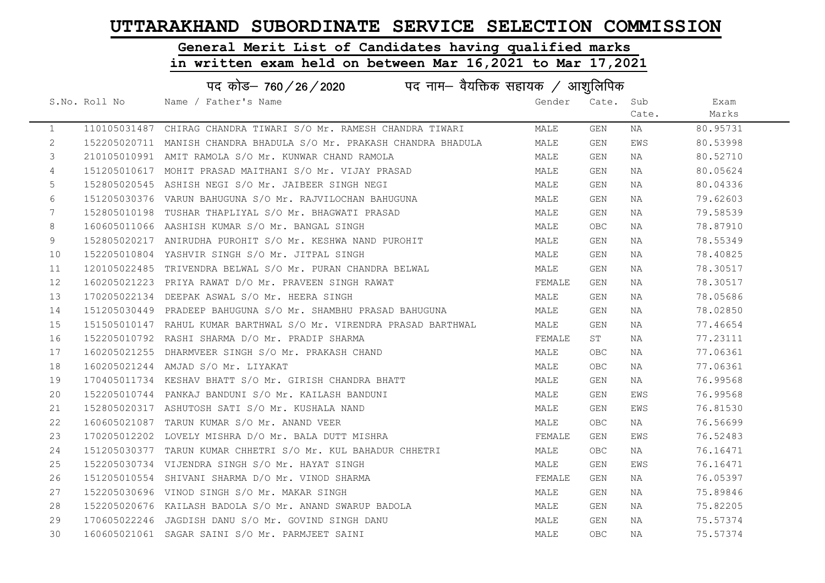# General Merit List of Candidates having qualified marks

|              | पद कोड़– 760 / 26 / 2020 पद नाम– वैयक्तिक सहायक / आशुलिपिक |                                                                     |        |            |       |          |  |  |
|--------------|------------------------------------------------------------|---------------------------------------------------------------------|--------|------------|-------|----------|--|--|
|              | S.No. Roll No                                              | Name / Father's Name                                                | Gender | Cate. Sub  |       | Exam     |  |  |
|              |                                                            |                                                                     |        |            | Cate. | Marks    |  |  |
| $\mathbf{1}$ |                                                            | 110105031487 CHIRAG CHANDRA TIWARI S/O Mr. RAMESH CHANDRA TIWARI    | MALE   | GEN        | NA    | 80.95731 |  |  |
| $\mathbf{2}$ |                                                            | 152205020711 MANISH CHANDRA BHADULA S/O Mr. PRAKASH CHANDRA BHADULA | MALE   | GEN        | EWS   | 80.53998 |  |  |
| 3            |                                                            | 210105010991 AMIT RAMOLA S/O Mr. KUNWAR CHAND RAMOLA                | MALE   | GEN        | NA    | 80.52710 |  |  |
| 4            |                                                            | 151205010617 MOHIT PRASAD MAITHANI S/O Mr. VIJAY PRASAD             | MALE   | GEN        | NA    | 80.05624 |  |  |
| 5            |                                                            | 152805020545 ASHISH NEGI S/O Mr. JAIBEER SINGH NEGI                 | MALE   | GEN        | NA    | 80.04336 |  |  |
| 6            |                                                            | 151205030376 VARUN BAHUGUNA S/O Mr. RAJVILOCHAN BAHUGUNA            | MALE   | GEN        | NA    | 79.62603 |  |  |
| 7            |                                                            | 152805010198 TUSHAR THAPLIYAL S/O Mr. BHAGWATI PRASAD               | MALE   | GEN        | NA    | 79.58539 |  |  |
| 8            |                                                            | 160605011066 AASHISH KUMAR S/O Mr. BANGAL SINGH                     | MALE   | OBC.       | NA    | 78.87910 |  |  |
| 9            |                                                            | 152805020217 ANIRUDHA PUROHIT S/O Mr. KESHWA NAND PUROHIT           | MALE   | GEN        | NA    | 78.55349 |  |  |
| 10           |                                                            | 152205010804 YASHVIR SINGH S/O Mr. JITPAL SINGH                     | MALE   | GEN        | NA    | 78.40825 |  |  |
| 11           |                                                            | 120105022485 TRIVENDRA BELWAL S/O Mr. PURAN CHANDRA BELWAL          | MALE   | GEN        | NA    | 78.30517 |  |  |
| 12           |                                                            | 160205021223 PRIYA RAWAT D/O Mr. PRAVEEN SINGH RAWAT                | FEMALE | GEN        | NA    | 78.30517 |  |  |
| 13           |                                                            | 170205022134 DEEPAK ASWAL S/O Mr. HEERA SINGH                       | MALE   | GEN        | NA    | 78.05686 |  |  |
| 14           |                                                            | 151205030449 PRADEEP BAHUGUNA S/O Mr. SHAMBHU PRASAD BAHUGUNA       | MALE   | GEN        | NA    | 78.02850 |  |  |
| 15           |                                                            | 151505010147 RAHUL KUMAR BARTHWAL S/O Mr. VIRENDRA PRASAD BARTHWAL  | MALE   | GEN        | NA    | 77.46654 |  |  |
| 16           |                                                            | 152205010792 RASHI SHARMA D/O Mr. PRADIP SHARMA                     | FEMALE | ST         | NA    | 77.23111 |  |  |
| 17           |                                                            | 160205021255 DHARMVEER SINGH S/O Mr. PRAKASH CHAND                  | MALE   | OBC.       | NA    | 77.06361 |  |  |
| 18           |                                                            | 160205021244 AMJAD S/O Mr. LIYAKAT                                  | MALE   | OBC.       | NA    | 77.06361 |  |  |
| 19           |                                                            | 170405011734 KESHAV BHATT S/O Mr. GIRISH CHANDRA BHATT              | MALE   | GEN        | NA    | 76.99568 |  |  |
| 20           |                                                            | 152205010744 PANKAJ BANDUNI S/O Mr. KAILASH BANDUNI                 | MALE   | GEN        | EWS   | 76.99568 |  |  |
| 21           |                                                            | 152805020317 ASHUTOSH SATI S/O Mr. KUSHALA NAND                     | MALE   | GEN        | EWS   | 76.81530 |  |  |
| 22           |                                                            | 160605021087 TARUN KUMAR S/O Mr. ANAND VEER                         | MALE   | OBC        | NA    | 76.56699 |  |  |
| 23           |                                                            | 170205012202 LOVELY MISHRA D/O Mr. BALA DUTT MISHRA                 | FEMALE | GEN        | EWS   | 76.52483 |  |  |
| 24           |                                                            | 151205030377 TARUN KUMAR CHHETRI S/O Mr. KUL BAHADUR CHHETRI        | MALE   | OBC.       | ΝA    | 76.16471 |  |  |
| 25           |                                                            | 152205030734 VIJENDRA SINGH S/O Mr. HAYAT SINGH                     | MALE   | GEN        | EWS   | 76.16471 |  |  |
| 26           |                                                            | 151205010554 SHIVANI SHARMA D/O Mr. VINOD SHARMA                    | FEMALE | GEN        | NA    | 76.05397 |  |  |
| 27           |                                                            | 152205030696 VINOD SINGH S/O Mr. MAKAR SINGH                        | MALE   | GEN        | NA    | 75.89846 |  |  |
| 28           |                                                            | 152205020676 KAILASH BADOLA S/O Mr. ANAND SWARUP BADOLA             | MALE   | GEN        | NA    | 75.82205 |  |  |
| 29           |                                                            | 170605022246 JAGDISH DANU S/O Mr. GOVIND SINGH DANU                 | MALE   | GEN        | NA    | 75.57374 |  |  |
| 30           |                                                            | 160605021061 SAGAR SAINI S/O Mr. PARMJEET SAINI                     | MALE   | <b>OBC</b> | NA    | 75.57374 |  |  |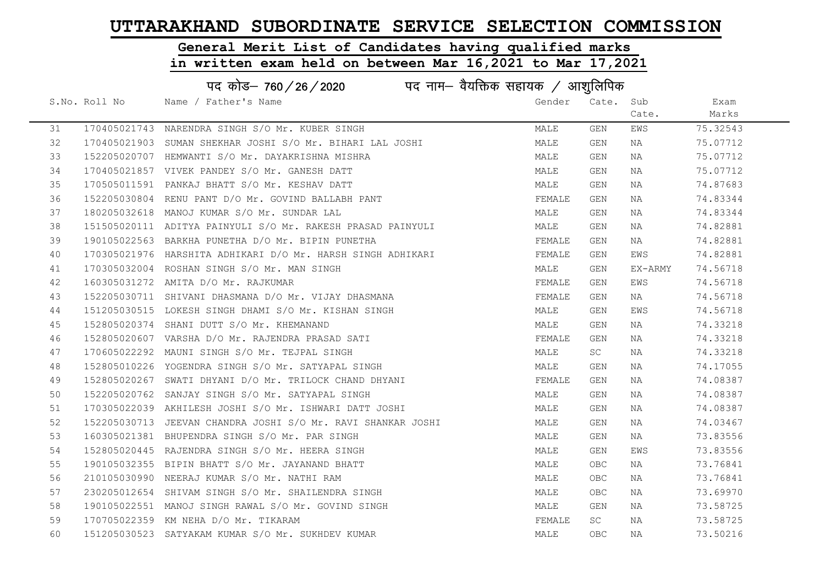# General Merit List of Candidates having qualified marks

|    |               | पद कोड– 760/26/2020<br>पद नाम– वैयक्तिक सहायक / आशुलिपिक     |        |            |         |          |
|----|---------------|--------------------------------------------------------------|--------|------------|---------|----------|
|    | S.No. Roll No | Name / Father's Name                                         | Gender | Cate. Sub  |         | Exam     |
|    |               |                                                              |        |            | Cate.   | Marks    |
| 31 |               | 170405021743 NARENDRA SINGH S/O Mr. KUBER SINGH              | MALE   | GEN        | EWS     | 75.32543 |
| 32 |               | 170405021903 SUMAN SHEKHAR JOSHI S/O Mr. BIHARI LAL JOSHI    | MALE   | GEN        | NA      | 75.07712 |
| 33 |               | 152205020707 HEMWANTI S/O Mr. DAYAKRISHNA MISHRA             | MALE   | GEN        | NA      | 75.07712 |
| 34 |               | 170405021857 VIVEK PANDEY S/O Mr. GANESH DATT                | MALE   | GEN        | NA      | 75.07712 |
| 35 |               | 170505011591 PANKAJ BHATT S/O Mr. KESHAV DATT                | MALE   | GEN        | NA      | 74.87683 |
| 36 |               | 152205030804 RENU PANT D/O Mr. GOVIND BALLABH PANT           | FEMALE | GEN        | NA      | 74.83344 |
| 37 |               | 180205032618 MANOJ KUMAR S/O Mr. SUNDAR LAL                  | MALE   | GEN        | NA      | 74.83344 |
| 38 |               | 151505020111 ADITYA PAINYULI S/O Mr. RAKESH PRASAD PAINYULI  | MALE   | <b>GEN</b> | NA      | 74.82881 |
| 39 |               | 190105022563 BARKHA PUNETHA D/O Mr. BIPIN PUNETHA            | FEMALE | GEN        | NA      | 74.82881 |
| 40 |               | 170305021976 HARSHITA ADHIKARI D/O Mr. HARSH SINGH ADHIKARI  | FEMALE | GEN        | EWS     | 74.82881 |
| 41 |               | 170305032004 ROSHAN SINGH S/O Mr. MAN SINGH                  | MALE   | GEN        | EX-ARMY | 74.56718 |
| 42 |               | 160305031272 AMITA D/O Mr. RAJKUMAR                          | FEMALE | GEN        | EWS     | 74.56718 |
| 43 |               | 152205030711 SHIVANI DHASMANA D/O Mr. VIJAY DHASMANA         | FEMALE | GEN        | NA      | 74.56718 |
| 44 |               | 151205030515 LOKESH SINGH DHAMI S/O Mr. KISHAN SINGH         | MALE   | GEN        | EWS     | 74.56718 |
| 45 |               | 152805020374 SHANI DUTT S/O Mr. KHEMANAND                    | MALE   | GEN        | NA      | 74.33218 |
| 46 |               | 152805020607 VARSHA D/O Mr. RAJENDRA PRASAD SATI             | FEMALE | GEN        | NA      | 74.33218 |
| 47 |               | 170605022292 MAUNI SINGH S/O Mr. TEJPAL SINGH                | MALE   | SC         | ΝA      | 74.33218 |
| 48 |               | 152805010226 YOGENDRA SINGH S/O Mr. SATYAPAL SINGH           | MALE   | GEN        | NA      | 74.17055 |
| 49 |               | 152805020267 SWATI DHYANI D/O Mr. TRILOCK CHAND DHYANI       | FEMALE | GEN        | NA      | 74.08387 |
| 50 |               | 152205020762 SANJAY SINGH S/O Mr. SATYAPAL SINGH             | MALE   | GEN        | NA      | 74.08387 |
| 51 |               | 170305022039 AKHILESH JOSHI S/O Mr. ISHWARI DATT JOSHI       | MALE   | GEN        | NA      | 74.08387 |
| 52 |               | 152205030713 JEEVAN CHANDRA JOSHI S/O Mr. RAVI SHANKAR JOSHI | MALE   | GEN        | NA      | 74.03467 |
| 53 |               | 160305021381 BHUPENDRA SINGH S/O Mr. PAR SINGH               | MALE   | GEN        | NA      | 73.83556 |
| 54 |               | 152805020445 RAJENDRA SINGH S/O Mr. HEERA SINGH              | MALE   | GEN        | EWS     | 73.83556 |
| 55 |               | 190105032355 BIPIN BHATT S/O Mr. JAYANAND BHATT              | MALE   | <b>OBC</b> | ΝA      | 73.76841 |
| 56 |               | 210105030990 NEERAJ KUMAR S/O Mr. NATHI RAM                  | MALE   | <b>OBC</b> | NA      | 73.76841 |
| 57 |               | 230205012654 SHIVAM SINGH S/O Mr. SHAILENDRA SINGH           | MALE   | <b>OBC</b> | NA      | 73.69970 |
| 58 |               | 190105022551 MANOJ SINGH RAWAL S/O Mr. GOVIND SINGH          | MALE   | GEN        | NA      | 73.58725 |
| 59 |               | 170705022359 KM NEHA D/O Mr. TIKARAM                         | FEMALE | SC         | NA      | 73.58725 |
| 60 |               | 151205030523 SATYAKAM KUMAR S/O Mr. SUKHDEV KUMAR            | MALE   | OBC        | ΝA      | 73.50216 |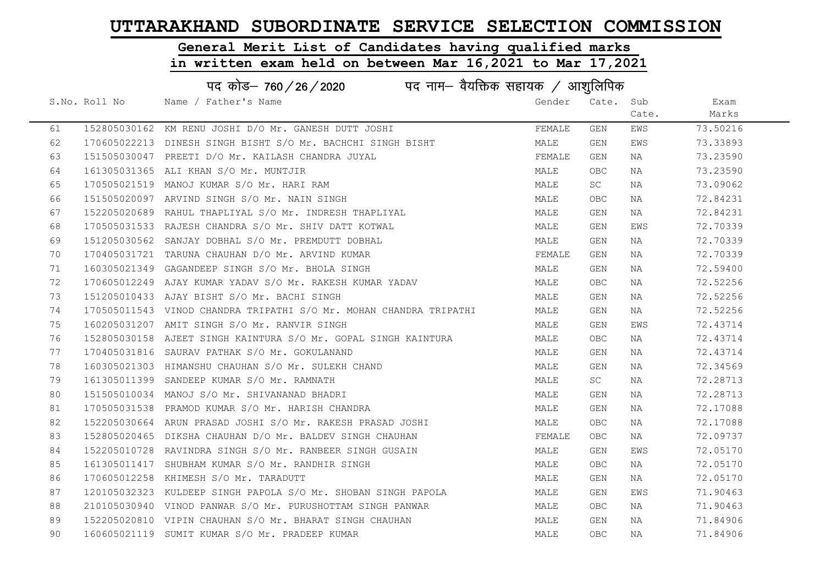# General Merit List of Candidates having qualified marks

|    | पद कोड– 760/26/2020<br>पद नाम— वैयक्तिक सहायक / आशुलिपिक |                                                                    |        |            |       |          |  |  |
|----|----------------------------------------------------------|--------------------------------------------------------------------|--------|------------|-------|----------|--|--|
|    | S.No. Roll No                                            | Name / Father's Name                                               | Gender | Cate. Sub  |       | Exam     |  |  |
|    |                                                          |                                                                    |        |            | Cate. | Marks    |  |  |
| 61 |                                                          | 152805030162 KM RENU JOSHI D/O Mr. GANESH DUTT JOSHI               | FEMALE | GEN        | EWS   | 73.50216 |  |  |
| 62 |                                                          | 170605022213 DINESH SINGH BISHT S/O Mr. BACHCHI SINGH BISHT        | MALE   | GEN        | EWS   | 73.33893 |  |  |
| 63 |                                                          | 151505030047 PREETI D/O Mr. KAILASH CHANDRA JUYAL                  | FEMALE | GEN        | NA    | 73.23590 |  |  |
| 64 |                                                          | 161305031365 ALI KHAN S/O Mr. MUNTJIR                              | MALE   | OBC.       | NA    | 73.23590 |  |  |
| 65 |                                                          | 170505021519 MANOJ KUMAR S/O Mr. HARI RAM                          | MALE   | <b>SC</b>  | NA    | 73.09062 |  |  |
| 66 |                                                          | 151505020097 ARVIND SINGH S/O Mr. NAIN SINGH                       | MALE   | <b>OBC</b> | NA    | 72.84231 |  |  |
| 67 |                                                          | 152205020689 RAHUL THAPLIYAL S/O Mr. INDRESH THAPLIYAL             | MALE   | GEN        | NA    | 72.84231 |  |  |
| 68 |                                                          | 170505031533 RAJESH CHANDRA S/O Mr. SHIV DATT KOTWAL               | MALE   | GEN        | EWS   | 72.70339 |  |  |
| 69 |                                                          | 151205030562 SANJAY DOBHAL S/O Mr. PREMDUTT DOBHAL                 | MALE   | GEN        | NA    | 72.70339 |  |  |
| 70 |                                                          | 170405031721 TARUNA CHAUHAN D/O Mr. ARVIND KUMAR                   | FEMALE | GEN        | NA    | 72.70339 |  |  |
| 71 |                                                          | 160305021349 GAGANDEEP SINGH S/O Mr. BHOLA SINGH                   | MALE   | GEN        | NA    | 72.59400 |  |  |
| 72 |                                                          | 170605012249 AJAY KUMAR YADAV S/O Mr. RAKESH KUMAR YADAV           | MALE   | <b>OBC</b> | NA    | 72.52256 |  |  |
| 73 |                                                          | 151205010433 AJAY BISHT S/O Mr. BACHI SINGH                        | MALE   | GEN        | NA    | 72.52256 |  |  |
| 74 |                                                          | 170505011543 VINOD CHANDRA TRIPATHI S/O Mr. MOHAN CHANDRA TRIPATHI | MALE   | GEN        | NA    | 72.52256 |  |  |
| 75 |                                                          | 160205031207 AMIT SINGH S/O Mr. RANVIR SINGH                       | MALE   | GEN        | EWS   | 72.43714 |  |  |
| 76 |                                                          | 152805030158 AJEET SINGH KAINTURA S/O Mr. GOPAL SINGH KAINTURA     | MALE   | OBC.       | NA    | 72.43714 |  |  |
| 77 |                                                          | 170405031816 SAURAV PATHAK S/O Mr. GOKULANAND                      | MALE   | GEN        | NA    | 72.43714 |  |  |
| 78 |                                                          | 160305021303 HIMANSHU CHAUHAN S/O Mr. SULEKH CHAND                 | MALE   | GEN        | NA    | 72.34569 |  |  |
| 79 |                                                          | 161305011399 SANDEEP KUMAR S/O Mr. RAMNATH                         | MALE   | SC         | ΝA    | 72.28713 |  |  |
| 80 |                                                          | 151505010034 MANOJ S/O Mr. SHIVANANAD BHADRI                       | MALE   | GEN        | NA    | 72.28713 |  |  |
| 81 |                                                          | 170505031538 PRAMOD KUMAR S/O Mr. HARISH CHANDRA                   | MALE   | GEN        | ΝA    | 72.17088 |  |  |
| 82 |                                                          | 152205030664 ARUN PRASAD JOSHI S/O Mr. RAKESH PRASAD JOSHI         | MALE   | <b>OBC</b> | NA    | 72.17088 |  |  |
| 83 |                                                          | 152805020465 DIKSHA CHAUHAN D/O Mr. BALDEV SINGH CHAUHAN           | FEMALE | OBC        | NA    | 72.09737 |  |  |
| 84 |                                                          | 152205010728 RAVINDRA SINGH S/O Mr. RANBEER SINGH GUSAIN           | MALE   | GEN        | EWS   | 72.05170 |  |  |
| 85 |                                                          | 161305011417 SHUBHAM KUMAR S/O Mr. RANDHIR SINGH                   | MALE   | OBC.       | ΝA    | 72.05170 |  |  |
| 86 |                                                          | 170605012258 KHIMESH S/O Mr. TARADUTT                              | MALE   | GEN        | NA    | 72.05170 |  |  |
| 87 |                                                          | 120105032323 KULDEEP SINGH PAPOLA S/O Mr. SHOBAN SINGH PAPOLA      | MALE   | GEN        | EWS   | 71.90463 |  |  |
| 88 |                                                          | 210105030940 VINOD PANWAR S/O Mr. PURUSHOTTAM SINGH PANWAR         | MALE   | OBC        | NA    | 71.90463 |  |  |
| 89 |                                                          | 152205020810 VIPIN CHAUHAN S/O Mr. BHARAT SINGH CHAUHAN            | MALE   | GEN        | NA    | 71.84906 |  |  |
| 90 |                                                          | 160605021119 SUMIT KUMAR S/O Mr. PRADEEP KUMAR                     | MALE   | <b>OBC</b> | NA    | 71.84906 |  |  |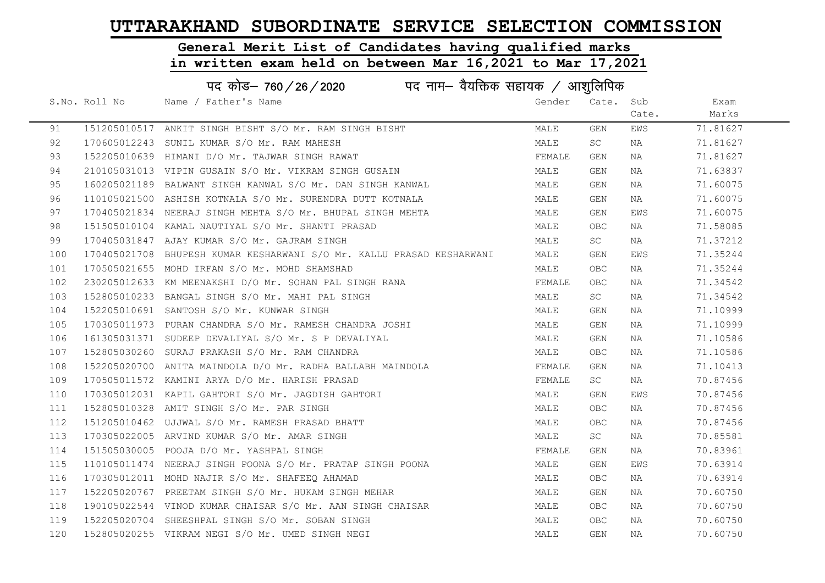# General Merit List of Candidates having qualified marks

|     | पद कोड़– 760 / 26 / 2020 पद नाम– वैयक्तिक सहायक / आशुलिपिक |                                                                       |        |            |       |          |  |  |
|-----|------------------------------------------------------------|-----------------------------------------------------------------------|--------|------------|-------|----------|--|--|
|     | S.No. Roll No                                              | Name / Father's Name                                                  | Gender | Cate.      | Sub   | Exam     |  |  |
|     |                                                            |                                                                       |        |            | Cate. | Marks    |  |  |
| 91  |                                                            | 151205010517 ANKIT SINGH BISHT S/O Mr. RAM SINGH BISHT                | MALE   | GEN        | EWS   | 71.81627 |  |  |
| 92  |                                                            | 170605012243 SUNIL KUMAR S/O Mr. RAM MAHESH                           | MALE   | SC         | NA    | 71.81627 |  |  |
| 93  |                                                            | 152205010639 HIMANI D/O Mr. TAJWAR SINGH RAWAT                        | FEMALE | GEN        | NA    | 71.81627 |  |  |
| 94  |                                                            | 210105031013 VIPIN GUSAIN S/O Mr. VIKRAM SINGH GUSAIN                 | MALE   | GEN        | NA    | 71.63837 |  |  |
| 95  |                                                            | 160205021189 BALWANT SINGH KANWAL S/O Mr. DAN SINGH KANWAL            | MALE   | GEN        | NA    | 71.60075 |  |  |
| 96  |                                                            | 110105021500 ASHISH KOTNALA S/O Mr. SURENDRA DUTT KOTNALA             | MALE   | GEN        | NA    | 71.60075 |  |  |
| 97  |                                                            | 170405021834 NEERAJ SINGH MEHTA S/O Mr. BHUPAL SINGH MEHTA            | MALE   | GEN        | EWS   | 71.60075 |  |  |
| 98  |                                                            | 151505010104 KAMAL NAUTIYAL S/O Mr. SHANTI PRASAD                     | MALE   | <b>OBC</b> | NA    | 71.58085 |  |  |
| 99  |                                                            | 170405031847 AJAY KUMAR S/O Mr. GAJRAM SINGH                          | MALE   | SC         | NA    | 71.37212 |  |  |
| 100 |                                                            | 170405021708 BHUPESH KUMAR KESHARWANI S/O Mr. KALLU PRASAD KESHARWANI | MALE   | GEN        | EWS   | 71.35244 |  |  |
| 101 |                                                            | 170505021655 MOHD IRFAN S/O Mr. MOHD SHAMSHAD                         | MALE   | <b>OBC</b> | NA    | 71.35244 |  |  |
| 102 |                                                            | 230205012633 KM MEENAKSHI D/O Mr. SOHAN PAL SINGH RANA                | FEMALE | <b>OBC</b> | NA    | 71.34542 |  |  |
| 103 |                                                            | 152805010233 BANGAL SINGH S/O Mr. MAHI PAL SINGH                      | MALE   | <b>SC</b>  | NA    | 71.34542 |  |  |
| 104 |                                                            | 152205010691 SANTOSH S/O Mr. KUNWAR SINGH                             | MALE   | GEN        | NA    | 71.10999 |  |  |
| 105 |                                                            | 170305011973 PURAN CHANDRA S/O Mr. RAMESH CHANDRA JOSHI               | MALE   | GEN        | NA    | 71.10999 |  |  |
| 106 |                                                            | 161305031371 SUDEEP DEVALIYAL S/O Mr. S P DEVALIYAL                   | MALE   | GEN        | NA    | 71.10586 |  |  |
| 107 |                                                            | 152805030260 SURAJ PRAKASH S/O Mr. RAM CHANDRA                        | MALE   | <b>OBC</b> | NA    | 71.10586 |  |  |
| 108 |                                                            | 152205020700 ANITA MAINDOLA D/O Mr. RADHA BALLABH MAINDOLA            | FEMALE | GEN        | NA    | 71.10413 |  |  |
| 109 |                                                            | 170505011572 KAMINI ARYA D/O Mr. HARISH PRASAD                        | FEMALE | SC         | NA    | 70.87456 |  |  |
| 110 |                                                            | 170305012031 KAPIL GAHTORI S/O Mr. JAGDISH GAHTORI                    | MALE   | GEN        | EWS   | 70.87456 |  |  |
| 111 |                                                            | 152805010328 AMIT SINGH S/O Mr. PAR SINGH                             | MALE   | OBC.       | NA    | 70.87456 |  |  |
| 112 |                                                            | 151205010462 UJJWAL S/O Mr. RAMESH PRASAD BHATT                       | MALE   | <b>OBC</b> | NA    | 70.87456 |  |  |
| 113 |                                                            | 170305022005 ARVIND KUMAR S/O Mr. AMAR SINGH                          | MALE   | SC         | NA    | 70.85581 |  |  |
| 114 |                                                            | 151505030005 POOJA D/O Mr. YASHPAL SINGH                              | FEMALE | GEN        | NA    | 70.83961 |  |  |
| 115 |                                                            | 110105011474 NEERAJ SINGH POONA S/O Mr. PRATAP SINGH POONA            | MALE   | GEN        | EWS   | 70.63914 |  |  |
| 116 |                                                            | 170305012011 MOHD NAJIR S/O Mr. SHAFEEO AHAMAD                        | MALE   | <b>OBC</b> | NA    | 70.63914 |  |  |
| 117 |                                                            | 152205020767 PREETAM SINGH S/O Mr. HUKAM SINGH MEHAR                  | MALE   | GEN        | NA    | 70.60750 |  |  |
| 118 |                                                            | 190105022544 VINOD KUMAR CHAISAR S/O Mr. AAN SINGH CHAISAR            | MALE   | <b>OBC</b> | NA    | 70.60750 |  |  |
| 119 |                                                            | 152205020704 SHEESHPAL SINGH S/O Mr. SOBAN SINGH                      | MALE   | <b>OBC</b> | NA    | 70.60750 |  |  |
| 120 |                                                            | 152805020255 VIKRAM NEGI S/O Mr. UMED SINGH NEGI                      | MALE   | GEN        | NA    | 70.60750 |  |  |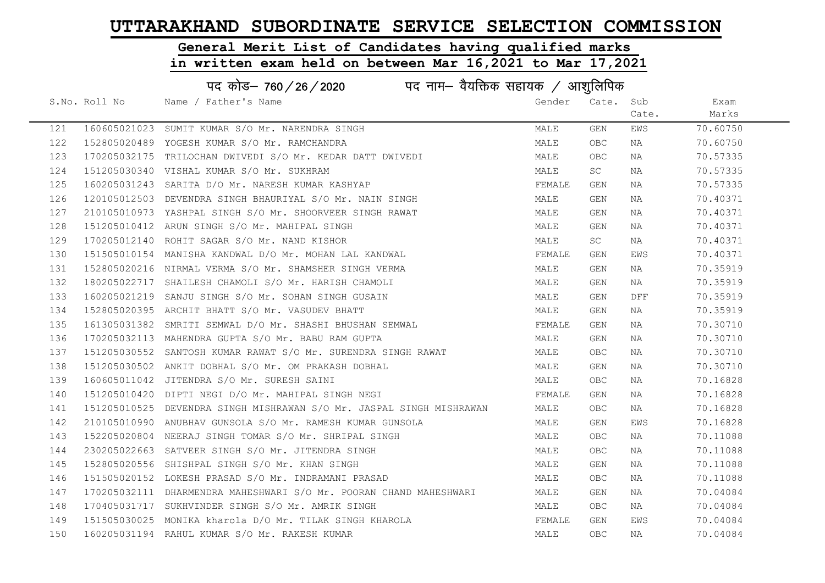# General Merit List of Candidates having qualified marks

|     | पद कोड– 760 / 26 / 2020 पद नाम– वैयक्तिक सहायक / आशुलिपिक |                                                                      |        |           |       |          |  |  |
|-----|-----------------------------------------------------------|----------------------------------------------------------------------|--------|-----------|-------|----------|--|--|
|     | S.No. Roll No                                             | Name / Father's Name                                                 | Gender | Cate.     | Sub   | Exam     |  |  |
|     |                                                           |                                                                      |        |           | Cate. | Marks    |  |  |
| 121 |                                                           | 160605021023 SUMIT KUMAR S/O Mr. NARENDRA SINGH                      | MALE   | GEN       | EWS   | 70.60750 |  |  |
| 122 |                                                           | 152805020489 YOGESH KUMAR S/O Mr. RAMCHANDRA                         | MALE   | OBC.      | NA    | 70.60750 |  |  |
| 123 |                                                           | 170205032175 TRILOCHAN DWIVEDI S/O Mr. KEDAR DATT DWIVEDI            | MALE   | OBC.      | NA    | 70.57335 |  |  |
| 124 |                                                           | 151205030340 VISHAL KUMAR S/O Mr. SUKHRAM                            | MALE   | <b>SC</b> | NA    | 70.57335 |  |  |
| 125 |                                                           | 160205031243 SARITA D/O Mr. NARESH KUMAR KASHYAP                     | FEMALE | GEN       | NA    | 70.57335 |  |  |
| 126 |                                                           | 120105012503 DEVENDRA SINGH BHAURIYAL S/O Mr. NAIN SINGH             | MALE   | GEN       | NA    | 70.40371 |  |  |
| 127 |                                                           | 210105010973 YASHPAL SINGH S/O Mr. SHOORVEER SINGH RAWAT             | MALE   | GEN       | NA    | 70.40371 |  |  |
| 128 |                                                           | 151205010412 ARUN SINGH S/O Mr. MAHIPAL SINGH                        | MALE   | GEN       | NA    | 70.40371 |  |  |
| 129 |                                                           | 170205012140 ROHIT SAGAR S/O Mr. NAND KISHOR                         | MALE   | <b>SC</b> | NA    | 70.40371 |  |  |
| 130 |                                                           | 151505010154 MANISHA KANDWAL D/O Mr. MOHAN LAL KANDWAL               | FEMALE | GEN       | EWS   | 70.40371 |  |  |
| 131 |                                                           | 152805020216 NIRMAL VERMA S/O Mr. SHAMSHER SINGH VERMA               | MALE   | GEN       | NA    | 70.35919 |  |  |
| 132 |                                                           | 180205022717 SHAILESH CHAMOLI S/O Mr. HARISH CHAMOLI                 | MALE   | GEN       | NA    | 70.35919 |  |  |
| 133 |                                                           | 160205021219 SANJU SINGH S/O Mr. SOHAN SINGH GUSAIN                  | MALE   | GEN       | DFF   | 70.35919 |  |  |
| 134 |                                                           | 152805020395 ARCHIT BHATT S/O Mr. VASUDEV BHATT                      | MALE   | GEN       | NA    | 70.35919 |  |  |
| 135 |                                                           | 161305031382 SMRITI SEMWAL D/O Mr. SHASHI BHUSHAN SEMWAL             | FEMALE | GEN       | NA    | 70.30710 |  |  |
| 136 |                                                           | 170205032113 MAHENDRA GUPTA S/O Mr. BABU RAM GUPTA                   | MALE   | GEN       | NA    | 70.30710 |  |  |
| 137 |                                                           | 151205030552 SANTOSH KUMAR RAWAT S/O Mr. SURENDRA SINGH RAWAT        | MALE   | OBC       | NA    | 70.30710 |  |  |
| 138 |                                                           | 151205030502 ANKIT DOBHAL S/O Mr. OM PRAKASH DOBHAL                  | MALE   | GEN       | NA    | 70.30710 |  |  |
| 139 |                                                           | 160605011042 JITENDRA S/O Mr. SURESH SAINI                           | MALE   | OBC.      | NA    | 70.16828 |  |  |
| 140 |                                                           | 151205010420 DIPTI NEGI D/O Mr. MAHIPAL SINGH NEGI                   | FEMALE | GEN       | NA    | 70.16828 |  |  |
| 141 |                                                           | 151205010525 DEVENDRA SINGH MISHRAWAN S/O Mr. JASPAL SINGH MISHRAWAN | MALE   | OBC.      | NA    | 70.16828 |  |  |
| 142 |                                                           | 210105010990 ANUBHAV GUNSOLA S/O Mr. RAMESH KUMAR GUNSOLA            | MALE   | GEN       | EWS   | 70.16828 |  |  |
| 143 |                                                           | 152205020804 NEERAJ SINGH TOMAR S/O Mr. SHRIPAL SINGH                | MALE   | OBC       | NA    | 70.11088 |  |  |
| 144 |                                                           | 230205022663 SATVEER SINGH S/O Mr. JITENDRA SINGH                    | MALE   | OBC.      | NA    | 70.11088 |  |  |
| 145 |                                                           | 152805020556 SHISHPAL SINGH S/O Mr. KHAN SINGH                       | MALE   | GEN       | NA    | 70.11088 |  |  |
| 146 |                                                           | 151505020152 LOKESH PRASAD S/O Mr. INDRAMANI PRASAD                  | MALE   | OBC       | NA    | 70.11088 |  |  |
| 147 |                                                           | 170205032111 DHARMENDRA MAHESHWARI S/O Mr. POORAN CHAND MAHESHWARI   | MALE   | GEN       | NA    | 70.04084 |  |  |
| 148 |                                                           | 170405031717 SUKHVINDER SINGH S/O Mr. AMRIK SINGH                    | MALE   | OBC.      | NA    | 70.04084 |  |  |
| 149 |                                                           | 151505030025 MONIKA kharola D/O Mr. TILAK SINGH KHAROLA              | FEMALE | GEN       | EWS   | 70.04084 |  |  |
| 150 |                                                           | 160205031194 RAHUL KUMAR S/O Mr. RAKESH KUMAR                        | MALE   | OBC       | ΝA    | 70.04084 |  |  |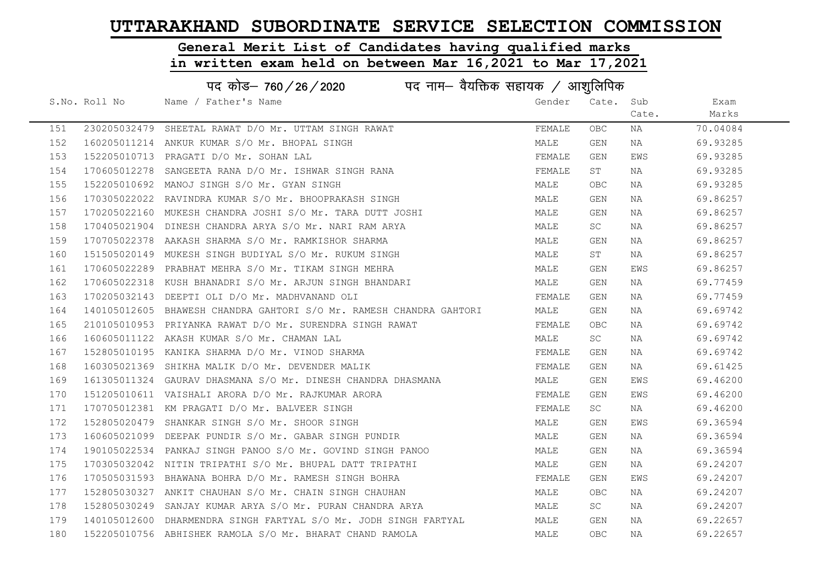# General Merit List of Candidates having qualified marks

|     | पद कोड– 760/26/2020<br>पद नाम— वैयक्तिक सहायक / आशुलिपिक |                                                                     |        |            |       |          |  |  |
|-----|----------------------------------------------------------|---------------------------------------------------------------------|--------|------------|-------|----------|--|--|
|     | S.No. Roll No                                            | Name / Father's Name                                                | Gender | Cate. Sub  |       | Exam     |  |  |
|     |                                                          |                                                                     |        |            | Cate. | Marks    |  |  |
| 151 |                                                          | 230205032479 SHEETAL RAWAT D/O Mr. UTTAM SINGH RAWAT                | FEMALE | <b>OBC</b> | NA    | 70.04084 |  |  |
| 152 |                                                          | 160205011214 ANKUR KUMAR S/O Mr. BHOPAL SINGH                       | MALE   | GEN        | NA    | 69.93285 |  |  |
| 153 |                                                          | 152205010713 PRAGATI D/O Mr. SOHAN LAL                              | FEMALE | GEN        | EWS   | 69.93285 |  |  |
| 154 |                                                          | 170605012278 SANGEETA RANA D/O Mr. ISHWAR SINGH RANA                | FEMALE | ST         | NA    | 69.93285 |  |  |
| 155 |                                                          | 152205010692 MANOJ SINGH S/O Mr. GYAN SINGH                         | MALE   | <b>OBC</b> | NA    | 69.93285 |  |  |
| 156 |                                                          | 170305022022 RAVINDRA KUMAR S/O Mr. BHOOPRAKASH SINGH               | MALE   | GEN        | NA    | 69.86257 |  |  |
| 157 |                                                          | 170205022160 MUKESH CHANDRA JOSHI S/O Mr. TARA DUTT JOSHI           | MALE   | GEN        | NA    | 69.86257 |  |  |
| 158 |                                                          | 170405021904 DINESH CHANDRA ARYA S/O Mr. NARI RAM ARYA              | MALE   | <b>SC</b>  | NA    | 69.86257 |  |  |
| 159 |                                                          | 170705022378 AAKASH SHARMA S/O Mr. RAMKISHOR SHARMA                 | MALE   | GEN        | NA    | 69.86257 |  |  |
| 160 |                                                          | 151505020149 MUKESH SINGH BUDIYAL S/O Mr. RUKUM SINGH               | MALE   | ST         | NA    | 69.86257 |  |  |
| 161 |                                                          | 170605022289 PRABHAT MEHRA S/O Mr. TIKAM SINGH MEHRA                | MALE   | GEN        | EWS   | 69.86257 |  |  |
| 162 |                                                          | 170605022318 KUSH BHANADRI S/O Mr. ARJUN SINGH BHANDARI             | MALE   | GEN        | NA    | 69.77459 |  |  |
| 163 |                                                          | 170205032143 DEEPTI OLI D/O Mr. MADHVANAND OLI                      | FEMALE | GEN        | NA    | 69.77459 |  |  |
| 164 |                                                          | 140105012605 BHAWESH CHANDRA GAHTORI S/O Mr. RAMESH CHANDRA GAHTORI | MALE   | GEN        | NA    | 69.69742 |  |  |
| 165 |                                                          | 210105010953 PRIYANKA RAWAT D/O Mr. SURENDRA SINGH RAWAT            | FEMALE | <b>OBC</b> | NA    | 69.69742 |  |  |
| 166 |                                                          | 160605011122 AKASH KUMAR S/O Mr. CHAMAN LAL                         | MALE   | SC         | NA    | 69.69742 |  |  |
| 167 |                                                          | 152805010195 KANIKA SHARMA D/O Mr. VINOD SHARMA                     | FEMALE | GEN        | NA    | 69.69742 |  |  |
| 168 |                                                          | 160305021369 SHIKHA MALIK D/O Mr. DEVENDER MALIK                    | FEMALE | GEN        | NA    | 69.61425 |  |  |
| 169 |                                                          | 161305011324 GAURAV DHASMANA S/O Mr. DINESH CHANDRA DHASMANA        | MALE   | GEN        | EWS   | 69.46200 |  |  |
| 170 |                                                          | 151205010611 VAISHALI ARORA D/O Mr. RAJKUMAR ARORA                  | FEMALE | GEN        | EWS   | 69.46200 |  |  |
| 171 |                                                          | 170705012381 KM PRAGATI D/O Mr. BALVEER SINGH                       | FEMALE | <b>SC</b>  | NA    | 69.46200 |  |  |
| 172 |                                                          | 152805020479 SHANKAR SINGH S/O Mr. SHOOR SINGH                      | MALE   | GEN        | EWS   | 69.36594 |  |  |
| 173 |                                                          | 160605021099 DEEPAK PUNDIR S/O Mr. GABAR SINGH PUNDIR               | MALE   | GEN        | NA    | 69.36594 |  |  |
| 174 |                                                          | 190105022534 PANKAJ SINGH PANOO S/O Mr. GOVIND SINGH PANOO          | MALE   | GEN        | NA    | 69.36594 |  |  |
| 175 |                                                          | 170305032042 NITIN TRIPATHI S/O Mr. BHUPAL DATT TRIPATHI            | MALE   | GEN        | NA    | 69.24207 |  |  |
| 176 |                                                          | 170505031593 BHAWANA BOHRA D/O Mr. RAMESH SINGH BOHRA               | FEMALE | GEN        | EWS   | 69.24207 |  |  |
| 177 |                                                          | 152805030327 ANKIT CHAUHAN S/O Mr. CHAIN SINGH CHAUHAN              | MALE   | <b>OBC</b> | NA    | 69.24207 |  |  |
| 178 |                                                          | 152805030249 SANJAY KUMAR ARYA S/O Mr. PURAN CHANDRA ARYA           | MALE   | SC         | NA    | 69.24207 |  |  |
| 179 |                                                          | 140105012600 DHARMENDRA SINGH FARTYAL S/O Mr. JODH SINGH FARTYAL    | MALE   | GEN        | NA    | 69.22657 |  |  |
| 180 |                                                          | 152205010756 ABHISHEK RAMOLA S/O Mr. BHARAT CHAND RAMOLA            | MALE   | <b>OBC</b> | NA    | 69.22657 |  |  |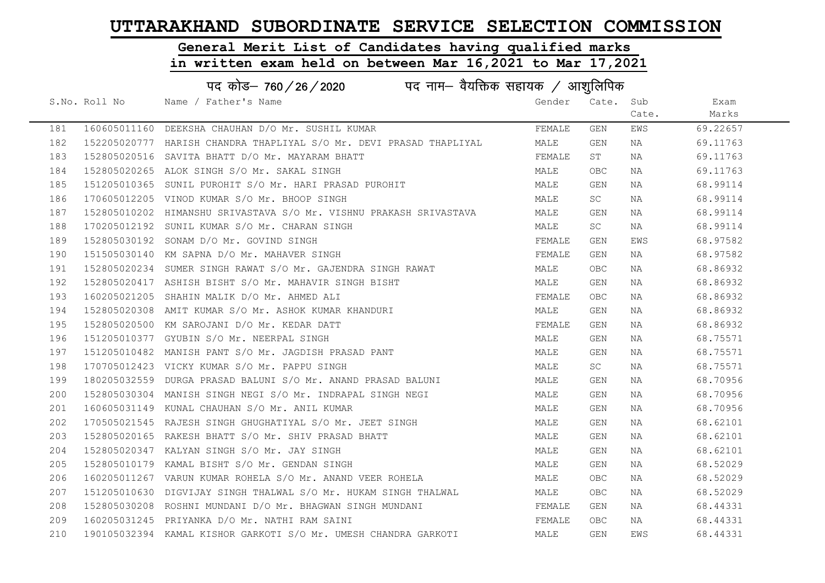# General Merit List of Candidates having qualified marks

|     | पद कोड़– 760 / 26 / 2020 पद नाम– वैयक्तिक सहायक / आशुलिपिक |                                                                     |        |                         |       |          |  |
|-----|------------------------------------------------------------|---------------------------------------------------------------------|--------|-------------------------|-------|----------|--|
|     | S.No. Roll No                                              | Name / Father's Name                                                | Gender | Cate.                   | Sub   | Exam     |  |
|     |                                                            |                                                                     |        |                         | Cate. | Marks    |  |
| 181 |                                                            | 160605011160 DEEKSHA CHAUHAN D/O Mr. SUSHIL KUMAR                   | FEMALE | GEN                     | EWS   | 69.22657 |  |
| 182 |                                                            | 152205020777 HARISH CHANDRA THAPLIYAL S/O Mr. DEVI PRASAD THAPLIYAL | MALE   | GEN                     | NA    | 69.11763 |  |
| 183 |                                                            | 152805020516 SAVITA BHATT D/O Mr. MAYARAM BHATT                     | FEMALE | ST                      | NA    | 69.11763 |  |
| 184 |                                                            | 152805020265 ALOK SINGH S/O Mr. SAKAL SINGH                         | MALE   | OBC.                    | NA    | 69.11763 |  |
| 185 |                                                            | 151205010365 SUNIL PUROHIT S/O Mr. HARI PRASAD PUROHIT              | MALE   | GEN                     | NA    | 68.99114 |  |
| 186 |                                                            | 170605012205 VINOD KUMAR S/O Mr. BHOOP SINGH                        | MALE   | <b>SC</b>               | NA    | 68.99114 |  |
| 187 |                                                            | 152805010202 HIMANSHU SRIVASTAVA S/O Mr. VISHNU PRAKASH SRIVASTAVA  | MALE   | GEN                     | NA    | 68.99114 |  |
| 188 |                                                            | 170205012192 SUNIL KUMAR S/O Mr. CHARAN SINGH                       | MALE   | SC                      | NA    | 68.99114 |  |
| 189 |                                                            | 152805030192 SONAM D/O Mr. GOVIND SINGH                             | FEMALE | GEN                     | EWS   | 68.97582 |  |
| 190 |                                                            | 151505030140 KM SAPNA D/O Mr. MAHAVER SINGH                         | FEMALE | GEN                     | NA    | 68.97582 |  |
| 191 |                                                            | 152805020234 SUMER SINGH RAWAT S/O Mr. GAJENDRA SINGH RAWAT         | MALE   | OBC.                    | NA    | 68.86932 |  |
| 192 |                                                            | 152805020417 ASHISH BISHT S/O Mr. MAHAVIR SINGH BISHT               | MALE   | GEN                     | NA    | 68.86932 |  |
| 193 |                                                            | 160205021205 SHAHIN MALIK D/O Mr. AHMED ALI                         | FEMALE | OBC                     | NA    | 68.86932 |  |
| 194 |                                                            | 152805020308 AMIT KUMAR S/O Mr. ASHOK KUMAR KHANDURI                | MALE   | GEN                     | NA    | 68.86932 |  |
| 195 |                                                            | 152805020500 KM SAROJANI D/O Mr. KEDAR DATT                         | FEMALE | GEN                     | NA    | 68.86932 |  |
| 196 |                                                            | 151205010377 GYUBIN S/O Mr. NEERPAL SINGH                           | MALE   | GEN                     | NA    | 68.75571 |  |
| 197 |                                                            | 151205010482 MANISH PANT S/O Mr. JAGDISH PRASAD PANT                | MALE   | GEN                     | NA    | 68.75571 |  |
| 198 |                                                            | 170705012423 VICKY KUMAR S/O Mr. PAPPU SINGH                        | MALE   | SC                      | NA    | 68.75571 |  |
| 199 |                                                            | 180205032559 DURGA PRASAD BALUNI S/O Mr. ANAND PRASAD BALUNI        | MALE   | GEN                     | NA    | 68.70956 |  |
| 200 |                                                            | 152805030304 MANISH SINGH NEGI S/O Mr. INDRAPAL SINGH NEGI          | MALE   | GEN                     | NA    | 68.70956 |  |
| 201 |                                                            | 160605031149 KUNAL CHAUHAN S/O Mr. ANIL KUMAR                       | MALE   | GEN                     | NA    | 68.70956 |  |
| 202 |                                                            | 170505021545 RAJESH SINGH GHUGHATIYAL S/O Mr. JEET SINGH            | MALE   | GEN                     | NA    | 68.62101 |  |
| 203 |                                                            | 152805020165 RAKESH BHATT S/O Mr. SHIV PRASAD BHATT                 | MALE   | GEN                     | NA    | 68.62101 |  |
| 204 |                                                            | 152805020347 KALYAN SINGH S/O Mr. JAY SINGH                         | MALE   | GEN                     | NA    | 68.62101 |  |
| 205 |                                                            | 152805010179 KAMAL BISHT S/O Mr. GENDAN SINGH                       | MALE   | GEN                     | NA    | 68.52029 |  |
| 206 |                                                            | 160205011267 VARUN KUMAR ROHELA S/O Mr. ANAND VEER ROHELA           | MALE   | OBC                     | NA    | 68.52029 |  |
| 207 |                                                            | 151205010630 DIGVIJAY SINGH THALWAL S/O Mr. HUKAM SINGH THALWAL     | MALE   | OBC.                    | NA    | 68.52029 |  |
| 208 |                                                            | 152805030208 ROSHNI MUNDANI D/O Mr. BHAGWAN SINGH MUNDANI           | FEMALE | GEN                     | NA    | 68.44331 |  |
| 209 |                                                            | 160205031245 PRIYANKA D/O Mr. NATHI RAM SAINI                       | FEMALE | OBC.                    | NA    | 68.44331 |  |
| 210 |                                                            | 190105032394 KAMAL KISHOR GARKOTI S/O Mr. UMESH CHANDRA GARKOTI     | MALE   | $\mathop{\mathsf{GEN}}$ | EWS   | 68.44331 |  |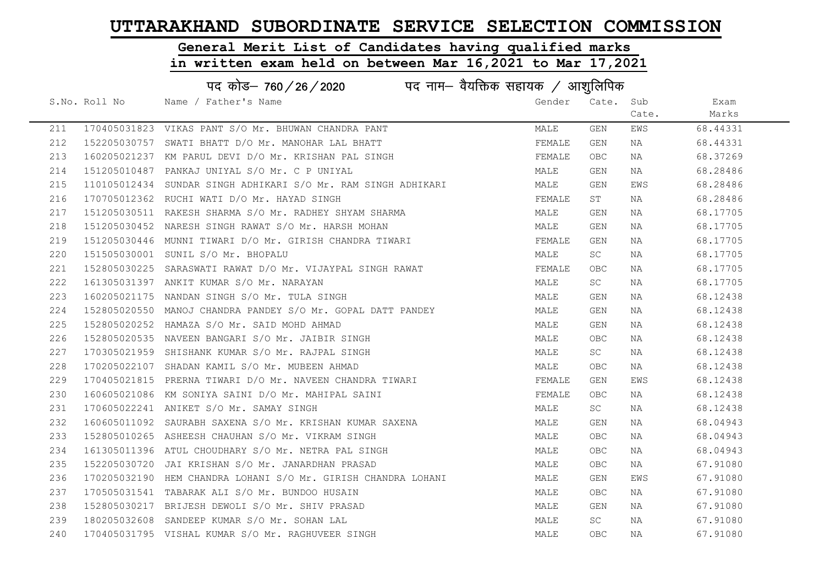# General Merit List of Candidates having qualified marks

|     | पद कोड़- 760 / 26 / 2020 पद नाम- वैयक्तिक सहायक / आशुलिपिक |                                                               |        |            |       |          |  |
|-----|------------------------------------------------------------|---------------------------------------------------------------|--------|------------|-------|----------|--|
|     | S.No. Roll No                                              | Name / Father's Name                                          | Gender | Cate. Sub  |       | Exam     |  |
|     |                                                            |                                                               |        |            | Cate. | Marks    |  |
| 211 |                                                            | 170405031823 VIKAS PANT S/O Mr. BHUWAN CHANDRA PANT           | MALE   | GEN        | EWS   | 68.44331 |  |
| 212 |                                                            | 152205030757 SWATI BHATT D/O Mr. MANOHAR LAL BHATT            | FEMALE | GEN        | NA    | 68.44331 |  |
| 213 |                                                            | 160205021237 KM PARUL DEVI D/O Mr. KRISHAN PAL SINGH          | FEMALE | <b>OBC</b> | NA    | 68.37269 |  |
| 214 |                                                            | 151205010487 PANKAJ UNIYAL S/O Mr. C P UNIYAL                 | MALE   | GEN        | NA    | 68.28486 |  |
| 215 |                                                            | 110105012434 SUNDAR SINGH ADHIKARI S/O Mr. RAM SINGH ADHIKARI | MALE   | GEN        | EWS   | 68.28486 |  |
| 216 |                                                            | 170705012362 RUCHI WATI D/O Mr. HAYAD SINGH                   | FEMALE | ST         | NA    | 68.28486 |  |
| 217 |                                                            | 151205030511 RAKESH SHARMA S/O Mr. RADHEY SHYAM SHARMA        | MALE   | GEN        | NA    | 68.17705 |  |
| 218 |                                                            | 151205030452 NARESH SINGH RAWAT S/O Mr. HARSH MOHAN           | MALE   | GEN        | NA    | 68.17705 |  |
| 219 |                                                            | 151205030446  MUNNI TIWARI D/O Mr. GIRISH CHANDRA TIWARI      | FEMALE | GEN        | NA    | 68.17705 |  |
| 220 |                                                            | 151505030001 SUNIL S/O Mr. BHOPALU                            | MALE   | SC         | NA    | 68.17705 |  |
| 221 |                                                            | 152805030225 SARASWATI RAWAT D/O Mr. VIJAYPAL SINGH RAWAT     | FEMALE | <b>OBC</b> | NA    | 68.17705 |  |
| 222 |                                                            | 161305031397 ANKIT KUMAR S/O Mr. NARAYAN                      | MALE   | SC         | NA    | 68.17705 |  |
| 223 |                                                            | 160205021175 NANDAN SINGH S/O Mr. TULA SINGH                  | MALE   | GEN        | NA    | 68.12438 |  |
| 224 |                                                            | 152805020550 MANOJ CHANDRA PANDEY S/O Mr. GOPAL DATT PANDEY   | MALE   | GEN        | NA    | 68.12438 |  |
| 225 |                                                            | 152805020252 HAMAZA S/O Mr. SAID MOHD AHMAD                   | MALE   | GEN        | NA    | 68.12438 |  |
| 226 |                                                            | 152805020535 NAVEEN BANGARI S/O Mr. JAIBIR SINGH              | MALE   | OBC.       | NA    | 68.12438 |  |
| 227 |                                                            | 170305021959 SHISHANK KUMAR S/O Mr. RAJPAL SINGH              | MALE   | SC         | NA    | 68.12438 |  |
| 228 |                                                            | 170205022107 SHADAN KAMIL S/O Mr. MUBEEN AHMAD                | MALE   | OBC        | NA    | 68.12438 |  |
| 229 |                                                            | 170405021815 PRERNA TIWARI D/O Mr. NAVEEN CHANDRA TIWARI      | FEMALE | GEN        | EWS   | 68.12438 |  |
| 230 |                                                            | 160605021086 KM SONIYA SAINI D/O Mr. MAHIPAL SAINI            | FEMALE | OBC        | NA    | 68.12438 |  |
| 231 |                                                            | 170605022241 ANIKET S/O Mr. SAMAY SINGH                       | MALE   | SC         | NA    | 68.12438 |  |
| 232 |                                                            | 160605011092 SAURABH SAXENA S/O Mr. KRISHAN KUMAR SAXENA      | MALE   | GEN        | NA    | 68.04943 |  |
| 233 |                                                            | 152805010265 ASHEESH CHAUHAN S/O Mr. VIKRAM SINGH             | MALE   | <b>OBC</b> | NA    | 68.04943 |  |
| 234 |                                                            | 161305011396 ATUL CHOUDHARY S/O Mr. NETRA PAL SINGH           | MALE   | <b>OBC</b> | NA    | 68.04943 |  |
| 235 |                                                            | 152205030720 JAI KRISHAN S/O Mr. JANARDHAN PRASAD             | MALE   | <b>OBC</b> | NA    | 67.91080 |  |
| 236 |                                                            | 170205032190 HEM CHANDRA LOHANI S/O Mr. GIRISH CHANDRA LOHANI | MALE   | GEN        | EWS   | 67.91080 |  |
| 237 |                                                            | 170505031541 TABARAK ALI S/O Mr. BUNDOO HUSAIN                | MALE   | <b>OBC</b> | NA    | 67.91080 |  |
| 238 |                                                            | 152805030217 BRIJESH DEWOLI S/O Mr. SHIV PRASAD               | MALE   | GEN        | NA    | 67.91080 |  |
| 239 |                                                            | 180205032608 SANDEEP KUMAR S/O Mr. SOHAN LAL                  | MALE   | SC         | NA    | 67.91080 |  |
| 240 |                                                            | 170405031795 VISHAL KUMAR S/O Mr. RAGHUVEER SINGH             | MALE   | <b>OBC</b> | NA    | 67.91080 |  |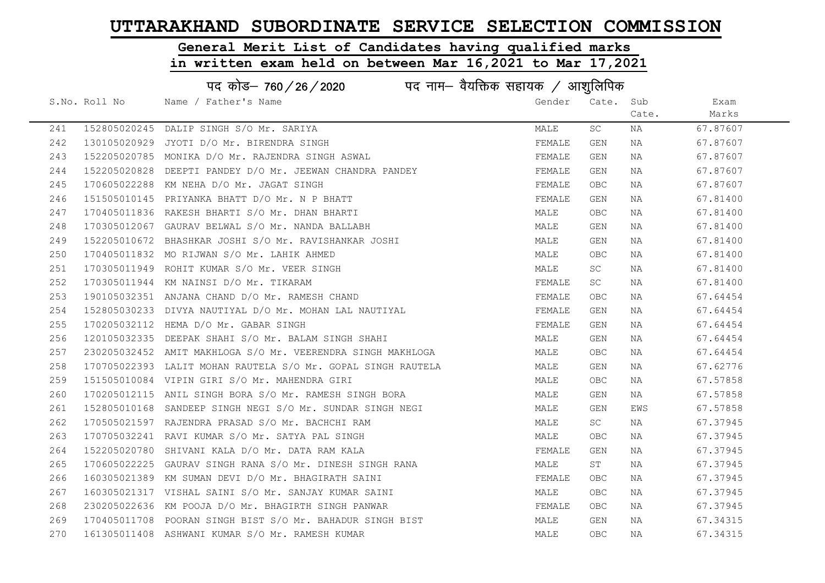#### General Merit List of Candidates having qualified marks

|     | पद कोड– 760/26/2020<br>पद नाम— वैयक्तिक सहायक $\diagup$ आशुलिपिक |                                                              |        |            |       |          |  |
|-----|------------------------------------------------------------------|--------------------------------------------------------------|--------|------------|-------|----------|--|
|     | S.No. Roll No                                                    | Name / Father's Name                                         | Gender | Cate.      | Sub   | Exam     |  |
|     |                                                                  |                                                              |        |            | Cate. | Marks    |  |
| 241 |                                                                  | 152805020245 DALIP SINGH S/O Mr. SARIYA                      | MALE   | SC         | NA    | 67.87607 |  |
| 242 |                                                                  | 130105020929 JYOTI D/O Mr. BIRENDRA SINGH                    | FEMALE | GEN        | NA    | 67.87607 |  |
| 243 |                                                                  | 152205020785 MONIKA D/O Mr. RAJENDRA SINGH ASWAL             | FEMALE | GEN        | NA    | 67.87607 |  |
| 244 |                                                                  | 152205020828 DEEPTI PANDEY D/O Mr. JEEWAN CHANDRA PANDEY     | FEMALE | GEN        | NA    | 67.87607 |  |
| 245 |                                                                  | 170605022288 KM NEHA D/O Mr. JAGAT SINGH                     | FEMALE | OBC .      | NA    | 67.87607 |  |
| 246 |                                                                  | 151505010145 PRIYANKA BHATT D/O Mr. N P BHATT                | FEMALE | GEN        | NA    | 67.81400 |  |
| 247 |                                                                  | 170405011836 RAKESH BHARTI S/O Mr. DHAN BHARTI               | MALE   | OBC.       | NA    | 67.81400 |  |
| 248 |                                                                  | 170305012067 GAURAV BELWAL S/O Mr. NANDA BALLABH             | MALE   | GEN        | NA    | 67.81400 |  |
| 249 |                                                                  | 152205010672 BHASHKAR JOSHI S/O Mr. RAVISHANKAR JOSHI        | MALE   | GEN        | NA    | 67.81400 |  |
| 250 |                                                                  | 170405011832 MO RIJWAN S/O Mr. LAHIK AHMED                   | MALE   | OBC        | NA    | 67.81400 |  |
| 251 |                                                                  | 170305011949 ROHIT KUMAR S/O Mr. VEER SINGH                  | MALE   | SC         | NA    | 67.81400 |  |
| 252 |                                                                  | 170305011944 KM NAINSI D/O Mr. TIKARAM                       | FEMALE | SC         | NA    | 67.81400 |  |
| 253 |                                                                  | 190105032351 ANJANA CHAND D/O Mr. RAMESH CHAND               | FEMALE | OBC.       | NA    | 67.64454 |  |
| 254 |                                                                  | 152805030233 DIVYA NAUTIYAL D/O Mr. MOHAN LAL NAUTIYAL       | FEMALE | GEN        | NA    | 67.64454 |  |
| 255 |                                                                  | 170205032112 HEMA D/O Mr. GABAR SINGH                        | FEMALE | GEN        | NA    | 67.64454 |  |
| 256 |                                                                  | 120105032335 DEEPAK SHAHI S/O Mr. BALAM SINGH SHAHI          | MALE   | GEN        | NA    | 67.64454 |  |
| 257 |                                                                  | 230205032452 AMIT MAKHLOGA S/O Mr. VEERENDRA SINGH MAKHLOGA  | MALE   | OBC.       | NA    | 67.64454 |  |
| 258 |                                                                  | 170705022393 LALIT MOHAN RAUTELA S/O Mr. GOPAL SINGH RAUTELA | MALE   | GEN        | NA    | 67.62776 |  |
| 259 |                                                                  | 151505010084 VIPIN GIRI S/O Mr. MAHENDRA GIRI                | MALE   | OBC        | NA    | 67.57858 |  |
| 260 |                                                                  | 170205012115 ANIL SINGH BORA S/O Mr. RAMESH SINGH BORA       | MALE   | GEN        | NA    | 67.57858 |  |
| 261 |                                                                  | 152805010168 SANDEEP SINGH NEGI S/O Mr. SUNDAR SINGH NEGI    | MALE   | GEN        | EWS   | 67.57858 |  |
| 262 |                                                                  | 170505021597 RAJENDRA PRASAD S/O Mr. BACHCHI RAM             | MALE   | SC         | NA    | 67.37945 |  |
| 263 |                                                                  | 170705032241 RAVI KUMAR S/O Mr. SATYA PAL SINGH              | MALE   | OBC        | NA    | 67.37945 |  |
| 264 |                                                                  | 152205020780 SHIVANI KALA D/O Mr. DATA RAM KALA              | FEMALE | GEN        | NA    | 67.37945 |  |
| 265 |                                                                  | 170605022225 GAURAV SINGH RANA S/O Mr. DINESH SINGH RANA     | MALE   | ST         | NA    | 67.37945 |  |
| 266 |                                                                  | 160305021389 KM SUMAN DEVI D/O Mr. BHAGIRATH SAINI           | FEMALE | OBC.       | NA    | 67.37945 |  |
| 267 |                                                                  | 160305021317 VISHAL SAINI S/O Mr. SANJAY KUMAR SAINI         | MALE   | OBC.       | NA    | 67.37945 |  |
| 268 |                                                                  | 230205022636 KM POOJA D/O Mr. BHAGIRTH SINGH PANWAR          | FEMALE | OBC.       | NA    | 67.37945 |  |
| 269 |                                                                  | 170405011708 POORAN SINGH BIST S/O Mr. BAHADUR SINGH BIST    | MALE   | GEN        | NA    | 67.34315 |  |
| 270 |                                                                  | 161305011408 ASHWANI KUMAR S/O Mr. RAMESH KUMAR              | MALE   | <b>OBC</b> | ΝA    | 67.34315 |  |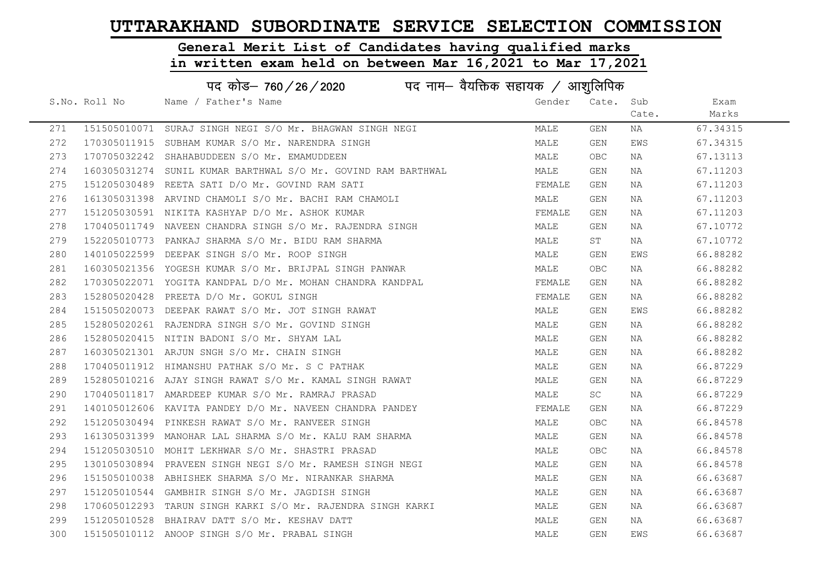#### General Merit List of Candidates having qualified marks

|     | पद कोड– 760/26/2020<br>पद नाम— वैयक्तिक सहायक / आशुलिपिक |                                                               |        |            |       |          |  |  |
|-----|----------------------------------------------------------|---------------------------------------------------------------|--------|------------|-------|----------|--|--|
|     | S.No. Roll No                                            | Name / Father's Name                                          | Gender | Cate. Sub  |       | Exam     |  |  |
|     |                                                          |                                                               |        |            | Cate. | Marks    |  |  |
| 271 |                                                          | 151505010071 SURAJ SINGH NEGI S/O Mr. BHAGWAN SINGH NEGI      | MALE   | GEN        | NA    | 67.34315 |  |  |
| 272 |                                                          | 170305011915 SUBHAM KUMAR S/O Mr. NARENDRA SINGH              | MALE   | GEN        | EWS   | 67.34315 |  |  |
| 273 |                                                          | 170705032242 SHAHABUDDEEN S/O Mr. EMAMUDDEEN                  | MALE   | OBC.       | ΝA    | 67.13113 |  |  |
| 274 |                                                          | 160305031274 SUNIL KUMAR BARTHWAL S/O Mr. GOVIND RAM BARTHWAL | MALE   | GEN        | NA    | 67.11203 |  |  |
| 275 |                                                          | 151205030489 REETA SATI D/O Mr. GOVIND RAM SATI               | FEMALE | GEN        | NA    | 67.11203 |  |  |
| 276 |                                                          | 161305031398 ARVIND CHAMOLI S/O Mr. BACHI RAM CHAMOLI         | MALE   | GEN        | NA    | 67.11203 |  |  |
| 277 |                                                          | 151205030591 NIKITA KASHYAP D/O Mr. ASHOK KUMAR               | FEMALE | GEN        | NA    | 67.11203 |  |  |
| 278 |                                                          | 170405011749 NAVEEN CHANDRA SINGH S/O Mr. RAJENDRA SINGH      | MALE   | GEN        | NA    | 67.10772 |  |  |
| 279 |                                                          | 152205010773 PANKAJ SHARMA S/O Mr. BIDU RAM SHARMA            | MALE   | ST         | NA    | 67.10772 |  |  |
| 280 |                                                          | 140105022599 DEEPAK SINGH S/O Mr. ROOP SINGH                  | MALE   | GEN        | EWS   | 66.88282 |  |  |
| 281 |                                                          | 160305021356 YOGESH KUMAR S/O Mr. BRIJPAL SINGH PANWAR        | MALE   | <b>OBC</b> | NA    | 66.88282 |  |  |
| 282 |                                                          | 170305022071 YOGITA KANDPAL D/O Mr. MOHAN CHANDRA KANDPAL     | FEMALE | GEN        | NA    | 66.88282 |  |  |
| 283 |                                                          | 152805020428 PREETA D/O Mr. GOKUL SINGH                       | FEMALE | GEN        | NA    | 66.88282 |  |  |
| 284 |                                                          | 151505020073 DEEPAK RAWAT S/O Mr. JOT SINGH RAWAT             | MALE   | GEN        | EWS   | 66.88282 |  |  |
| 285 |                                                          | 152805020261 RAJENDRA SINGH S/O Mr. GOVIND SINGH              | MALE   | GEN        | NA    | 66.88282 |  |  |
| 286 |                                                          | 152805020415 NITIN BADONI S/O Mr. SHYAM LAL                   | MALE   | GEN        | NA    | 66.88282 |  |  |
| 287 |                                                          | 160305021301 ARJUN SNGH S/O Mr. CHAIN SINGH                   | MALE   | GEN        | NA    | 66.88282 |  |  |
| 288 |                                                          | 170405011912 HIMANSHU PATHAK S/O Mr. S C PATHAK               | MALE   | GEN        | ΝA    | 66.87229 |  |  |
| 289 |                                                          | 152805010216 AJAY SINGH RAWAT S/O Mr. KAMAL SINGH RAWAT       | MALE   | GEN        | NA    | 66.87229 |  |  |
| 290 |                                                          | 170405011817 AMARDEEP KUMAR S/O Mr. RAMRAJ PRASAD             | MALE   | SC         | NA    | 66.87229 |  |  |
| 291 |                                                          | 140105012606 KAVITA PANDEY D/O Mr. NAVEEN CHANDRA PANDEY      | FEMALE | GEN        | NA    | 66.87229 |  |  |
| 292 |                                                          | 151205030494 PINKESH RAWAT S/O Mr. RANVEER SINGH              | MALE   | OBC        | NA    | 66.84578 |  |  |
| 293 |                                                          | 161305031399 MANOHAR LAL SHARMA S/O Mr. KALU RAM SHARMA       | MALE   | GEN        | NA    | 66.84578 |  |  |
| 294 |                                                          | 151205030510 MOHIT LEKHWAR S/O Mr. SHASTRI PRASAD             | MALE   | OBC        | ΝA    | 66.84578 |  |  |
| 295 |                                                          | 130105030894 PRAVEEN SINGH NEGI S/O Mr. RAMESH SINGH NEGI     | MALE   | GEN        | NA    | 66.84578 |  |  |
| 296 |                                                          | 151505010038 ABHISHEK SHARMA S/O Mr. NIRANKAR SHARMA          | MALE   | GEN        | NA    | 66.63687 |  |  |
| 297 |                                                          | 151205010544 GAMBHIR SINGH S/O Mr. JAGDISH SINGH              | MALE   | GEN        | NA    | 66.63687 |  |  |
| 298 |                                                          | 170605012293 TARUN SINGH KARKI S/O Mr. RAJENDRA SINGH KARKI   | MALE   | GEN        | NA    | 66.63687 |  |  |
| 299 |                                                          | 151205010528 BHAIRAV DATT S/O Mr. KESHAV DATT                 | MALE   | GEN        | NA    | 66.63687 |  |  |
| 300 |                                                          | 151505010112 ANOOP SINGH S/O Mr. PRABAL SINGH                 | MALE   | GEN        | EWS   | 66.63687 |  |  |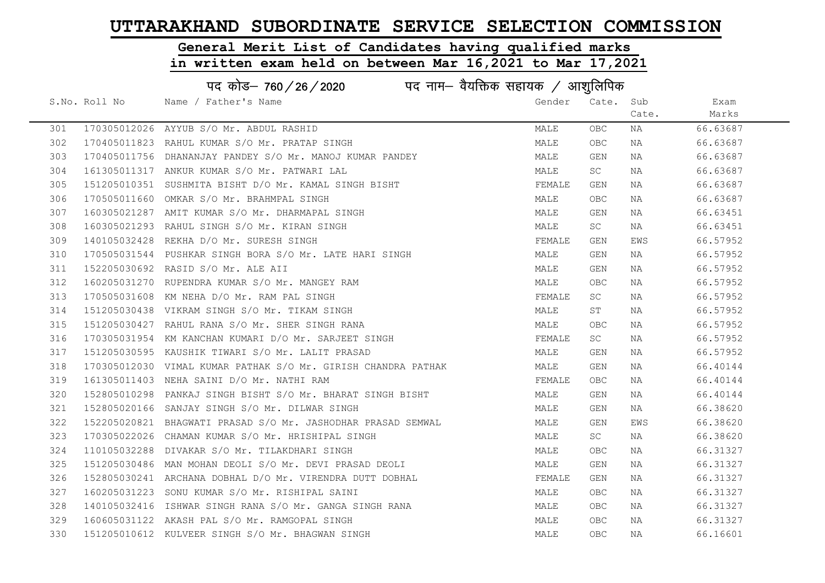# General Merit List of Candidates having qualified marks

|     |               | पद कोड– 760 / 26 / 2020 पद नाम– वैयक्तिक सहायक / आशुलिपिक     |        |           |       |          |
|-----|---------------|---------------------------------------------------------------|--------|-----------|-------|----------|
|     | S.No. Roll No | Name / Father's Name                                          | Gender | Cate. Sub |       | Exam     |
|     |               |                                                               |        |           | Cate. | Marks    |
| 301 |               | 170305012026 AYYUB S/O Mr. ABDUL RASHID                       | MALE   | OBC.      | NA    | 66.63687 |
| 302 |               | 170405011823 RAHUL KUMAR S/O Mr. PRATAP SINGH                 | MALE   | OBC       | NA    | 66.63687 |
| 303 |               | 170405011756 DHANANJAY PANDEY S/O Mr. MANOJ KUMAR PANDEY      | MALE   | GEN       | NA    | 66.63687 |
| 304 |               | 161305011317 ANKUR KUMAR S/O Mr. PATWARI LAL                  | MALE   | SC        | NA    | 66.63687 |
| 305 |               | 151205010351 SUSHMITA BISHT D/O Mr. KAMAL SINGH BISHT         | FEMALE | GEN       | NA    | 66.63687 |
| 306 |               | 170505011660 OMKAR S/O Mr. BRAHMPAL SINGH                     | MALE   | OBC       | NA    | 66.63687 |
| 307 |               | 160305021287 AMIT KUMAR S/O Mr. DHARMAPAL SINGH               | MALE   | GEN       | NA    | 66.63451 |
| 308 |               | 160305021293 RAHUL SINGH S/O Mr. KIRAN SINGH                  | MALE   | <b>SC</b> | NA    | 66.63451 |
| 309 |               | 140105032428 REKHA D/O Mr. SURESH SINGH                       | FEMALE | GEN       | EWS   | 66.57952 |
| 310 |               | 170505031544 PUSHKAR SINGH BORA S/O Mr. LATE HARI SINGH       | MALE   | GEN       | NA    | 66.57952 |
| 311 |               | 152205030692 RASID S/O Mr. ALE AII                            | MALE   | GEN       | NA    | 66.57952 |
| 312 |               | 160205031270 RUPENDRA KUMAR S/O Mr. MANGEY RAM                | MALE   | OBC.      | NA    | 66.57952 |
| 313 |               | 170505031608 KM NEHA D/O Mr. RAM PAL SINGH                    | FEMALE | SC        | NA    | 66.57952 |
| 314 |               | 151205030438 VIKRAM SINGH S/O Mr. TIKAM SINGH                 | MALE   | ST        | NA    | 66.57952 |
| 315 |               | 151205030427 RAHUL RANA S/O Mr. SHER SINGH RANA               | MALE   | OBC.      | NA    | 66.57952 |
| 316 |               | 170305031954 KM KANCHAN KUMARI D/O Mr. SARJEET SINGH          | FEMALE | SC.       | NA    | 66.57952 |
| 317 |               | 151205030595 KAUSHIK TIWARI S/O Mr. LALIT PRASAD              | MALE   | GEN       | NA    | 66.57952 |
| 318 |               | 170305012030 VIMAL KUMAR PATHAK S/O Mr. GIRISH CHANDRA PATHAK | MALE   | GEN       | NA    | 66.40144 |
| 319 |               | 161305011403 NEHA SAINI D/O Mr. NATHI RAM                     | FEMALE | OBC.      | NA    | 66.40144 |
| 320 |               | 152805010298 PANKAJ SINGH BISHT S/O Mr. BHARAT SINGH BISHT    | MALE   | GEN       | NA    | 66.40144 |
| 321 |               | 152805020166 SANJAY SINGH S/O Mr. DILWAR SINGH                | MALE   | GEN       | NA    | 66.38620 |
| 322 |               | 152205020821 BHAGWATI PRASAD S/O Mr. JASHODHAR PRASAD SEMWAL  | MALE   | GEN       | EWS   | 66.38620 |
| 323 |               | 170305022026 CHAMAN KUMAR S/O Mr. HRISHIPAL SINGH             | MALE   | SC        | NA    | 66.38620 |
| 324 |               | 110105032288 DIVAKAR S/O Mr. TILAKDHARI SINGH                 | MALE   | OBC       | NA    | 66.31327 |
| 325 |               | 151205030486 MAN MOHAN DEOLI S/O Mr. DEVI PRASAD DEOLI        | MALE   | GEN       | NA    | 66.31327 |
| 326 |               | 152805030241 ARCHANA DOBHAL D/O Mr. VIRENDRA DUTT DOBHAL      | FEMALE | GEN       | NA    | 66.31327 |
| 327 |               | 160205031223 SONU KUMAR S/O Mr. RISHIPAL SAINI                | MALE   | OBC.      | NA    | 66.31327 |
| 328 |               | 140105032416 ISHWAR SINGH RANA S/O Mr. GANGA SINGH RANA       | MALE   | OBC       | NA    | 66.31327 |
| 329 |               | 160605031122 AKASH PAL S/O Mr. RAMGOPAL SINGH                 | MALE   | OBC.      | NA    | 66.31327 |
| 330 |               | 151205010612 KULVEER SINGH S/O Mr. BHAGWAN SINGH              | MALE   | OBC       | NA    | 66.16601 |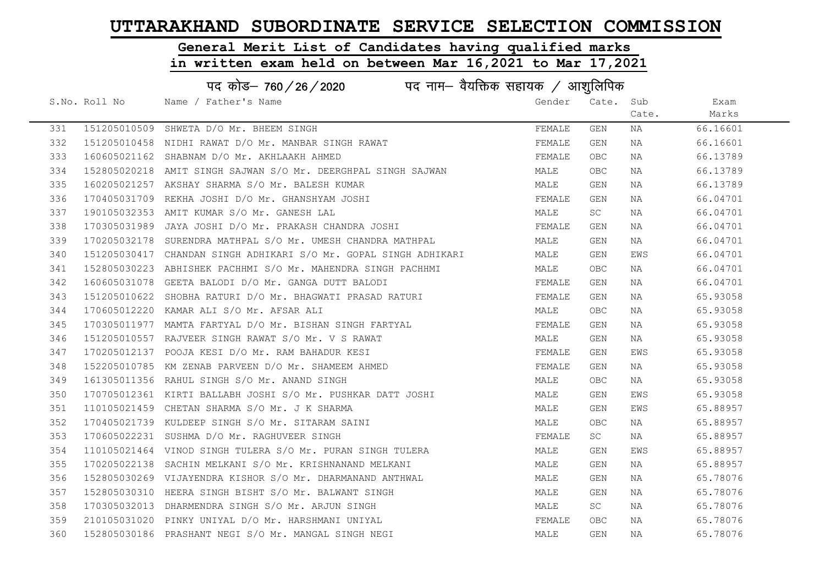# General Merit List of Candidates having qualified marks

|     | पद कोड– 760/26/2020 पद नाम– वैयक्तिक सहायक / आशुलिपिक |                                                                  |        |            |       |          |  |
|-----|-------------------------------------------------------|------------------------------------------------------------------|--------|------------|-------|----------|--|
|     | S.No. Roll No                                         | Name / Father's Name                                             | Gender | Cate.      | Sub   | Exam     |  |
|     |                                                       |                                                                  |        |            | Cate. | Marks    |  |
| 331 |                                                       | 151205010509 SHWETA D/O Mr. BHEEM SINGH                          | FEMALE | GEN        | ΝA    | 66.16601 |  |
| 332 |                                                       | 151205010458 NIDHI RAWAT D/O Mr. MANBAR SINGH RAWAT              | FEMALE | GEN        | NA    | 66.16601 |  |
| 333 |                                                       | 160605021162 SHABNAM D/O Mr. AKHLAAKH AHMED                      | FEMALE | OBC        | NA    | 66.13789 |  |
| 334 |                                                       | 152805020218 AMIT SINGH SAJWAN S/O Mr. DEERGHPAL SINGH SAJWAN    | MALE   | <b>OBC</b> | NA    | 66.13789 |  |
| 335 |                                                       | 160205021257 AKSHAY SHARMA S/O Mr. BALESH KUMAR                  | MALE   | GEN        | NA    | 66.13789 |  |
| 336 |                                                       | 170405031709 REKHA JOSHI D/O Mr. GHANSHYAM JOSHI                 | FEMALE | GEN        | ΝA    | 66.04701 |  |
| 337 |                                                       | 190105032353 AMIT KUMAR S/O Mr. GANESH LAL                       | MALE   | SC         | ΝA    | 66.04701 |  |
| 338 |                                                       | 170305031989 JAYA JOSHI D/O Mr. PRAKASH CHANDRA JOSHI            | FEMALE | GEN        | NA    | 66.04701 |  |
| 339 |                                                       | 170205032178 SURENDRA MATHPAL S/O Mr. UMESH CHANDRA MATHPAL      | MALE   | GEN        | NA    | 66.04701 |  |
| 340 |                                                       | 151205030417 CHANDAN SINGH ADHIKARI S/O Mr. GOPAL SINGH ADHIKARI | MALE   | GEN        | EWS   | 66.04701 |  |
| 341 |                                                       | 152805030223 ABHISHEK PACHHMI S/O Mr. MAHENDRA SINGH PACHHMI     | MALE   | OBC        | ΝA    | 66.04701 |  |
| 342 |                                                       | 160605031078 GEETA BALODI D/O Mr. GANGA DUTT BALODI              | FEMALE | GEN        | NA    | 66.04701 |  |
| 343 |                                                       | 151205010622 SHOBHA RATURI D/O Mr. BHAGWATI PRASAD RATURI        | FEMALE | GEN        | NA    | 65.93058 |  |
| 344 |                                                       | 170605012220 KAMAR ALI S/O Mr. AFSAR ALI                         | MALE   | OBC        | ΝA    | 65.93058 |  |
| 345 |                                                       | 170305011977 MAMTA FARTYAL D/O Mr. BISHAN SINGH FARTYAL          | FEMALE | GEN        | ΝA    | 65.93058 |  |
| 346 |                                                       | 151205010557 RAJVEER SINGH RAWAT S/O Mr. V S RAWAT               | MALE   | GEN        | NA    | 65.93058 |  |
| 347 |                                                       | 170205012137 POOJA KESI D/O Mr. RAM BAHADUR KESI                 | FEMALE | GEN        | EWS   | 65.93058 |  |
| 348 |                                                       | 152205010785 KM ZENAB PARVEEN D/O Mr. SHAMEEM AHMED              | FEMALE | GEN        | NA    | 65.93058 |  |
| 349 |                                                       | 161305011356 RAHUL SINGH S/O Mr. ANAND SINGH                     | MALE   | OBC        | NA    | 65.93058 |  |
| 350 |                                                       | 170705012361 KIRTI BALLABH JOSHI S/O Mr. PUSHKAR DATT JOSHI      | MALE   | GEN        | EWS   | 65.93058 |  |
| 351 |                                                       | 110105021459 CHETAN SHARMA S/O Mr. J K SHARMA                    | MALE   | GEN        | EWS   | 65.88957 |  |
| 352 |                                                       | 170405021739 KULDEEP SINGH S/O Mr. SITARAM SAINI                 | MALE   | OBC        | NA    | 65.88957 |  |
| 353 |                                                       | 170605022231 SUSHMA D/O Mr. RAGHUVEER SINGH                      | FEMALE | SC         | NA    | 65.88957 |  |
| 354 |                                                       | 110105021464 VINOD SINGH TULERA S/O Mr. PURAN SINGH TULERA       | MALE   | GEN        | EWS   | 65.88957 |  |
| 355 |                                                       | 170205022138 SACHIN MELKANI S/O Mr. KRISHNANAND MELKANI          | MALE   | GEN        | NA    | 65.88957 |  |
| 356 |                                                       | 152805030269 VIJAYENDRA KISHOR S/O Mr. DHARMANAND ANTHWAL        | MALE   | GEN        | NA    | 65.78076 |  |
| 357 |                                                       | 152805030310 HEERA SINGH BISHT S/O Mr. BALWANT SINGH             | MALE   | GEN        | NA    | 65.78076 |  |
| 358 |                                                       | 170305032013 DHARMENDRA SINGH S/O Mr. ARJUN SINGH                | MALE   | SC         | ΝA    | 65.78076 |  |
| 359 |                                                       | 210105031020 PINKY UNIYAL D/O Mr. HARSHMANI UNIYAL               | FEMALE | OBC        | NA    | 65.78076 |  |
| 360 |                                                       | 152805030186 PRASHANT NEGI S/O Mr. MANGAL SINGH NEGI             | MALE   | <b>GEN</b> | ΝA    | 65.78076 |  |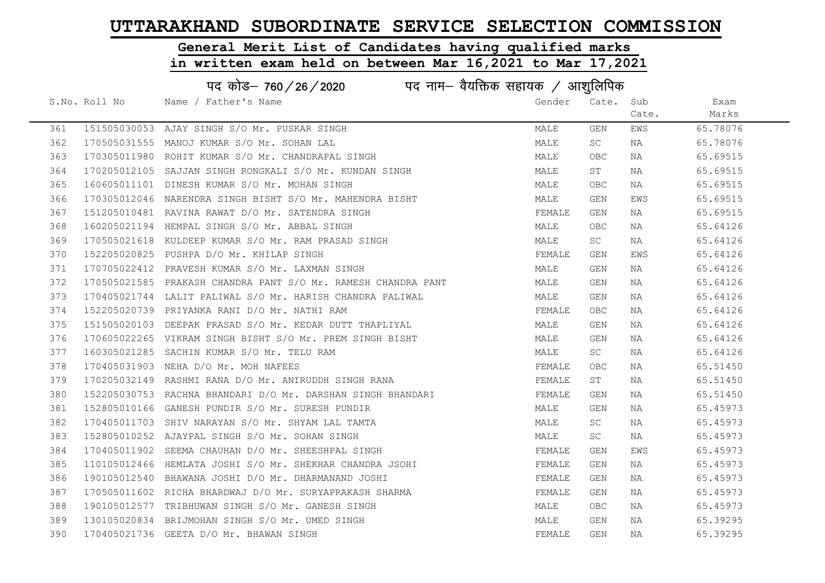# General Merit List of Candidates having qualified marks

|     | पद कोड– 760 / 26 / 2020 पद नाम– वैयक्तिक सहायक / आशुलिपिक |                                                               |        |            |       |          |  |  |
|-----|-----------------------------------------------------------|---------------------------------------------------------------|--------|------------|-------|----------|--|--|
|     | S.No. Roll No                                             | Name / Father's Name                                          | Gender | Cate. Sub  |       | Exam     |  |  |
|     |                                                           |                                                               |        |            | Cate. | Marks    |  |  |
| 361 |                                                           | 151505030053 AJAY SINGH S/O Mr. PUSKAR SINGH                  | MALE   | GEN        | EWS   | 65.78076 |  |  |
| 362 |                                                           | 170505031555 MANOJ KUMAR S/O Mr. SOHAN LAL                    | MALE   | SC         | NA    | 65.78076 |  |  |
| 363 |                                                           | 170305011980 ROHIT KUMAR S/O Mr. CHANDRAPAL SINGH             | MALE   | OBC.       | NA    | 65.69515 |  |  |
| 364 |                                                           | 170205012105 SAJJAN SINGH RONGKALI S/O Mr. KUNDAN SINGH       | MALE   | ST         | NA    | 65.69515 |  |  |
| 365 |                                                           | 160605011101 DINESH KUMAR S/O Mr. MOHAN SINGH                 | MALE   | <b>OBC</b> | NA    | 65.69515 |  |  |
| 366 |                                                           | 170305012046 NARENDRA SINGH BISHT S/O Mr. MAHENDRA BISHT      | MALE   | GEN        | EWS   | 65.69515 |  |  |
| 367 |                                                           | 151205010481 RAVINA RAWAT D/O Mr. SATENDRA SINGH              | FEMALE | GEN        | NA    | 65.69515 |  |  |
| 368 |                                                           | 160205021194 HEMPAL SINGH S/O Mr. ABBAL SINGH                 | MALE   | OBC        | NA    | 65.64126 |  |  |
| 369 |                                                           | 170505021618 KULDEEP KUMAR S/O Mr. RAM PRASAD SINGH           | MALE   | SC         | NA    | 65.64126 |  |  |
| 370 |                                                           | 152205020825 PUSHPA D/O Mr. KHILAP SINGH                      | FEMALE | GEN        | EWS   | 65.64126 |  |  |
| 371 |                                                           | 170705022412 PRAVESH KUMAR S/O Mr. LAXMAN SINGH               | MALE   | GEN        | NA    | 65.64126 |  |  |
| 372 |                                                           | 170505021585 PRAKASH CHANDRA PANT S/O Mr. RAMESH CHANDRA PANT | MALE   | GEN        | NA    | 65.64126 |  |  |
| 373 |                                                           | 170405021744 LALIT PALIWAL S/O Mr. HARISH CHANDRA PALIWAL     | MALE   | GEN        | NA    | 65.64126 |  |  |
| 374 |                                                           | 152205020739 PRIYANKA RANI D/O Mr. NATHI RAM                  | FEMALE | OBC.       | NA    | 65.64126 |  |  |
| 375 |                                                           | 151505020103 DEEPAK PRASAD S/O Mr. KEDAR DUTT THAPLIYAL       | MALE   | GEN        | NA    | 65.64126 |  |  |
| 376 |                                                           | 170605022265 VIKRAM SINGH BISHT S/O Mr. PREM SINGH BISHT      | MALE   | GEN        | NA    | 65.64126 |  |  |
| 377 |                                                           | 160305021285 SACHIN KUMAR S/O Mr. TELU RAM                    | MALE   | SC         | NA    | 65.64126 |  |  |
| 378 |                                                           | 170405031903 NEHA D/O Mr. MOH NAFEES                          | FEMALE | <b>OBC</b> | NA    | 65.51450 |  |  |
| 379 |                                                           | 170205032149 RASHMI RANA D/O Mr. ANIRUDDH SINGH RANA          | FEMALE | ST         | NA    | 65.51450 |  |  |
| 380 |                                                           | 152205030753 RACHNA BHANDARI D/O Mr. DARSHAN SINGH BHANDARI   | FEMALE | GEN        | NA    | 65.51450 |  |  |
| 381 |                                                           | 152805010166 GANESH PUNDIR S/O Mr. SURESH PUNDIR              | MALE   | GEN        | NA    | 65.45973 |  |  |
| 382 |                                                           | 170405011703 SHIV NARAYAN S/O Mr. SHYAM LAL TAMTA             | MALE   | <b>SC</b>  | NA    | 65.45973 |  |  |
| 383 |                                                           | 152805010252 AJAYPAL SINGH S/O Mr. SOHAN SINGH                | MALE   | SC         | NA    | 65.45973 |  |  |
| 384 |                                                           | 170405011902 SEEMA CHAUHAN D/O Mr. SHEESHPAL SINGH            | FEMALE | GEN        | EWS   | 65.45973 |  |  |
| 385 |                                                           | 110105012466 HEMLATA JOSHI S/O Mr. SHEKHAR CHANDRA JSOHI      | FEMALE | GEN        | NA    | 65.45973 |  |  |
| 386 |                                                           | 190105012540 BHAWANA JOSHI D/O Mr. DHARMANAND JOSHI           | FEMALE | GEN        | NA    | 65.45973 |  |  |
| 387 |                                                           | 170505011602 RICHA BHARDWAJ D/O Mr. SURYAPRAKASH SHARMA       | FEMALE | GEN        | NA    | 65.45973 |  |  |
| 388 |                                                           | 190105012577 TRIBHUWAN SINGH S/O Mr. GANESH SINGH             | MALE   | OBC        | NA    | 65.45973 |  |  |
| 389 |                                                           | 130105020834 BRIJMOHAN SINGH S/O Mr. UMED SINGH               | MALE   | GEN        | NA    | 65.39295 |  |  |
| 390 |                                                           | 170405021736 GEETA D/O Mr. BHAWAN SINGH                       | FEMALE | GEN        | NA    | 65.39295 |  |  |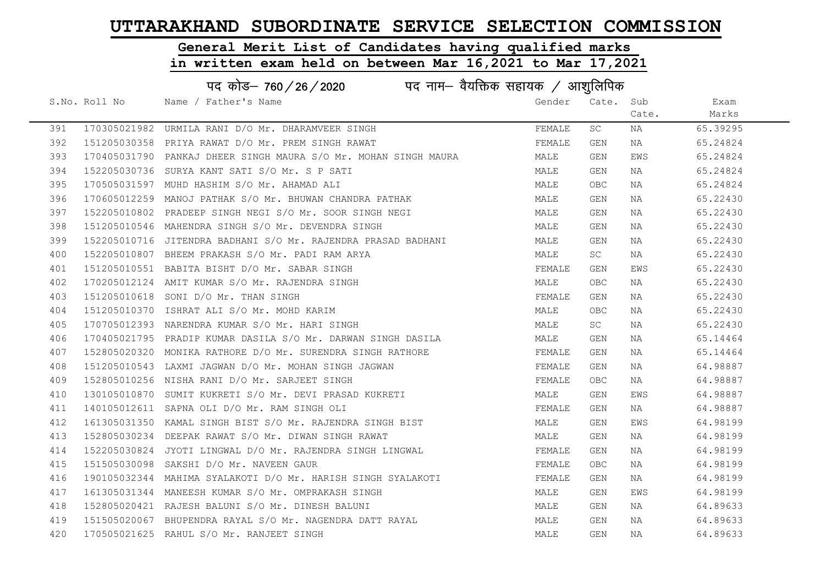#### General Merit List of Candidates having qualified marks

|     | पद कोड़– 760 / 26 / 2020 पद नाम– वैयक्तिक सहायक / आशुलिपिक |                                                                 |        |            |       |          |  |
|-----|------------------------------------------------------------|-----------------------------------------------------------------|--------|------------|-------|----------|--|
|     | S.No. Roll No                                              | Name / Father's Name                                            | Gender | Cate. Sub  |       | Exam     |  |
|     |                                                            |                                                                 |        |            | Cate. | Marks    |  |
| 391 |                                                            | 170305021982 URMILA RANI D/O Mr. DHARAMVEER SINGH               | FEMALE | SC         | NA    | 65.39295 |  |
| 392 |                                                            | 151205030358 PRIYA RAWAT D/O Mr. PREM SINGH RAWAT               | FEMALE | GEN        | NA    | 65.24824 |  |
| 393 |                                                            | 170405031790 PANKAJ DHEER SINGH MAURA S/O Mr. MOHAN SINGH MAURA | MALE   | GEN        | EWS   | 65.24824 |  |
| 394 |                                                            | 152205030736 SURYA KANT SATI S/O Mr. S P SATI                   | MALE   | GEN        | NA    | 65.24824 |  |
| 395 |                                                            | 170505031597 MUHD HASHIM S/O Mr. AHAMAD ALI                     | MALE   | OBC.       | NA    | 65.24824 |  |
| 396 |                                                            | 170605012259  MANOJ PATHAK S/O Mr. BHUWAN CHANDRA PATHAK        | MALE   | GEN        | NA    | 65.22430 |  |
| 397 |                                                            | 152205010802 PRADEEP SINGH NEGI S/O Mr. SOOR SINGH NEGI         | MALE   | GEN        | NA    | 65.22430 |  |
| 398 |                                                            | 151205010546 MAHENDRA SINGH S/O Mr. DEVENDRA SINGH              | MALE   | GEN        | NA    | 65.22430 |  |
| 399 |                                                            | 152205010716 JITENDRA BADHANI S/O Mr. RAJENDRA PRASAD BADHANI   | MALE   | GEN        | NA    | 65.22430 |  |
| 400 |                                                            | 152205010807 BHEEM PRAKASH S/O Mr. PADI RAM ARYA                | MALE   | SC         | NA    | 65.22430 |  |
| 401 |                                                            | 151205010551 BABITA BISHT D/O Mr. SABAR SINGH                   | FEMALE | GEN        | EWS   | 65.22430 |  |
| 402 |                                                            | 170205012124 AMIT KUMAR S/O Mr. RAJENDRA SINGH                  | MALE   | <b>OBC</b> | NA    | 65.22430 |  |
| 403 |                                                            | 151205010618 SONI D/O Mr. THAN SINGH                            | FEMALE | GEN        | NA    | 65.22430 |  |
| 404 |                                                            | 151205010370 ISHRAT ALI S/O Mr. MOHD KARIM                      | MALE   | <b>OBC</b> | NA    | 65.22430 |  |
| 405 |                                                            | 170705012393 NARENDRA KUMAR S/O Mr. HARI SINGH                  | MALE   | SC         | NA    | 65.22430 |  |
| 406 |                                                            | 170405021795 PRADIP KUMAR DASILA S/O Mr. DARWAN SINGH DASILA    | MALE   | GEN        | NA    | 65.14464 |  |
| 407 |                                                            | 152805020320 MONIKA RATHORE D/O Mr. SURENDRA SINGH RATHORE      | FEMALE | GEN        | NA    | 65.14464 |  |
| 408 |                                                            | 151205010543 LAXMI JAGWAN D/O Mr. MOHAN SINGH JAGWAN            | FEMALE | GEN        | NA    | 64.98887 |  |
| 409 |                                                            | 152805010256 NISHA RANI D/O Mr. SARJEET SINGH                   | FEMALE | <b>OBC</b> | NA    | 64.98887 |  |
| 410 |                                                            | 130105010870 SUMIT KUKRETI S/O Mr. DEVI PRASAD KUKRETI          | MALE   | GEN        | EWS   | 64.98887 |  |
| 411 |                                                            | 140105012611 SAPNA OLI D/O Mr. RAM SINGH OLI                    | FEMALE | GEN        | NA    | 64.98887 |  |
| 412 |                                                            | 161305031350 KAMAL SINGH BIST S/O Mr. RAJENDRA SINGH BIST       | MALE   | GEN        | EWS   | 64.98199 |  |
| 413 |                                                            | 152805030234 DEEPAK RAWAT S/O Mr. DIWAN SINGH RAWAT             | MALE   | GEN        | NA    | 64.98199 |  |
| 414 |                                                            | 152205030824 JYOTI LINGWAL D/O Mr. RAJENDRA SINGH LINGWAL       | FEMALE | GEN        | NA    | 64.98199 |  |
| 415 |                                                            | 151505030098 SAKSHI D/O Mr. NAVEEN GAUR                         | FEMALE | <b>OBC</b> | NA    | 64.98199 |  |
| 416 |                                                            | 190105032344 MAHIMA SYALAKOTI D/O Mr. HARISH SINGH SYALAKOTI    | FEMALE | GEN        | NA    | 64.98199 |  |
| 417 |                                                            | 161305031344 MANEESH KUMAR S/O Mr. OMPRAKASH SINGH              | MALE   | GEN        | EWS   | 64.98199 |  |
| 418 |                                                            | 152805020421 RAJESH BALUNI S/O Mr. DINESH BALUNI                | MALE   | GEN        | NA    | 64.89633 |  |
| 419 |                                                            | 151505020067 BHUPENDRA RAYAL S/O Mr. NAGENDRA DATT RAYAL        | MALE   | <b>GEN</b> | NA    | 64.89633 |  |
| 420 |                                                            | 170505021625 RAHUL S/O Mr. RANJEET SINGH                        | MALE   | GEN        | NA    | 64.89633 |  |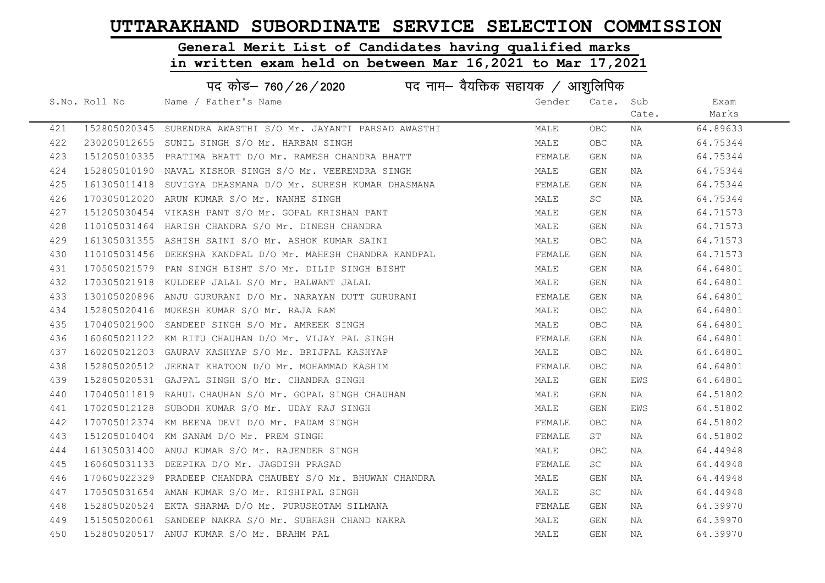#### General Merit List of Candidates having qualified marks

|     | पद कोड– 760/26/2020<br>पद नाम— वैयक्तिक सहायक / आशुलिपिक |                                                              |        |                         |       |          |  |  |
|-----|----------------------------------------------------------|--------------------------------------------------------------|--------|-------------------------|-------|----------|--|--|
|     | S.No. Roll No                                            | Name / Father's Name                                         | Gender | Cate. Sub               |       | Exam     |  |  |
|     |                                                          |                                                              |        |                         | Cate. | Marks    |  |  |
| 421 |                                                          | 152805020345 SURENDRA AWASTHI S/O Mr. JAYANTI PARSAD AWASTHI | MALE   | <b>OBC</b>              | NA    | 64.89633 |  |  |
| 422 |                                                          | 230205012655 SUNIL SINGH S/O Mr. HARBAN SINGH                | MALE   | <b>OBC</b>              | NA    | 64.75344 |  |  |
| 423 |                                                          | 151205010335 PRATIMA BHATT D/O Mr. RAMESH CHANDRA BHATT      | FEMALE | GEN                     | NA    | 64.75344 |  |  |
| 424 |                                                          | 152805010190 NAVAL KISHOR SINGH S/O Mr. VEERENDRA SINGH      | MALE   | GEN                     | NA    | 64.75344 |  |  |
| 425 |                                                          | 161305011418 SUVIGYA DHASMANA D/O Mr. SURESH KUMAR DHASMANA  | FEMALE | GEN                     | NA    | 64.75344 |  |  |
| 426 |                                                          | 170305012020 ARUN KUMAR S/O Mr. NANHE SINGH                  | MALE   | SC                      | NA    | 64.75344 |  |  |
| 427 |                                                          | 151205030454 VIKASH PANT S/O Mr. GOPAL KRISHAN PANT          | MALE   | GEN                     | NA    | 64.71573 |  |  |
| 428 |                                                          | 110105031464 HARISH CHANDRA S/O Mr. DINESH CHANDRA           | MALE   | GEN                     | NA    | 64.71573 |  |  |
| 429 |                                                          | 161305031355 ASHISH SAINI S/O Mr. ASHOK KUMAR SAINI          | MALE   | <b>OBC</b>              | NA    | 64.71573 |  |  |
| 430 |                                                          | 110105031456 DEEKSHA KANDPAL D/O Mr. MAHESH CHANDRA KANDPAL  | FEMALE | GEN                     | NA    | 64.71573 |  |  |
| 431 |                                                          | 170505021579 PAN SINGH BISHT S/O Mr. DILIP SINGH BISHT       | MALE   | GEN                     | NA    | 64.64801 |  |  |
| 432 |                                                          | 170305021918 KULDEEP JALAL S/O Mr. BALWANT JALAL             | MALE   | GEN                     | NA    | 64.64801 |  |  |
| 433 |                                                          | 130105020896 ANJU GURURANI D/O Mr. NARAYAN DUTT GURURANI     | FEMALE | GEN                     | NA    | 64.64801 |  |  |
| 434 |                                                          | 152805020416 MUKESH KUMAR S/O Mr. RAJA RAM                   | MALE   | <b>OBC</b>              | NA    | 64.64801 |  |  |
| 435 |                                                          | 170405021900 SANDEEP SINGH S/O Mr. AMREEK SINGH              | MALE   | <b>OBC</b>              | NA    | 64.64801 |  |  |
| 436 |                                                          | 160605021122 KM RITU CHAUHAN D/O Mr. VIJAY PAL SINGH         | FEMALE | GEN                     | NA    | 64.64801 |  |  |
| 437 |                                                          | 160205021203 GAURAV KASHYAP S/O Mr. BRIJPAL KASHYAP          | MALE   | <b>OBC</b>              | NA    | 64.64801 |  |  |
| 438 |                                                          | 152805020512 JEENAT KHATOON D/O Mr. MOHAMMAD KASHIM          | FEMALE | <b>OBC</b>              | NA    | 64.64801 |  |  |
| 439 |                                                          | 152805020531 GAJPAL SINGH S/O Mr. CHANDRA SINGH              | MALE   | GEN                     | EWS   | 64.64801 |  |  |
| 440 |                                                          | 170405011819 RAHUL CHAUHAN S/O Mr. GOPAL SINGH CHAUHAN       | MALE   | GEN                     | NA    | 64.51802 |  |  |
| 441 |                                                          | 170205012128 SUBODH KUMAR S/O Mr. UDAY RAJ SINGH             | MALE   | GEN                     | EWS   | 64.51802 |  |  |
| 442 |                                                          | 170705012374 KM BEENA DEVI D/O Mr. PADAM SINGH               | FEMALE | <b>OBC</b>              | NA    | 64.51802 |  |  |
| 443 |                                                          | 151205010404 KM SANAM D/O Mr. PREM SINGH                     | FEMALE | SΤ                      | NA    | 64.51802 |  |  |
| 444 |                                                          | 161305031400 ANUJ KUMAR S/O Mr. RAJENDER SINGH               | MALE   | <b>OBC</b>              | NA    | 64.44948 |  |  |
| 445 |                                                          | 160605031133 DEEPIKA D/O Mr. JAGDISH PRASAD                  | FEMALE | SC                      | NA    | 64.44948 |  |  |
| 446 |                                                          | 170605022329 PRADEEP CHANDRA CHAUBEY S/O Mr. BHUWAN CHANDRA  | MALE   | GEN                     | NA    | 64.44948 |  |  |
| 447 |                                                          | 170505031654 AMAN KUMAR S/O Mr. RISHIPAL SINGH               | MALE   | SC                      | NA    | 64.44948 |  |  |
| 448 |                                                          | 152805020524 EKTA SHARMA D/O Mr. PURUSHOTAM SILMANA          | FEMALE | GEN                     | NA    | 64.39970 |  |  |
| 449 |                                                          | 151505020061 SANDEEP NAKRA S/O Mr. SUBHASH CHAND NAKRA       | MALE   | GEN                     | NA    | 64.39970 |  |  |
| 450 |                                                          | 152805020517 ANUJ KUMAR S/O Mr. BRAHM PAL                    | MALE   | $\mathop{\mathsf{GEN}}$ | NA    | 64.39970 |  |  |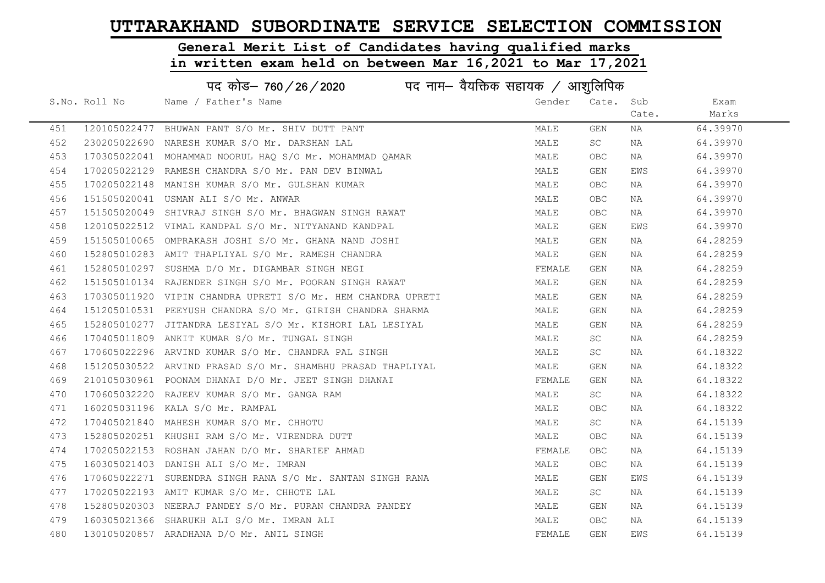# General Merit List of Candidates having qualified marks

|     |               | पद कोड– 760 / 26 / 2020 पद नाम– वैयक्तिक सहायक / आशुलिपिक    |        |            |       |          |
|-----|---------------|--------------------------------------------------------------|--------|------------|-------|----------|
|     | S.No. Roll No | Name / Father's Name                                         | Gender | Cate. Sub  |       | Exam     |
|     |               |                                                              |        |            | Cate. | Marks    |
| 451 |               | 120105022477 BHUWAN PANT S/O Mr. SHIV DUTT PANT              | MALE   | GEN        | NA    | 64.39970 |
| 452 |               | 230205022690 NARESH KUMAR S/O Mr. DARSHAN LAL                | MALE   | <b>SC</b>  | NA    | 64.39970 |
| 453 |               | 170305022041 MOHAMMAD NOORUL HAO S/O Mr. MOHAMMAD OAMAR      | MALE   | OBC        | NA    | 64.39970 |
| 454 |               | 170205022129 RAMESH CHANDRA S/O Mr. PAN DEV BINWAL           | MALE   | GEN        | EWS   | 64.39970 |
| 455 |               | 170205022148 MANISH KUMAR S/O Mr. GULSHAN KUMAR              | MALE   | OBC.       | NA    | 64.39970 |
| 456 |               | 151505020041 USMAN ALI S/O Mr. ANWAR                         | MALE   | OBC        | NA    | 64.39970 |
| 457 |               | 151505020049 SHIVRAJ SINGH S/O Mr. BHAGWAN SINGH RAWAT       | MALE   | OBC        | NA    | 64.39970 |
| 458 |               | 120105022512 VIMAL KANDPAL S/O Mr. NITYANAND KANDPAL         | MALE   | GEN        | EWS   | 64.39970 |
| 459 |               | 151505010065 OMPRAKASH JOSHI S/O Mr. GHANA NAND JOSHI        | MALE   | GEN        | NA    | 64.28259 |
| 460 |               | 152805010283 AMIT THAPLIYAL S/O Mr. RAMESH CHANDRA           | MALE   | GEN        | NA    | 64.28259 |
| 461 |               | 152805010297 SUSHMA D/O Mr. DIGAMBAR SINGH NEGI              | FEMALE | GEN        | NA    | 64.28259 |
| 462 |               | 151505010134 RAJENDER SINGH S/O Mr. POORAN SINGH RAWAT       | MALE   | GEN        | NA    | 64.28259 |
| 463 |               | 170305011920 VIPIN CHANDRA UPRETI S/O Mr. HEM CHANDRA UPRETI | MALE   | GEN        | NA    | 64.28259 |
| 464 |               | 151205010531 PEEYUSH CHANDRA S/O Mr. GIRISH CHANDRA SHARMA   | MALE   | GEN        | NA    | 64.28259 |
| 465 |               | 152805010277 JITANDRA LESIYAL S/O Mr. KISHORI LAL LESIYAL    | MALE   | GEN        | NA    | 64.28259 |
| 466 |               | 170405011809 ANKIT KUMAR S/O Mr. TUNGAL SINGH                | MALE   | <b>SC</b>  | NA    | 64.28259 |
| 467 |               | 170605022296 ARVIND KUMAR S/O Mr. CHANDRA PAL SINGH          | MALE   | SC.        | NA    | 64.18322 |
| 468 |               | 151205030522 ARVIND PRASAD S/O Mr. SHAMBHU PRASAD THAPLIYAL  | MALE   | GEN        | NA    | 64.18322 |
| 469 |               | 210105030961 POONAM DHANAI D/O Mr. JEET SINGH DHANAI         | FEMALE | GEN        | NA    | 64.18322 |
| 470 |               | 170605032220 RAJEEV KUMAR S/O Mr. GANGA RAM                  | MALE   | SC         | NA    | 64.18322 |
| 471 |               | 160205031196 KALA S/O Mr. RAMPAL                             | MALE   | <b>OBC</b> | NA    | 64.18322 |
| 472 |               | 170405021840 MAHESH KUMAR S/O Mr. CHHOTU                     | MALE   | SC         | NA    | 64.15139 |
| 473 |               | 152805020251 KHUSHI RAM S/O Mr. VIRENDRA DUTT                | MALE   | <b>OBC</b> | NA    | 64.15139 |
| 474 |               | 170205022153 ROSHAN JAHAN D/O Mr. SHARIEF AHMAD              | FEMALE | OBC        | NA    | 64.15139 |
| 475 |               | 160305021403 DANISH ALI S/O Mr. IMRAN                        | MALE   | OBC.       | NA    | 64.15139 |
| 476 |               | 170605022271 SURENDRA SINGH RANA S/O Mr. SANTAN SINGH RANA   | MALE   | GEN        | EWS   | 64.15139 |
| 477 |               | 170205022193 AMIT KUMAR S/O Mr. CHHOTE LAL                   | MALE   | SC         | NA    | 64.15139 |
| 478 |               | 152805020303 NEERAJ PANDEY S/O Mr. PURAN CHANDRA PANDEY      | MALE   | GEN        | NA    | 64.15139 |
| 479 |               | 160305021366 SHARUKH ALI S/O Mr. IMRAN ALI                   | MALE   | OBC        | NA    | 64.15139 |
| 480 |               | 130105020857 ARADHANA D/O Mr. ANIL SINGH                     | FEMALE | GEN        | EWS   | 64.15139 |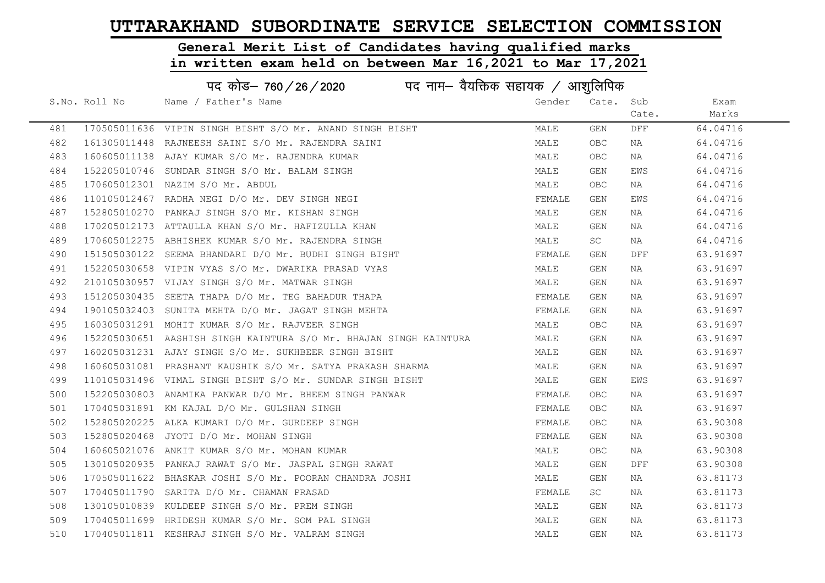# General Merit List of Candidates having qualified marks

|     | पद कोड– 760 / 26 / 2020 पद नाम– वैयक्तिक सहायक / आशुलिपिक |                                                                   |        |            |       |          |  |  |
|-----|-----------------------------------------------------------|-------------------------------------------------------------------|--------|------------|-------|----------|--|--|
|     | S.No. Roll No                                             | Name / Father's Name                                              | Gender | Cate. Sub  |       | Exam     |  |  |
|     |                                                           |                                                                   |        |            | Cate. | Marks    |  |  |
| 481 |                                                           | 170505011636 VIPIN SINGH BISHT S/O Mr. ANAND SINGH BISHT          | MALE   | GEN        | DFF   | 64.04716 |  |  |
| 482 |                                                           | 161305011448 RAJNEESH SAINI S/O Mr. RAJENDRA SAINI                | MALE   | <b>OBC</b> | NA    | 64.04716 |  |  |
| 483 |                                                           | 160605011138 AJAY KUMAR S/O Mr. RAJENDRA KUMAR                    | MALE   | OBC        | NA    | 64.04716 |  |  |
| 484 |                                                           | 152205010746 SUNDAR SINGH S/O Mr. BALAM SINGH                     | MALE   | GEN        | EWS   | 64.04716 |  |  |
| 485 |                                                           | 170605012301 NAZIM S/O Mr. ABDUL                                  | MALE   | OBC        | NA    | 64.04716 |  |  |
| 486 |                                                           | 110105012467 RADHA NEGI D/O Mr. DEV SINGH NEGI                    | FEMALE | GEN        | EWS   | 64.04716 |  |  |
| 487 |                                                           | 152805010270 PANKAJ SINGH S/O Mr. KISHAN SINGH                    | MALE   | GEN        | NA    | 64.04716 |  |  |
| 488 |                                                           | 170205012173 ATTAULLA KHAN S/O Mr. HAFIZULLA KHAN                 | MALE   | GEN        | NA    | 64.04716 |  |  |
| 489 |                                                           | 170605012275 ABHISHEK KUMAR S/O Mr. RAJENDRA SINGH                | MALE   | SC         | NA    | 64.04716 |  |  |
| 490 |                                                           | 151505030122 SEEMA BHANDARI D/O Mr. BUDHI SINGH BISHT             | FEMALE | GEN        | DFF   | 63.91697 |  |  |
| 491 |                                                           | 152205030658 VIPIN VYAS S/O Mr. DWARIKA PRASAD VYAS               | MALE   | GEN        | NA    | 63.91697 |  |  |
| 492 |                                                           | 210105030957 VIJAY SINGH S/O Mr. MATWAR SINGH                     | MALE   | GEN        | NA    | 63.91697 |  |  |
| 493 |                                                           | 151205030435 SEETA THAPA D/O Mr. TEG BAHADUR THAPA                | FEMALE | GEN        | NA    | 63.91697 |  |  |
| 494 |                                                           | 190105032403 SUNITA MEHTA D/O Mr. JAGAT SINGH MEHTA               | FEMALE | GEN        | NA    | 63.91697 |  |  |
| 495 |                                                           | 160305031291 MOHIT KUMAR S/O Mr. RAJVEER SINGH                    | MALE   | <b>OBC</b> | NA    | 63.91697 |  |  |
| 496 |                                                           | 152205030651 AASHISH SINGH KAINTURA S/O Mr. BHAJAN SINGH KAINTURA | MALE   | GEN        | NA    | 63.91697 |  |  |
| 497 |                                                           | 160205031231 AJAY SINGH S/O Mr. SUKHBEER SINGH BISHT              | MALE   | GEN        | NA    | 63.91697 |  |  |
| 498 |                                                           | 160605031081 PRASHANT KAUSHIK S/O Mr. SATYA PRAKASH SHARMA        | MALE   | GEN        | NA    | 63.91697 |  |  |
| 499 |                                                           | 110105031496 VIMAL SINGH BISHT S/O Mr. SUNDAR SINGH BISHT         | MALE   | GEN        | EWS   | 63.91697 |  |  |
| 500 |                                                           | 152205030803 ANAMIKA PANWAR D/O Mr. BHEEM SINGH PANWAR            | FEMALE | OBC.       | NA    | 63.91697 |  |  |
| 501 |                                                           | 170405031891 KM KAJAL D/O Mr. GULSHAN SINGH                       | FEMALE | OBC.       | NA    | 63.91697 |  |  |
| 502 |                                                           | 152805020225 ALKA KUMARI D/O Mr. GURDEEP SINGH                    | FEMALE | OBC.       | NA    | 63.90308 |  |  |
| 503 |                                                           | 152805020468 JYOTI D/O Mr. MOHAN SINGH                            | FEMALE | GEN        | NA    | 63.90308 |  |  |
| 504 |                                                           | 160605021076 ANKIT KUMAR S/O Mr. MOHAN KUMAR                      | MALE   | OBC.       | NA    | 63.90308 |  |  |
| 505 |                                                           | 130105020935 PANKAJ RAWAT S/O Mr. JASPAL SINGH RAWAT              | MALE   | GEN        | DFF   | 63.90308 |  |  |
| 506 |                                                           | 170505011622 BHASKAR JOSHI S/O Mr. POORAN CHANDRA JOSHI           | MALE   | GEN        | NA    | 63.81173 |  |  |
| 507 |                                                           | 170405011790 SARITA D/O Mr. CHAMAN PRASAD                         | FEMALE | SC         | NA    | 63.81173 |  |  |
| 508 |                                                           | 130105010839 KULDEEP SINGH S/O Mr. PREM SINGH                     | MALE   | GEN        | NA    | 63.81173 |  |  |
| 509 |                                                           | 170405011699 HRIDESH KUMAR S/O Mr. SOM PAL SINGH                  | MALE   | GEN        | NA    | 63.81173 |  |  |
| 510 |                                                           | 170405011811 KESHRAJ SINGH S/O Mr. VALRAM SINGH                   | MALE   | GEN        | ΝA    | 63.81173 |  |  |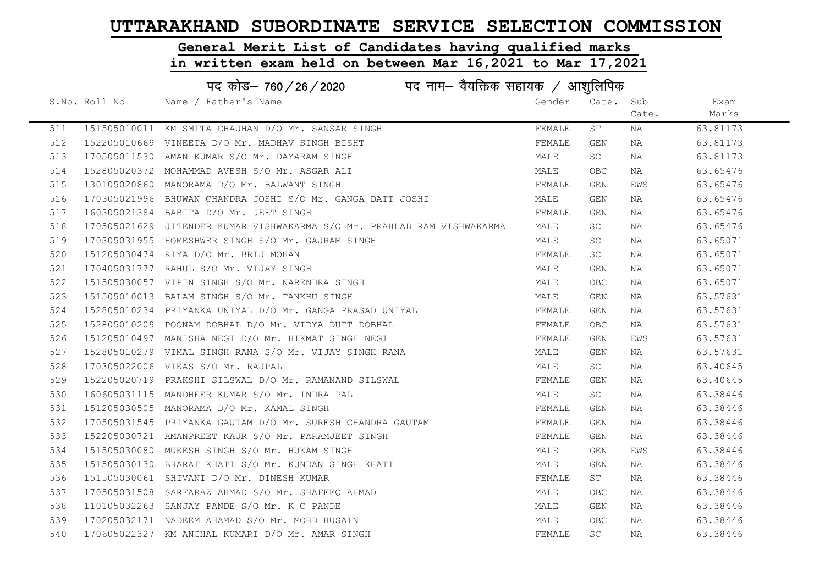# General Merit List of Candidates having qualified marks

|     | पद कोड़- 760 / 26 / 2020 पद नाम- वैयक्तिक सहायक / आशुलिपिक |                                                                         |        |            |       |          |  |  |
|-----|------------------------------------------------------------|-------------------------------------------------------------------------|--------|------------|-------|----------|--|--|
|     | S.No. Roll No                                              | Name / Father's Name                                                    | Gender | Cate. Sub  |       | Exam     |  |  |
|     |                                                            |                                                                         |        |            | Cate. | Marks    |  |  |
| 511 |                                                            | 151505010011 KM SMITA CHAUHAN D/O Mr. SANSAR SINGH                      | FEMALE | ST         | NA    | 63.81173 |  |  |
| 512 |                                                            | 152205010669 VINEETA D/O Mr. MADHAV SINGH BISHT                         | FEMALE | GEN        | NA    | 63.81173 |  |  |
| 513 |                                                            | 170505011530 AMAN KUMAR S/O Mr. DAYARAM SINGH                           | MALE   | SC         | NA    | 63.81173 |  |  |
| 514 |                                                            | 152805020372 MOHAMMAD AVESH S/O Mr. ASGAR ALI                           | MALE   | OBC        | NA    | 63.65476 |  |  |
| 515 |                                                            | 130105020860 MANORAMA D/O Mr. BALWANT SINGH                             | FEMALE | GEN        | EWS   | 63.65476 |  |  |
| 516 |                                                            | 170305021996 BHUWAN CHANDRA JOSHI S/O Mr. GANGA DATT JOSHI              | MALE   | GEN        | NA    | 63.65476 |  |  |
| 517 |                                                            | 160305021384 BABITA D/O Mr. JEET SINGH                                  | FEMALE | GEN        | NA    | 63.65476 |  |  |
| 518 |                                                            | 170505021629 JITENDER KUMAR VISHWAKARMA S/O Mr. PRAHLAD RAM VISHWAKARMA | MALE   | <b>SC</b>  | NA    | 63.65476 |  |  |
| 519 |                                                            | 170305031955 HOMESHWER SINGH S/O Mr. GAJRAM SINGH                       | MALE   | SC         | NA    | 63.65071 |  |  |
| 520 |                                                            | 151205030474 RIYA D/O Mr. BRIJ MOHAN                                    | FEMALE | SC.        | NA    | 63.65071 |  |  |
| 521 |                                                            | 170405031777 RAHUL S/O Mr. VIJAY SINGH                                  | MALE   | GEN        | NA    | 63.65071 |  |  |
| 522 |                                                            | 151505030057 VIPIN SINGH S/O Mr. NARENDRA SINGH                         | MALE   | <b>OBC</b> | NA    | 63.65071 |  |  |
| 523 |                                                            | 151505010013 BALAM SINGH S/O Mr. TANKHU SINGH                           | MALE   | GEN        | NA    | 63.57631 |  |  |
| 524 |                                                            | 152805010234 PRIYANKA UNIYAL D/O Mr. GANGA PRASAD UNIYAL                | FEMALE | GEN        | NA    | 63.57631 |  |  |
| 525 |                                                            | 152805010209 POONAM DOBHAL D/O Mr. VIDYA DUTT DOBHAL                    | FEMALE | OBC.       | NA    | 63.57631 |  |  |
| 526 |                                                            | 151205010497 MANISHA NEGI D/O Mr. HIKMAT SINGH NEGI                     | FEMALE | GEN        | EWS   | 63.57631 |  |  |
| 527 |                                                            | 152805010279 VIMAL SINGH RANA S/O Mr. VIJAY SINGH RANA                  | MALE   | GEN        | NA    | 63.57631 |  |  |
| 528 |                                                            | 170305022006 VIKAS S/O Mr. RAJPAL                                       | MALE   | SC         | NA    | 63.40645 |  |  |
| 529 |                                                            | 152205020719 PRAKSHI SILSWAL D/O Mr. RAMANAND SILSWAL                   | FEMALE | GEN        | NA    | 63.40645 |  |  |
| 530 |                                                            | 160605031115 MANDHEER KUMAR S/O Mr. INDRA PAL                           | MALE   | SC         | NA    | 63.38446 |  |  |
| 531 |                                                            | 151205030505 MANORAMA D/O Mr. KAMAL SINGH                               | FEMALE | GEN        | NA    | 63.38446 |  |  |
| 532 |                                                            | 170505031545 PRIYANKA GAUTAM D/O Mr. SURESH CHANDRA GAUTAM              | FEMALE | GEN        | NA    | 63.38446 |  |  |
| 533 |                                                            | 152205030721 AMANPREET KAUR S/O Mr. PARAMJEET SINGH                     | FEMALE | GEN        | NA    | 63.38446 |  |  |
| 534 |                                                            | 151505030080 MUKESH SINGH S/O Mr. HUKAM SINGH                           | MALE   | GEN        | EWS   | 63.38446 |  |  |
| 535 |                                                            | 151505030130 BHARAT KHATI S/O Mr. KUNDAN SINGH KHATI                    | MALE   | GEN        | NA    | 63.38446 |  |  |
| 536 |                                                            | 151505030061 SHIVANI D/O Mr. DINESH KUMAR                               | FEMALE | ST         | NA    | 63.38446 |  |  |
| 537 |                                                            | 170505031508 SARFARAZ AHMAD S/O Mr. SHAFEEQ AHMAD                       | MALE   | OBC        | NA    | 63.38446 |  |  |
| 538 |                                                            | 110105032263 SANJAY PANDE S/O Mr. K C PANDE                             | MALE   | GEN        | NA    | 63.38446 |  |  |
| 539 |                                                            | 170205032171 NADEEM AHAMAD S/O Mr. MOHD HUSAIN                          | MALE   | OBC        | NA    | 63.38446 |  |  |
| 540 |                                                            | 170605022327 KM ANCHAL KUMARI D/O Mr. AMAR SINGH                        | FEMALE | <b>SC</b>  | ΝA    | 63.38446 |  |  |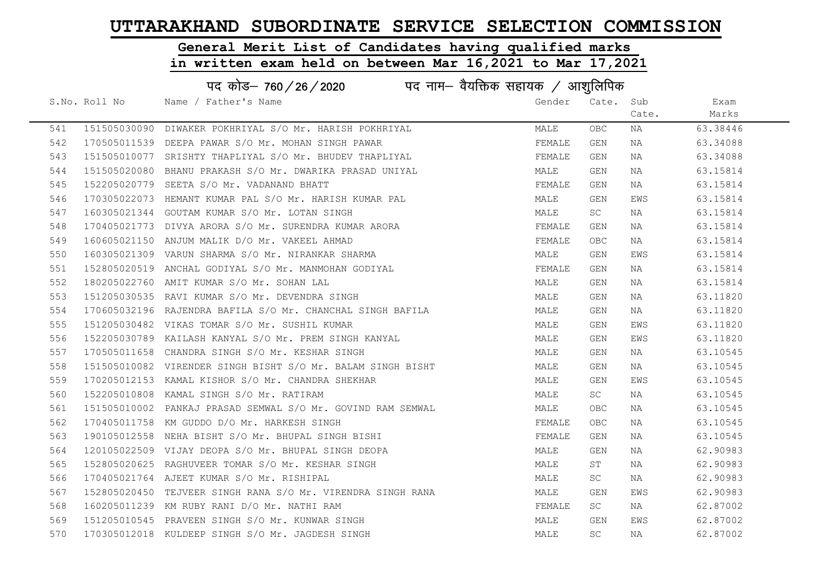# General Merit List of Candidates having qualified marks

|     | पद कोड– 760 / 26 / 2020 पद नाम– वैयक्तिक सहायक / आशुलिपिक |                                                             |        |           |       |          |  |
|-----|-----------------------------------------------------------|-------------------------------------------------------------|--------|-----------|-------|----------|--|
|     | S.No. Roll No                                             | Name / Father's Name                                        | Gender | Cate. Sub |       | Exam     |  |
|     |                                                           |                                                             |        |           | Cate. | Marks    |  |
| 541 |                                                           | 151505030090 DIWAKER POKHRIYAL S/O Mr. HARISH POKHRIYAL     | MALE   | OBC       | NA    | 63.38446 |  |
| 542 |                                                           | 170505011539 DEEPA PAWAR S/O Mr. MOHAN SINGH PAWAR          | FEMALE | GEN       | ΝA    | 63.34088 |  |
| 543 |                                                           | 151505010077 SRISHTY THAPLIYAL S/O Mr. BHUDEV THAPLIYAL     | FEMALE | GEN       | NA    | 63.34088 |  |
| 544 |                                                           | 151505020080 BHANU PRAKASH S/O Mr. DWARIKA PRASAD UNIYAL    | MALE   | GEN       | NA    | 63.15814 |  |
| 545 |                                                           | 152205020779 SEETA S/O Mr. VADANAND BHATT                   | FEMALE | GEN       | NA    | 63.15814 |  |
| 546 |                                                           | 170305022073 HEMANT KUMAR PAL S/O Mr. HARISH KUMAR PAL      | MALE   | GEN       | EWS   | 63.15814 |  |
| 547 |                                                           | 160305021344 GOUTAM KUMAR S/O Mr. LOTAN SINGH               | MALE   | <b>SC</b> | NA    | 63.15814 |  |
| 548 |                                                           | 170405021773 DIVYA ARORA S/O Mr. SURENDRA KUMAR ARORA       | FEMALE | GEN       | NA    | 63.15814 |  |
| 549 |                                                           | 160605021150 ANJUM MALIK D/O Mr. VAKEEL AHMAD               | FEMALE | OBC       | NA    | 63.15814 |  |
| 550 |                                                           | 160305021309 VARUN SHARMA S/O Mr. NIRANKAR SHARMA           | MALE   | GEN       | EWS   | 63.15814 |  |
| 551 |                                                           | 152805020519 ANCHAL GODIYAL S/O Mr. MANMOHAN GODIYAL        | FEMALE | GEN       | NA    | 63.15814 |  |
| 552 |                                                           | 180205022760 AMIT KUMAR S/O Mr. SOHAN LAL                   | MALE   | GEN       | NA    | 63.15814 |  |
| 553 |                                                           | 151205030535 RAVI KUMAR S/O Mr. DEVENDRA SINGH              | MALE   | GEN       | NA    | 63.11820 |  |
| 554 |                                                           | 170605032196 RAJENDRA BAFILA S/O Mr. CHANCHAL SINGH BAFILA  | MALE   | GEN       | NA    | 63.11820 |  |
| 555 |                                                           | 151205030482 VIKAS TOMAR S/O Mr. SUSHIL KUMAR               | MALE   | GEN       | EWS   | 63.11820 |  |
| 556 |                                                           | 152205030789 KAILASH KANYAL S/O Mr. PREM SINGH KANYAL       | MALE   | GEN       | EWS   | 63.11820 |  |
| 557 |                                                           | 170505011658 CHANDRA SINGH S/O Mr. KESHAR SINGH             | MALE   | GEN       | NA    | 63.10545 |  |
| 558 |                                                           | 151505010082 VIRENDER SINGH BISHT S/O Mr. BALAM SINGH BISHT | MALE   | GEN       | NA    | 63.10545 |  |
| 559 |                                                           | 170205012153 KAMAL KISHOR S/O Mr. CHANDRA SHEKHAR           | MALE   | GEN       | EWS   | 63.10545 |  |
| 560 |                                                           | 152205010808 KAMAL SINGH S/O Mr. RATIRAM                    | MALE   | SC        | NA    | 63.10545 |  |
| 561 |                                                           | 151505010002 PANKAJ PRASAD SEMWAL S/O Mr. GOVIND RAM SEMWAL | MALE   | OBC       | NA    | 63.10545 |  |
| 562 |                                                           | 170405011758 KM GUDDO D/O Mr. HARKESH SINGH                 | FEMALE | OBC       | NA    | 63.10545 |  |
| 563 |                                                           | 190105012558 NEHA BISHT S/O Mr. BHUPAL SINGH BISHI          | FEMALE | GEN       | NA    | 63.10545 |  |
| 564 |                                                           | 120105022509 VIJAY DEOPA S/O Mr. BHUPAL SINGH DEOPA         | MALE   | GEN       | NA    | 62.90983 |  |
| 565 |                                                           | 152805020625 RAGHUVEER TOMAR S/O Mr. KESHAR SINGH           | MALE   | ST        | ΝA    | 62.90983 |  |
| 566 |                                                           | 170405021764 AJEET KUMAR S/O Mr. RISHIPAL                   | MALE   | SC        | NA    | 62.90983 |  |
| 567 |                                                           | 152805020450 TEJVEER SINGH RANA S/O Mr. VIRENDRA SINGH RANA | MALE   | GEN       | EWS   | 62.90983 |  |
| 568 |                                                           | 160205011239 KM RUBY RANI D/O Mr. NATHI RAM                 | FEMALE | SC        | NA    | 62.87002 |  |
| 569 |                                                           | 151205010545 PRAVEEN SINGH S/O Mr. KUNWAR SINGH             | MALE   | GEN       | EWS   | 62.87002 |  |
| 570 |                                                           | 170305012018 KULDEEP SINGH S/O Mr. JAGDESH SINGH            | MALE   | SC        | NA    | 62.87002 |  |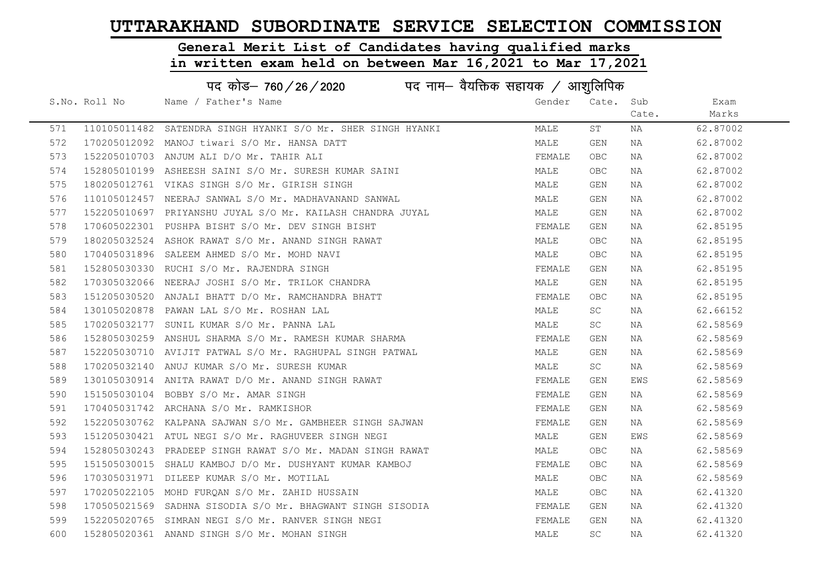#### General Merit List of Candidates having qualified marks

|     |               | पद कोड– 760 / 26 / 2020 पद नाम– वैयक्तिक सहायक / आशुलिपिक    |        |            |       |          |
|-----|---------------|--------------------------------------------------------------|--------|------------|-------|----------|
|     | S.No. Roll No | Name / Father's Name                                         | Gender | Cate. Sub  |       | Exam     |
|     |               |                                                              |        |            | Cate. | Marks    |
| 571 |               | 110105011482 SATENDRA SINGH HYANKI S/O Mr. SHER SINGH HYANKI | MALE   | ST         | NA    | 62.87002 |
| 572 |               | 170205012092 MANOJ tiwari S/O Mr. HANSA DATT                 | MALE   | GEN        | NA    | 62.87002 |
| 573 |               | 152205010703 ANJUM ALI D/O Mr. TAHIR ALI                     | FEMALE | <b>OBC</b> | NA    | 62.87002 |
| 574 |               | 152805010199 ASHEESH SAINI S/O Mr. SURESH KUMAR SAINI        | MALE   | OBC.       | NA    | 62.87002 |
| 575 |               | 180205012761 VIKAS SINGH S/O Mr. GIRISH SINGH                | MALE   | GEN        | NA    | 62.87002 |
| 576 |               | 110105012457 NEERAJ SANWAL S/O Mr. MADHAVANAND SANWAL        | MALE   | GEN        | NA    | 62.87002 |
| 577 |               | 152205010697 PRIYANSHU JUYAL S/O Mr. KAILASH CHANDRA JUYAL   | MALE   | GEN        | NA    | 62.87002 |
| 578 |               | 170605022301 PUSHPA BISHT S/O Mr. DEV SINGH BISHT            | FEMALE | GEN        | NA    | 62.85195 |
| 579 |               | 180205032524 ASHOK RAWAT S/O Mr. ANAND SINGH RAWAT           | MALE   | <b>OBC</b> | NA    | 62.85195 |
| 580 |               | 170405031896 SALEEM AHMED S/O Mr. MOHD NAVI                  | MALE   | <b>OBC</b> | NA    | 62.85195 |
| 581 |               | 152805030330 RUCHI S/O Mr. RAJENDRA SINGH                    | FEMALE | GEN        | NA    | 62.85195 |
| 582 |               | 170305032066 NEERAJ JOSHI S/O Mr. TRILOK CHANDRA             | MALE   | GEN        | NA    | 62.85195 |
| 583 |               | 151205030520 ANJALI BHATT D/O Mr. RAMCHANDRA BHATT           | FEMALE | <b>OBC</b> | NA    | 62.85195 |
| 584 |               | 130105020878 PAWAN LAL S/O Mr. ROSHAN LAL                    | MALE   | SC         | NA    | 62.66152 |
| 585 |               | 170205032177 SUNIL KUMAR S/O Mr. PANNA LAL                   | MALE   | SC         | NA    | 62.58569 |
| 586 |               | 152805030259 ANSHUL SHARMA S/O Mr. RAMESH KUMAR SHARMA       | FEMALE | GEN        | NA    | 62.58569 |
| 587 |               | 152205030710 AVIJIT PATWAL S/O Mr. RAGHUPAL SINGH PATWAL     | MALE   | GEN        | NA    | 62.58569 |
| 588 |               | 170205032140 ANUJ KUMAR S/O Mr. SURESH KUMAR                 | MALE   | SC         | NA    | 62.58569 |
| 589 |               | 130105030914 ANITA RAWAT D/O Mr. ANAND SINGH RAWAT           | FEMALE | GEN        | EWS   | 62.58569 |
| 590 |               | 151505030104 BOBBY S/O Mr. AMAR SINGH                        | FEMALE | GEN        | NA    | 62.58569 |
| 591 |               | 170405031742 ARCHANA S/O Mr. RAMKISHOR                       | FEMALE | GEN        | NA    | 62.58569 |
| 592 |               | 152205030762 KALPANA SAJWAN S/O Mr. GAMBHEER SINGH SAJWAN    | FEMALE | GEN        | NA    | 62.58569 |
| 593 |               | 151205030421 ATUL NEGI S/O Mr. RAGHUVEER SINGH NEGI          | MALE   | GEN        | EWS   | 62.58569 |
| 594 |               | 152805030243 PRADEEP SINGH RAWAT S/O Mr. MADAN SINGH RAWAT   | MALE   | <b>OBC</b> | NA    | 62.58569 |
| 595 |               | 151505030015 SHALU KAMBOJ D/O Mr. DUSHYANT KUMAR KAMBOJ      | FEMALE | <b>OBC</b> | NA    | 62.58569 |
| 596 |               | 170305031971 DILEEP KUMAR S/O Mr. MOTILAL                    | MALE   | <b>OBC</b> | NA    | 62.58569 |
| 597 |               | 170205022105 MOHD FURQAN S/O Mr. ZAHID HUSSAIN               | MALE   | <b>OBC</b> | NA    | 62.41320 |
| 598 |               | 170505021569 SADHNA SISODIA S/O Mr. BHAGWANT SINGH SISODIA   | FEMALE | GEN        | NA    | 62.41320 |
| 599 |               | 152205020765 SIMRAN NEGI S/O Mr. RANVER SINGH NEGI           | FEMALE | GEN        | NA    | 62.41320 |
| 600 |               | 152805020361 ANAND SINGH S/O Mr. MOHAN SINGH                 | MALE   | SC         | ΝA    | 62.41320 |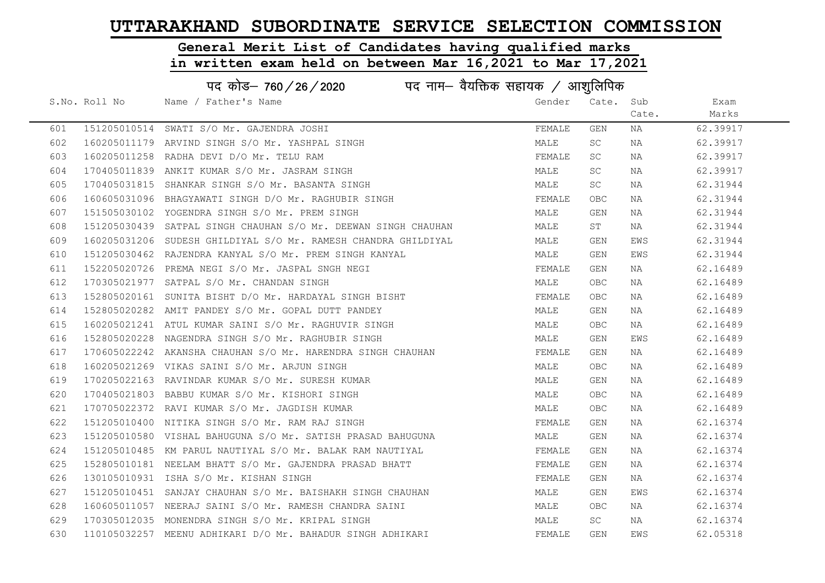# General Merit List of Candidates having qualified marks

|     | पद कोड– 760 / 26 / 2020 पद नाम– वैयक्तिक सहायक / आशुलिपिक |                                                                |        |            |       |          |  |
|-----|-----------------------------------------------------------|----------------------------------------------------------------|--------|------------|-------|----------|--|
|     | S.No. Roll No                                             | Name / Father's Name                                           | Gender | Cate. Sub  |       | Exam     |  |
|     |                                                           |                                                                |        |            | Cate. | Marks    |  |
| 601 |                                                           | 151205010514 SWATI S/O Mr. GAJENDRA JOSHI                      | FEMALE | GEN        | NA    | 62.39917 |  |
| 602 |                                                           | 160205011179 ARVIND SINGH S/O Mr. YASHPAL SINGH                | MALE   | SC         | NA    | 62.39917 |  |
| 603 |                                                           | 160205011258 RADHA DEVI D/O Mr. TELU RAM                       | FEMALE | SC         | NA    | 62.39917 |  |
| 604 |                                                           | 170405011839 ANKIT KUMAR S/O Mr. JASRAM SINGH                  | MALE   | SC         | NA    | 62.39917 |  |
| 605 |                                                           | 170405031815 SHANKAR SINGH S/O Mr. BASANTA SINGH               | MALE   | <b>SC</b>  | NA    | 62.31944 |  |
| 606 |                                                           | 160605031096 BHAGYAWATI SINGH D/O Mr. RAGHUBIR SINGH           | FEMALE | <b>OBC</b> | NA    | 62.31944 |  |
| 607 |                                                           | 151505030102 YOGENDRA SINGH S/O Mr. PREM SINGH                 | MALE   | GEN        | NA    | 62.31944 |  |
| 608 |                                                           | 151205030439 SATPAL SINGH CHAUHAN S/O Mr. DEEWAN SINGH CHAUHAN | MALE   | ST         | NA    | 62.31944 |  |
| 609 |                                                           | 160205031206 SUDESH GHILDIYAL S/O Mr. RAMESH CHANDRA GHILDIYAL | MALE   | GEN        | EWS   | 62.31944 |  |
| 610 |                                                           | 151205030462 RAJENDRA KANYAL S/O Mr. PREM SINGH KANYAL         | MALE   | GEN        | EWS   | 62.31944 |  |
| 611 |                                                           | 152205020726 PREMA NEGI S/O Mr. JASPAL SNGH NEGI               | FEMALE | GEN        | NA    | 62.16489 |  |
| 612 |                                                           | 170305021977 SATPAL S/O Mr. CHANDAN SINGH                      | MALE   | <b>OBC</b> | NA    | 62.16489 |  |
| 613 |                                                           | 152805020161 SUNITA BISHT D/O Mr. HARDAYAL SINGH BISHT         | FEMALE | OBC.       | NA    | 62.16489 |  |
| 614 |                                                           | 152805020282 AMIT PANDEY S/O Mr. GOPAL DUTT PANDEY             | MALE   | GEN        | NA    | 62.16489 |  |
| 615 |                                                           | 160205021241 ATUL KUMAR SAINI S/O Mr. RAGHUVIR SINGH           | MALE   | <b>OBC</b> | NA    | 62.16489 |  |
| 616 |                                                           | 152805020228 NAGENDRA SINGH S/O Mr. RAGHUBIR SINGH             | MALE   | GEN        | EWS   | 62.16489 |  |
| 617 |                                                           | 170605022242 AKANSHA CHAUHAN S/O Mr. HARENDRA SINGH CHAUHAN    | FEMALE | GEN        | NA    | 62.16489 |  |
| 618 |                                                           | 160205021269 VIKAS SAINI S/O Mr. ARJUN SINGH                   | MALE   | <b>OBC</b> | NA    | 62.16489 |  |
| 619 |                                                           | 170205022163 RAVINDAR KUMAR S/O Mr. SURESH KUMAR               | MALE   | GEN        | NA    | 62.16489 |  |
| 620 |                                                           | 170405021803 BABBU KUMAR S/O Mr. KISHORI SINGH                 | MALE   | <b>OBC</b> | NA    | 62.16489 |  |
| 621 |                                                           | 170705022372 RAVI KUMAR S/O Mr. JAGDISH KUMAR                  | MALE   | <b>OBC</b> | NA    | 62.16489 |  |
| 622 |                                                           | 151205010400 NITIKA SINGH S/O Mr. RAM RAJ SINGH                | FEMALE | GEN        | NA    | 62.16374 |  |
| 623 |                                                           | 151205010580 VISHAL BAHUGUNA S/O Mr. SATISH PRASAD BAHUGUNA    | MALE   | GEN        | NA    | 62.16374 |  |
| 624 |                                                           | 151205010485 KM PARUL NAUTIYAL S/O Mr. BALAK RAM NAUTIYAL      | FEMALE | GEN        | NA    | 62.16374 |  |
| 625 |                                                           | 152805010181 NEELAM BHATT S/O Mr. GAJENDRA PRASAD BHATT        | FEMALE | GEN        | NA    | 62.16374 |  |
| 626 |                                                           | 130105010931 ISHA S/O Mr. KISHAN SINGH                         | FEMALE | GEN        | NA    | 62.16374 |  |
| 627 |                                                           | 151205010451 SANJAY CHAUHAN S/O Mr. BAISHAKH SINGH CHAUHAN     | MALE   | GEN        | EWS   | 62.16374 |  |
| 628 |                                                           | 160605011057 NEERAJ SAINI S/O Mr. RAMESH CHANDRA SAINI         | MALE   | <b>OBC</b> | NA    | 62.16374 |  |
| 629 |                                                           | 170305012035 MONENDRA SINGH S/O Mr. KRIPAL SINGH               | MALE   | SC         | NA    | 62.16374 |  |
| 630 |                                                           | 110105032257 MEENU ADHIKARI D/O Mr. BAHADUR SINGH ADHIKARI     | FEMALE | GEN        | EWS   | 62.05318 |  |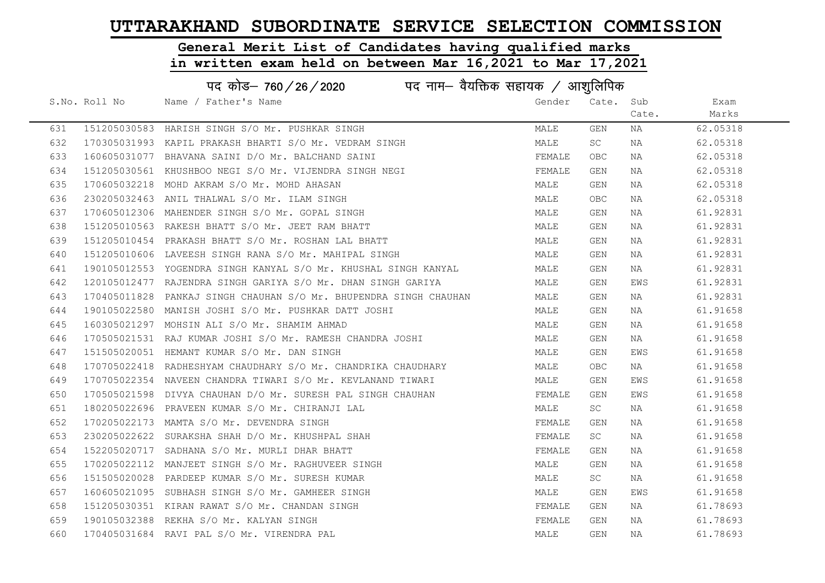# General Merit List of Candidates having qualified marks

|     | पद कोड– 760 / 26 / 2020 पद नाम– वैयक्तिक सहायक / आशुलिपिक |                                                                   |        |           |       |          |  |
|-----|-----------------------------------------------------------|-------------------------------------------------------------------|--------|-----------|-------|----------|--|
|     | S.No. Roll No                                             | Name / Father's Name                                              | Gender | Cate. Sub |       | Exam     |  |
|     |                                                           |                                                                   |        |           | Cate. | Marks    |  |
| 631 |                                                           | 151205030583 HARISH SINGH S/O Mr. PUSHKAR SINGH                   | MALE   | GEN       | NA    | 62.05318 |  |
| 632 |                                                           | 170305031993 KAPIL PRAKASH BHARTI S/O Mr. VEDRAM SINGH            | MALE   | SC        | NA    | 62.05318 |  |
| 633 |                                                           | 160605031077 BHAVANA SAINI D/O Mr. BALCHAND SAINI                 | FEMALE | OBC.      | NA    | 62.05318 |  |
| 634 |                                                           | 151205030561 KHUSHBOO NEGI S/O Mr. VIJENDRA SINGH NEGI            | FEMALE | GEN       | NA    | 62.05318 |  |
| 635 |                                                           | 170605032218 MOHD AKRAM S/O Mr. MOHD AHASAN                       | MALE   | GEN       | NA    | 62.05318 |  |
| 636 |                                                           | 230205032463 ANIL THALWAL S/O Mr. ILAM SINGH                      | MALE   | OBC       | NA    | 62.05318 |  |
| 637 |                                                           | 170605012306 MAHENDER SINGH S/O Mr. GOPAL SINGH                   | MALE   | GEN       | NA    | 61.92831 |  |
| 638 |                                                           | 151205010563 RAKESH BHATT S/O Mr. JEET RAM BHATT                  | MALE   | GEN       | NA    | 61.92831 |  |
| 639 |                                                           | 151205010454 PRAKASH BHATT S/O Mr. ROSHAN LAL BHATT               | MALE   | GEN       | NA    | 61.92831 |  |
| 640 |                                                           | 151205010606 LAVEESH SINGH RANA S/O Mr. MAHIPAL SINGH             | MALE   | GEN       | NA    | 61.92831 |  |
| 641 |                                                           | 190105012553 YOGENDRA SINGH KANYAL S/O Mr. KHUSHAL SINGH KANYAL   | MALE   | GEN       | NA    | 61.92831 |  |
| 642 |                                                           | 120105012477 RAJENDRA SINGH GARIYA S/O Mr. DHAN SINGH GARIYA      | MALE   | GEN       | EWS   | 61.92831 |  |
| 643 |                                                           | 170405011828 PANKAJ SINGH CHAUHAN S/O Mr. BHUPENDRA SINGH CHAUHAN | MALE   | GEN       | NA    | 61.92831 |  |
| 644 |                                                           | 190105022580 MANISH JOSHI S/O Mr. PUSHKAR DATT JOSHI              | MALE   | GEN       | NA    | 61.91658 |  |
| 645 |                                                           | 160305021297 MOHSIN ALI S/O Mr. SHAMIM AHMAD                      | MALE   | GEN       | NA    | 61.91658 |  |
| 646 |                                                           | 170505021531 RAJ KUMAR JOSHI S/O Mr. RAMESH CHANDRA JOSHI         | MALE   | GEN       | NA    | 61.91658 |  |
| 647 |                                                           | 151505020051 HEMANT KUMAR S/O Mr. DAN SINGH                       | MALE   | GEN       | EWS   | 61.91658 |  |
| 648 |                                                           | 170705022418 RADHESHYAM CHAUDHARY S/O Mr. CHANDRIKA CHAUDHARY     | MALE   | OBC.      | NA    | 61.91658 |  |
| 649 |                                                           | 170705022354 NAVEEN CHANDRA TIWARI S/O Mr. KEVLANAND TIWARI       | MALE   | GEN       | EWS   | 61.91658 |  |
| 650 |                                                           | 170505021598 DIVYA CHAUHAN D/O Mr. SURESH PAL SINGH CHAUHAN       | FEMALE | GEN       | EWS   | 61.91658 |  |
| 651 |                                                           | 180205022696 PRAVEEN KUMAR S/O Mr. CHIRANJI LAL                   | MALE   | SC        | NA    | 61.91658 |  |
| 652 |                                                           | 170205022173 MAMTA S/O Mr. DEVENDRA SINGH                         | FEMALE | GEN       | NA    | 61.91658 |  |
| 653 |                                                           | 230205022622 SURAKSHA SHAH D/O Mr. KHUSHPAL SHAH                  | FEMALE | SC        | NA    | 61.91658 |  |
| 654 |                                                           | 152205020717 SADHANA S/O Mr. MURLI DHAR BHATT                     | FEMALE | GEN       | NA    | 61.91658 |  |
| 655 |                                                           | 170205022112 MANJEET SINGH S/O Mr. RAGHUVEER SINGH                | MALE   | GEN       | NA    | 61.91658 |  |
| 656 |                                                           | 151505020028 PARDEEP KUMAR S/O Mr. SURESH KUMAR                   | MALE   | SC        | NA    | 61.91658 |  |
| 657 |                                                           | 160605021095 SUBHASH SINGH S/O Mr. GAMHEER SINGH                  | MALE   | GEN       | EWS   | 61.91658 |  |
| 658 |                                                           | 151205030351 KIRAN RAWAT S/O Mr. CHANDAN SINGH                    | FEMALE | GEN       | NA    | 61.78693 |  |
| 659 |                                                           | 190105032388 REKHA S/O Mr. KALYAN SINGH                           | FEMALE | GEN       | NA    | 61.78693 |  |
| 660 |                                                           | 170405031684 RAVI PAL S/O Mr. VIRENDRA PAL                        | MALE   | GEN       | ΝA    | 61.78693 |  |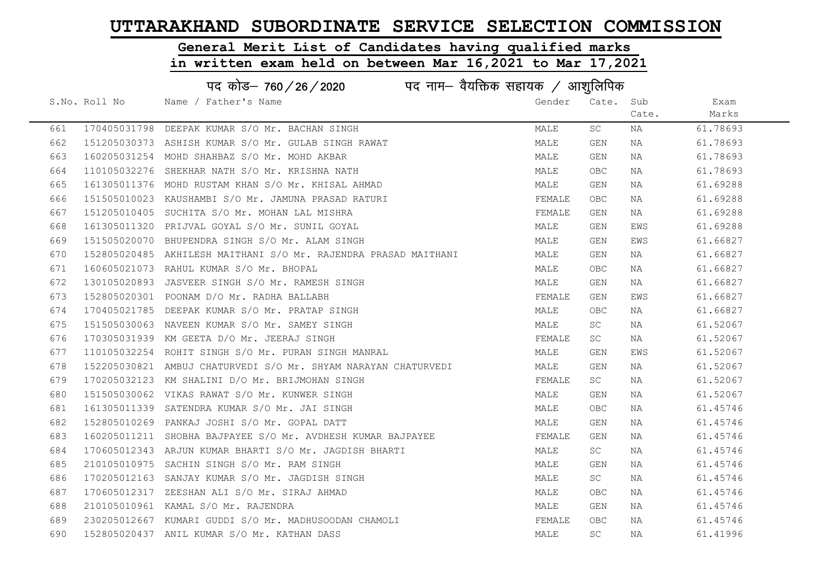#### General Merit List of Candidates having qualified marks

|     | पद कोड– 760/26/2020<br>पद नाम— वैयक्तिक सहायक $\diagup$ आशुलिपिक |                                                                 |        |            |       |          |  |
|-----|------------------------------------------------------------------|-----------------------------------------------------------------|--------|------------|-------|----------|--|
|     | S.No. Roll No                                                    | Name / Father's Name                                            | Gender | Cate. Sub  |       | Exam     |  |
|     |                                                                  |                                                                 |        |            | Cate. | Marks    |  |
| 661 |                                                                  | 170405031798 DEEPAK KUMAR S/O Mr. BACHAN SINGH                  | MALE   | SC         | NA    | 61.78693 |  |
| 662 |                                                                  | 151205030373 ASHISH KUMAR S/O Mr. GULAB SINGH RAWAT             | MALE   | GEN        | NA    | 61.78693 |  |
| 663 |                                                                  | 160205031254 MOHD SHAHBAZ S/O Mr. MOHD AKBAR                    | MALE   | GEN        | NA    | 61.78693 |  |
| 664 |                                                                  | 110105032276 SHEKHAR NATH S/O Mr. KRISHNA NATH                  | MALE   | <b>OBC</b> | NA    | 61.78693 |  |
| 665 |                                                                  | 161305011376 MOHD RUSTAM KHAN S/O Mr. KHISAL AHMAD              | MALE   | GEN        | NA    | 61.69288 |  |
| 666 |                                                                  | 151505010023 KAUSHAMBI S/O Mr. JAMUNA PRASAD RATURI             | FEMALE | <b>OBC</b> | NA    | 61.69288 |  |
| 667 |                                                                  | 151205010405 SUCHITA S/O Mr. MOHAN LAL MISHRA                   | FEMALE | GEN        | NA    | 61.69288 |  |
| 668 |                                                                  | 161305011320 PRIJVAL GOYAL S/O Mr. SUNIL GOYAL                  | MALE   | GEN        | EWS   | 61.69288 |  |
| 669 |                                                                  | 151505020070 BHUPENDRA SINGH S/O Mr. ALAM SINGH                 | MALE   | GEN        | EWS   | 61.66827 |  |
| 670 |                                                                  | 152805020485 AKHILESH MAITHANI S/O Mr. RAJENDRA PRASAD MAITHANI | MALE   | GEN        | NA    | 61.66827 |  |
| 671 |                                                                  | 160605021073 RAHUL KUMAR S/O Mr. BHOPAL                         | MALE   | <b>OBC</b> | NA    | 61.66827 |  |
| 672 |                                                                  | 130105020893 JASVEER SINGH S/O Mr. RAMESH SINGH                 | MALE   | GEN        | NA    | 61.66827 |  |
| 673 |                                                                  | 152805020301 POONAM D/O Mr. RADHA BALLABH                       | FEMALE | GEN        | EWS   | 61.66827 |  |
| 674 |                                                                  | 170405021785 DEEPAK KUMAR S/O Mr. PRATAP SINGH                  | MALE   | <b>OBC</b> | NA    | 61.66827 |  |
| 675 |                                                                  | 151505030063 NAVEEN KUMAR S/O Mr. SAMEY SINGH                   | MALE   | SC         | NA    | 61.52067 |  |
| 676 |                                                                  | 170305031939 KM GEETA D/O Mr. JEERAJ SINGH                      | FEMALE | SC         | NA    | 61.52067 |  |
| 677 |                                                                  | 110105032254 ROHIT SINGH S/O Mr. PURAN SINGH MANRAL             | MALE   | GEN        | EWS   | 61.52067 |  |
| 678 |                                                                  | 152205030821 AMBUJ CHATURVEDI S/O Mr. SHYAM NARAYAN CHATURVEDI  | MALE   | GEN        | NA    | 61.52067 |  |
| 679 |                                                                  | 170205032123 KM SHALINI D/O Mr. BRIJMOHAN SINGH                 | FEMALE | SC         | NA    | 61.52067 |  |
| 680 |                                                                  | 151505030062 VIKAS RAWAT S/O Mr. KUNWER SINGH                   | MALE   | GEN        | NA    | 61.52067 |  |
| 681 |                                                                  | 161305011339 SATENDRA KUMAR S/O Mr. JAI SINGH                   | MALE   | <b>OBC</b> | NA    | 61.45746 |  |
| 682 |                                                                  | 152805010269 PANKAJ JOSHI S/O Mr. GOPAL DATT                    | MALE   | GEN        | NA    | 61.45746 |  |
| 683 |                                                                  | 160205011211 SHOBHA BAJPAYEE S/O Mr. AVDHESH KUMAR BAJPAYEE     | FEMALE | GEN        | NA    | 61.45746 |  |
| 684 |                                                                  | 170605012343 ARJUN KUMAR BHARTI S/O Mr. JAGDISH BHARTI          | MALE   | <b>SC</b>  | NA    | 61.45746 |  |
| 685 |                                                                  | 210105010975 SACHIN SINGH S/O Mr. RAM SINGH                     | MALE   | GEN        | NA    | 61.45746 |  |
| 686 |                                                                  | 170205012163 SANJAY KUMAR S/O Mr. JAGDISH SINGH                 | MALE   | SC         | NA    | 61.45746 |  |
| 687 |                                                                  | 170605012317 ZEESHAN ALI S/O Mr. SIRAJ AHMAD                    | MALE   | OBC.       | NA    | 61.45746 |  |
| 688 |                                                                  | 210105010961 KAMAL S/O Mr. RAJENDRA                             | MALE   | GEN        | NA    | 61.45746 |  |
| 689 |                                                                  | 230205012667 KUMARI GUDDI S/O Mr. MADHUSOODAN CHAMOLI           | FEMALE | OBC.       | NA    | 61.45746 |  |
| 690 |                                                                  | 152805020437 ANIL KUMAR S/O Mr. KATHAN DASS                     | MALE   | SC         | ΝA    | 61.41996 |  |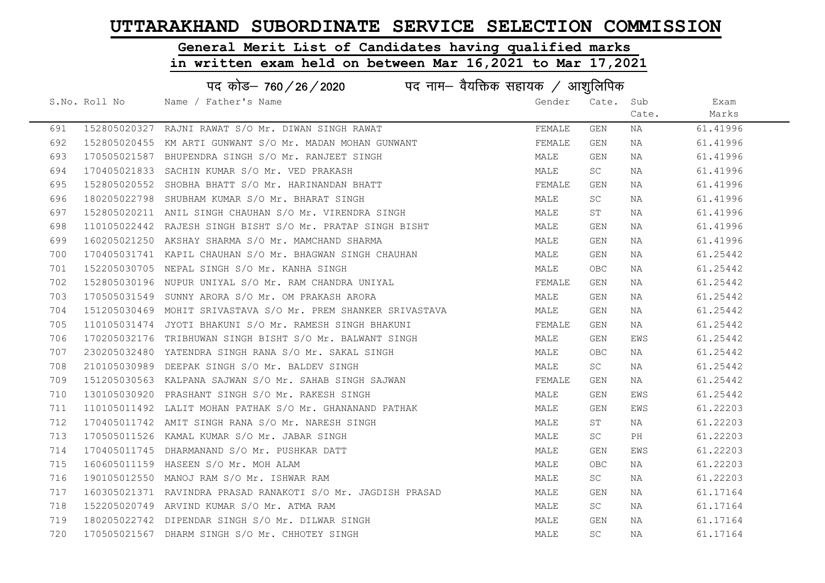# General Merit List of Candidates having qualified marks

|     | पद कोड– 760 / 26 / 2020 पद नाम– वैयक्तिक सहायक / आशुलिपिक |                                                               |        |            |       |          |  |
|-----|-----------------------------------------------------------|---------------------------------------------------------------|--------|------------|-------|----------|--|
|     | S.No. Roll No                                             | Name / Father's Name                                          | Gender | Cate. Sub  |       | Exam     |  |
|     |                                                           |                                                               |        |            | Cate. | Marks    |  |
| 691 |                                                           | 152805020327 RAJNI RAWAT S/O Mr. DIWAN SINGH RAWAT            | FEMALE | GEN        | NA    | 61.41996 |  |
| 692 |                                                           | 152805020455 KM ARTI GUNWANT S/O Mr. MADAN MOHAN GUNWANT      | FEMALE | GEN        | NA    | 61.41996 |  |
| 693 |                                                           | 170505021587 BHUPENDRA SINGH S/O Mr. RANJEET SINGH            | MALE   | GEN        | NA    | 61.41996 |  |
| 694 |                                                           | 170405021833 SACHIN KUMAR S/O Mr. VED PRAKASH                 | MALE   | <b>SC</b>  | NA    | 61.41996 |  |
| 695 |                                                           | 152805020552 SHOBHA BHATT S/O Mr. HARINANDAN BHATT            | FEMALE | GEN        | NA    | 61.41996 |  |
| 696 |                                                           | 180205022798 SHUBHAM KUMAR S/O Mr. BHARAT SINGH               | MALE   | SC         | NA    | 61.41996 |  |
| 697 |                                                           | 152805020211 ANIL SINGH CHAUHAN S/O Mr. VIRENDRA SINGH        | MALE   | ST         | NA    | 61.41996 |  |
| 698 |                                                           | 110105022442 RAJESH SINGH BISHT S/O Mr. PRATAP SINGH BISHT    | MALE   | GEN        | NA    | 61.41996 |  |
| 699 |                                                           | 160205021250 AKSHAY SHARMA S/O Mr. MAMCHAND SHARMA            | MALE   | GEN        | NA    | 61.41996 |  |
| 700 |                                                           | 170405031741 KAPIL CHAUHAN S/O Mr. BHAGWAN SINGH CHAUHAN      | MALE   | GEN        | NA    | 61.25442 |  |
| 701 |                                                           | 152205030705 NEPAL SINGH S/O Mr. KANHA SINGH                  | MALE   | OBC        | NA    | 61.25442 |  |
| 702 |                                                           | 152805030196 NUPUR UNIYAL S/O Mr. RAM CHANDRA UNIYAL          | FEMALE | GEN        | NA    | 61.25442 |  |
| 703 |                                                           | 170505031549 SUNNY ARORA S/O Mr. OM PRAKASH ARORA             | MALE   | GEN        | NA    | 61.25442 |  |
| 704 |                                                           | 151205030469 MOHIT SRIVASTAVA S/O Mr. PREM SHANKER SRIVASTAVA | MALE   | GEN        | NA    | 61.25442 |  |
| 705 |                                                           | 110105031474 JYOTI BHAKUNI S/O Mr. RAMESH SINGH BHAKUNI       | FEMALE | GEN        | NA    | 61.25442 |  |
| 706 |                                                           | 170205032176 TRIBHUWAN SINGH BISHT S/O Mr. BALWANT SINGH      | MALE   | GEN        | EWS   | 61.25442 |  |
| 707 |                                                           | 230205032480 YATENDRA SINGH RANA S/O Mr. SAKAL SINGH          | MALE   | <b>OBC</b> | NA    | 61.25442 |  |
| 708 |                                                           | 210105030989 DEEPAK SINGH S/O Mr. BALDEV SINGH                | MALE   | SC         | NA    | 61.25442 |  |
| 709 |                                                           | 151205030563 KALPANA SAJWAN S/O Mr. SAHAB SINGH SAJWAN        | FEMALE | GEN        | NA    | 61.25442 |  |
| 710 |                                                           | 130105030920 PRASHANT SINGH S/O Mr. RAKESH SINGH              | MALE   | GEN        | EWS   | 61.25442 |  |
| 711 |                                                           | 110105011492 LALIT MOHAN PATHAK S/O Mr. GHANANAND PATHAK      | MALE   | GEN        | EWS   | 61.22203 |  |
| 712 |                                                           | 170405011742 AMIT SINGH RANA S/O Mr. NARESH SINGH             | MALE   | ST         | NA    | 61.22203 |  |
| 713 |                                                           | 170505011526 KAMAL KUMAR S/O Mr. JABAR SINGH                  | MALE   | SC         | PH    | 61.22203 |  |
| 714 |                                                           | 170405011745 DHARMANAND S/O Mr. PUSHKAR DATT                  | MALE   | GEN        | EWS   | 61.22203 |  |
| 715 |                                                           | 160605011159 HASEEN S/O Mr. MOH ALAM                          | MALE   | OBC.       | NA    | 61.22203 |  |
| 716 |                                                           | 190105012550 MANOJ RAM S/O Mr. ISHWAR RAM                     | MALE   | SC         | NA    | 61.22203 |  |
| 717 |                                                           | 160305021371 RAVINDRA PRASAD RANAKOTI S/O Mr. JAGDISH PRASAD  | MALE   | GEN        | NA    | 61.17164 |  |
| 718 |                                                           | 152205020749 ARVIND KUMAR S/O Mr. ATMA RAM                    | MALE   | <b>SC</b>  | NA    | 61.17164 |  |
| 719 |                                                           | 180205022742 DIPENDAR SINGH S/O Mr. DILWAR SINGH              | MALE   | GEN        | NA    | 61.17164 |  |
| 720 |                                                           | 170505021567 DHARM SINGH S/O Mr. CHHOTEY SINGH                | MALE   | SC         | NA    | 61.17164 |  |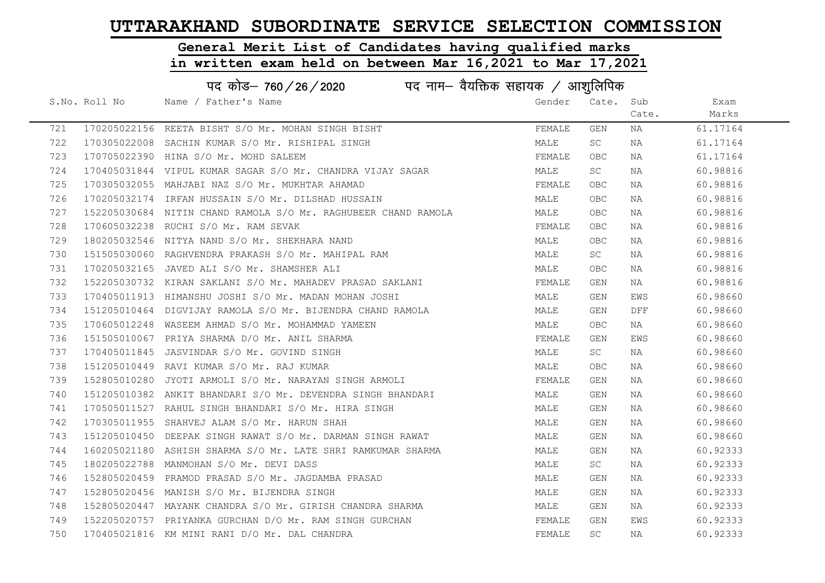#### General Merit List of Candidates having qualified marks

|     |               | पद कोड़- 760 / 26 / 2020 पद नाम- वैयक्तिक सहायक / आशुलिपिक      |        |            |       |          |
|-----|---------------|-----------------------------------------------------------------|--------|------------|-------|----------|
|     | S.No. Roll No | Name / Father's Name                                            | Gender | Cate. Sub  |       | Exam     |
|     |               |                                                                 |        |            | Cate. | Marks    |
| 721 |               | 170205022156 REETA BISHT S/O Mr. MOHAN SINGH BISHT              | FEMALE | GEN        | NA    | 61.17164 |
| 722 |               | 170305022008 SACHIN KUMAR S/O Mr. RISHIPAL SINGH                | MALE   | SC         | NA    | 61.17164 |
| 723 |               | 170705022390 HINA S/O Mr. MOHD SALEEM                           | FEMALE | <b>OBC</b> | NA    | 61.17164 |
| 724 |               | 170405031844 VIPUL KUMAR SAGAR S/O Mr. CHANDRA VIJAY SAGAR      | MALE   | SC         | NA    | 60.98816 |
| 725 |               | 170305032055 MAHJABI NAZ S/O Mr. MUKHTAR AHAMAD                 | FEMALE | OBC        | NA    | 60.98816 |
| 726 |               | 170205032174 IRFAN HUSSAIN S/O Mr. DILSHAD HUSSAIN              | MALE   | <b>OBC</b> | NA    | 60.98816 |
| 727 |               | 152205030684  NITIN CHAND RAMOLA S/O Mr. RAGHUBEER CHAND RAMOLA | MALE   | OBC        | NA    | 60.98816 |
| 728 |               | 170605032238 RUCHI S/O Mr. RAM SEVAK                            | FEMALE | OBC        | NA    | 60.98816 |
| 729 |               | 180205032546 NITYA NAND S/O Mr. SHEKHARA NAND                   | MALE   | OBC.       | NA    | 60.98816 |
| 730 |               | 151505030060 RAGHVENDRA PRAKASH S/O Mr. MAHIPAL RAM             | MALE   | SC         | NA    | 60.98816 |
| 731 |               | 170205032165 JAVED ALI S/O Mr. SHAMSHER ALI                     | MALE   | OBC        | NA    | 60.98816 |
| 732 |               | 152205030732 KIRAN SAKLANI S/O Mr. MAHADEV PRASAD SAKLANI       | FEMALE | GEN        | NA    | 60.98816 |
| 733 |               | 170405011913 HIMANSHU JOSHI S/O Mr. MADAN MOHAN JOSHI           | MALE   | GEN        | EWS   | 60.98660 |
| 734 |               | 151205010464 DIGVIJAY RAMOLA S/O Mr. BIJENDRA CHAND RAMOLA      | MALE   | GEN        | DFF   | 60.98660 |
| 735 |               | 170605012248 WASEEM AHMAD S/O Mr. MOHAMMAD YAMEEN               | MALE   | <b>OBC</b> | NA    | 60.98660 |
| 736 |               | 151505010067 PRIYA SHARMA D/O Mr. ANIL SHARMA                   | FEMALE | GEN        | EWS   | 60.98660 |
| 737 |               | 170405011845 JASVINDAR S/O Mr. GOVIND SINGH                     | MALE   | SC         | NA    | 60.98660 |
| 738 |               | 151205010449 RAVI KUMAR S/O Mr. RAJ KUMAR                       | MALE   | <b>OBC</b> | NA    | 60.98660 |
| 739 |               | 152805010280 JYOTI ARMOLI S/O Mr. NARAYAN SINGH ARMOLI          | FEMALE | GEN        | NA    | 60.98660 |
| 740 |               | 151205010382 ANKIT BHANDARI S/O Mr. DEVENDRA SINGH BHANDARI     | MALE   | GEN        | NA    | 60.98660 |
| 741 |               | 170505011527 RAHUL SINGH BHANDARI S/O Mr. HIRA SINGH            | MALE   | GEN        | NA    | 60.98660 |
| 742 |               | 170305011955 SHAHVEJ ALAM S/O Mr. HARUN SHAH                    | MALE   | GEN        | NA    | 60.98660 |
| 743 |               | 151205010450 DEEPAK SINGH RAWAT S/O Mr. DARMAN SINGH RAWAT      | MALE   | GEN        | NA    | 60.98660 |
| 744 |               | 160205021180 ASHISH SHARMA S/O Mr. LATE SHRI RAMKUMAR SHARMA    | MALE   | GEN        | NA    | 60.92333 |
| 745 |               | 180205022788 MANMOHAN S/O Mr. DEVI DASS                         | MALE   | SC         | NA    | 60.92333 |
| 746 |               | 152805020459 PRAMOD PRASAD S/O Mr. JAGDAMBA PRASAD              | MALE   | GEN        | NA    | 60.92333 |
| 747 |               | 152805020456 MANISH S/O Mr. BIJENDRA SINGH                      | MALE   | GEN        | NA    | 60.92333 |
| 748 |               | 152805020447 MAYANK CHANDRA S/O Mr. GIRISH CHANDRA SHARMA       | MALE   | GEN        | NA    | 60.92333 |
| 749 |               | 152205020757 PRIYANKA GURCHAN D/O Mr. RAM SINGH GURCHAN         | FEMALE | GEN        | EWS   | 60.92333 |
| 750 |               | 170405021816 KM MINI RANI D/O Mr. DAL CHANDRA                   | FEMALE | SC         | NA    | 60.92333 |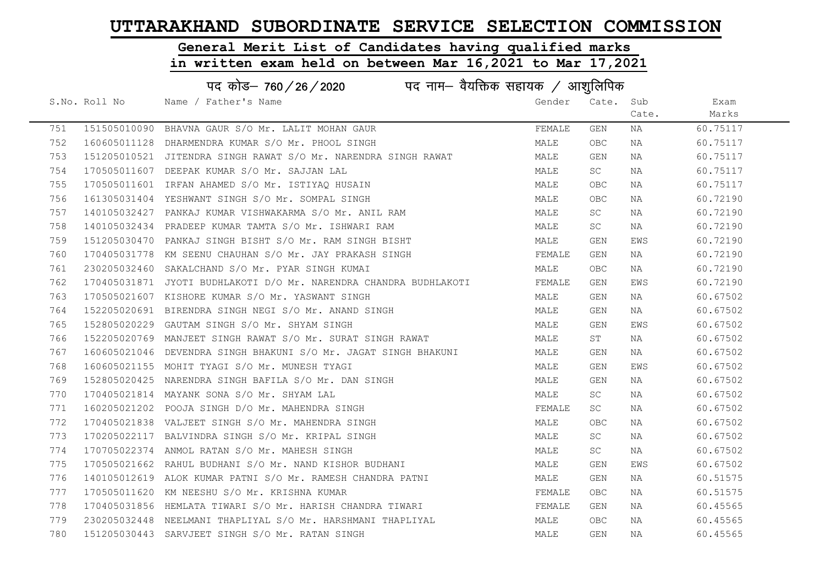#### General Merit List of Candidates having qualified marks

|     |               | पद कोड– 760 / 26 / 2020 पद नाम– वैयक्तिक सहायक / आशुलिपिक         |        |            |       |          |
|-----|---------------|-------------------------------------------------------------------|--------|------------|-------|----------|
|     | S.No. Roll No | Name / Father's Name                                              | Gender | Cate. Sub  |       | Exam     |
|     |               |                                                                   |        |            | Cate. | Marks    |
| 751 |               | 151505010090 BHAVNA GAUR S/O Mr. LALIT MOHAN GAUR                 | FEMALE | GEN        | NA    | 60.75117 |
| 752 |               | 160605011128 DHARMENDRA KUMAR S/O Mr. PHOOL SINGH                 | MALE   | OBC.       | NA    | 60.75117 |
| 753 |               | 151205010521 JITENDRA SINGH RAWAT S/O Mr. NARENDRA SINGH RAWAT    | MALE   | GEN        | ΝA    | 60.75117 |
| 754 |               | 170505011607 DEEPAK KUMAR S/O Mr. SAJJAN LAL                      | MALE   | <b>SC</b>  | NA    | 60.75117 |
| 755 |               | 170505011601 IRFAN AHAMED S/O Mr. ISTIYAQ HUSAIN                  | MALE   | <b>OBC</b> | NA    | 60.75117 |
| 756 |               | 161305031404 YESHWANT SINGH S/O Mr. SOMPAL SINGH                  | MALE   | <b>OBC</b> | NA    | 60.72190 |
| 757 |               | 140105032427 PANKAJ KUMAR VISHWAKARMA S/O Mr. ANIL RAM            | MALE   | <b>SC</b>  | NA    | 60.72190 |
| 758 |               | 140105032434 PRADEEP KUMAR TAMTA S/O Mr. ISHWARI RAM              | MALE   | SC         | NA    | 60.72190 |
| 759 |               | 151205030470 PANKAJ SINGH BISHT S/O Mr. RAM SINGH BISHT           | MALE   | GEN        | EWS   | 60.72190 |
| 760 |               | 170405031778 KM SEENU CHAUHAN S/O Mr. JAY PRAKASH SINGH           | FEMALE | GEN        | NA    | 60.72190 |
| 761 |               | 230205032460 SAKALCHAND S/O Mr. PYAR SINGH KUMAI                  | MALE   | OBC.       | NA    | 60.72190 |
| 762 |               | 170405031871 JYOTI BUDHLAKOTI D/O Mr. NARENDRA CHANDRA BUDHLAKOTI | FEMALE | GEN        | EWS   | 60.72190 |
| 763 |               | 170505021607 KISHORE KUMAR S/O Mr. YASWANT SINGH                  | MALE   | GEN        | NA    | 60.67502 |
| 764 |               | 152205020691 BIRENDRA SINGH NEGI S/O Mr. ANAND SINGH              | MALE   | GEN        | NA    | 60.67502 |
| 765 |               | 152805020229 GAUTAM SINGH S/O Mr. SHYAM SINGH                     | MALE   | GEN        | EWS   | 60.67502 |
| 766 |               | 152205020769 MANJEET SINGH RAWAT S/O Mr. SURAT SINGH RAWAT        | MALE   | ST         | NA    | 60.67502 |
| 767 |               | 160605021046 DEVENDRA SINGH BHAKUNI S/O Mr. JAGAT SINGH BHAKUNI   | MALE   | GEN        | NA    | 60.67502 |
| 768 |               | 160605021155 MOHIT TYAGI S/O Mr. MUNESH TYAGI                     | MALE   | GEN        | EWS   | 60.67502 |
| 769 |               | 152805020425 NARENDRA SINGH BAFILA S/O Mr. DAN SINGH              | MALE   | GEN        | ΝA    | 60.67502 |
| 770 |               | 170405021814 MAYANK SONA S/O Mr. SHYAM LAL                        | MALE   | SC         | NA    | 60.67502 |
| 771 |               | 160205021202 POOJA SINGH D/O Mr. MAHENDRA SINGH                   | FEMALE | SC         | NA    | 60.67502 |
| 772 |               | 170405021838 VALJEET SINGH S/O Mr. MAHENDRA SINGH                 | MALE   | OBC.       | NA    | 60.67502 |
| 773 |               | 170205022117 BALVINDRA SINGH S/O Mr. KRIPAL SINGH                 | MALE   | SC         | ΝA    | 60.67502 |
| 774 |               | 170705022374 ANMOL RATAN S/O Mr. MAHESH SINGH                     | MALE   | SC         | NA    | 60.67502 |
| 775 |               | 170505021662 RAHUL BUDHANI S/O Mr. NAND KISHOR BUDHANI            | MALE   | GEN        | EWS   | 60.67502 |
| 776 |               | 140105012619 ALOK KUMAR PATNI S/O Mr. RAMESH CHANDRA PATNI        | MALE   | GEN        | NA    | 60.51575 |
| 777 |               | 170505011620 KM NEESHU S/O Mr. KRISHNA KUMAR                      | FEMALE | OBC        | NA    | 60.51575 |
| 778 |               | 170405031856 HEMLATA TIWARI S/O Mr. HARISH CHANDRA TIWARI         | FEMALE | GEN        | NA    | 60.45565 |
| 779 |               | 230205032448 NEELMANI THAPLIYAL S/O Mr. HARSHMANI THAPLIYAL       | MALE   | OBC.       | NA    | 60.45565 |
| 780 |               | 151205030443 SARVJEET SINGH S/O Mr. RATAN SINGH                   | MALE   | GEN        | ΝA    | 60.45565 |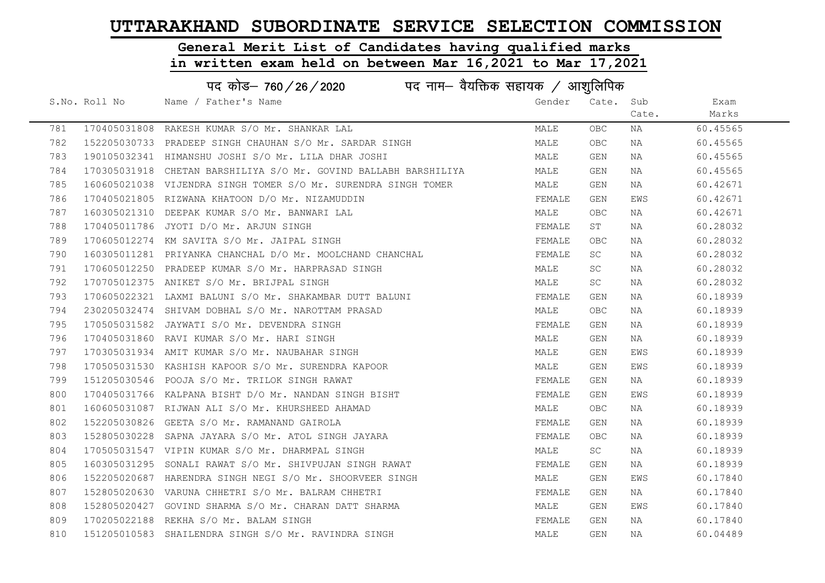#### General Merit List of Candidates having qualified marks

|     | पद कोड़– 760 / 26 / 2020 पद नाम– वैयक्तिक सहायक / आशुलिपिक |                                                                  |        |            |       |          |  |
|-----|------------------------------------------------------------|------------------------------------------------------------------|--------|------------|-------|----------|--|
|     | S.No. Roll No                                              | Name / Father's Name                                             | Gender | Cate.      | Sub   | Exam     |  |
|     |                                                            |                                                                  |        |            | Cate. | Marks    |  |
| 781 |                                                            | 170405031808 RAKESH KUMAR S/O Mr. SHANKAR LAL                    | MALE   | OBC.       | NA    | 60.45565 |  |
| 782 |                                                            | 152205030733 PRADEEP SINGH CHAUHAN S/O Mr. SARDAR SINGH          | MALE   | OBC.       | NA    | 60.45565 |  |
| 783 |                                                            | 190105032341 HIMANSHU JOSHI S/O Mr. LILA DHAR JOSHI              | MALE   | GEN        | NA    | 60.45565 |  |
| 784 |                                                            | 170305031918 CHETAN BARSHILIYA S/O Mr. GOVIND BALLABH BARSHILIYA | MALE   | GEN        | NA    | 60.45565 |  |
| 785 |                                                            | 160605021038 VIJENDRA SINGH TOMER S/O Mr. SURENDRA SINGH TOMER   | MALE   | GEN        | NA    | 60.42671 |  |
| 786 |                                                            | 170405021805 RIZWANA KHATOON D/O Mr. NIZAMUDDIN                  | FEMALE | GEN        | EWS   | 60.42671 |  |
| 787 |                                                            | 160305021310 DEEPAK KUMAR S/O Mr. BANWARI LAL                    | MALE   | OBC.       | NA    | 60.42671 |  |
| 788 |                                                            | 170405011786 JYOTI D/O Mr. ARJUN SINGH                           | FEMALE | ST         | NA    | 60.28032 |  |
| 789 |                                                            | 170605012274 KM SAVITA S/O Mr. JAIPAL SINGH                      | FEMALE | <b>OBC</b> | NA    | 60.28032 |  |
| 790 |                                                            | 160305011281 PRIYANKA CHANCHAL D/O Mr. MOOLCHAND CHANCHAL        | FEMALE | <b>SC</b>  | NA    | 60.28032 |  |
| 791 |                                                            | 170605012250 PRADEEP KUMAR S/O Mr. HARPRASAD SINGH               | MALE   | SC         | NA    | 60.28032 |  |
| 792 |                                                            | 170705012375 ANIKET S/O Mr. BRIJPAL SINGH                        | MALE   | SC         | NA    | 60.28032 |  |
| 793 |                                                            | 170605022321 LAXMI BALUNI S/O Mr. SHAKAMBAR DUTT BALUNI          | FEMALE | GEN        | NA    | 60.18939 |  |
| 794 |                                                            | 230205032474 SHIVAM DOBHAL S/O Mr. NAROTTAM PRASAD               | MALE   | OBC.       | NA    | 60.18939 |  |
| 795 |                                                            | 170505031582 JAYWATI S/O Mr. DEVENDRA SINGH                      | FEMALE | GEN        | NA    | 60.18939 |  |
| 796 |                                                            | 170405031860 RAVI KUMAR S/O Mr. HARI SINGH                       | MALE   | GEN        | NA    | 60.18939 |  |
| 797 |                                                            | 170305031934 AMIT KUMAR S/O Mr. NAUBAHAR SINGH                   | MALE   | GEN        | EWS   | 60.18939 |  |
| 798 |                                                            | 170505031530 KASHISH KAPOOR S/O Mr. SURENDRA KAPOOR              | MALE   | GEN        | EWS   | 60.18939 |  |
| 799 |                                                            | 151205030546 POOJA S/O Mr. TRILOK SINGH RAWAT                    | FEMALE | GEN        | NA    | 60.18939 |  |
| 800 |                                                            | 170405031766 KALPANA BISHT D/O Mr. NANDAN SINGH BISHT            | FEMALE | GEN        | EWS   | 60.18939 |  |
| 801 |                                                            | 160605031087 RIJWAN ALI S/O Mr. KHURSHEED AHAMAD                 | MALE   | OBC.       | NA    | 60.18939 |  |
| 802 |                                                            | 152205030826 GEETA S/O Mr. RAMANAND GAIROLA                      | FEMALE | GEN        | NA    | 60.18939 |  |
| 803 | 152805030228                                               | SAPNA JAYARA S/O Mr. ATOL SINGH JAYARA                           | FEMALE | OBC        | NA    | 60.18939 |  |
| 804 |                                                            | 170505031547 VIPIN KUMAR S/O Mr. DHARMPAL SINGH                  | MALE   | SC         | NA    | 60.18939 |  |
| 805 | 160305031295                                               | SONALI RAWAT S/O Mr. SHIVPUJAN SINGH RAWAT                       | FEMALE | GEN        | NA    | 60.18939 |  |
| 806 |                                                            | 152205020687 HARENDRA SINGH NEGI S/O Mr. SHOORVEER SINGH         | MALE   | GEN        | EWS   | 60.17840 |  |
| 807 |                                                            | 152805020630 VARUNA CHHETRI S/O Mr. BALRAM CHHETRI               | FEMALE | GEN        | NA    | 60.17840 |  |
| 808 |                                                            | 152805020427 GOVIND SHARMA S/O Mr. CHARAN DATT SHARMA            | MALE   | GEN        | EWS   | 60.17840 |  |
| 809 |                                                            | 170205022188 REKHA S/O Mr. BALAM SINGH                           | FEMALE | GEN        | NA    | 60.17840 |  |
| 810 |                                                            | 151205010583 SHAILENDRA SINGH S/O Mr. RAVINDRA SINGH             | MALE   | <b>GEN</b> | ΝA    | 60.04489 |  |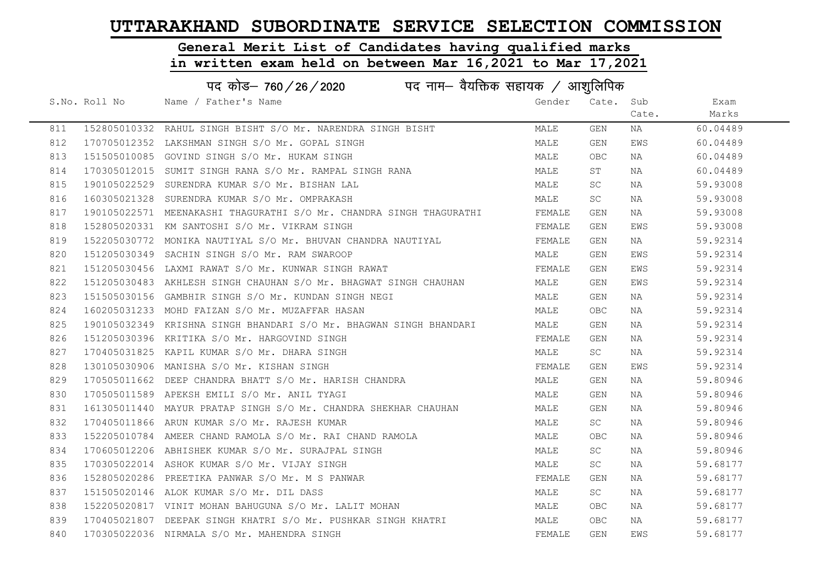#### General Merit List of Candidates having qualified marks

|     | पद कोड– 760 / 26 / 2020 पद नाम– वैयक्तिक सहायक / आशुलिपिक |                                                                     |        |            |       |          |  |  |
|-----|-----------------------------------------------------------|---------------------------------------------------------------------|--------|------------|-------|----------|--|--|
|     | S.No. Roll No                                             | Name / Father's Name                                                | Gender | Cate. Sub  |       | Exam     |  |  |
|     |                                                           |                                                                     |        |            | Cate. | Marks    |  |  |
| 811 |                                                           | 152805010332 RAHUL SINGH BISHT S/O Mr. NARENDRA SINGH BISHT         | MALE   | GEN        | NA    | 60.04489 |  |  |
| 812 |                                                           | 170705012352 LAKSHMAN SINGH S/O Mr. GOPAL SINGH                     | MALE   | GEN        | EWS   | 60.04489 |  |  |
| 813 |                                                           | 151505010085 GOVIND SINGH S/O Mr. HUKAM SINGH                       | MALE   | OBC        | NA    | 60.04489 |  |  |
| 814 |                                                           | 170305012015 SUMIT SINGH RANA S/O Mr. RAMPAL SINGH RANA             | MALE   | ST         | NA    | 60.04489 |  |  |
| 815 |                                                           | 190105022529 SURENDRA KUMAR S/O Mr. BISHAN LAL                      | MALE   | SC.        | NA    | 59.93008 |  |  |
| 816 |                                                           | 160305021328 SURENDRA KUMAR S/O Mr. OMPRAKASH                       | MALE   | SC         | NA    | 59.93008 |  |  |
| 817 |                                                           | 190105022571 MEENAKASHI THAGURATHI S/O Mr. CHANDRA SINGH THAGURATHI | FEMALE | GEN        | NA    | 59.93008 |  |  |
| 818 |                                                           | 152805020331 KM SANTOSHI S/O Mr. VIKRAM SINGH                       | FEMALE | GEN        | EWS   | 59.93008 |  |  |
| 819 |                                                           | 152205030772 MONIKA NAUTIYAL S/O Mr. BHUVAN CHANDRA NAUTIYAL        | FEMALE | GEN        | NA    | 59.92314 |  |  |
| 820 |                                                           | 151205030349 SACHIN SINGH S/O Mr. RAM SWAROOP                       | MALE   | GEN        | EWS   | 59.92314 |  |  |
| 821 |                                                           | 151205030456 LAXMI RAWAT S/O Mr. KUNWAR SINGH RAWAT                 | FEMALE | GEN        | EWS   | 59.92314 |  |  |
| 822 |                                                           | 151205030483 AKHLESH SINGH CHAUHAN S/O Mr. BHAGWAT SINGH CHAUHAN    | MALE   | GEN        | EWS   | 59.92314 |  |  |
| 823 |                                                           | 151505030156 GAMBHIR SINGH S/O Mr. KUNDAN SINGH NEGI                | MALE   | GEN        | NA    | 59.92314 |  |  |
| 824 |                                                           | 160205031233 MOHD FAIZAN S/O Mr. MUZAFFAR HASAN                     | MALE   | OBC        | NA    | 59.92314 |  |  |
| 825 |                                                           | 190105032349 KRISHNA SINGH BHANDARI S/O Mr. BHAGWAN SINGH BHANDARI  | MALE   | GEN        | NA    | 59.92314 |  |  |
| 826 |                                                           | 151205030396 KRITIKA S/O Mr. HARGOVIND SINGH                        | FEMALE | GEN        | NA    | 59.92314 |  |  |
| 827 |                                                           | 170405031825 KAPIL KUMAR S/O Mr. DHARA SINGH                        | MALE   | SC         | NA    | 59.92314 |  |  |
| 828 |                                                           | 130105030906 MANISHA S/O Mr. KISHAN SINGH                           | FEMALE | GEN        | EWS   | 59.92314 |  |  |
| 829 |                                                           | 170505011662 DEEP CHANDRA BHATT S/O Mr. HARISH CHANDRA              | MALE   | GEN        | NA    | 59.80946 |  |  |
| 830 |                                                           | 170505011589 APEKSH EMILI S/O Mr. ANIL TYAGI                        | MALE   | GEN        | NA    | 59.80946 |  |  |
| 831 |                                                           | 161305011440 MAYUR PRATAP SINGH S/O Mr. CHANDRA SHEKHAR CHAUHAN     | MALE   | GEN        | NA    | 59.80946 |  |  |
| 832 |                                                           | 170405011866 ARUN KUMAR S/O Mr. RAJESH KUMAR                        | MALE   | SC         | NA    | 59.80946 |  |  |
| 833 |                                                           | 152205010784 AMEER CHAND RAMOLA S/O Mr. RAI CHAND RAMOLA            | MALE   | <b>OBC</b> | NA    | 59.80946 |  |  |
| 834 |                                                           | 170605012206 ABHISHEK KUMAR S/O Mr. SURAJPAL SINGH                  | MALE   | SC         | NA    | 59.80946 |  |  |
| 835 |                                                           | 170305022014 ASHOK KUMAR S/O Mr. VIJAY SINGH                        | MALE   | SC         | NA    | 59.68177 |  |  |
| 836 |                                                           | 152805020286 PREETIKA PANWAR S/O Mr. M S PANWAR                     | FEMALE | GEN        | NA    | 59.68177 |  |  |
| 837 |                                                           | 151505020146 ALOK KUMAR S/O Mr. DIL DASS                            | MALE   | SC         | NA    | 59.68177 |  |  |
| 838 |                                                           | 152205020817 VINIT MOHAN BAHUGUNA S/O Mr. LALIT MOHAN               | MALE   | <b>OBC</b> | NA    | 59.68177 |  |  |
| 839 |                                                           | 170405021807 DEEPAK SINGH KHATRI S/O Mr. PUSHKAR SINGH KHATRI       | MALE   | <b>OBC</b> | NA    | 59.68177 |  |  |
| 840 |                                                           | 170305022036 NIRMALA S/O Mr. MAHENDRA SINGH                         | FEMALE | GEN        | EWS   | 59.68177 |  |  |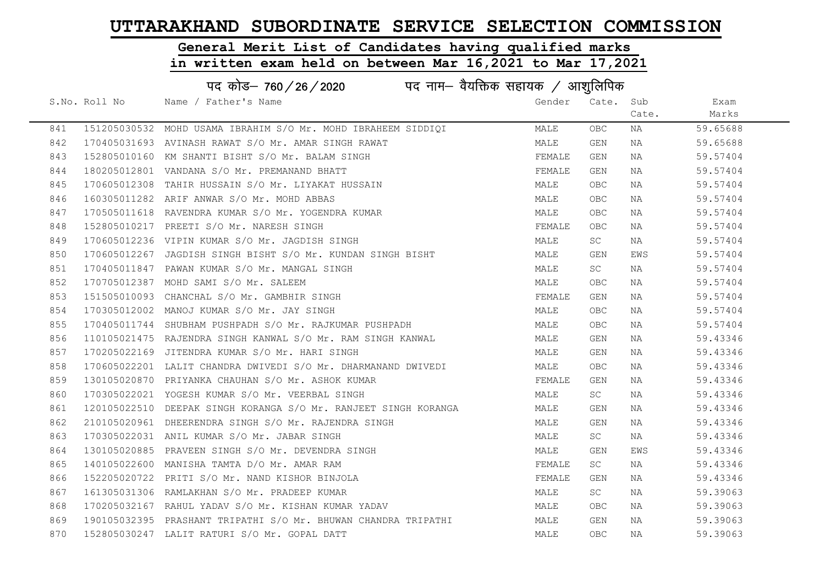#### General Merit List of Candidates having qualified marks

|     |               | पद कोड– 760 / 26 / 2020 पद नाम– वैयक्तिक सहायक / आशुलिपिक       |        |            |       |          |
|-----|---------------|-----------------------------------------------------------------|--------|------------|-------|----------|
|     | S.No. Roll No | Name / Father's Name                                            | Gender | Cate.      | Sub   | Exam     |
|     |               |                                                                 |        |            | Cate. | Marks    |
| 841 |               | 151205030532 MOHD USAMA IBRAHIM S/O Mr. MOHD IBRAHEEM SIDDIQI   | MALE   | OBC.       | NA    | 59.65688 |
| 842 |               | 170405031693 AVINASH RAWAT S/O Mr. AMAR SINGH RAWAT             | MALE   | GEN        | NA    | 59.65688 |
| 843 |               | 152805010160 KM SHANTI BISHT S/O Mr. BALAM SINGH                | FEMALE | GEN        | NA    | 59.57404 |
| 844 |               | 180205012801 VANDANA S/O Mr. PREMANAND BHATT                    | FEMALE | GEN        | NA    | 59.57404 |
| 845 |               | 170605012308 TAHIR HUSSAIN S/O Mr. LIYAKAT HUSSAIN              | MALE   | OBC        | NA    | 59.57404 |
| 846 |               | 160305011282 ARIF ANWAR S/O Mr. MOHD ABBAS                      | MALE   | <b>OBC</b> | NA    | 59.57404 |
| 847 |               | 170505011618 RAVENDRA KUMAR S/O Mr. YOGENDRA KUMAR              | MALE   | OBC.       | NA    | 59.57404 |
| 848 |               | 152805010217 PREETI S/O Mr. NARESH SINGH                        | FEMALE | OBC        | NA    | 59.57404 |
| 849 |               | 170605012236 VIPIN KUMAR S/O Mr. JAGDISH SINGH                  | MALE   | <b>SC</b>  | NA    | 59.57404 |
| 850 |               | 170605012267 JAGDISH SINGH BISHT S/O Mr. KUNDAN SINGH BISHT     | MALE   | GEN        | EWS   | 59.57404 |
| 851 |               | 170405011847 PAWAN KUMAR S/O Mr. MANGAL SINGH                   | MALE   | <b>SC</b>  | NA    | 59.57404 |
| 852 |               | 170705012387 MOHD SAMI S/O Mr. SALEEM                           | MALE   | OBC        | NA    | 59.57404 |
| 853 |               | 151505010093 CHANCHAL S/O Mr. GAMBHIR SINGH                     | FEMALE | GEN        | NA    | 59.57404 |
| 854 |               | 170305012002 MANOJ KUMAR S/O Mr. JAY SINGH                      | MALE   | OBC        | NA    | 59.57404 |
| 855 |               | 170405011744 SHUBHAM PUSHPADH S/O Mr. RAJKUMAR PUSHPADH         | MALE   | OBC        | NA    | 59.57404 |
| 856 |               | 110105021475 RAJENDRA SINGH KANWAL S/O Mr. RAM SINGH KANWAL     | MALE   | GEN        | NA    | 59.43346 |
| 857 |               | 170205022169 JITENDRA KUMAR S/O Mr. HARI SINGH                  | MALE   | GEN        | NA    | 59.43346 |
| 858 |               | 170605022201 LALIT CHANDRA DWIVEDI S/O Mr. DHARMANAND DWIVEDI   | MALE   | OBC        | NA    | 59.43346 |
| 859 |               | 130105020870 PRIYANKA CHAUHAN S/O Mr. ASHOK KUMAR               | FEMALE | GEN        | NA    | 59.43346 |
| 860 |               | 170305022021 YOGESH KUMAR S/O Mr. VEERBAL SINGH                 | MALE   | <b>SC</b>  | NA    | 59.43346 |
| 861 |               | 120105022510 DEEPAK SINGH KORANGA S/O Mr. RANJEET SINGH KORANGA | MALE   | GEN        | NA    | 59.43346 |
| 862 |               | 210105020961 DHEERENDRA SINGH S/O Mr. RAJENDRA SINGH            | MALE   | GEN        | NA    | 59.43346 |
| 863 |               | 170305022031 ANIL KUMAR S/O Mr. JABAR SINGH                     | MALE   | <b>SC</b>  | NA    | 59.43346 |
| 864 |               | 130105020885 PRAVEEN SINGH S/O Mr. DEVENDRA SINGH               | MALE   | GEN        | EWS   | 59.43346 |
| 865 |               | 140105022600 MANISHA TAMTA D/O Mr. AMAR RAM                     | FEMALE | <b>SC</b>  | NA    | 59.43346 |
| 866 |               | 152205020722 PRITI S/O Mr. NAND KISHOR BINJOLA                  | FEMALE | GEN        | NA    | 59.43346 |
| 867 |               | 161305031306 RAMLAKHAN S/O Mr. PRADEEP KUMAR                    | MALE   | <b>SC</b>  | NA    | 59.39063 |
| 868 |               | 170205032167 RAHUL YADAV S/O Mr. KISHAN KUMAR YADAV             | MALE   | OBC.       | NA    | 59.39063 |
| 869 |               | 190105032395 PRASHANT TRIPATHI S/O Mr. BHUWAN CHANDRA TRIPATHI  | MALE   | GEN        | NA    | 59.39063 |
| 870 |               | 152805030247 LALIT RATURI S/O Mr. GOPAL DATT                    | MALE   | <b>OBC</b> | NA    | 59.39063 |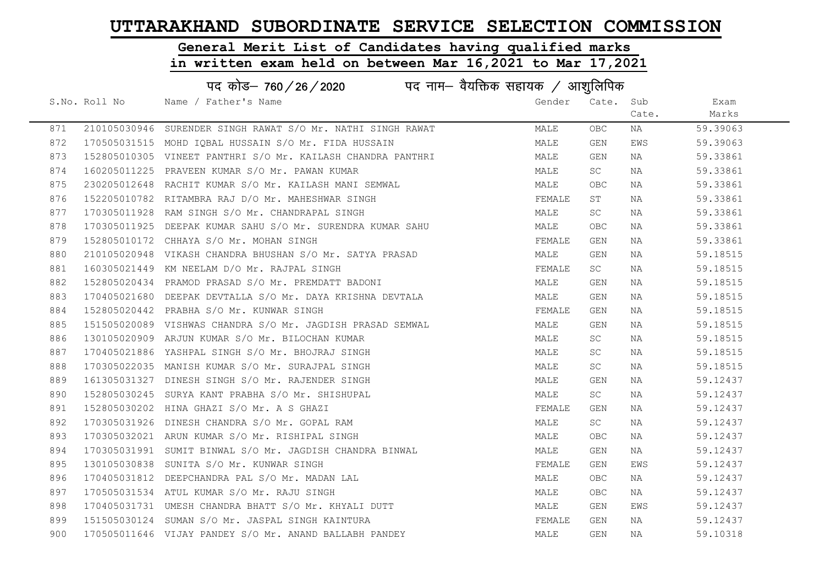# General Merit List of Candidates having qualified marks

|     |               | पद कोड– 760 / 26 / 2020 पद नाम– वैयक्तिक सहायक / आशुलिपिक   |        |           |       |          |
|-----|---------------|-------------------------------------------------------------|--------|-----------|-------|----------|
|     | S.No. Roll No | Name / Father's Name                                        | Gender | Cate. Sub |       | Exam     |
|     |               |                                                             |        |           | Cate. | Marks    |
| 871 |               | 210105030946 SURENDER SINGH RAWAT S/O Mr. NATHI SINGH RAWAT | MALE   | OBC.      | NA    | 59.39063 |
| 872 |               | 170505031515 MOHD IOBAL HUSSAIN S/O Mr. FIDA HUSSAIN        | MALE   | GEN       | EWS   | 59.39063 |
| 873 |               | 152805010305 VINEET PANTHRI S/O Mr. KAILASH CHANDRA PANTHRI | MALE   | GEN       | NA    | 59.33861 |
| 874 |               | 160205011225 PRAVEEN KUMAR S/O Mr. PAWAN KUMAR              | MALE   | SC        | NA    | 59.33861 |
| 875 |               | 230205012648 RACHIT KUMAR S/O Mr. KAILASH MANI SEMWAL       | MALE   | OBC.      | NA    | 59.33861 |
| 876 |               | 152205010782 RITAMBRA RAJ D/O Mr. MAHESHWAR SINGH           | FEMALE | ST        | NA    | 59.33861 |
| 877 |               | 170305011928 RAM SINGH S/O Mr. CHANDRAPAL SINGH             | MALE   | <b>SC</b> | NA    | 59.33861 |
| 878 |               | 170305011925 DEEPAK KUMAR SAHU S/O Mr. SURENDRA KUMAR SAHU  | MALE   | OBC       | NA    | 59.33861 |
| 879 |               | 152805010172 CHHAYA S/O Mr. MOHAN SINGH                     | FEMALE | GEN       | NA    | 59.33861 |
| 880 |               | 210105020948 VIKASH CHANDRA BHUSHAN S/O Mr. SATYA PRASAD    | MALE   | GEN       | NA    | 59.18515 |
| 881 |               | 160305021449 KM NEELAM D/O Mr. RAJPAL SINGH                 | FEMALE | SC        | NA    | 59.18515 |
| 882 |               | 152805020434 PRAMOD PRASAD S/O Mr. PREMDATT BADONI          | MALE   | GEN       | NA    | 59.18515 |
| 883 |               | 170405021680 DEEPAK DEVTALLA S/O Mr. DAYA KRISHNA DEVTALA   | MALE   | GEN       | NA    | 59.18515 |
| 884 |               | 152805020442 PRABHA S/O Mr. KUNWAR SINGH                    | FEMALE | GEN       | NA    | 59.18515 |
| 885 |               | 151505020089 VISHWAS CHANDRA S/O Mr. JAGDISH PRASAD SEMWAL  | MALE   | GEN       | NA    | 59.18515 |
| 886 |               | 130105020909 ARJUN KUMAR S/O Mr. BILOCHAN KUMAR             | MALE   | <b>SC</b> | NA    | 59.18515 |
| 887 |               | 170405021886 YASHPAL SINGH S/O Mr. BHOJRAJ SINGH            | MALE   | SC        | NA    | 59.18515 |
| 888 |               | 170305022035 MANISH KUMAR S/O Mr. SURAJPAL SINGH            | MALE   | SC        | NA    | 59.18515 |
| 889 |               | 161305031327 DINESH SINGH S/O Mr. RAJENDER SINGH            | MALE   | GEN       | NA    | 59.12437 |
| 890 |               | 152805030245 SURYA KANT PRABHA S/O Mr. SHISHUPAL            | MALE   | SC        | NA    | 59.12437 |
| 891 |               | 152805030202 HINA GHAZI S/O Mr. A S GHAZI                   | FEMALE | GEN       | NA    | 59.12437 |
| 892 |               | 170305031926 DINESH CHANDRA S/O Mr. GOPAL RAM               | MALE   | SC        | NA    | 59.12437 |
| 893 |               | 170305032021 ARUN KUMAR S/O Mr. RISHIPAL SINGH              | MALE   | OBC       | NA    | 59.12437 |
| 894 |               | 170305031991 SUMIT BINWAL S/O Mr. JAGDISH CHANDRA BINWAL    | MALE   | GEN       | NA    | 59.12437 |
| 895 |               | 130105030838 SUNITA S/O Mr. KUNWAR SINGH                    | FEMALE | GEN       | EWS   | 59.12437 |
| 896 |               | 170405031812 DEEPCHANDRA PAL S/O Mr. MADAN LAL              | MALE   | OBC.      | NA    | 59.12437 |
| 897 |               | 170505031534 ATUL KUMAR S/O Mr. RAJU SINGH                  | MALE   | OBC.      | NA    | 59.12437 |
| 898 |               | 170405031731 UMESH CHANDRA BHATT S/O Mr. KHYALI DUTT        | MALE   | GEN       | EWS   | 59.12437 |
| 899 |               | 151505030124 SUMAN S/O Mr. JASPAL SINGH KAINTURA            | FEMALE | GEN       | NA    | 59.12437 |
| 900 |               | 170505011646 VIJAY PANDEY S/O Mr. ANAND BALLABH PANDEY      | MALE   | GEN       | ΝA    | 59.10318 |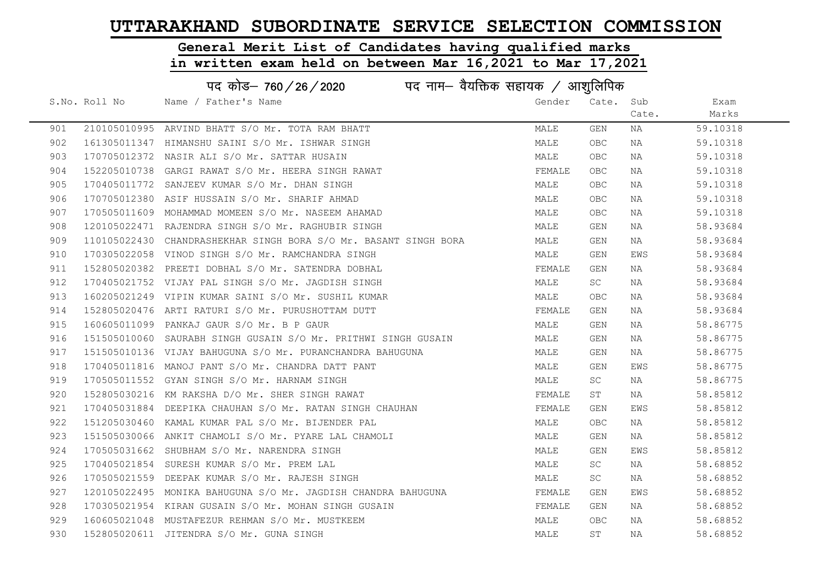# General Merit List of Candidates having qualified marks

|     | पद कोड़- 760 / 26 / 2020 पद नाम- वैयक्तिक सहायक / आशुलिपिक |                                                                  |        |            |       |          |  |
|-----|------------------------------------------------------------|------------------------------------------------------------------|--------|------------|-------|----------|--|
|     | S.No. Roll No                                              | Name / Father's Name                                             | Gender | Cate. Sub  |       | Exam     |  |
|     |                                                            |                                                                  |        |            | Cate. | Marks    |  |
| 901 |                                                            | 210105010995 ARVIND BHATT S/O Mr. TOTA RAM BHATT                 | MALE   | GEN        | NA    | 59.10318 |  |
| 902 |                                                            | 161305011347 HIMANSHU SAINI S/O Mr. ISHWAR SINGH                 | MALE   | OBC        | NA    | 59.10318 |  |
| 903 |                                                            | 170705012372 NASIR ALI S/O Mr. SATTAR HUSAIN                     | MALE   | OBC        | NA    | 59.10318 |  |
| 904 |                                                            | 152205010738 GARGI RAWAT S/O Mr. HEERA SINGH RAWAT               | FEMALE | OBC.       | NA    | 59.10318 |  |
| 905 |                                                            | 170405011772 SANJEEV KUMAR S/O Mr. DHAN SINGH                    | MALE   | <b>OBC</b> | NA    | 59.10318 |  |
| 906 |                                                            | 170705012380 ASIF HUSSAIN S/O Mr. SHARIF AHMAD                   | MALE   | OBC.       | NA    | 59.10318 |  |
| 907 |                                                            | 170505011609 MOHAMMAD MOMEEN S/O Mr. NASEEM AHAMAD               | MALE   | <b>OBC</b> | NA    | 59.10318 |  |
| 908 |                                                            | 120105022471 RAJENDRA SINGH S/O Mr. RAGHUBIR SINGH               | MALE   | GEN        | NA    | 58.93684 |  |
| 909 |                                                            | 110105022430 CHANDRASHEKHAR SINGH BORA S/O Mr. BASANT SINGH BORA | MALE   | GEN        | NA    | 58.93684 |  |
| 910 |                                                            | 170305022058 VINOD SINGH S/O Mr. RAMCHANDRA SINGH                | MALE   | GEN        | EWS   | 58.93684 |  |
| 911 |                                                            | 152805020382 PREETI DOBHAL S/O Mr. SATENDRA DOBHAL               | FEMALE | GEN        | NA    | 58.93684 |  |
| 912 |                                                            | 170405021752 VIJAY PAL SINGH S/O Mr. JAGDISH SINGH               | MALE   | SC .       | NA    | 58.93684 |  |
| 913 |                                                            | 160205021249 VIPIN KUMAR SAINI S/O Mr. SUSHIL KUMAR              | MALE   | OBC        | NA    | 58.93684 |  |
| 914 |                                                            | 152805020476 ARTI RATURI S/O Mr. PURUSHOTTAM DUTT                | FEMALE | GEN        | NA    | 58.93684 |  |
| 915 |                                                            | 160605011099 PANKAJ GAUR S/O Mr. B P GAUR                        | MALE   | GEN        | NA    | 58.86775 |  |
| 916 |                                                            | 151505010060 SAURABH SINGH GUSAIN S/O Mr. PRITHWI SINGH GUSAIN   | MALE   | GEN        | NA    | 58.86775 |  |
| 917 |                                                            | 151505010136 VIJAY BAHUGUNA S/O Mr. PURANCHANDRA BAHUGUNA        | MALE   | GEN        | NA    | 58.86775 |  |
| 918 |                                                            | 170405011816 MANOJ PANT S/O Mr. CHANDRA DATT PANT                | MALE   | GEN        | EWS   | 58.86775 |  |
| 919 |                                                            | 170505011552 GYAN SINGH S/O Mr. HARNAM SINGH                     | MALE   | SC         | NA    | 58.86775 |  |
| 920 |                                                            | 152805030216 KM RAKSHA D/O Mr. SHER SINGH RAWAT                  | FEMALE | ST         | NA    | 58.85812 |  |
| 921 |                                                            | 170405031884 DEEPIKA CHAUHAN S/O Mr. RATAN SINGH CHAUHAN         | FEMALE | GEN        | EWS   | 58.85812 |  |
| 922 |                                                            | 151205030460 KAMAL KUMAR PAL S/O Mr. BIJENDER PAL                | MALE   | <b>OBC</b> | NA    | 58.85812 |  |
| 923 |                                                            | 151505030066 ANKIT CHAMOLI S/O Mr. PYARE LAL CHAMOLI             | MALE   | GEN        | NA    | 58.85812 |  |
| 924 |                                                            | 170505031662 SHUBHAM S/O Mr. NARENDRA SINGH                      | MALE   | GEN        | EWS   | 58.85812 |  |
| 925 |                                                            | 170405021854 SURESH KUMAR S/O Mr. PREM LAL                       | MALE   | <b>SC</b>  | NA    | 58.68852 |  |
| 926 |                                                            | 170505021559 DEEPAK KUMAR S/O Mr. RAJESH SINGH                   | MALE   | SC         | NA    | 58.68852 |  |
| 927 |                                                            | 120105022495 MONIKA BAHUGUNA S/O Mr. JAGDISH CHANDRA BAHUGUNA    | FEMALE | GEN        | EWS   | 58.68852 |  |
| 928 |                                                            | 170305021954 KIRAN GUSAIN S/O Mr. MOHAN SINGH GUSAIN             | FEMALE | GEN        | NA    | 58.68852 |  |
| 929 |                                                            | 160605021048 MUSTAFEZUR REHMAN S/O Mr. MUSTKEEM                  | MALE   | OBC.       | NA    | 58.68852 |  |
| 930 |                                                            | 152805020611 JITENDRA S/O Mr. GUNA SINGH                         | MALE   | ST         | NA    | 58.68852 |  |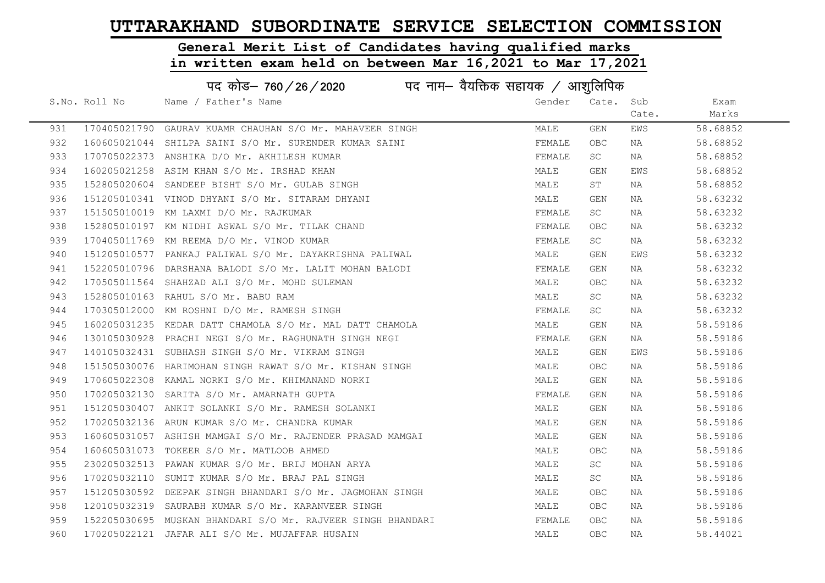# General Merit List of Candidates having qualified marks

|     |               | पद कोड़– 760 / 26 / 2020 पद नाम– वैयक्तिक सहायक / आशुलिपिक  |        |            |       |          |
|-----|---------------|-------------------------------------------------------------|--------|------------|-------|----------|
|     | S.No. Roll No | Name / Father's Name                                        | Gender | Cate. Sub  |       | Exam     |
|     |               |                                                             |        |            | Cate. | Marks    |
| 931 |               | 170405021790 GAURAV KUAMR CHAUHAN S/O Mr. MAHAVEER SINGH    | MALE   | GEN        | EWS   | 58.68852 |
| 932 |               | 160605021044 SHILPA SAINI S/O Mr. SURENDER KUMAR SAINI      | FEMALE | OBC.       | NA    | 58.68852 |
| 933 |               | 170705022373 ANSHIKA D/O Mr. AKHILESH KUMAR                 | FEMALE | SC         | NA    | 58.68852 |
| 934 |               | 160205021258 ASIM KHAN S/O Mr. IRSHAD KHAN                  | MALE   | GEN        | EWS   | 58.68852 |
| 935 |               | 152805020604 SANDEEP BISHT S/O Mr. GULAB SINGH              | MALE   | ST         | NA    | 58.68852 |
| 936 |               | 151205010341 VINOD DHYANI S/O Mr. SITARAM DHYANI            | MALE   | GEN        | NA    | 58.63232 |
| 937 |               | 151505010019 KM LAXMI D/O Mr. RAJKUMAR                      | FEMALE | SC         | NA    | 58.63232 |
| 938 |               | 152805010197 KM NIDHI ASWAL S/O Mr. TILAK CHAND             | FEMALE | <b>OBC</b> | NA    | 58.63232 |
| 939 |               | 170405011769 KM REEMA D/O Mr. VINOD KUMAR                   | FEMALE | SC         | NA    | 58.63232 |
| 940 |               | 151205010577 PANKAJ PALIWAL S/O Mr. DAYAKRISHNA PALIWAL     | MALE   | GEN        | EWS   | 58.63232 |
| 941 |               | 152205010796 DARSHANA BALODI S/O Mr. LALIT MOHAN BALODI     | FEMALE | GEN        | NA    | 58.63232 |
| 942 |               | 170505011564 SHAHZAD ALI S/O Mr. MOHD SULEMAN               | MALE   | OBC        | NA    | 58.63232 |
| 943 |               | 152805010163 RAHUL S/O Mr. BABU RAM                         | MALE   | SC         | NA    | 58.63232 |
| 944 |               | 170305012000 KM ROSHNI D/O Mr. RAMESH SINGH                 | FEMALE | SC         | NA    | 58.63232 |
| 945 |               | 160205031235 KEDAR DATT CHAMOLA S/O Mr. MAL DATT CHAMOLA    | MALE   | GEN        | NA    | 58.59186 |
| 946 |               | 130105030928 PRACHI NEGI S/O Mr. RAGHUNATH SINGH NEGI       | FEMALE | GEN        | NA    | 58.59186 |
| 947 |               | 140105032431 SUBHASH SINGH S/O Mr. VIKRAM SINGH             | MALE   | GEN        | EWS   | 58.59186 |
| 948 |               | 151505030076 HARIMOHAN SINGH RAWAT S/O Mr. KISHAN SINGH     | MALE   | OBC        | NA    | 58.59186 |
| 949 |               | 170605022308 KAMAL NORKI S/O Mr. KHIMANAND NORKI            | MALE   | GEN        | NA    | 58.59186 |
| 950 |               | 170205032130 SARITA S/O Mr. AMARNATH GUPTA                  | FEMALE | GEN        | NA    | 58.59186 |
| 951 |               | 151205030407 ANKIT SOLANKI S/O Mr. RAMESH SOLANKI           | MALE   | GEN        | NA    | 58.59186 |
| 952 |               | 170205032136 ARUN KUMAR S/O Mr. CHANDRA KUMAR               | MALE   | GEN        | NA    | 58.59186 |
| 953 |               | 160605031057 ASHISH MAMGAI S/O Mr. RAJENDER PRASAD MAMGAI   | MALE   | GEN        | NA    | 58.59186 |
| 954 |               | 160605031073 TOKEER S/O Mr. MATLOOB AHMED                   | MALE   | <b>OBC</b> | NA    | 58.59186 |
| 955 |               | 230205032513 PAWAN KUMAR S/O Mr. BRIJ MOHAN ARYA            | MALE   | SC         | NA    | 58.59186 |
| 956 |               | 170205032110 SUMIT KUMAR S/O Mr. BRAJ PAL SINGH             | MALE   | SC         | NA    | 58.59186 |
| 957 |               | 151205030592 DEEPAK SINGH BHANDARI S/O Mr. JAGMOHAN SINGH   | MALE   | OBC.       | NA    | 58.59186 |
| 958 |               | 120105032319 SAURABH KUMAR S/O Mr. KARANVEER SINGH          | MALE   | OBC.       | NA    | 58.59186 |
| 959 |               | 152205030695 MUSKAN BHANDARI S/O Mr. RAJVEER SINGH BHANDARI | FEMALE | OBC.       | NA    | 58.59186 |
| 960 |               | 170205022121 JAFAR ALI S/O Mr. MUJAFFAR HUSAIN              | MALE   | OBC        | NA    | 58.44021 |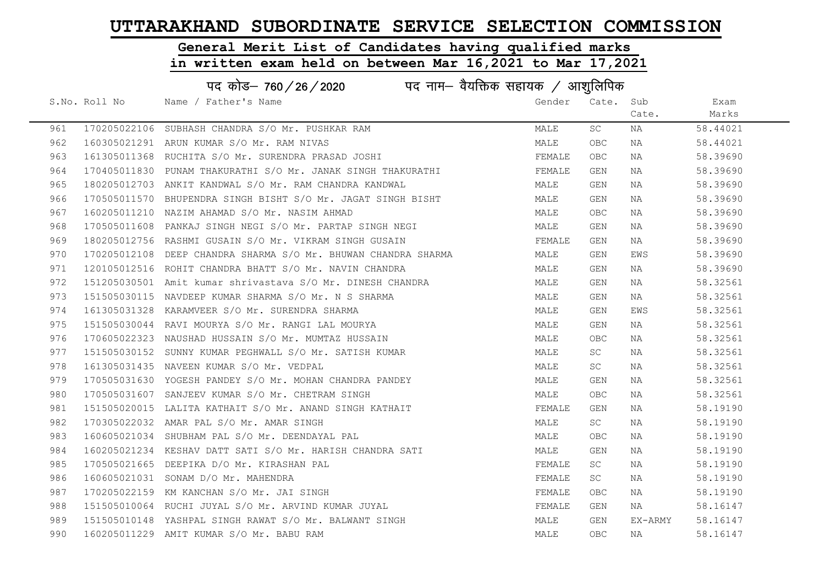#### General Merit List of Candidates having qualified marks

|     | पद कोड़– 760 / 26 / 2020 पद नाम– वैयक्तिक सहायक / आशुलिपिक |                                                                |        |            |         |          |  |
|-----|------------------------------------------------------------|----------------------------------------------------------------|--------|------------|---------|----------|--|
|     | S.No. Roll No                                              | Name / Father's Name                                           | Gender | Cate. Sub  |         | Exam     |  |
|     |                                                            |                                                                |        |            | Cate.   | Marks    |  |
| 961 |                                                            | 170205022106 SUBHASH CHANDRA S/O Mr. PUSHKAR RAM               | MALE   | SC         | ΝA      | 58.44021 |  |
| 962 |                                                            | 160305021291 ARUN KUMAR S/O Mr. RAM NIVAS                      | MALE   | <b>OBC</b> | NA      | 58.44021 |  |
| 963 |                                                            | 161305011368 RUCHITA S/O Mr. SURENDRA PRASAD JOSHI             | FEMALE | <b>OBC</b> | NA      | 58.39690 |  |
| 964 |                                                            | 170405011830 PUNAM THAKURATHI S/O Mr. JANAK SINGH THAKURATHI   | FEMALE | GEN        | NA      | 58.39690 |  |
| 965 |                                                            | 180205012703 ANKIT KANDWAL S/O Mr. RAM CHANDRA KANDWAL         | MALE   | GEN        | NA      | 58.39690 |  |
| 966 |                                                            | 170505011570 BHUPENDRA SINGH BISHT S/O Mr. JAGAT SINGH BISHT   | MALE   | GEN        | NA      | 58.39690 |  |
| 967 |                                                            | 160205011210 NAZIM AHAMAD S/O Mr. NASIM AHMAD                  | MALE   | OBC        | NA      | 58.39690 |  |
| 968 |                                                            | 170505011608 PANKAJ SINGH NEGI S/O Mr. PARTAP SINGH NEGI       | MALE   | GEN        | NA      | 58.39690 |  |
| 969 |                                                            | 180205012756 RASHMI GUSAIN S/O Mr. VIKRAM SINGH GUSAIN         | FEMALE | GEN        | NA      | 58.39690 |  |
| 970 |                                                            | 170205012108 DEEP CHANDRA SHARMA S/O Mr. BHUWAN CHANDRA SHARMA | MALE   | GEN        | EWS     | 58.39690 |  |
| 971 |                                                            | 120105012516 ROHIT CHANDRA BHATT S/O Mr. NAVIN CHANDRA         | MALE   | GEN        | NA      | 58.39690 |  |
| 972 |                                                            | 151205030501 Amit kumar shrivastava S/O Mr. DINESH CHANDRA     | MALE   | GEN        | NA      | 58.32561 |  |
| 973 |                                                            | 151505030115 NAVDEEP KUMAR SHARMA S/O Mr. N S SHARMA           | MALE   | GEN        | NA      | 58.32561 |  |
| 974 |                                                            | 161305031328 KARAMVEER S/O Mr. SURENDRA SHARMA                 | MALE   | GEN        | EWS     | 58.32561 |  |
| 975 |                                                            | 151505030044 RAVI MOURYA S/O Mr. RANGI LAL MOURYA              | MALE   | GEN        | NA      | 58.32561 |  |
| 976 |                                                            | 170605022323 NAUSHAD HUSSAIN S/O Mr. MUMTAZ HUSSAIN            | MALE   | OBC        | NA      | 58.32561 |  |
| 977 |                                                            | 151505030152 SUNNY KUMAR PEGHWALL S/O Mr. SATISH KUMAR         | MALE   | SC         | NA      | 58.32561 |  |
| 978 |                                                            | 161305031435 NAVEEN KUMAR S/O Mr. VEDPAL                       | MALE   | SC         | NA      | 58.32561 |  |
| 979 |                                                            | 170505031630 YOGESH PANDEY S/O Mr. MOHAN CHANDRA PANDEY        | MALE   | GEN        | NA      | 58.32561 |  |
| 980 |                                                            | 170505031607 SANJEEV KUMAR S/O Mr. CHETRAM SINGH               | MALE   | <b>OBC</b> | NA      | 58.32561 |  |
| 981 |                                                            | 151505020015 LALITA KATHAIT S/O Mr. ANAND SINGH KATHAIT        | FEMALE | GEN        | NA      | 58.19190 |  |
| 982 |                                                            | 170305022032 AMAR PAL S/O Mr. AMAR SINGH                       | MALE   | SC         | NA      | 58.19190 |  |
| 983 |                                                            | 160605021034 SHUBHAM PAL S/O Mr. DEENDAYAL PAL                 | MALE   | OBC        | NA      | 58.19190 |  |
| 984 |                                                            | 160205021234 KESHAV DATT SATI S/O Mr. HARISH CHANDRA SATI      | MALE   | GEN        | NA      | 58.19190 |  |
| 985 | 170505021665                                               | DEEPIKA D/O Mr. KIRASHAN PAL                                   | FEMALE | SC         | NA      | 58.19190 |  |
| 986 |                                                            | 160605021031 SONAM D/O Mr. MAHENDRA                            | FEMALE | SC         | NA      | 58.19190 |  |
| 987 |                                                            | 170205022159 KM KANCHAN S/O Mr. JAI SINGH                      | FEMALE | <b>OBC</b> | NA      | 58.19190 |  |
| 988 |                                                            | 151505010064 RUCHI JUYAL S/O Mr. ARVIND KUMAR JUYAL            | FEMALE | GEN        | NA      | 58.16147 |  |
| 989 |                                                            | 151505010148 YASHPAL SINGH RAWAT S/O Mr. BALWANT SINGH         | MALE   | GEN        | EX-ARMY | 58.16147 |  |
| 990 |                                                            | 160205011229 AMIT KUMAR S/O Mr. BABU RAM                       | MALE   | <b>OBC</b> | NA      | 58.16147 |  |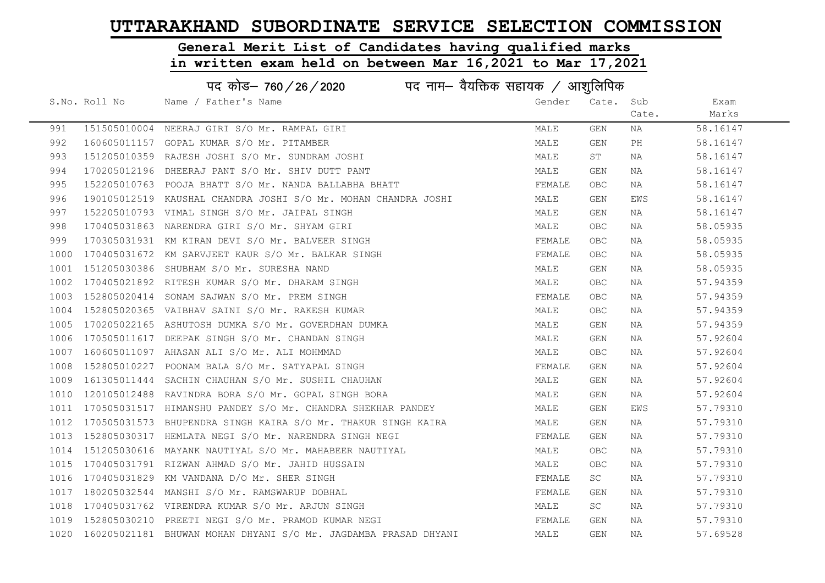#### General Merit List of Candidates having qualified marks

|      | पद कोड़– 760 / 26 / 2020 पद नाम– वैयक्तिक सहायक / आशुलिपिक |                                                                      |        |            |       |          |  |
|------|------------------------------------------------------------|----------------------------------------------------------------------|--------|------------|-------|----------|--|
|      | S.No. Roll No                                              | Name / Father's Name                                                 | Gender | Cate. Sub  |       | Exam     |  |
|      |                                                            |                                                                      |        |            | Cate. | Marks    |  |
| 991  |                                                            | 151505010004 NEERAJ GIRI S/O Mr. RAMPAL GIRI                         | MALE   | GEN        | NA    | 58.16147 |  |
| 992  |                                                            | 160605011157 GOPAL KUMAR S/O Mr. PITAMBER                            | MALE   | GEN        | PH    | 58.16147 |  |
| 993  |                                                            | 151205010359 RAJESH JOSHI S/O Mr. SUNDRAM JOSHI                      | MALE   | ST         | NA    | 58.16147 |  |
| 994  |                                                            | 170205012196 DHEERAJ PANT S/O Mr. SHIV DUTT PANT                     | MALE   | GEN        | NA    | 58.16147 |  |
| 995  |                                                            | 152205010763 POOJA BHATT S/O Mr. NANDA BALLABHA BHATT                | FEMALE | <b>OBC</b> | NA    | 58.16147 |  |
| 996  |                                                            | 190105012519 KAUSHAL CHANDRA JOSHI S/O Mr. MOHAN CHANDRA JOSHI       | MALE   | GEN        | EWS   | 58.16147 |  |
| 997  |                                                            | 152205010793 VIMAL SINGH S/O Mr. JAIPAL SINGH                        | MALE   | GEN        | NA    | 58.16147 |  |
| 998  |                                                            | 170405031863 NARENDRA GIRI S/O Mr. SHYAM GIRI                        | MALE   | <b>OBC</b> | NA    | 58.05935 |  |
| 999  |                                                            | 170305031931 KM KIRAN DEVI S/O Mr. BALVEER SINGH                     | FEMALE | <b>OBC</b> | NA    | 58.05935 |  |
| 1000 |                                                            | 170405031672 KM SARVJEET KAUR S/O Mr. BALKAR SINGH                   | FEMALE | <b>OBC</b> | NA    | 58.05935 |  |
| 1001 |                                                            | 151205030386 SHUBHAM S/O Mr. SURESHA NAND                            | MALE   | GEN        | NA    | 58.05935 |  |
| 1002 |                                                            | 170405021892 RITESH KUMAR S/O Mr. DHARAM SINGH                       | MALE   | <b>OBC</b> | NA    | 57.94359 |  |
| 1003 |                                                            | 152805020414 SONAM SAJWAN S/O Mr. PREM SINGH                         | FEMALE | <b>OBC</b> | NA    | 57.94359 |  |
| 1004 |                                                            | 152805020365 VAIBHAV SAINI S/O Mr. RAKESH KUMAR                      | MALE   | <b>OBC</b> | NA    | 57.94359 |  |
| 1005 |                                                            | 170205022165 ASHUTOSH DUMKA S/O Mr. GOVERDHAN DUMKA                  | MALE   | GEN        | NA    | 57.94359 |  |
| 1006 |                                                            | 170505011617 DEEPAK SINGH S/O Mr. CHANDAN SINGH                      | MALE   | GEN        | NA    | 57.92604 |  |
| 1007 |                                                            | 160605011097 AHASAN ALI S/O Mr. ALI MOHMMAD                          | MALE   | <b>OBC</b> | NA    | 57.92604 |  |
| 1008 |                                                            | 152805010227 POONAM BALA S/O Mr. SATYAPAL SINGH                      | FEMALE | GEN        | NA    | 57.92604 |  |
| 1009 |                                                            | 161305011444 SACHIN CHAUHAN S/O Mr. SUSHIL CHAUHAN                   | MALE   | GEN        | NA    | 57.92604 |  |
| 1010 |                                                            | 120105012488 RAVINDRA BORA S/O Mr. GOPAL SINGH BORA                  | MALE   | GEN        | NA    | 57.92604 |  |
| 1011 |                                                            | 170505031517 HIMANSHU PANDEY S/O Mr. CHANDRA SHEKHAR PANDEY          | MALE   | GEN        | EWS   | 57.79310 |  |
| 1012 |                                                            | 170505031573 BHUPENDRA SINGH KAIRA S/O Mr. THAKUR SINGH KAIRA        | MALE   | GEN        | NA    | 57.79310 |  |
| 1013 |                                                            | 152805030317 HEMLATA NEGI S/O Mr. NARENDRA SINGH NEGI                | FEMALE | GEN        | NA    | 57.79310 |  |
| 1014 |                                                            | 151205030616 MAYANK NAUTIYAL S/O Mr. MAHABEER NAUTIYAL               | MALE   | <b>OBC</b> | ΝA    | 57.79310 |  |
| 1015 |                                                            | 170405031791 RIZWAN AHMAD S/O Mr. JAHID HUSSAIN                      | MALE   | <b>OBC</b> | NA    | 57.79310 |  |
| 1016 |                                                            | 170405031829 KM VANDANA D/O Mr. SHER SINGH                           | FEMALE | SC         | NA    | 57.79310 |  |
| 1017 |                                                            | 180205032544 MANSHI S/O Mr. RAMSWARUP DOBHAL                         | FEMALE | GEN        | NA    | 57.79310 |  |
| 1018 |                                                            | 170405031762 VIRENDRA KUMAR S/O Mr. ARJUN SINGH                      | MALE   | SC         | NA    | 57.79310 |  |
| 1019 |                                                            | 152805030210 PREETI NEGI S/O Mr. PRAMOD KUMAR NEGI                   | FEMALE | GEN        | NA    | 57.79310 |  |
|      |                                                            | 1020 160205021181 BHUWAN MOHAN DHYANI S/O Mr. JAGDAMBA PRASAD DHYANI | MALE   | GEN        | NA    | 57.69528 |  |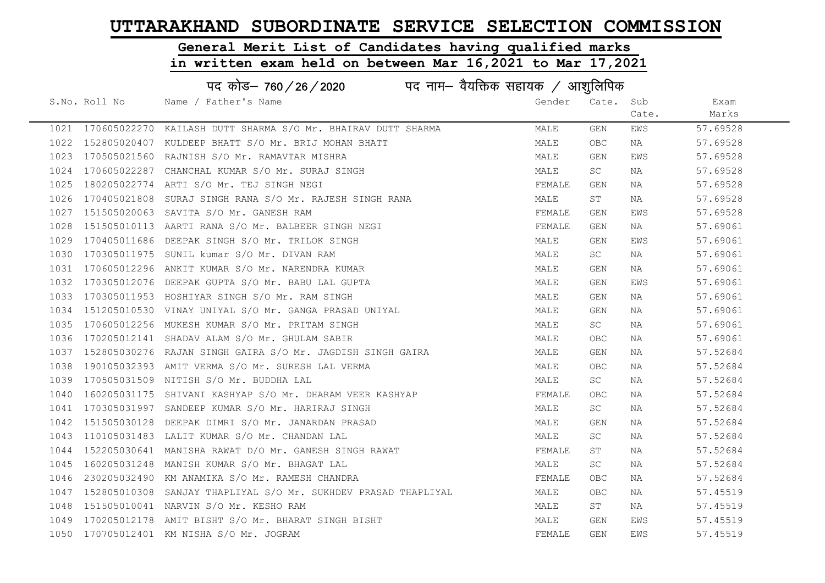# General Merit List of Candidates having qualified marks

|      |               | पद कोड़- 760 / 26 / 2020 पद नाम- वैयक्तिक सहायक / आशुलिपिक        |        |            |       |          |
|------|---------------|-------------------------------------------------------------------|--------|------------|-------|----------|
|      | S.No. Roll No | Name / Father's Name                                              | Gender | Cate.      | Sub   | Exam     |
|      |               |                                                                   |        |            | Cate. | Marks    |
|      |               | 1021 170605022270 KAILASH DUTT SHARMA S/O Mr. BHAIRAV DUTT SHARMA | MALE   | GEN        | EWS   | 57.69528 |
|      |               | 1022 152805020407 KULDEEP BHATT S/O Mr. BRIJ MOHAN BHATT          | MALE   | <b>OBC</b> | NA    | 57.69528 |
|      |               | 1023 170505021560 RAJNISH S/O Mr. RAMAVTAR MISHRA                 | MALE   | GEN        | EWS   | 57.69528 |
| 1024 |               | 170605022287 CHANCHAL KUMAR S/O Mr. SURAJ SINGH                   | MALE   | SC         | NA    | 57.69528 |
| 1025 |               | 180205022774 ARTI S/O Mr. TEJ SINGH NEGI                          | FEMALE | GEN        | NA    | 57.69528 |
| 1026 |               | 170405021808 SURAJ SINGH RANA S/O Mr. RAJESH SINGH RANA           | MALE   | ST         | NA    | 57.69528 |
| 1027 |               | 151505020063 SAVITA S/O Mr. GANESH RAM                            | FEMALE | GEN        | EWS   | 57.69528 |
| 1028 |               | 151505010113 AARTI RANA S/O Mr. BALBEER SINGH NEGI                | FEMALE | GEN        | NA    | 57.69061 |
| 1029 |               | 170405011686 DEEPAK SINGH S/O Mr. TRILOK SINGH                    | MALE   | GEN        | EWS   | 57.69061 |
| 1030 |               | 170305011975 SUNIL kumar S/O Mr. DIVAN RAM                        | MALE   | SC         | ΝA    | 57.69061 |
| 1031 |               | 170605012296 ANKIT KUMAR S/O Mr. NARENDRA KUMAR                   | MALE   | GEN        | ΝA    | 57.69061 |
|      |               | 1032 170305012076 DEEPAK GUPTA S/O Mr. BABU LAL GUPTA             | MALE   | GEN        | EWS   | 57.69061 |
| 1033 |               | 170305011953 HOSHIYAR SINGH S/O Mr. RAM SINGH                     | MALE   | GEN        | NA    | 57.69061 |
| 1034 |               | 151205010530 VINAY UNIYAL S/O Mr. GANGA PRASAD UNIYAL             | MALE   | GEN        | NA    | 57.69061 |
| 1035 |               | 170605012256 MUKESH KUMAR S/O Mr. PRITAM SINGH                    | MALE   | SC.        | NA    | 57.69061 |
| 1036 |               | 170205012141 SHADAV ALAM S/O Mr. GHULAM SABIR                     | MALE   | OBC        | NA    | 57.69061 |
|      |               | 1037 152805030276 RAJAN SINGH GAIRA S/O Mr. JAGDISH SINGH GAIRA   | MALE   | GEN        | NA    | 57.52684 |
| 1038 |               | 190105032393 AMIT VERMA S/O Mr. SURESH LAL VERMA                  | MALE   | OBC        | NA    | 57.52684 |
| 1039 |               | 170505031509 NITISH S/O Mr. BUDDHA LAL                            | MALE   | SC         | NA    | 57.52684 |
| 1040 |               | 160205031175 SHIVANI KASHYAP S/O Mr. DHARAM VEER KASHYAP          | FEMALE | <b>OBC</b> | NA    | 57.52684 |
|      |               | 1041 170305031997 SANDEEP KUMAR S/O Mr. HARIRAJ SINGH             | MALE   | <b>SC</b>  | NA    | 57.52684 |
| 1042 |               | 151505030128 DEEPAK DIMRI S/O Mr. JANARDAN PRASAD                 | MALE   | <b>GEN</b> | NA    | 57.52684 |
| 1043 |               | 110105031483 LALIT KUMAR S/O Mr. CHANDAN LAL                      | MALE   | SC         | NA    | 57.52684 |
| 1044 |               | 152205030641 MANISHA RAWAT D/O Mr. GANESH SINGH RAWAT             | FEMALE | ST         | NA    | 57.52684 |
| 1045 |               | 160205031248 MANISH KUMAR S/O Mr. BHAGAT LAL                      | MALE   | SC         | NA    | 57.52684 |
| 1046 |               | 230205032490 KM ANAMIKA S/O Mr. RAMESH CHANDRA                    | FEMALE | <b>OBC</b> | NA    | 57.52684 |
| 1047 |               | 152805010308 SANJAY THAPLIYAL S/O Mr. SUKHDEV PRASAD THAPLIYAL    | MALE   | <b>OBC</b> | NA    | 57.45519 |
| 1048 |               | 151505010041 NARVIN S/O Mr. KESHO RAM                             | MALE   | ST         | NA    | 57.45519 |
|      |               | 1049 170205012178 AMIT BISHT S/O Mr. BHARAT SINGH BISHT           | MALE   | GEN        | EWS   | 57.45519 |
|      |               | 1050 170705012401 KM NISHA S/O Mr. JOGRAM                         | FEMALE | <b>GEN</b> | EWS   | 57.45519 |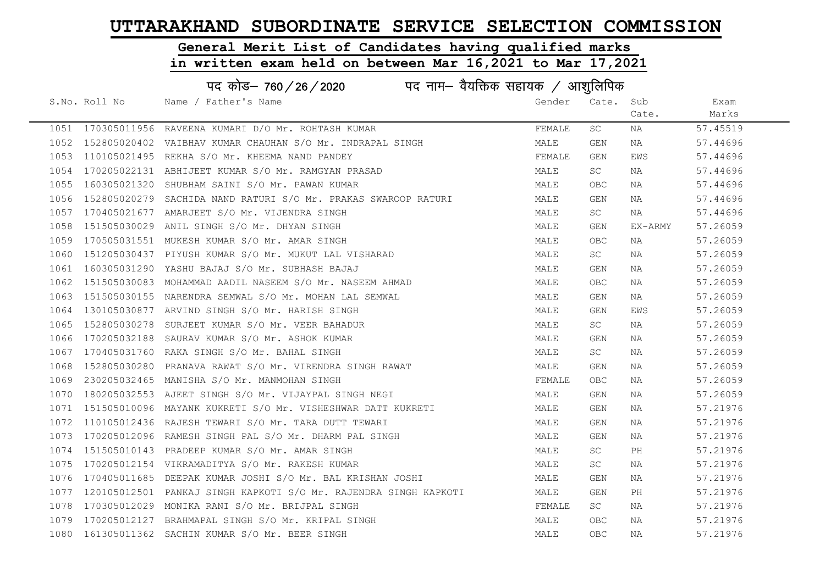# General Merit List of Candidates having qualified marks

|      |               | पद कोड– 760 / 26 / 2020 पद नाम– वैयक्तिक सहायक / आशुलिपिक        |        |            |         |          |
|------|---------------|------------------------------------------------------------------|--------|------------|---------|----------|
|      | S.No. Roll No | Name / Father's Name                                             | Gender | Cate. Sub  |         | Exam     |
|      |               |                                                                  |        |            | Cate.   | Marks    |
|      |               | 1051 170305011956 RAVEENA KUMARI D/O Mr. ROHTASH KUMAR           | FEMALE | SC         | ΝA      | 57.45519 |
|      |               | 1052 152805020402 VAIBHAV KUMAR CHAUHAN S/O Mr. INDRAPAL SINGH   | MALE   | GEN        | NA      | 57.44696 |
| 1053 |               | 110105021495 REKHA S/O Mr. KHEEMA NAND PANDEY                    | FEMALE | GEN        | EWS     | 57.44696 |
| 1054 |               | 170205022131 ABHIJEET KUMAR S/O Mr. RAMGYAN PRASAD               | MALE   | <b>SC</b>  | NA      | 57.44696 |
| 1055 |               | 160305021320 SHUBHAM SAINI S/O Mr. PAWAN KUMAR                   | MALE   | <b>OBC</b> | NA      | 57.44696 |
| 1056 |               | 152805020279 SACHIDA NAND RATURI S/O Mr. PRAKAS SWAROOP RATURI   | MALE   | GEN        | NA      | 57.44696 |
| 1057 |               | 170405021677 AMARJEET S/O Mr. VIJENDRA SINGH                     | MALE   | <b>SC</b>  | NA      | 57.44696 |
| 1058 |               | 151505030029 ANIL SINGH S/O Mr. DHYAN SINGH                      | MALE   | GEN        | EX-ARMY | 57.26059 |
| 1059 |               | 170505031551 MUKESH KUMAR S/O Mr. AMAR SINGH                     | MALE   | <b>OBC</b> | NA      | 57.26059 |
| 1060 |               | 151205030437 PIYUSH KUMAR S/O Mr. MUKUT LAL VISHARAD             | MALE   | <b>SC</b>  | NA      | 57.26059 |
| 1061 |               | 160305031290 YASHU BAJAJ S/O Mr. SUBHASH BAJAJ                   | MALE   | GEN        | NA      | 57.26059 |
| 1062 |               | 151505030083 MOHAMMAD AADIL NASEEM S/O Mr. NASEEM AHMAD          | MALE   | <b>OBC</b> | NA      | 57.26059 |
| 1063 |               | 151505030155 NARENDRA SEMWAL S/O Mr. MOHAN LAL SEMWAL            | MALE   | GEN        | NA      | 57.26059 |
| 1064 |               | 130105030877 ARVIND SINGH S/O Mr. HARISH SINGH                   | MALE   | GEN        | EWS     | 57.26059 |
| 1065 |               | 152805030278 SURJEET KUMAR S/O Mr. VEER BAHADUR                  | MALE   | <b>SC</b>  | NA      | 57.26059 |
| 1066 |               | 170205032188 SAURAV KUMAR S/O Mr. ASHOK KUMAR                    | MALE   | <b>GEN</b> | NA      | 57.26059 |
| 1067 |               | 170405031760 RAKA SINGH S/O Mr. BAHAL SINGH                      | MALE   | SC         | NA      | 57.26059 |
| 1068 |               | 152805030280 PRANAVA RAWAT S/O Mr. VIRENDRA SINGH RAWAT          | MALE   | GEN        | ΝA      | 57.26059 |
| 1069 |               | 230205032465 MANISHA S/O Mr. MANMOHAN SINGH                      | FEMALE | OBC        | NA      | 57.26059 |
| 1070 |               | 180205032553 AJEET SINGH S/O Mr. VIJAYPAL SINGH NEGI             | MALE   | GEN        | NA      | 57.26059 |
| 1071 |               | 151505010096 MAYANK KUKRETI S/O Mr. VISHESHWAR DATT KUKRETI      | MALE   | GEN        | NA      | 57.21976 |
| 1072 |               | 110105012436 RAJESH TEWARI S/O Mr. TARA DUTT TEWARI              | MALE   | GEN        | NA      | 57.21976 |
| 1073 |               | 170205012096 RAMESH SINGH PAL S/O Mr. DHARM PAL SINGH            | MALE   | GEN        | NA      | 57.21976 |
| 1074 |               | 151505010143 PRADEEP KUMAR S/O Mr. AMAR SINGH                    | MALE   | SC         | PH      | 57.21976 |
| 1075 |               | 170205012154 VIKRAMADITYA S/O Mr. RAKESH KUMAR                   | MALE   | SC         | ΝA      | 57.21976 |
| 1076 |               | 170405011685 DEEPAK KUMAR JOSHI S/O Mr. BAL KRISHAN JOSHI        | MALE   | GEN        | NA      | 57.21976 |
| 1077 |               | 120105012501 PANKAJ SINGH KAPKOTI S/O Mr. RAJENDRA SINGH KAPKOTI | MALE   | GEN        | PH      | 57.21976 |
| 1078 |               | 170305012029 MONIKA RANI S/O Mr. BRIJPAL SINGH                   | FEMALE | SC         | NA      | 57.21976 |
| 1079 |               | 170205012127 BRAHMAPAL SINGH S/O Mr. KRIPAL SINGH                | MALE   | OBC.       | NA      | 57.21976 |
|      |               | 1080 161305011362 SACHIN KUMAR S/O Mr. BEER SINGH                | MALE   | <b>OBC</b> | ΝA      | 57.21976 |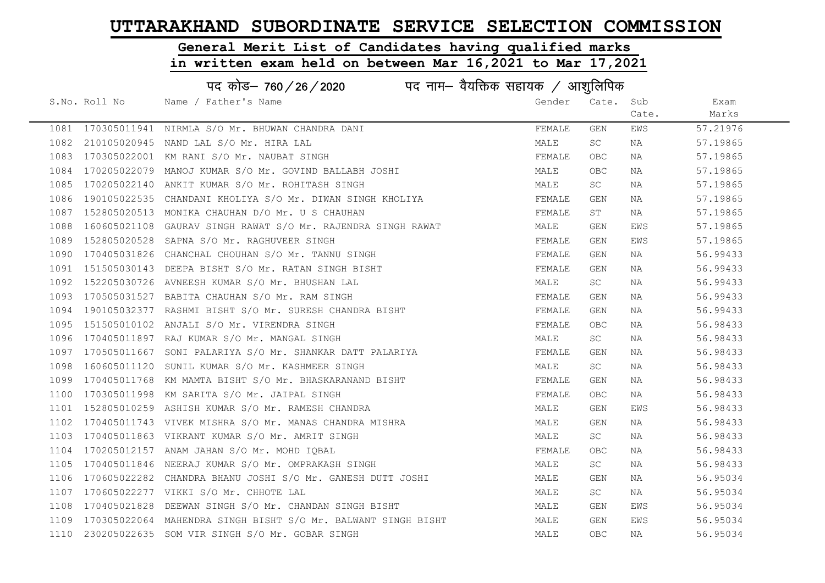#### General Merit List of Candidates having qualified marks

|      | पद कोड– 760 / 26 / 2020 पद नाम– वैयक्तिक सहायक / आशुलिपिक |                                                               |        |            |       |          |  |
|------|-----------------------------------------------------------|---------------------------------------------------------------|--------|------------|-------|----------|--|
|      | S.No. Roll No                                             | Name / Father's Name                                          | Gender | Cate.      | Sub   | Exam     |  |
|      |                                                           |                                                               |        |            | Cate. | Marks    |  |
| 1081 |                                                           | 170305011941 NIRMLA S/O Mr. BHUWAN CHANDRA DANI               | FEMALE | GEN        | EWS   | 57.21976 |  |
| 1082 |                                                           | 210105020945 NAND LAL S/O Mr. HIRA LAL                        | MALE   | SC         | NA    | 57.19865 |  |
| 1083 |                                                           | 170305022001 KM RANI S/O Mr. NAUBAT SINGH                     | FEMALE | <b>OBC</b> | NA    | 57.19865 |  |
| 1084 |                                                           | 170205022079 MANOJ KUMAR S/O Mr. GOVIND BALLABH JOSHI         | MALE   | <b>OBC</b> | NA    | 57.19865 |  |
| 1085 |                                                           | 170205022140 ANKIT KUMAR S/O Mr. ROHITASH SINGH               | MALE   | SC         | NA    | 57.19865 |  |
| 1086 |                                                           | 190105022535 CHANDANI KHOLIYA S/O Mr. DIWAN SINGH KHOLIYA     | FEMALE | GEN        | NA    | 57.19865 |  |
| 1087 |                                                           | 152805020513 MONIKA CHAUHAN D/O Mr. U S CHAUHAN               | FEMALE | ST         | NA    | 57.19865 |  |
| 1088 | 160605021108                                              | GAURAV SINGH RAWAT S/O Mr. RAJENDRA SINGH RAWAT               | MALE   | GEN        | EWS   | 57.19865 |  |
| 1089 | 152805020528                                              | SAPNA S/O Mr. RAGHUVEER SINGH                                 | FEMALE | GEN        | EWS   | 57.19865 |  |
| 1090 |                                                           | 170405031826 CHANCHAL CHOUHAN S/O Mr. TANNU SINGH             | FEMALE | GEN        | NA    | 56.99433 |  |
| 1091 |                                                           | 151505030143 DEEPA BISHT S/O Mr. RATAN SINGH BISHT            | FEMALE | GEN        | NA    | 56.99433 |  |
| 1092 |                                                           | 152205030726 AVNEESH KUMAR S/O Mr. BHUSHAN LAL                | MALE   | SC         | NA    | 56.99433 |  |
| 1093 |                                                           | 170505031527 BABITA CHAUHAN S/O Mr. RAM SINGH                 | FEMALE | GEN        | NA    | 56.99433 |  |
| 1094 |                                                           | 190105032377 RASHMI BISHT S/O Mr. SURESH CHANDRA BISHT        | FEMALE | GEN        | NA    | 56.99433 |  |
| 1095 |                                                           | 151505010102 ANJALI S/O Mr. VIRENDRA SINGH                    | FEMALE | <b>OBC</b> | NA    | 56.98433 |  |
| 1096 |                                                           | 170405011897 RAJ KUMAR S/O Mr. MANGAL SINGH                   | MALE   | SC         | NA    | 56.98433 |  |
| 1097 |                                                           | 170505011667 SONI PALARIYA S/O Mr. SHANKAR DATT PALARIYA      | FEMALE | GEN        | NA    | 56.98433 |  |
| 1098 |                                                           | 160605011120 SUNIL KUMAR S/O Mr. KASHMEER SINGH               | MALE   | SC         | NA    | 56.98433 |  |
| 1099 |                                                           | 170405011768 KM MAMTA BISHT S/O Mr. BHASKARANAND BISHT        | FEMALE | GEN        | NA    | 56.98433 |  |
| 1100 |                                                           | 170305011998 KM SARITA S/O Mr. JAIPAL SINGH                   | FEMALE | <b>OBC</b> | NA    | 56.98433 |  |
| 1101 |                                                           | 152805010259 ASHISH KUMAR S/O Mr. RAMESH CHANDRA              | MALE   | GEN        | EWS   | 56.98433 |  |
| 1102 |                                                           | 170405011743 VIVEK MISHRA S/O Mr. MANAS CHANDRA MISHRA        | MALE   | GEN        | NA    | 56.98433 |  |
| 1103 |                                                           | 170405011863 VIKRANT KUMAR S/O Mr. AMRIT SINGH                | MALE   | SC         | NA    | 56.98433 |  |
| 1104 |                                                           | 170205012157 ANAM JAHAN S/O Mr. MOHD IQBAL                    | FEMALE | <b>OBC</b> | NA    | 56.98433 |  |
| 1105 |                                                           | 170405011846 NEERAJ KUMAR S/O Mr. OMPRAKASH SINGH             | MALE   | SC         | NA    | 56.98433 |  |
| 1106 |                                                           | 170605022282 CHANDRA BHANU JOSHI S/O Mr. GANESH DUTT JOSHI    | MALE   | GEN        | NA    | 56.95034 |  |
| 1107 |                                                           | 170605022277 VIKKI S/O Mr. CHHOTE LAL                         | MALE   | SC         | NA    | 56.95034 |  |
| 1108 | 170405021828                                              | DEEWAN SINGH S/O Mr. CHANDAN SINGH BISHT                      | MALE   | GEN        | EWS   | 56.95034 |  |
| 1109 |                                                           | 170305022064 MAHENDRA SINGH BISHT S/O Mr. BALWANT SINGH BISHT | MALE   | GEN        | EWS   | 56.95034 |  |
| 1110 |                                                           | 230205022635 SOM VIR SINGH S/O Mr. GOBAR SINGH                | MALE   | <b>OBC</b> | NA    | 56.95034 |  |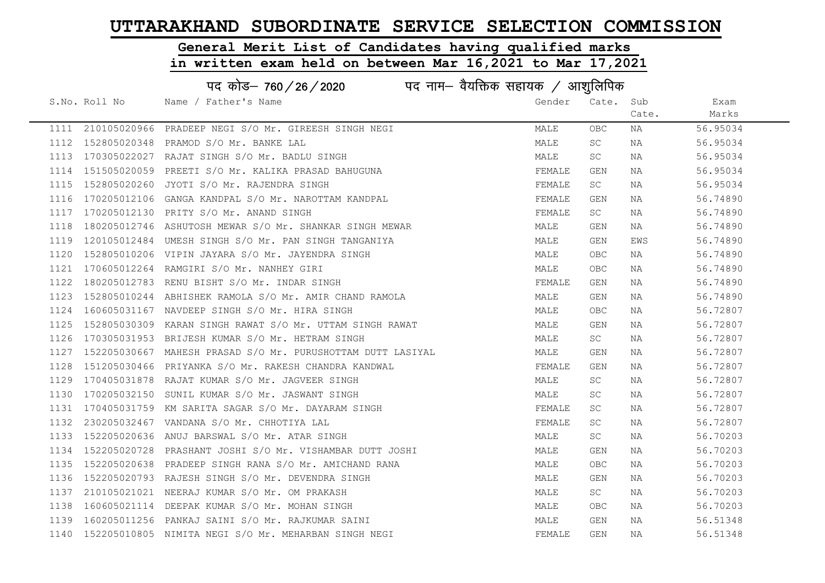# General Merit List of Candidates having qualified marks

|      | पद कोड– 760/26/2020<br>पद नाम— वैयक्तिक सहायक / आशुलिपिक |                                                             |        |            |       |          |  |
|------|----------------------------------------------------------|-------------------------------------------------------------|--------|------------|-------|----------|--|
|      | S.No. Roll No                                            | Name / Father's Name                                        | Gender | Cate.      | Sub   | Exam     |  |
|      |                                                          |                                                             |        |            | Cate. | Marks    |  |
| 1111 |                                                          | 210105020966 PRADEEP NEGI S/O Mr. GIREESH SINGH NEGI        | MALE   | OBC        | ΝA    | 56.95034 |  |
| 1112 | 152805020348                                             | PRAMOD S/O Mr. BANKE LAL                                    | MALE   | SC         | ΝA    | 56.95034 |  |
| 1113 |                                                          | 170305022027 RAJAT SINGH S/O Mr. BADLU SINGH                | MALE   | SC         | NA    | 56.95034 |  |
| 1114 |                                                          | 151505020059 PREETI S/O Mr. KALIKA PRASAD BAHUGUNA          | FEMALE | GEN        | NA    | 56.95034 |  |
| 1115 |                                                          | 152805020260 JYOTI S/O Mr. RAJENDRA SINGH                   | FEMALE | SC         | NA    | 56.95034 |  |
| 1116 |                                                          | 170205012106 GANGA KANDPAL S/O Mr. NAROTTAM KANDPAL         | FEMALE | GEN        | NA    | 56.74890 |  |
| 1117 |                                                          | 170205012130 PRITY S/O Mr. ANAND SINGH                      | FEMALE | SC         | NA    | 56.74890 |  |
| 1118 |                                                          | 180205012746 ASHUTOSH MEWAR S/O Mr. SHANKAR SINGH MEWAR     | MALE   | GEN        | ΝA    | 56.74890 |  |
| 1119 |                                                          | 120105012484 UMESH SINGH S/O Mr. PAN SINGH TANGANIYA        | MALE   | GEN        | EWS   | 56.74890 |  |
| 1120 |                                                          | 152805010206 VIPIN JAYARA S/O Mr. JAYENDRA SINGH            | MALE   | OBC        | ΝA    | 56.74890 |  |
| 1121 |                                                          | 170605012264 RAMGIRI S/O Mr. NANHEY GIRI                    | MALE   | OBC        | ΝA    | 56.74890 |  |
| 1122 |                                                          | 180205012783 RENU BISHT S/O Mr. INDAR SINGH                 | FEMALE | GEN        | NA    | 56.74890 |  |
| 1123 |                                                          | 152805010244 ABHISHEK RAMOLA S/O Mr. AMIR CHAND RAMOLA      | MALE   | <b>GEN</b> | NA    | 56.74890 |  |
| 1124 |                                                          | 160605031167 NAVDEEP SINGH S/O Mr. HIRA SINGH               | MALE   | <b>OBC</b> | NA    | 56.72807 |  |
| 1125 |                                                          | 152805030309 KARAN SINGH RAWAT S/O Mr. UTTAM SINGH RAWAT    | MALE   | GEN        | ΝA    | 56.72807 |  |
| 1126 |                                                          | 170305031953 BRIJESH KUMAR S/O Mr. HETRAM SINGH             | MALE   | SC         | ΝA    | 56.72807 |  |
| 1127 |                                                          | 152205030667 MAHESH PRASAD S/O Mr. PURUSHOTTAM DUTT LASIYAL | MALE   | GEN        | ΝA    | 56.72807 |  |
| 1128 |                                                          | 151205030466 PRIYANKA S/O Mr. RAKESH CHANDRA KANDWAL        | FEMALE | GEN        | ΝA    | 56.72807 |  |
| 1129 | 170405031878                                             | RAJAT KUMAR S/O Mr. JAGVEER SINGH                           | MALE   | SC         | ΝA    | 56.72807 |  |
| 1130 |                                                          | 170205032150 SUNIL KUMAR S/O Mr. JASWANT SINGH              | MALE   | SC         | NA    | 56.72807 |  |
| 1131 |                                                          | 170405031759 KM SARITA SAGAR S/O Mr. DAYARAM SINGH          | FEMALE | SC         | NA    | 56.72807 |  |
| 1132 |                                                          | 230205032467 VANDANA S/O Mr. CHHOTIYA LAL                   | FEMALE | SC         | NA    | 56.72807 |  |
| 1133 | 152205020636                                             | ANUJ BARSWAL S/O Mr. ATAR SINGH                             | MALE   | SC         | ΝA    | 56.70203 |  |
| 1134 | 152205020728                                             | PRASHANT JOSHI S/O Mr. VISHAMBAR DUTT JOSHI                 | MALE   | GEN        | NA    | 56.70203 |  |
| 1135 | 152205020638                                             | PRADEEP SINGH RANA S/O Mr. AMICHAND RANA                    | MALE   | OBC        | ΝA    | 56.70203 |  |
| 1136 |                                                          | 152205020793 RAJESH SINGH S/O Mr. DEVENDRA SINGH            | MALE   | GEN        | ΝA    | 56.70203 |  |
| 1137 |                                                          | 210105021021 NEERAJ KUMAR S/O Mr. OM PRAKASH                | MALE   | SC         | ΝA    | 56.70203 |  |
| 1138 |                                                          | 160605021114 DEEPAK KUMAR S/O Mr. MOHAN SINGH               | MALE   | OBC.       | NA    | 56.70203 |  |
| 1139 |                                                          | 160205011256 PANKAJ SAINI S/O Mr. RAJKUMAR SAINI            | MALE   | GEN        | NA    | 56.51348 |  |
| 1140 |                                                          | 152205010805 NIMITA NEGI S/O Mr. MEHARBAN SINGH NEGI        | FEMALE | <b>GEN</b> | ΝA    | 56.51348 |  |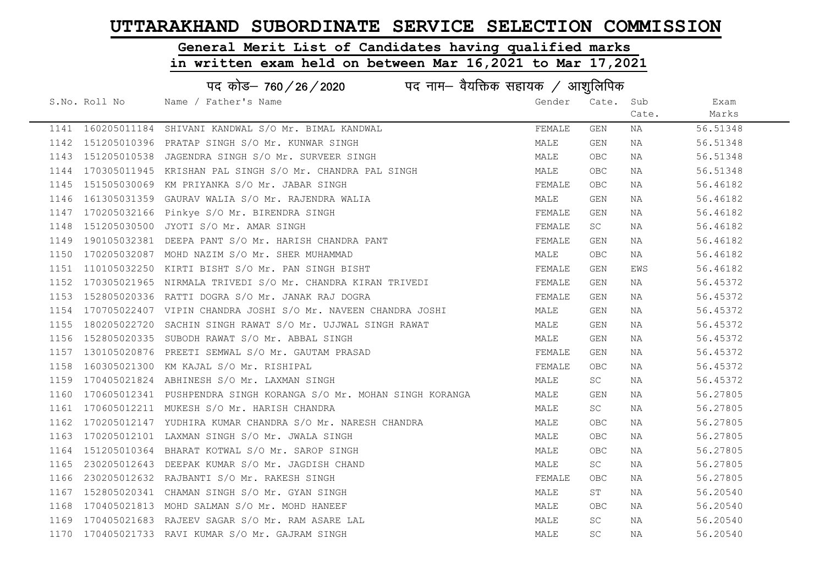# General Merit List of Candidates having qualified marks

|      | पद कोड़– 760 / 26 / 2020 पद नाम– वैयक्तिक सहायक / आशुलिपिक |                                                                   |        |            |       |          |  |
|------|------------------------------------------------------------|-------------------------------------------------------------------|--------|------------|-------|----------|--|
|      | S.No. Roll No                                              | Name / Father's Name                                              | Gender | Cate. Sub  |       | Exam     |  |
|      |                                                            |                                                                   |        |            | Cate. | Marks    |  |
|      |                                                            | 1141 160205011184 SHIVANI KANDWAL S/O Mr. BIMAL KANDWAL           | FEMALE | GEN        | ΝA    | 56.51348 |  |
| 1142 |                                                            | 151205010396 PRATAP SINGH S/O Mr. KUNWAR SINGH                    | MALE   | GEN        | NA    | 56.51348 |  |
| 1143 |                                                            | 151205010538 JAGENDRA SINGH S/O Mr. SURVEER SINGH                 | MALE   | OBC.       | NA    | 56.51348 |  |
| 1144 |                                                            | 170305011945 KRISHAN PAL SINGH S/O Mr. CHANDRA PAL SINGH          | MALE   | OBC.       | NA    | 56.51348 |  |
| 1145 |                                                            | 151505030069 KM PRIYANKA S/O Mr. JABAR SINGH                      | FEMALE | OBC.       | NA    | 56.46182 |  |
| 1146 |                                                            | 161305031359 GAURAV WALIA S/O Mr. RAJENDRA WALIA                  | MALE   | GEN        | NA    | 56.46182 |  |
| 1147 |                                                            | 170205032166 Pinkye S/O Mr. BIRENDRA SINGH                        | FEMALE | GEN        | NA    | 56.46182 |  |
| 1148 |                                                            | 151205030500 JYOTI S/O Mr. AMAR SINGH                             | FEMALE | SC         | NA    | 56.46182 |  |
| 1149 |                                                            | 190105032381 DEEPA PANT S/O Mr. HARISH CHANDRA PANT               | FEMALE | GEN        | NA    | 56.46182 |  |
| 1150 |                                                            | 170205032087 MOHD NAZIM S/O Mr. SHER MUHAMMAD                     | MALE   | <b>OBC</b> | NA    | 56.46182 |  |
| 1151 |                                                            | 110105032250 KIRTI BISHT S/O Mr. PAN SINGH BISHT                  | FEMALE | GEN        | EWS   | 56.46182 |  |
| 1152 |                                                            | 170305021965 NIRMALA TRIVEDI S/O Mr. CHANDRA KIRAN TRIVEDI        | FEMALE | GEN        | NA    | 56.45372 |  |
| 1153 |                                                            | 152805020336 RATTI DOGRA S/O Mr. JANAK RAJ DOGRA                  | FEMALE | GEN        | NA    | 56.45372 |  |
| 1154 |                                                            | 170705022407 VIPIN CHANDRA JOSHI S/O Mr. NAVEEN CHANDRA JOSHI     | MALE   | GEN        | NA    | 56.45372 |  |
| 1155 |                                                            | 180205022720 SACHIN SINGH RAWAT S/O Mr. UJJWAL SINGH RAWAT        | MALE   | GEN        | NA    | 56.45372 |  |
| 1156 |                                                            | 152805020335 SUBODH RAWAT S/O Mr. ABBAL SINGH                     | MALE   | GEN        | NA    | 56.45372 |  |
| 1157 |                                                            | 130105020876 PREETI SEMWAL S/O Mr. GAUTAM PRASAD                  | FEMALE | GEN        | NA    | 56.45372 |  |
| 1158 |                                                            | 160305021300 KM KAJAL S/O Mr. RISHIPAL                            | FEMALE | OBC.       | NA    | 56.45372 |  |
| 1159 |                                                            | 170405021824 ABHINESH S/O Mr. LAXMAN SINGH                        | MALE   | SC.        | NA    | 56.45372 |  |
| 1160 |                                                            | 170605012341 PUSHPENDRA SINGH KORANGA S/O Mr. MOHAN SINGH KORANGA | MALE   | GEN        | NA    | 56.27805 |  |
| 1161 |                                                            | 170605012211 MUKESH S/O Mr. HARISH CHANDRA                        | MALE   | SC         | NA    | 56.27805 |  |
| 1162 |                                                            | 170205012147 YUDHIRA KUMAR CHANDRA S/O Mr. NARESH CHANDRA         | MALE   | OBC.       | NA    | 56.27805 |  |
| 1163 |                                                            | 170205012101 LAXMAN SINGH S/O Mr. JWALA SINGH                     | MALE   | <b>OBC</b> | NA    | 56.27805 |  |
| 1164 |                                                            | 151205010364 BHARAT KOTWAL S/O Mr. SAROP SINGH                    | MALE   | <b>OBC</b> | NA    | 56.27805 |  |
| 1165 |                                                            | 230205012643 DEEPAK KUMAR S/O Mr. JAGDISH CHAND                   | MALE   | SC         | NA    | 56.27805 |  |
| 1166 |                                                            | 230205012632 RAJBANTI S/O Mr. RAKESH SINGH                        | FEMALE | <b>OBC</b> | NA    | 56.27805 |  |
| 1167 |                                                            | 152805020341 CHAMAN SINGH S/O Mr. GYAN SINGH                      | MALE   | ST         | NA    | 56.20540 |  |
| 1168 |                                                            | 170405021813 MOHD SALMAN S/O Mr. MOHD HANEEF                      | MALE   | <b>OBC</b> | NA    | 56.20540 |  |
|      |                                                            | 1169 170405021683 RAJEEV SAGAR S/O Mr. RAM ASARE LAL              | MALE   | SC         | NA    | 56.20540 |  |
|      |                                                            | 1170 170405021733 RAVI KUMAR S/O Mr. GAJRAM SINGH                 | MALE   | SC         | NA    | 56.20540 |  |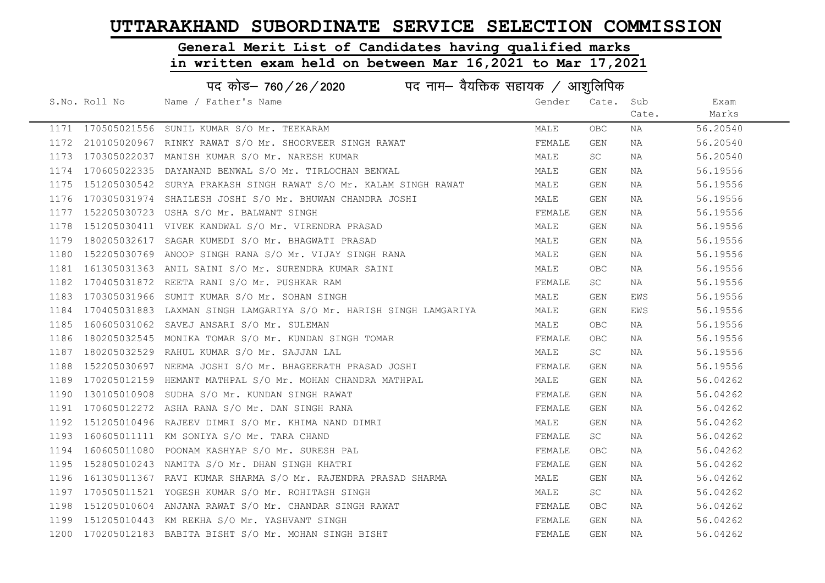#### General Merit List of Candidates having qualified marks

|      | पद कोड– 760 / 26 / 2020 पद नाम– वैयक्तिक सहायक / आशुलिपिक |                                                                    |        |            |       |          |  |  |
|------|-----------------------------------------------------------|--------------------------------------------------------------------|--------|------------|-------|----------|--|--|
|      | S.No. Roll No                                             | Name / Father's Name                                               | Gender | Cate. Sub  |       | Exam     |  |  |
|      |                                                           |                                                                    |        |            | Cate. | Marks    |  |  |
|      |                                                           | 1171 170505021556 SUNIL KUMAR S/O Mr. TEEKARAM                     | MALE   | <b>OBC</b> | ΝA    | 56.20540 |  |  |
|      |                                                           | 1172 210105020967 RINKY RAWAT S/O Mr. SHOORVEER SINGH RAWAT        | FEMALE | GEN        | NA    | 56.20540 |  |  |
| 1173 |                                                           | 170305022037 MANISH KUMAR S/O Mr. NARESH KUMAR                     | MALE   | SC         | NA    | 56.20540 |  |  |
| 1174 |                                                           | 170605022335 DAYANAND BENWAL S/O Mr. TIRLOCHAN BENWAL              | MALE   | GEN        | NA    | 56.19556 |  |  |
| 1175 |                                                           | 151205030542 SURYA PRAKASH SINGH RAWAT S/O Mr. KALAM SINGH RAWAT   | MALE   | GEN        | NA    | 56.19556 |  |  |
| 1176 |                                                           | 170305031974 SHAILESH JOSHI S/O Mr. BHUWAN CHANDRA JOSHI           | MALE   | GEN        | NA    | 56.19556 |  |  |
| 1177 |                                                           | 152205030723 USHA S/O Mr. BALWANT SINGH                            | FEMALE | GEN        | NA    | 56.19556 |  |  |
| 1178 |                                                           | 151205030411 VIVEK KANDWAL S/O Mr. VIRENDRA PRASAD                 | MALE   | GEN        | NA    | 56.19556 |  |  |
| 1179 |                                                           | 180205032617 SAGAR KUMEDI S/O Mr. BHAGWATI PRASAD                  | MALE   | GEN        | NA    | 56.19556 |  |  |
| 1180 |                                                           | 152205030769 ANOOP SINGH RANA S/O Mr. VIJAY SINGH RANA             | MALE   | GEN        | NA    | 56.19556 |  |  |
| 1181 |                                                           | 161305031363 ANIL SAINI S/O Mr. SURENDRA KUMAR SAINI               | MALE   | <b>OBC</b> | NA    | 56.19556 |  |  |
| 1182 |                                                           | 170405031872 REETA RANI S/O Mr. PUSHKAR RAM                        | FEMALE | SC         | NA    | 56.19556 |  |  |
| 1183 |                                                           | 170305031966 SUMIT KUMAR S/O Mr. SOHAN SINGH                       | MALE   | GEN        | EWS   | 56.19556 |  |  |
| 1184 |                                                           | 170405031883 LAXMAN SINGH LAMGARIYA S/O Mr. HARISH SINGH LAMGARIYA | MALE   | GEN        | EWS   | 56.19556 |  |  |
| 1185 |                                                           | 160605031062 SAVEJ ANSARI S/O Mr. SULEMAN                          | MALE   | <b>OBC</b> | NA    | 56.19556 |  |  |
| 1186 | 180205032545                                              | MONIKA TOMAR S/O Mr. KUNDAN SINGH TOMAR                            | FEMALE | <b>OBC</b> | NA    | 56.19556 |  |  |
| 1187 |                                                           | 180205032529 RAHUL KUMAR S/O Mr. SAJJAN LAL                        | MALE   | SC         | NA    | 56.19556 |  |  |
| 1188 |                                                           | 152205030697 NEEMA JOSHI S/O Mr. BHAGEERATH PRASAD JOSHI           | FEMALE | GEN        | NA    | 56.19556 |  |  |
| 1189 |                                                           | 170205012159 HEMANT MATHPAL S/O Mr. MOHAN CHANDRA MATHPAL          | MALE   | GEN        | NA    | 56.04262 |  |  |
| 1190 |                                                           | 130105010908 SUDHA S/O Mr. KUNDAN SINGH RAWAT                      | FEMALE | GEN        | NA    | 56.04262 |  |  |
| 1191 |                                                           | 170605012272 ASHA RANA S/O Mr. DAN SINGH RANA                      | FEMALE | GEN        | NA    | 56.04262 |  |  |
| 1192 |                                                           | 151205010496 RAJEEV DIMRI S/O Mr. KHIMA NAND DIMRI                 | MALE   | GEN        | NA    | 56.04262 |  |  |
| 1193 |                                                           | 160605011111 KM SONIYA S/O Mr. TARA CHAND                          | FEMALE | SC         | NA    | 56.04262 |  |  |
| 1194 |                                                           | 160605011080 POONAM KASHYAP S/O Mr. SURESH PAL                     | FEMALE | <b>OBC</b> | NA    | 56.04262 |  |  |
| 1195 |                                                           | 152805010243 NAMITA S/O Mr. DHAN SINGH KHATRI                      | FEMALE | GEN        | NA    | 56.04262 |  |  |
| 1196 |                                                           | 161305011367 RAVI KUMAR SHARMA S/O Mr. RAJENDRA PRASAD SHARMA      | MALE   | GEN        | NA    | 56.04262 |  |  |
| 1197 |                                                           | 170505011521 YOGESH KUMAR S/O Mr. ROHITASH SINGH                   | MALE   | SC         | NA    | 56.04262 |  |  |
| 1198 |                                                           | 151205010604 ANJANA RAWAT S/O Mr. CHANDAR SINGH RAWAT              | FEMALE | <b>OBC</b> | NA    | 56.04262 |  |  |
| 1199 |                                                           | 151205010443 KM REKHA S/O Mr. YASHVANT SINGH                       | FEMALE | GEN        | NA    | 56.04262 |  |  |
|      |                                                           | 1200 170205012183 BABITA BISHT S/O Mr. MOHAN SINGH BISHT           | FEMALE | <b>GEN</b> | ΝA    | 56.04262 |  |  |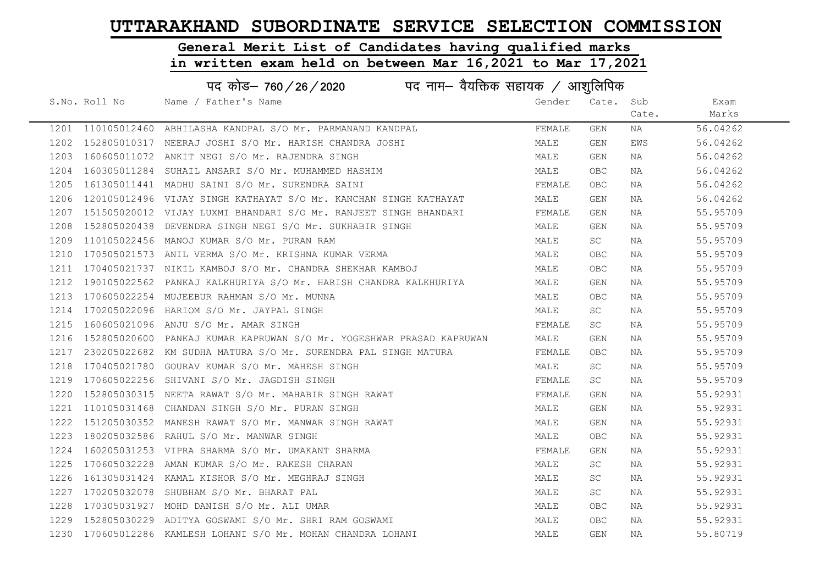# General Merit List of Candidates having qualified marks

|      | पद कोड– 760 / 26 / 2020 पद नाम– वैयक्तिक सहायक / आशुलिपिक |                                                                      |        |            |       |          |  |  |
|------|-----------------------------------------------------------|----------------------------------------------------------------------|--------|------------|-------|----------|--|--|
|      | S.No. Roll No                                             | Name / Father's Name                                                 | Gender | Cate. Sub  |       | Exam     |  |  |
|      |                                                           |                                                                      |        |            | Cate. | Marks    |  |  |
|      |                                                           | 1201 110105012460 ABHILASHA KANDPAL S/O Mr. PARMANAND KANDPAL        | FEMALE | GEN        | NA    | 56.04262 |  |  |
|      |                                                           | 1202 152805010317 NEERAJ JOSHI S/O Mr. HARISH CHANDRA JOSHI          | MALE   | GEN        | EWS   | 56.04262 |  |  |
|      |                                                           | 1203 160605011072 ANKIT NEGI S/O Mr. RAJENDRA SINGH                  | MALE   | GEN        | ΝA    | 56.04262 |  |  |
| 1204 |                                                           | 160305011284 SUHAIL ANSARI S/O Mr. MUHAMMED HASHIM                   | MALE   | OBC.       | NA    | 56.04262 |  |  |
| 1205 |                                                           | 161305011441 MADHU SAINI S/O Mr. SURENDRA SAINI                      | FEMALE | OBC.       | NA    | 56.04262 |  |  |
| 1206 |                                                           | 120105012496 VIJAY SINGH KATHAYAT S/O Mr. KANCHAN SINGH KATHAYAT     | MALE   | GEN        | NA    | 56.04262 |  |  |
| 1207 |                                                           | 151505020012 VIJAY LUXMI BHANDARI S/O Mr. RANJEET SINGH BHANDARI     | FEMALE | GEN        | NA    | 55.95709 |  |  |
| 1208 |                                                           | 152805020438 DEVENDRA SINGH NEGI S/O Mr. SUKHABIR SINGH              | MALE   | GEN        | NA    | 55.95709 |  |  |
| 1209 |                                                           | 110105022456 MANOJ KUMAR S/O Mr. PURAN RAM                           | MALE   | SC         | NA    | 55.95709 |  |  |
| 1210 |                                                           | 170505021573 ANIL VERMA S/O Mr. KRISHNA KUMAR VERMA                  | MALE   | OBC.       | NA    | 55.95709 |  |  |
| 1211 |                                                           | 170405021737 NIKIL KAMBOJ S/O Mr. CHANDRA SHEKHAR KAMBOJ             | MALE   | OBC.       | NA    | 55.95709 |  |  |
| 1212 |                                                           | 190105022562 PANKAJ KALKHURIYA S/O Mr. HARISH CHANDRA KALKHURIYA     | MALE   | GEN        | NA    | 55.95709 |  |  |
| 1213 |                                                           | 170605022254 MUJEEBUR RAHMAN S/O Mr. MUNNA                           | MALE   | OBC.       | NA    | 55.95709 |  |  |
| 1214 |                                                           | 170205022096 HARIOM S/O Mr. JAYPAL SINGH                             | MALE   | SC         | NA    | 55.95709 |  |  |
| 1215 |                                                           | 160605021096 ANJU S/O Mr. AMAR SINGH                                 | FEMALE | SC         | NA    | 55.95709 |  |  |
| 1216 |                                                           | 152805020600 PANKAJ KUMAR KAPRUWAN S/O Mr. YOGESHWAR PRASAD KAPRUWAN | MALE   | GEN        | NA    | 55.95709 |  |  |
| 1217 |                                                           | 230205022682 KM SUDHA MATURA S/O Mr. SURENDRA PAL SINGH MATURA       | FEMALE | <b>OBC</b> | NA    | 55.95709 |  |  |
| 1218 |                                                           | 170405021780 GOURAV KUMAR S/O Mr. MAHESH SINGH                       | MALE   | SC         | NA    | 55.95709 |  |  |
| 1219 |                                                           | 170605022256 SHIVANI S/O Mr. JAGDISH SINGH                           | FEMALE | SC         | NA    | 55.95709 |  |  |
| 1220 |                                                           | 152805030315 NEETA RAWAT S/O Mr. MAHABIR SINGH RAWAT                 | FEMALE | GEN        | NA    | 55.92931 |  |  |
| 1221 |                                                           | 110105031468 CHANDAN SINGH S/O Mr. PURAN SINGH                       | MALE   | GEN        | NA    | 55.92931 |  |  |
| 1222 |                                                           | 151205030352 MANESH RAWAT S/O Mr. MANWAR SINGH RAWAT                 | MALE   | GEN        | NA    | 55.92931 |  |  |
| 1223 |                                                           | 180205032586 RAHUL S/O Mr. MANWAR SINGH                              | MALE   | OBC.       | NA    | 55.92931 |  |  |
| 1224 |                                                           | 160205031253 VIPRA SHARMA S/O Mr. UMAKANT SHARMA                     | FEMALE | GEN        | NA    | 55.92931 |  |  |
| 1225 |                                                           | 170605032228 AMAN KUMAR S/O Mr. RAKESH CHARAN                        | MALE   | SC         | NA    | 55.92931 |  |  |
| 1226 |                                                           | 161305031424 KAMAL KISHOR S/O Mr. MEGHRAJ SINGH                      | MALE   | SC         | NA    | 55.92931 |  |  |
| 1227 |                                                           | 170205032078 SHUBHAM S/O Mr. BHARAT PAL                              | MALE   | SC         | NA    | 55.92931 |  |  |
| 1228 |                                                           | 170305031927 MOHD DANISH S/O Mr. ALI UMAR                            | MALE   | OBC        | NA    | 55.92931 |  |  |
| 1229 |                                                           | 152805030229 ADITYA GOSWAMI S/O Mr. SHRI RAM GOSWAMI                 | MALE   | OBC.       | NA    | 55.92931 |  |  |
|      |                                                           | 1230 170605012286 KAMLESH LOHANI S/O Mr. MOHAN CHANDRA LOHANI        | MALE   | GEN        | NA    | 55.80719 |  |  |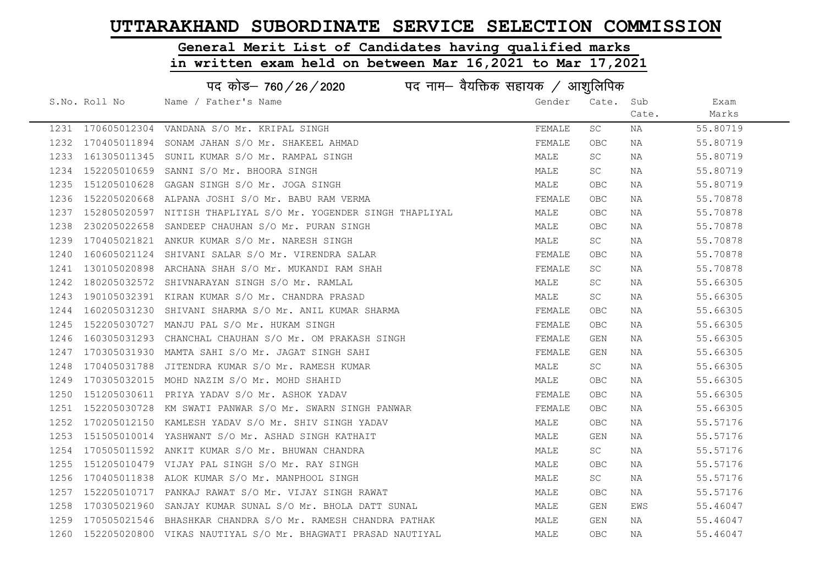# General Merit List of Candidates having qualified marks

|      | पद कोड़- 760 / 26 / 2020 पद नाम- वैयक्तिक सहायक / आशुलिपिक |                                                                   |        |            |       |          |  |
|------|------------------------------------------------------------|-------------------------------------------------------------------|--------|------------|-------|----------|--|
|      | S.No. Roll No                                              | Name / Father's Name                                              | Gender | Cate. Sub  |       | Exam     |  |
|      |                                                            |                                                                   |        |            | Cate. | Marks    |  |
|      |                                                            | 1231 170605012304 VANDANA S/O Mr. KRIPAL SINGH                    | FEMALE | SC         | NA    | 55.80719 |  |
| 1232 | 170405011894                                               | SONAM JAHAN S/O Mr. SHAKEEL AHMAD                                 | FEMALE | <b>OBC</b> | NA    | 55.80719 |  |
| 1233 |                                                            | 161305011345 SUNIL KUMAR S/O Mr. RAMPAL SINGH                     | MALE   | SC         | NA    | 55.80719 |  |
| 1234 | 152205010659                                               | SANNI S/O Mr. BHOORA SINGH                                        | MALE   | SC         | NA    | 55.80719 |  |
| 1235 |                                                            | 151205010628 GAGAN SINGH S/O Mr. JOGA SINGH                       | MALE   | <b>OBC</b> | NA    | 55.80719 |  |
| 1236 |                                                            | 152205020668 ALPANA JOSHI S/O Mr. BABU RAM VERMA                  | FEMALE | OBC        | NA    | 55.70878 |  |
| 1237 |                                                            | 152805020597 NITISH THAPLIYAL S/O Mr. YOGENDER SINGH THAPLIYAL    | MALE   | OBC        | NA    | 55.70878 |  |
| 1238 | 230205022658                                               | SANDEEP CHAUHAN S/O Mr. PURAN SINGH                               | MALE   | <b>OBC</b> | NA    | 55.70878 |  |
| 1239 |                                                            | 170405021821 ANKUR KUMAR S/O Mr. NARESH SINGH                     | MALE   | SC         | NA    | 55.70878 |  |
| 1240 |                                                            | 160605021124 SHIVANI SALAR S/O Mr. VIRENDRA SALAR                 | FEMALE | <b>OBC</b> | NA    | 55.70878 |  |
| 1241 |                                                            | 130105020898 ARCHANA SHAH S/O Mr. MUKANDI RAM SHAH                | FEMALE | SC         | NA    | 55.70878 |  |
| 1242 |                                                            | 180205032572 SHIVNARAYAN SINGH S/O Mr. RAMLAL                     | MALE   | SC         | NA    | 55.66305 |  |
| 1243 |                                                            | 190105032391 KIRAN KUMAR S/O Mr. CHANDRA PRASAD                   | MALE   | SC         | NA    | 55.66305 |  |
| 1244 |                                                            | 160205031230 SHIVANI SHARMA S/O Mr. ANIL KUMAR SHARMA             | FEMALE | <b>OBC</b> | NA    | 55.66305 |  |
| 1245 |                                                            | 152205030727 MANJU PAL S/O Mr. HUKAM SINGH                        | FEMALE | <b>OBC</b> | NA    | 55.66305 |  |
| 1246 |                                                            | 160305031293 CHANCHAL CHAUHAN S/O Mr. OM PRAKASH SINGH            | FEMALE | GEN        | NA    | 55.66305 |  |
| 1247 |                                                            | 170305031930 MAMTA SAHI S/O Mr. JAGAT SINGH SAHI                  | FEMALE | GEN        | NA    | 55.66305 |  |
| 1248 |                                                            | 170405031788 JITENDRA KUMAR S/O Mr. RAMESH KUMAR                  | MALE   | SC         | NA    | 55.66305 |  |
| 1249 |                                                            | 170305032015 MOHD NAZIM S/O Mr. MOHD SHAHID                       | MALE   | <b>OBC</b> | NA    | 55.66305 |  |
| 1250 |                                                            | 151205030611 PRIYA YADAV S/O Mr. ASHOK YADAV                      | FEMALE | <b>OBC</b> | NA    | 55.66305 |  |
| 1251 |                                                            | 152205030728 KM SWATI PANWAR S/O Mr. SWARN SINGH PANWAR           | FEMALE | <b>OBC</b> | NA    | 55.66305 |  |
| 1252 |                                                            | 170205012150 KAMLESH YADAV S/O Mr. SHIV SINGH YADAV               | MALE   | <b>OBC</b> | NA    | 55.57176 |  |
| 1253 |                                                            | 151505010014 YASHWANT S/O Mr. ASHAD SINGH KATHAIT                 | MALE   | GEN        | NA    | 55.57176 |  |
| 1254 |                                                            | 170505011592 ANKIT KUMAR S/O Mr. BHUWAN CHANDRA                   | MALE   | SC.        | NA    | 55.57176 |  |
| 1255 |                                                            | 151205010479 VIJAY PAL SINGH S/O Mr. RAY SINGH                    | MALE   | OBC        | NA    | 55.57176 |  |
| 1256 |                                                            | 170405011838 ALOK KUMAR S/O Mr. MANPHOOL SINGH                    | MALE   | SC         | NA    | 55.57176 |  |
| 1257 |                                                            | 152205010717 PANKAJ RAWAT S/O Mr. VIJAY SINGH RAWAT               | MALE   | OBC        | NA    | 55.57176 |  |
| 1258 |                                                            | 170305021960 SANJAY KUMAR SUNAL S/O Mr. BHOLA DATT SUNAL          | MALE   | GEN        | EWS   | 55.46047 |  |
| 1259 |                                                            | 170505021546 BHASHKAR CHANDRA S/O Mr. RAMESH CHANDRA PATHAK       | MALE   | GEN        | NA    | 55.46047 |  |
|      |                                                            | 1260 152205020800 VIKAS NAUTIYAL S/O Mr. BHAGWATI PRASAD NAUTIYAL | MALE   | <b>OBC</b> | ΝA    | 55.46047 |  |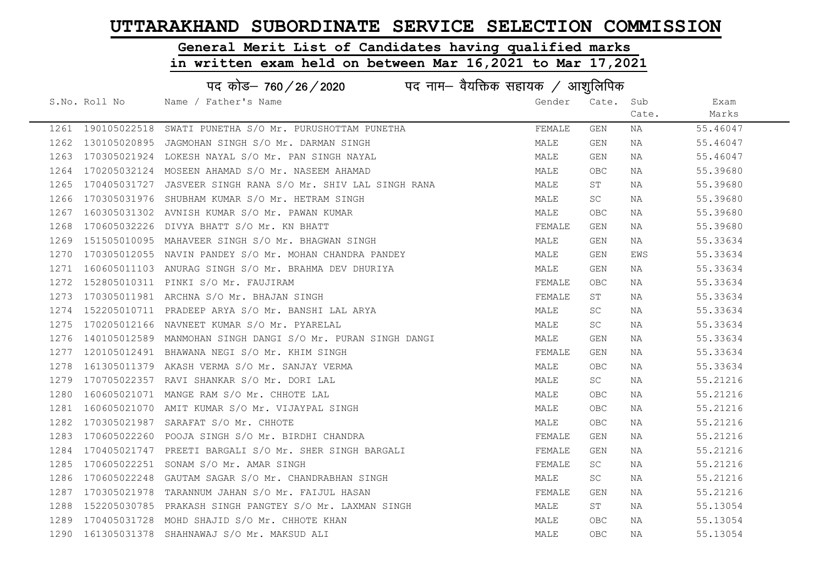#### General Merit List of Candidates having qualified marks

|      | पद कोड़- 760 / 26 / 2020 पद नाम- वैयक्तिक सहायक / आशुलिपिक |                                                             |        |            |       |          |  |
|------|------------------------------------------------------------|-------------------------------------------------------------|--------|------------|-------|----------|--|
|      | S.No. Roll No                                              | Name / Father's Name                                        | Gender | Cate.      | Sub   | Exam     |  |
|      |                                                            |                                                             |        |            | Cate. | Marks    |  |
|      | 1261 190105022518                                          | SWATI PUNETHA S/O Mr. PURUSHOTTAM PUNETHA                   | FEMALE | GEN        | NA    | 55.46047 |  |
| 1262 | 130105020895                                               | JAGMOHAN SINGH S/O Mr. DARMAN SINGH                         | MALE   | GEN        | NA    | 55.46047 |  |
| 1263 | 170305021924                                               | LOKESH NAYAL S/O Mr. PAN SINGH NAYAL                        | MALE   | GEN        | NA    | 55.46047 |  |
| 1264 |                                                            | 170205032124 MOSEEN AHAMAD S/O Mr. NASEEM AHAMAD            | MALE   | OBC        | NA    | 55.39680 |  |
| 1265 | 170405031727                                               | JASVEER SINGH RANA S/O Mr. SHIV LAL SINGH RANA              | MALE   | ST         | NA    | 55.39680 |  |
| 1266 |                                                            | 170305031976 SHUBHAM KUMAR S/O Mr. HETRAM SINGH             | MALE   | SC         | NA    | 55.39680 |  |
| 1267 |                                                            | 160305031302 AVNISH KUMAR S/O Mr. PAWAN KUMAR               | MALE   | <b>OBC</b> | NA    | 55.39680 |  |
| 1268 | 170605032226                                               | DIVYA BHATT S/O Mr. KN BHATT                                | FEMALE | GEN        | NA    | 55.39680 |  |
| 1269 |                                                            | 151505010095 MAHAVEER SINGH S/O Mr. BHAGWAN SINGH           | MALE   | GEN        | NA    | 55.33634 |  |
| 1270 |                                                            | 170305012055 NAVIN PANDEY S/O Mr. MOHAN CHANDRA PANDEY      | MALE   | GEN        | EWS   | 55.33634 |  |
| 1271 |                                                            | 160605011103 ANURAG SINGH S/O Mr. BRAHMA DEV DHURIYA        | MALE   | GEN        | NA    | 55.33634 |  |
| 1272 |                                                            | 152805010311 PINKI S/O Mr. FAUJIRAM                         | FEMALE | <b>OBC</b> | NA    | 55.33634 |  |
| 1273 |                                                            | 170305011981 ARCHNA S/O Mr. BHAJAN SINGH                    | FEMALE | ST         | NA    | 55.33634 |  |
| 1274 |                                                            | 152205010711 PRADEEP ARYA S/O Mr. BANSHI LAL ARYA           | MALE   | SC         | NA    | 55.33634 |  |
| 1275 |                                                            | 170205012166 NAVNEET KUMAR S/O Mr. PYARELAL                 | MALE   | <b>SC</b>  | NA    | 55.33634 |  |
| 1276 |                                                            | 140105012589 MANMOHAN SINGH DANGI S/O Mr. PURAN SINGH DANGI | MALE   | GEN        | NA    | 55.33634 |  |
| 1277 |                                                            | 120105012491 BHAWANA NEGI S/O Mr. KHIM SINGH                | FEMALE | GEN        | NA    | 55.33634 |  |
| 1278 |                                                            | 161305011379 AKASH VERMA S/O Mr. SANJAY VERMA               | MALE   | OBC        | NA    | 55.33634 |  |
| 1279 |                                                            | 170705022357 RAVI SHANKAR S/O Mr. DORI LAL                  | MALE   | SC         | NA    | 55.21216 |  |
| 1280 |                                                            | 160605021071 MANGE RAM S/O Mr. CHHOTE LAL                   | MALE   | <b>OBC</b> | NA    | 55.21216 |  |
| 1281 |                                                            | 160605021070 AMIT KUMAR S/O Mr. VIJAYPAL SINGH              | MALE   | <b>OBC</b> | NA    | 55.21216 |  |
| 1282 |                                                            | 170305021987 SARAFAT S/O Mr. CHHOTE                         | MALE   | <b>OBC</b> | NA    | 55.21216 |  |
| 1283 |                                                            | 170605022260 POOJA SINGH S/O Mr. BIRDHI CHANDRA             | FEMALE | GEN        | NA    | 55.21216 |  |
| 1284 |                                                            | 170405021747 PREETI BARGALI S/O Mr. SHER SINGH BARGALI      | FEMALE | GEN        | NA    | 55.21216 |  |
| 1285 | 170605022251                                               | SONAM S/O Mr. AMAR SINGH                                    | FEMALE | SC         | NA    | 55.21216 |  |
| 1286 | 170605022248                                               | GAUTAM SAGAR S/O Mr. CHANDRABHAN SINGH                      | MALE   | SC         | NA    | 55.21216 |  |
| 1287 | 170305021978                                               | TARANNUM JAHAN S/O Mr. FAIJUL HASAN                         | FEMALE | GEN        | NA    | 55.21216 |  |
| 1288 |                                                            | 152205030785 PRAKASH SINGH PANGTEY S/O Mr. LAXMAN SINGH     | MALE   | ST         | NA    | 55.13054 |  |
| 1289 | 170405031728                                               | MOHD SHAJID S/O Mr. CHHOTE KHAN                             | MALE   | <b>OBC</b> | NA    | 55.13054 |  |
| 1290 | 161305031378                                               | SHAHNAWAJ S/O Mr. MAKSUD ALI                                | MALE   | <b>OBC</b> | ΝA    | 55.13054 |  |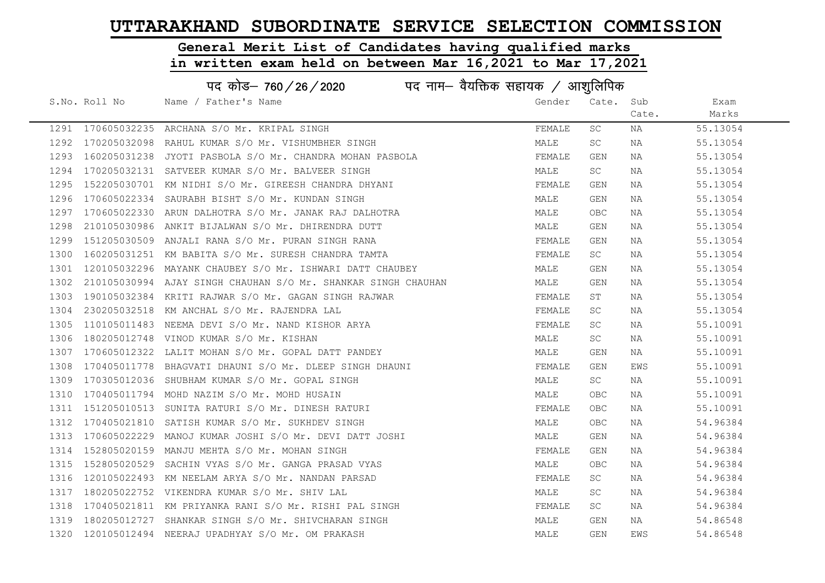# General Merit List of Candidates having qualified marks

|      | पद कोड़- 760 / 26 / 2020 पद नाम- वैयक्तिक सहायक / आशुलिपिक |                                                               |        |            |       |          |  |
|------|------------------------------------------------------------|---------------------------------------------------------------|--------|------------|-------|----------|--|
|      | S.No. Roll No                                              | Name / Father's Name                                          | Gender | Cate. Sub  |       | Exam     |  |
|      |                                                            |                                                               |        |            | Cate. | Marks    |  |
|      |                                                            | 1291 170605032235 ARCHANA S/O Mr. KRIPAL SINGH                | FEMALE | SC         | NA    | 55.13054 |  |
| 1292 |                                                            | 170205032098 RAHUL KUMAR S/O Mr. VISHUMBHER SINGH             | MALE   | SC         | NA    | 55.13054 |  |
| 1293 |                                                            | 160205031238 JYOTI PASBOLA S/O Mr. CHANDRA MOHAN PASBOLA      | FEMALE | GEN        | NA    | 55.13054 |  |
| 1294 |                                                            | 170205032131 SATVEER KUMAR S/O Mr. BALVEER SINGH              | MALE   | <b>SC</b>  | NA    | 55.13054 |  |
| 1295 |                                                            | 152205030701 KM NIDHI S/O Mr. GIREESH CHANDRA DHYANI          | FEMALE | GEN        | NA    | 55.13054 |  |
| 1296 |                                                            | 170605022334 SAURABH BISHT S/O Mr. KUNDAN SINGH               | MALE   | GEN        | NA    | 55.13054 |  |
| 1297 |                                                            | 170605022330 ARUN DALHOTRA S/O Mr. JANAK RAJ DALHOTRA         | MALE   | OBC        | NA    | 55.13054 |  |
| 1298 |                                                            | 210105030986 ANKIT BIJALWAN S/O Mr. DHIRENDRA DUTT            | MALE   | GEN        | NA    | 55.13054 |  |
| 1299 |                                                            | 151205030509 ANJALI RANA S/O Mr. PURAN SINGH RANA             | FEMALE | GEN        | NA    | 55.13054 |  |
| 1300 |                                                            | 160205031251 KM BABITA S/O Mr. SURESH CHANDRA TAMTA           | FEMALE | <b>SC</b>  | NA    | 55.13054 |  |
| 1301 |                                                            | 120105032296 MAYANK CHAUBEY S/O Mr. ISHWARI DATT CHAUBEY      | MALE   | GEN        | NA    | 55.13054 |  |
| 1302 |                                                            | 210105030994 AJAY SINGH CHAUHAN S/O Mr. SHANKAR SINGH CHAUHAN | MALE   | GEN        | NA    | 55.13054 |  |
| 1303 |                                                            | 190105032384 KRITI RAJWAR S/O Mr. GAGAN SINGH RAJWAR          | FEMALE | ST         | NA    | 55.13054 |  |
| 1304 |                                                            | 230205032518 KM ANCHAL S/O Mr. RAJENDRA LAL                   | FEMALE | SC         | NA    | 55.13054 |  |
| 1305 |                                                            | 110105011483 NEEMA DEVI S/O Mr. NAND KISHOR ARYA              | FEMALE | SC         | NA    | 55.10091 |  |
| 1306 |                                                            | 180205012748 VINOD KUMAR S/O Mr. KISHAN                       | MALE   | SC         | NA    | 55.10091 |  |
| 1307 |                                                            | 170605012322 LALIT MOHAN S/O Mr. GOPAL DATT PANDEY            | MALE   | GEN        | NA    | 55.10091 |  |
| 1308 |                                                            | 170405011778 BHAGVATI DHAUNI S/O Mr. DLEEP SINGH DHAUNI       | FEMALE | GEN        | EWS   | 55.10091 |  |
| 1309 |                                                            | 170305012036 SHUBHAM KUMAR S/O Mr. GOPAL SINGH                | MALE   | SC         | NA    | 55.10091 |  |
| 1310 |                                                            | 170405011794 MOHD NAZIM S/O Mr. MOHD HUSAIN                   | MALE   | OBC        | NA    | 55.10091 |  |
| 1311 |                                                            | 151205010513 SUNITA RATURI S/O Mr. DINESH RATURI              | FEMALE | OBC.       | NA    | 55.10091 |  |
| 1312 |                                                            | 170405021810 SATISH KUMAR S/O Mr. SUKHDEV SINGH               | MALE   | OBC        | NA    | 54.96384 |  |
| 1313 |                                                            | 170605022229 MANOJ KUMAR JOSHI S/O Mr. DEVI DATT JOSHI        | MALE   | GEN        | NA    | 54.96384 |  |
| 1314 |                                                            | 152805020159 MANJU MEHTA S/O Mr. MOHAN SINGH                  | FEMALE | GEN        | NA    | 54.96384 |  |
| 1315 |                                                            | 152805020529 SACHIN VYAS S/O Mr. GANGA PRASAD VYAS            | MALE   | <b>OBC</b> | NA    | 54.96384 |  |
| 1316 |                                                            | 120105022493 KM NEELAM ARYA S/O Mr. NANDAN PARSAD             | FEMALE | SC         | NA    | 54.96384 |  |
| 1317 |                                                            | 180205022752 VIKENDRA KUMAR S/O Mr. SHIV LAL                  | MALE   | SC         | NA    | 54.96384 |  |
| 1318 |                                                            | 170405021811 KM PRIYANKA RANI S/O Mr. RISHI PAL SINGH         | FEMALE | SC         | NA    | 54.96384 |  |
| 1319 |                                                            | 180205012727 SHANKAR SINGH S/O Mr. SHIVCHARAN SINGH           | MALE   | GEN        | NA    | 54.86548 |  |
|      |                                                            | 1320 120105012494 NEERAJ UPADHYAY S/O Mr. OM PRAKASH          | MALE   | GEN        | EWS   | 54.86548 |  |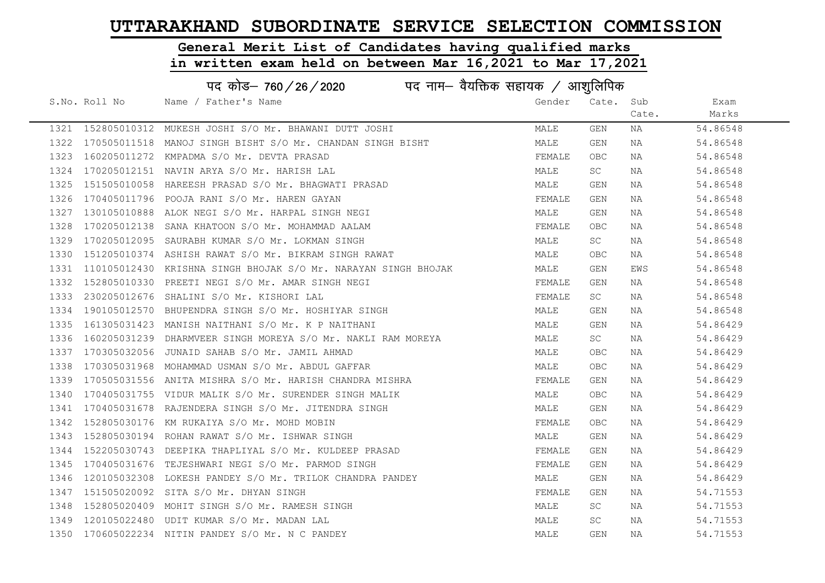# General Merit List of Candidates having qualified marks

|      | पद कोड– 760 / 26 / 2020 पद नाम– वैयक्तिक सहायक / आशुलिपिक |                                                                |        |            |       |          |  |
|------|-----------------------------------------------------------|----------------------------------------------------------------|--------|------------|-------|----------|--|
|      | S.No. Roll No                                             | Name / Father's Name                                           | Gender | Cate.      | Sub   | Exam     |  |
|      |                                                           |                                                                |        |            | Cate. | Marks    |  |
|      |                                                           | 1321 152805010312 MUKESH JOSHI S/O Mr. BHAWANI DUTT JOSHI      | MALE   | <b>GEN</b> | NA    | 54.86548 |  |
| 1322 | 170505011518                                              | MANOJ SINGH BISHT S/O Mr. CHANDAN SINGH BISHT                  | MALE   | GEN        | NA    | 54.86548 |  |
| 1323 |                                                           | 160205011272 KMPADMA S/O Mr. DEVTA PRASAD                      | FEMALE | OBC.       | NA    | 54.86548 |  |
| 1324 |                                                           | 170205012151 NAVIN ARYA S/O Mr. HARISH LAL                     | MALE   | SC         | NA    | 54.86548 |  |
| 1325 |                                                           | 151505010058 HAREESH PRASAD S/O Mr. BHAGWATI PRASAD            | MALE   | GEN        | NA    | 54.86548 |  |
| 1326 |                                                           | 170405011796 POOJA RANI S/O Mr. HAREN GAYAN                    | FEMALE | GEN        | NA    | 54.86548 |  |
| 1327 |                                                           | 130105010888 ALOK NEGI S/O Mr. HARPAL SINGH NEGI               | MALE   | GEN        | NA    | 54.86548 |  |
| 1328 |                                                           | 170205012138 SANA KHATOON S/O Mr. MOHAMMAD AALAM               | FEMALE | OBC        | NA    | 54.86548 |  |
| 1329 |                                                           | 170205012095 SAURABH KUMAR S/O Mr. LOKMAN SINGH                | MALE   | SC         | NA    | 54.86548 |  |
| 1330 |                                                           | 151205010374 ASHISH RAWAT S/O Mr. BIKRAM SINGH RAWAT           | MALE   | OBC.       | NA    | 54.86548 |  |
| 1331 |                                                           | 110105012430 KRISHNA SINGH BHOJAK S/O Mr. NARAYAN SINGH BHOJAK | MALE   | GEN        | EWS   | 54.86548 |  |
| 1332 |                                                           | 152805010330 PREETI NEGI S/O Mr. AMAR SINGH NEGI               | FEMALE | <b>GEN</b> | NA    | 54.86548 |  |
| 1333 |                                                           | 230205012676 SHALINI S/O Mr. KISHORI LAL                       | FEMALE | SC         | NA    | 54.86548 |  |
| 1334 |                                                           | 190105012570 BHUPENDRA SINGH S/O Mr. HOSHIYAR SINGH            | MALE   | GEN        | NA    | 54.86548 |  |
| 1335 |                                                           | 161305031423 MANISH NAITHANI S/O Mr. K P NAITHANI              | MALE   | GEN        | NA    | 54.86429 |  |
| 1336 |                                                           | 160205031239 DHARMVEER SINGH MOREYA S/O Mr. NAKLI RAM MOREYA   | MALE   | <b>SC</b>  | NA    | 54.86429 |  |
| 1337 | 170305032056                                              | JUNAID SAHAB S/O Mr. JAMIL AHMAD                               | MALE   | OBC        | NA    | 54.86429 |  |
| 1338 |                                                           | 170305031968 MOHAMMAD USMAN S/O Mr. ABDUL GAFFAR               | MALE   | <b>OBC</b> | NA    | 54.86429 |  |
| 1339 |                                                           | 170505031556 ANITA MISHRA S/O Mr. HARISH CHANDRA MISHRA        | FEMALE | GEN        | NA    | 54.86429 |  |
| 1340 |                                                           | 170405031755 VIDUR MALIK S/O Mr. SURENDER SINGH MALIK          | MALE   | <b>OBC</b> | NA    | 54.86429 |  |
| 1341 |                                                           | 170405031678 RAJENDERA SINGH S/O Mr. JITENDRA SINGH            | MALE   | GEN        | NA    | 54.86429 |  |
| 1342 |                                                           | 152805030176 KM RUKAIYA S/O Mr. MOHD MOBIN                     | FEMALE | <b>OBC</b> | NA    | 54.86429 |  |
| 1343 |                                                           | 152805030194 ROHAN RAWAT S/O Mr. ISHWAR SINGH                  | MALE   | <b>GEN</b> | NA    | 54.86429 |  |
| 1344 |                                                           | 152205030743 DEEPIKA THAPLIYAL S/O Mr. KULDEEP PRASAD          | FEMALE | GEN        | NA    | 54.86429 |  |
| 1345 | 170405031676                                              | TEJESHWARI NEGI S/O Mr. PARMOD SINGH                           | FEMALE | GEN        | NA    | 54.86429 |  |
| 1346 |                                                           | 120105032308 LOKESH PANDEY S/O Mr. TRILOK CHANDRA PANDEY       | MALE   | <b>GEN</b> | NA    | 54.86429 |  |
| 1347 |                                                           | 151505020092 SITA S/O Mr. DHYAN SINGH                          | FEMALE | GEN        | NA    | 54.71553 |  |
| 1348 |                                                           | 152805020409 MOHIT SINGH S/O Mr. RAMESH SINGH                  | MALE   | SC.        | NA    | 54.71553 |  |
| 1349 |                                                           | 120105022480 UDIT KUMAR S/O Mr. MADAN LAL                      | MALE   | SC         | NA    | 54.71553 |  |
|      |                                                           | 1350 170605022234 NITIN PANDEY S/O Mr. N C PANDEY              | MALE   | GEN        | NA    | 54.71553 |  |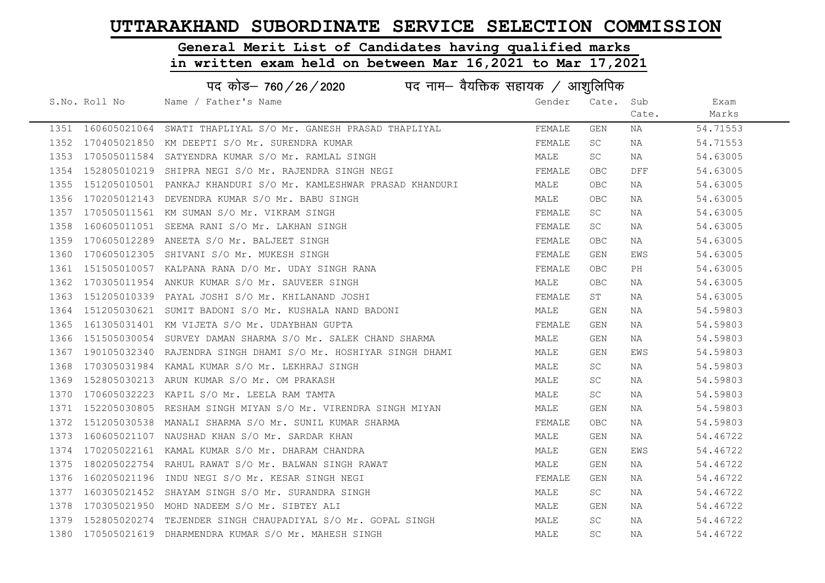#### General Merit List of Candidates having qualified marks

in written exam held on between Mar 16,2021 to Mar 17,2021

#### S.No. Roll No Solid Name / Father's Name Gender Cate. Sub Cate. Exam Marks पद कोड– 760/26/2020  $\,$ पद नाम– वैयक्तिक सहायक / आशुलिपिक 1351 160605021064 SWATI THAPLIYAL S/O Mr. GANESH PRASAD THAPLIYAL FEMALE GEN NA 54.71553 1352 170405021850 KM DEEPTI S/O Mr. SURENDRA KUMAR FEMALE SC NA 54.71553 1353 170505011584 SATYENDRA KUMAR S/O Mr. RAMLAL SINGH MALE SC NA 54.63005 1354 152805010219 SHIPRA NEGI S/O Mr. RAJENDRA SINGH NEGI FRANCH SHALL OBC DFF 54.63005 1355 151205010501 PANKAJ KHANDURI S/O Mr. KAMLESHWAR PRASAD KHANDURI MALE OBC NA 54.63005 1356 170205012143 DEVENDRA KUMAR S/O Mr. BABU SINGH MALE OBC NA 54.63005 1357 170505011561 KM SUMAN S/O Mr. VIKRAM SINGH FEMALE SC NA 54.63005 1358 160605011051 SEEMA RANI S/O Mr. LAKHAN SINGH FEMALE SC NA 54.63005 1359 170605012289 ANEETA S/O Mr. BALJEET SINGH FEMALE OBC NA 54.63005 1360 170605012305 SHIVANI S/O Mr. MUKESH SINGH FEMALE GEN EWS 54.63005 1361 151505010057 KALPANA RANA D/O Mr. UDAY SINGH RANA FEMAL FEMALE OBC PH 54.63005 1362 170305011954 ANKUR KUMAR S/O Mr. SAUVEER SINGH MALE OBC NA 54.63005 1363 151205010339 PAYAL JOSHI S/O Mr. KHILANAND JOSHI FEMALE ST NA 54.63005 1364 151205030621 SUMIT BADONI S/O Mr. KUSHALA NAND BADONI MALE GEN NA 54.59803 1365 161305031401 KM VIJETA S/O Mr. UDAYBHAN GUPTA FEMALE GEN NA 54.59803 1366 151505030054 SURVEY DAMAN SHARMA S/O Mr. SALEK CHAND SHARMA MALE GEN NA 54.59803 1367 190105032340 RAJENDRA SINGH DHAMI S/O Mr. HOSHIYAR SINGH DHAMI MALE GEN EWS 54.59803 1368 170305031984 KAMAL KUMAR S/O Mr. LEKHRAJ SINGH MALE SC NA 54.59803 1369 152805030213 ARUN KUMAR S/O Mr. OM PRAKASH MALE SC NA 54.59803 1370 170605032223 KAPIL S/O Mr. LEELA RAM TAMTA MALE SC NA 54.59803 1371 152205030805 RESHAM SINGH MIYAN S/O Mr. VIRENDRA SINGH MIYAN MALE GEN NA 54.59803 1372 151205030538 MANALI SHARMA S/O Mr. SUNIL KUMAR SHARMA FEMALE OBC NA 54.59803 1373 160605021107 NAUSHAD KHAN S/O Mr. SARDAR KHAN MALE GEN NA 54.46722 1374 170205022161 KAMAL KUMAR S/O Mr. DHARAM CHANDRA MANAN MALE GEN EWS 54.46722 1375 180205022754 RAHUL RAWAT S/O Mr. BALWAN SINGH RAWAT MALE GEN NA 54.46722 1376 160205021196 INDU NEGI S/O Mr. KESAR SINGH NEGI FEMALE FEMALE GEN NA 54.46722 1377 160305021452 SHAYAM SINGH S/O Mr. SURANDRA SINGH MALE SC NA 54.46722 1378 170305021950 MOHD NADEEM S/O Mr. SIBTEY ALI MALE GEN NA 54.46722 1379 152805020274 TEJENDER SINGH CHAUPADIYAL S/O Mr. GOPAL SINGH MALE SC NA 54.46722 1380 170505021619 DHARMENDRA KUMAR S/O Mr. MAHESH SINGH MALE SC NA 54.46722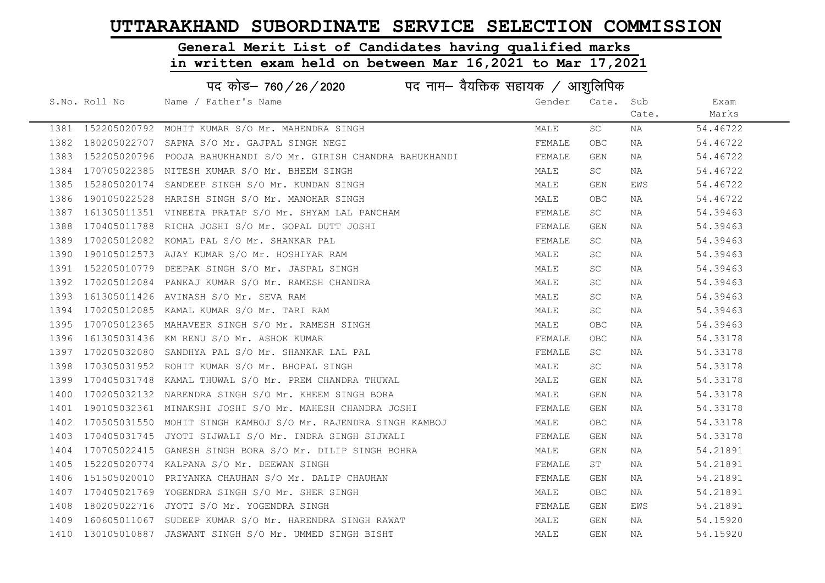# General Merit List of Candidates having qualified marks

|      |                   | पद कोड– 760/26/2020<br>पद नाम— वैयक्तिक सहायक $\diagup$ आशुलिपिक |        |            |       |          |
|------|-------------------|------------------------------------------------------------------|--------|------------|-------|----------|
|      | S.No. Roll No     | Name / Father's Name                                             | Gender | Cate.      | Sub   | Exam     |
|      |                   |                                                                  |        |            | Cate. | Marks    |
|      | 1381 152205020792 | MOHIT KUMAR S/O Mr. MAHENDRA SINGH                               | MALE   | SC         | NA    | 54.46722 |
|      |                   | 1382 180205022707 SAPNA S/O Mr. GAJPAL SINGH NEGI                | FEMALE | <b>OBC</b> | NA    | 54.46722 |
| 1383 |                   | 152205020796 POOJA BAHUKHANDI S/O Mr. GIRISH CHANDRA BAHUKHANDI  | FEMALE | GEN        | NA    | 54.46722 |
| 1384 |                   | 170705022385 NITESH KUMAR S/O Mr. BHEEM SINGH                    | MALE   | SC         | NA    | 54.46722 |
| 1385 |                   | 152805020174 SANDEEP SINGH S/O Mr. KUNDAN SINGH                  | MALE   | GEN        | EWS   | 54.46722 |
| 1386 |                   | 190105022528 HARISH SINGH S/O Mr. MANOHAR SINGH                  | MALE   | <b>OBC</b> | ΝA    | 54.46722 |
| 1387 |                   | 161305011351 VINEETA PRATAP S/O Mr. SHYAM LAL PANCHAM            | FEMALE | SC         | NA    | 54.39463 |
| 1388 |                   | 170405011788 RICHA JOSHI S/O Mr. GOPAL DUTT JOSHI                | FEMALE | GEN        | NA    | 54.39463 |
| 1389 |                   | 170205012082 KOMAL PAL S/O Mr. SHANKAR PAL                       | FEMALE | SC         | NA    | 54.39463 |
| 1390 |                   | 190105012573 AJAY KUMAR S/O Mr. HOSHIYAR RAM                     | MALE   | SC         | NA    | 54.39463 |
| 1391 |                   | 152205010779 DEEPAK SINGH S/O Mr. JASPAL SINGH                   | MALE   | SC         | NA    | 54.39463 |
| 1392 |                   | 170205012084 PANKAJ KUMAR S/O Mr. RAMESH CHANDRA                 | MALE   | SC         | NA    | 54.39463 |
| 1393 |                   | 161305011426 AVINASH S/O Mr. SEVA RAM                            | MALE   | SC         | NA    | 54.39463 |
| 1394 |                   | 170205012085 KAMAL KUMAR S/O Mr. TARI RAM                        | MALE   | SC         | NA    | 54.39463 |
| 1395 |                   | 170705012365 MAHAVEER SINGH S/O Mr. RAMESH SINGH                 | MALE   | OBC        | NA    | 54.39463 |
| 1396 |                   | 161305031436 KM RENU S/O Mr. ASHOK KUMAR                         | FEMALE | <b>OBC</b> | NA    | 54.33178 |
| 1397 |                   | 170205032080 SANDHYA PAL S/O Mr. SHANKAR LAL PAL                 | FEMALE | SC         | NA    | 54.33178 |
| 1398 |                   | 170305031952 ROHIT KUMAR S/O Mr. BHOPAL SINGH                    | MALE   | SC         | NA    | 54.33178 |
| 1399 |                   | 170405031748 KAMAL THUWAL S/O Mr. PREM CHANDRA THUWAL            | MALE   | GEN        | NA    | 54.33178 |
| 1400 |                   | 170205032132 NARENDRA SINGH S/O Mr. KHEEM SINGH BORA             | MALE   | <b>GEN</b> | NA    | 54.33178 |
| 1401 |                   | 190105032361 MINAKSHI JOSHI S/O Mr. MAHESH CHANDRA JOSHI         | FEMALE | GEN        | NA    | 54.33178 |
| 1402 |                   | 170505031550 MOHIT SINGH KAMBOJ S/O Mr. RAJENDRA SINGH KAMBOJ    | MALE   | <b>OBC</b> | NA    | 54.33178 |
| 1403 |                   | 170405031745 JYOTI SIJWALI S/O Mr. INDRA SINGH SIJWALI           | FEMALE | GEN        | NA    | 54.33178 |
| 1404 |                   | 170705022415 GANESH SINGH BORA S/O Mr. DILIP SINGH BOHRA         | MALE   | GEN        | NA    | 54.21891 |
| 1405 |                   | 152205020774 KALPANA S/O Mr. DEEWAN SINGH                        | FEMALE | ST         | NA    | 54.21891 |
| 1406 |                   | 151505020010 PRIYANKA CHAUHAN S/O Mr. DALIP CHAUHAN              | FEMALE | GEN        | NA    | 54.21891 |
| 1407 |                   | 170405021769 YOGENDRA SINGH S/O Mr. SHER SINGH                   | MALE   | <b>OBC</b> | NA    | 54.21891 |
| 1408 |                   | 180205022716 JYOTI S/O Mr. YOGENDRA SINGH                        | FEMALE | GEN        | EWS   | 54.21891 |
| 1409 |                   | 160605011067 SUDEEP KUMAR S/O Mr. HARENDRA SINGH RAWAT           | MALE   | GEN        | NA    | 54.15920 |
|      |                   | 1410 130105010887 JASWANT SINGH S/O Mr. UMMED SINGH BISHT        | MALE   | <b>GEN</b> | NA    | 54.15920 |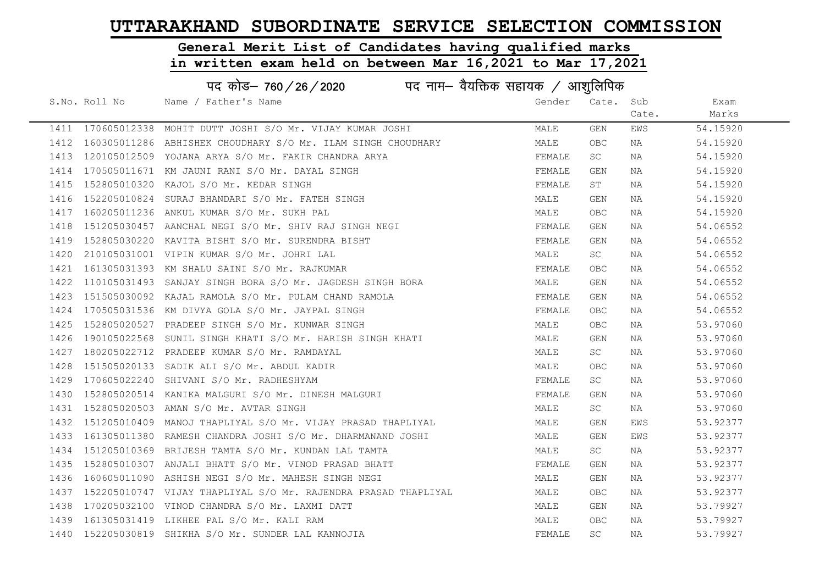# General Merit List of Candidates having qualified marks

|      | पद कोड– 760/26/2020<br>पद नाम— वैयक्तिक सहायक / आशुलिपिक |                                                                   |        |           |       |          |  |  |
|------|----------------------------------------------------------|-------------------------------------------------------------------|--------|-----------|-------|----------|--|--|
|      | S.No. Roll No                                            | Name / Father's Name                                              | Gender | Cate. Sub |       | Exam     |  |  |
|      |                                                          |                                                                   |        |           | Cate. | Marks    |  |  |
|      |                                                          | 1411 170605012338 MOHIT DUTT JOSHI S/O Mr. VIJAY KUMAR JOSHI      | MALE   | GEN       | EWS   | 54.15920 |  |  |
|      |                                                          | 1412 160305011286 ABHISHEK CHOUDHARY S/O Mr. ILAM SINGH CHOUDHARY | MALE   | OBC       | NA    | 54.15920 |  |  |
| 1413 |                                                          | 120105012509 YOJANA ARYA S/O Mr. FAKIR CHANDRA ARYA               | FEMALE | SC        | NA    | 54.15920 |  |  |
| 1414 |                                                          | 170505011671 KM JAUNI RANI S/O Mr. DAYAL SINGH                    | FEMALE | GEN       | NA    | 54.15920 |  |  |
| 1415 |                                                          | 152805010320 KAJOL S/O Mr. KEDAR SINGH                            | FEMALE | ST        | NA    | 54.15920 |  |  |
| 1416 |                                                          | 152205010824 SURAJ BHANDARI S/O Mr. FATEH SINGH                   | MALE   | GEN       | NA    | 54.15920 |  |  |
| 1417 |                                                          | 160205011236 ANKUL KUMAR S/O Mr. SUKH PAL                         | MALE   | OBC       | NA    | 54.15920 |  |  |
| 1418 |                                                          | 151205030457 AANCHAL NEGI S/O Mr. SHIV RAJ SINGH NEGI             | FEMALE | GEN       | NA    | 54.06552 |  |  |
| 1419 |                                                          | 152805030220 KAVITA BISHT S/O Mr. SURENDRA BISHT                  | FEMALE | GEN       | NA    | 54.06552 |  |  |
| 1420 |                                                          | 210105031001 VIPIN KUMAR S/O Mr. JOHRI LAL                        | MALE   | SC        | NA    | 54.06552 |  |  |
| 1421 |                                                          | 161305031393 KM SHALU SAINI S/O Mr. RAJKUMAR                      | FEMALE | OBC       | NA    | 54.06552 |  |  |
| 1422 |                                                          | 110105031493 SANJAY SINGH BORA S/O Mr. JAGDESH SINGH BORA         | MALE   | GEN       | NA    | 54.06552 |  |  |
| 1423 |                                                          | 151505030092 KAJAL RAMOLA S/O Mr. PULAM CHAND RAMOLA              | FEMALE | GEN       | NA    | 54.06552 |  |  |
| 1424 |                                                          | 170505031536 KM DIVYA GOLA S/O Mr. JAYPAL SINGH                   | FEMALE | OBC.      | NA    | 54.06552 |  |  |
| 1425 |                                                          | 152805020527 PRADEEP SINGH S/O Mr. KUNWAR SINGH                   | MALE   | OBC       | NA    | 53.97060 |  |  |
| 1426 |                                                          | 190105022568 SUNIL SINGH KHATI S/O Mr. HARISH SINGH KHATI         | MALE   | GEN       | NA    | 53.97060 |  |  |
| 1427 |                                                          | 180205022712 PRADEEP KUMAR S/O Mr. RAMDAYAL                       | MALE   | SC        | NA    | 53.97060 |  |  |
| 1428 |                                                          | 151505020133 SADIK ALI S/O Mr. ABDUL KADIR                        | MALE   | OBC       | NA    | 53.97060 |  |  |
| 1429 |                                                          | 170605022240 SHIVANI S/O Mr. RADHESHYAM                           | FEMALE | SC        | NA    | 53.97060 |  |  |
| 1430 |                                                          | 152805020514 KANIKA MALGURI S/O Mr. DINESH MALGURI                | FEMALE | GEN       | NA    | 53.97060 |  |  |
| 1431 |                                                          | 152805020503 AMAN S/O Mr. AVTAR SINGH                             | MALE   | <b>SC</b> | NA    | 53.97060 |  |  |
| 1432 |                                                          | 151205010409 MANOJ THAPLIYAL S/O Mr. VIJAY PRASAD THAPLIYAL       | MALE   | GEN       | EWS   | 53.92377 |  |  |
| 1433 |                                                          | 161305011380 RAMESH CHANDRA JOSHI S/O Mr. DHARMANAND JOSHI        | MALE   | GEN       | EWS   | 53.92377 |  |  |
| 1434 |                                                          | 151205010369 BRIJESH TAMTA S/O Mr. KUNDAN LAL TAMTA               | MALE   | <b>SC</b> | NA    | 53.92377 |  |  |
| 1435 |                                                          | 152805010307 ANJALI BHATT S/O Mr. VINOD PRASAD BHATT              | FEMALE | GEN       | ΝA    | 53.92377 |  |  |
| 1436 |                                                          | 160605011090 ASHISH NEGI S/O Mr. MAHESH SINGH NEGI                | MALE   | GEN       | NA    | 53.92377 |  |  |
| 1437 |                                                          | 152205010747 VIJAY THAPLIYAL S/O Mr. RAJENDRA PRASAD THAPLIYAL    | MALE   | OBC       | NA    | 53.92377 |  |  |
| 1438 |                                                          | 170205032100 VINOD CHANDRA S/O Mr. LAXMI DATT                     | MALE   | GEN       | NA    | 53.79927 |  |  |
| 1439 |                                                          | 161305031419 LIKHEE PAL S/O Mr. KALI RAM                          | MALE   | OBC       | NA    | 53.79927 |  |  |
|      |                                                          | 1440 152205030819 SHIKHA S/O Mr. SUNDER LAL KANNOJIA              | FEMALE | <b>SC</b> | ΝA    | 53.79927 |  |  |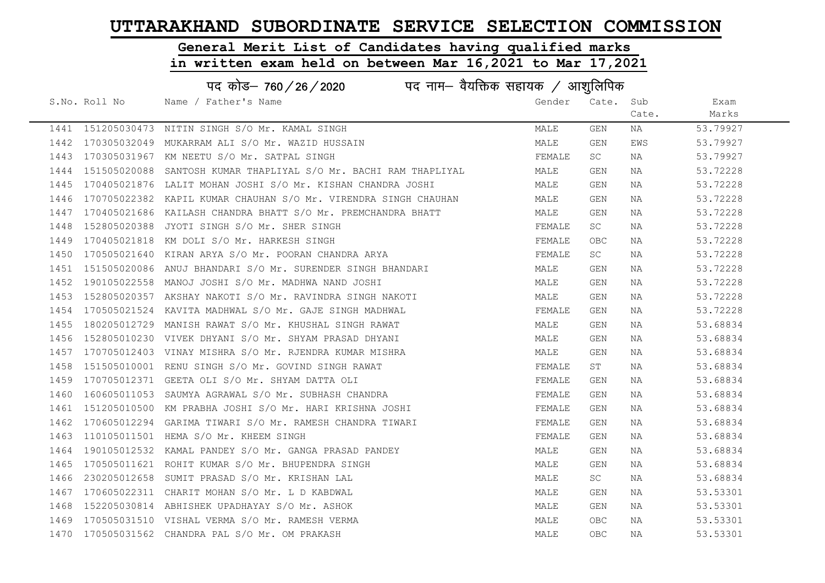#### General Merit List of Candidates having qualified marks

|      | पद कोड़– 760 / 26 / 2020 पद नाम– वैयक्तिक सहायक / आशुलिपिक |                                                                 |        |            |       |          |  |
|------|------------------------------------------------------------|-----------------------------------------------------------------|--------|------------|-------|----------|--|
|      | S.No. Roll No                                              | Name / Father's Name                                            | Gender | Cate.      | Sub   | Exam     |  |
|      |                                                            |                                                                 |        |            | Cate. | Marks    |  |
|      |                                                            | 1441 151205030473 NITIN SINGH S/O Mr. KAMAL SINGH               | MALE   | GEN        | NA    | 53.79927 |  |
| 1442 | 170305032049                                               | MUKARRAM ALI S/O Mr. WAZID HUSSAIN                              | MALE   | GEN        | EWS   | 53.79927 |  |
| 1443 |                                                            | 170305031967 KM NEETU S/O Mr. SATPAL SINGH                      | FEMALE | SC         | NA    | 53.79927 |  |
| 1444 | 151505020088                                               | SANTOSH KUMAR THAPLIYAL S/O Mr. BACHI RAM THAPLIYAL             | MALE   | GEN        | NA    | 53.72228 |  |
| 1445 |                                                            | 170405021876 LALIT MOHAN JOSHI S/O Mr. KISHAN CHANDRA JOSHI     | MALE   | GEN        | NA    | 53.72228 |  |
| 1446 |                                                            | 170705022382 KAPIL KUMAR CHAUHAN S/O Mr. VIRENDRA SINGH CHAUHAN | MALE   | GEN        | NA    | 53.72228 |  |
| 1447 | 170405021686                                               | KAILASH CHANDRA BHATT S/O Mr. PREMCHANDRA BHATT                 | MALE   | GEN        | NA    | 53.72228 |  |
| 1448 | 152805020388                                               | JYOTI SINGH S/O Mr. SHER SINGH                                  | FEMALE | SC         | NA    | 53.72228 |  |
| 1449 |                                                            | 170405021818 KM DOLI S/O Mr. HARKESH SINGH                      | FEMALE | OBC        | NA    | 53.72228 |  |
| 1450 |                                                            | 170505021640 KIRAN ARYA S/O Mr. POORAN CHANDRA ARYA             | FEMALE | SC         | NA    | 53.72228 |  |
| 1451 |                                                            | 151505020086 ANUJ BHANDARI S/O Mr. SURENDER SINGH BHANDARI      | MALE   | GEN        | NA    | 53.72228 |  |
| 1452 | 190105022558                                               | MANOJ JOSHI S/O Mr. MADHWA NAND JOSHI                           | MALE   | GEN        | NA    | 53.72228 |  |
| 1453 |                                                            | 152805020357 AKSHAY NAKOTI S/O Mr. RAVINDRA SINGH NAKOTI        | MALE   | GEN        | NA    | 53.72228 |  |
| 1454 |                                                            | 170505021524 KAVITA MADHWAL S/O Mr. GAJE SINGH MADHWAL          | FEMALE | GEN        | NA    | 53.72228 |  |
| 1455 |                                                            | 180205012729 MANISH RAWAT S/O Mr. KHUSHAL SINGH RAWAT           | MALE   | GEN        | NA    | 53.68834 |  |
| 1456 |                                                            | 152805010230 VIVEK DHYANI S/O Mr. SHYAM PRASAD DHYANI           | MALE   | <b>GEN</b> | NA    | 53.68834 |  |
| 1457 |                                                            | 170705012403 VINAY MISHRA S/O Mr. RJENDRA KUMAR MISHRA          | MALE   | GEN        | NA    | 53.68834 |  |
| 1458 |                                                            | 151505010001 RENU SINGH S/O Mr. GOVIND SINGH RAWAT              | FEMALE | ST         | NA    | 53.68834 |  |
| 1459 |                                                            | 170705012371 GEETA OLI S/O Mr. SHYAM DATTA OLI                  | FEMALE | GEN        | NA    | 53.68834 |  |
| 1460 |                                                            | 160605011053 SAUMYA AGRAWAL S/O Mr. SUBHASH CHANDRA             | FEMALE | GEN        | NA    | 53.68834 |  |
| 1461 |                                                            | 151205010500 KM PRABHA JOSHI S/O Mr. HARI KRISHNA JOSHI         | FEMALE | GEN        | NA    | 53.68834 |  |
| 1462 |                                                            | 170605012294 GARIMA TIWARI S/O Mr. RAMESH CHANDRA TIWARI        | FEMALE | GEN        | NA    | 53.68834 |  |
| 1463 |                                                            | 110105011501 HEMA S/O Mr. KHEEM SINGH                           | FEMALE | GEN        | NA    | 53.68834 |  |
| 1464 |                                                            | 190105012532 KAMAL PANDEY S/O Mr. GANGA PRASAD PANDEY           | MALE   | GEN        | NA    | 53.68834 |  |
| 1465 | 170505011621                                               | ROHIT KUMAR S/O Mr. BHUPENDRA SINGH                             | MALE   | GEN        | NA    | 53.68834 |  |
| 1466 |                                                            | 230205012658 SUMIT PRASAD S/O Mr. KRISHAN LAL                   | MALE   | SC         | NA    | 53.68834 |  |
| 1467 | 170605022311                                               | CHARIT MOHAN S/O Mr. L D KABDWAL                                | MALE   | GEN        | NA    | 53.53301 |  |
| 1468 |                                                            | 152205030814 ABHISHEK UPADHAYAY S/O Mr. ASHOK                   | MALE   | GEN        | NA    | 53.53301 |  |
| 1469 |                                                            | 170505031510 VISHAL VERMA S/O Mr. RAMESH VERMA                  | MALE   | OBC        | NA    | 53.53301 |  |
| 1470 |                                                            | 170505031562 CHANDRA PAL S/O Mr. OM PRAKASH                     | MALE   | <b>OBC</b> | ΝA    | 53.53301 |  |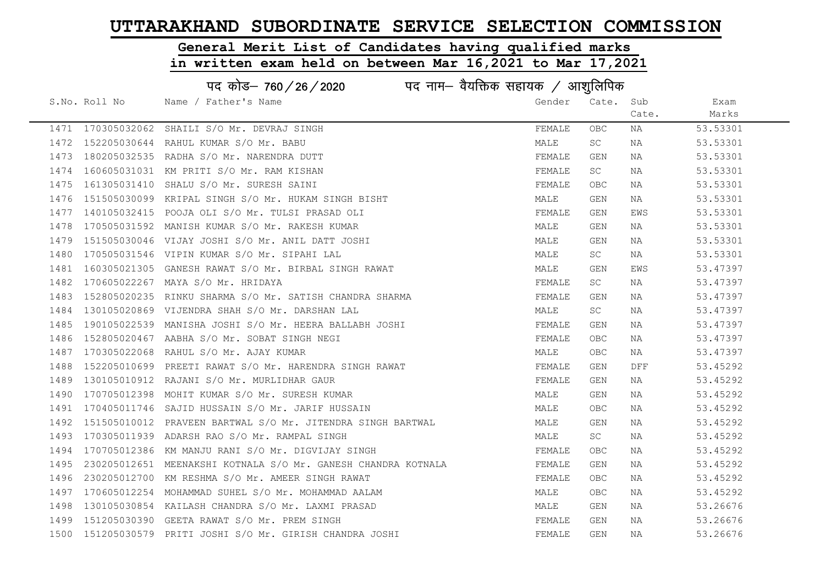# General Merit List of Candidates having qualified marks

| पद कोड– 760/26/2020<br>पद नाम– वैयक्तिक सहायक / आशुलिपिक |               |                                                               |        |            |       |          |
|----------------------------------------------------------|---------------|---------------------------------------------------------------|--------|------------|-------|----------|
|                                                          | S.No. Roll No | Name / Father's Name                                          | Gender | Cate.      | Sub   | Exam     |
|                                                          |               |                                                               |        |            | Cate. | Marks    |
|                                                          |               | 1471 170305032062 SHAILI S/O Mr. DEVRAJ SINGH                 | FEMALE | <b>OBC</b> | NA    | 53.53301 |
| 1472                                                     | 152205030644  | RAHUL KUMAR S/O Mr. BABU                                      | MALE   | SC         | NA    | 53.53301 |
| 1473                                                     |               | 180205032535 RADHA S/O Mr. NARENDRA DUTT                      | FEMALE | <b>GEN</b> | NA    | 53.53301 |
| 1474                                                     |               | 160605031031 KM PRITI S/O Mr. RAM KISHAN                      | FEMALE | SC         | NA    | 53.53301 |
| 1475                                                     |               | 161305031410 SHALU S/O Mr. SURESH SAINI                       | FEMALE | OBC.       | NA    | 53.53301 |
| 1476                                                     |               | 151505030099 KRIPAL SINGH S/O Mr. HUKAM SINGH BISHT           | MALE   | GEN        | NA    | 53.53301 |
| 1477                                                     |               | 140105032415 POOJA OLI S/O Mr. TULSI PRASAD OLI               | FEMALE | GEN        | EWS   | 53.53301 |
| 1478                                                     |               | 170505031592 MANISH KUMAR S/O Mr. RAKESH KUMAR                | MALE   | GEN        | NA    | 53.53301 |
| 1479                                                     |               | 151505030046 VIJAY JOSHI S/O Mr. ANIL DATT JOSHI              | MALE   | GEN        | NA    | 53.53301 |
| 1480                                                     |               | 170505031546 VIPIN KUMAR S/O Mr. SIPAHI LAL                   | MALE   | SC         | NA    | 53.53301 |
| 1481                                                     |               | 160305021305 GANESH RAWAT S/O Mr. BIRBAL SINGH RAWAT          | MALE   | GEN        | EWS   | 53.47397 |
| 1482                                                     |               | 170605022267 MAYA S/O Mr. HRIDAYA                             | FEMALE | <b>SC</b>  | NA    | 53.47397 |
| 1483                                                     |               | 152805020235 RINKU SHARMA S/O Mr. SATISH CHANDRA SHARMA       | FEMALE | <b>GEN</b> | NA    | 53.47397 |
| 1484                                                     |               | 130105020869 VIJENDRA SHAH S/O Mr. DARSHAN LAL                | MALE   | SC         | NA    | 53.47397 |
| 1485                                                     |               | 190105022539 MANISHA JOSHI S/O Mr. HEERA BALLABH JOSHI        | FEMALE | <b>GEN</b> | NA    | 53.47397 |
| 1486                                                     |               | 152805020467 AABHA S/O Mr. SOBAT SINGH NEGI                   | FEMALE | <b>OBC</b> | NA    | 53.47397 |
| 1487                                                     |               | 170305022068 RAHUL S/O Mr. AJAY KUMAR                         | MALE   | OBC        | NA    | 53.47397 |
| 1488                                                     |               | 152205010699 PREETI RAWAT S/O Mr. HARENDRA SINGH RAWAT        | FEMALE | GEN        | DFF   | 53.45292 |
| 1489                                                     |               | 130105010912 RAJANI S/O Mr. MURLIDHAR GAUR                    | FEMALE | GEN        | NA    | 53.45292 |
| 1490                                                     |               | 170705012398 MOHIT KUMAR S/O Mr. SURESH KUMAR                 | MALE   | GEN        | NA    | 53.45292 |
| 1491                                                     |               | 170405011746 SAJID HUSSAIN S/O Mr. JARIF HUSSAIN              | MALE   | OBC.       | NA    | 53.45292 |
| 1492                                                     |               | 151505010012 PRAVEEN BARTWAL S/O Mr. JITENDRA SINGH BARTWAL   | MALE   | GEN        | NA    | 53.45292 |
| 1493                                                     |               | 170305011939 ADARSH RAO S/O Mr. RAMPAL SINGH                  | MALE   | <b>SC</b>  | NA    | 53.45292 |
| 1494                                                     |               | 170705012386 KM MANJU RANI S/O Mr. DIGVIJAY SINGH             | FEMALE | <b>OBC</b> | NA    | 53.45292 |
| 1495                                                     |               | 230205012651 MEENAKSHI KOTNALA S/O Mr. GANESH CHANDRA KOTNALA | FEMALE | GEN        | NA    | 53.45292 |
| 1496                                                     |               | 230205012700 KM RESHMA S/O Mr. AMEER SINGH RAWAT              | FEMALE | OBC.       | NA    | 53.45292 |
| 1497                                                     |               | 170605012254 MOHAMMAD SUHEL S/O Mr. MOHAMMAD AALAM            | MALE   | OBC.       | NA    | 53.45292 |
| 1498                                                     |               | 130105030854 KAILASH CHANDRA S/O Mr. LAXMI PRASAD             | MALE   | GEN        | NA    | 53.26676 |
| 1499                                                     |               | 151205030390 GEETA RAWAT S/O Mr. PREM SINGH                   | FEMALE | GEN        | NA    | 53.26676 |
|                                                          |               | 1500 151205030579 PRITI JOSHI S/O Mr. GIRISH CHANDRA JOSHI    | FEMALE | <b>GEN</b> | ΝA    | 53.26676 |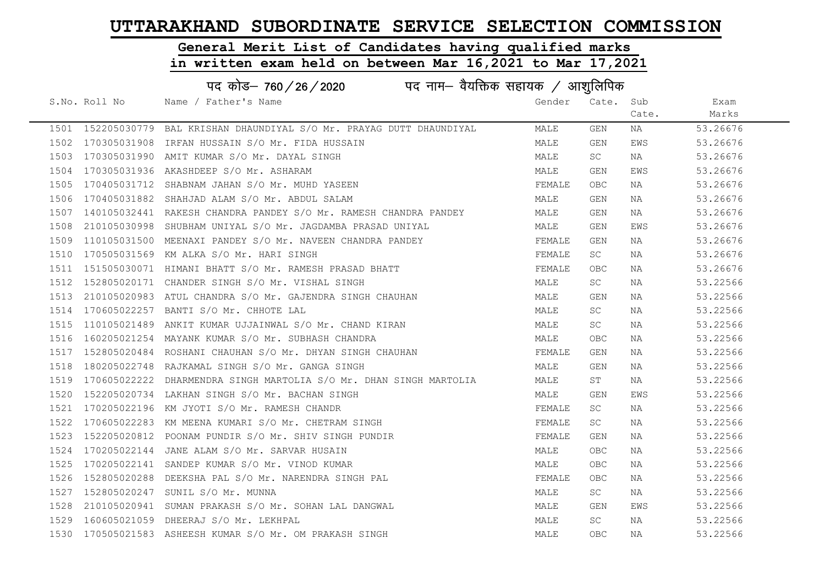#### General Merit List of Candidates having qualified marks

in written exam held on between Mar 16,2021 to Mar 17,2021

| पद कोड– 760/26/2020 |                                        |                                                                                                                                                                                                                                                                                                                                                                                                                                                                                                                                                                                                                                                                                                                                                                                                                                                                                                                                                                                                                                                                                                                                                                                                                                                                                                                                                                                |            |       |                                           |  |
|---------------------|----------------------------------------|--------------------------------------------------------------------------------------------------------------------------------------------------------------------------------------------------------------------------------------------------------------------------------------------------------------------------------------------------------------------------------------------------------------------------------------------------------------------------------------------------------------------------------------------------------------------------------------------------------------------------------------------------------------------------------------------------------------------------------------------------------------------------------------------------------------------------------------------------------------------------------------------------------------------------------------------------------------------------------------------------------------------------------------------------------------------------------------------------------------------------------------------------------------------------------------------------------------------------------------------------------------------------------------------------------------------------------------------------------------------------------|------------|-------|-------------------------------------------|--|
|                     | Name / Father's Name                   | Gender                                                                                                                                                                                                                                                                                                                                                                                                                                                                                                                                                                                                                                                                                                                                                                                                                                                                                                                                                                                                                                                                                                                                                                                                                                                                                                                                                                         | Cate.      | Sub   | Exam                                      |  |
|                     |                                        |                                                                                                                                                                                                                                                                                                                                                                                                                                                                                                                                                                                                                                                                                                                                                                                                                                                                                                                                                                                                                                                                                                                                                                                                                                                                                                                                                                                |            | Cate. | Marks                                     |  |
| 152205030779        |                                        | MALE                                                                                                                                                                                                                                                                                                                                                                                                                                                                                                                                                                                                                                                                                                                                                                                                                                                                                                                                                                                                                                                                                                                                                                                                                                                                                                                                                                           | GEN        | NA    | 53.26676                                  |  |
| 170305031908        | IRFAN HUSSAIN S/O Mr. FIDA HUSSAIN     | MALE                                                                                                                                                                                                                                                                                                                                                                                                                                                                                                                                                                                                                                                                                                                                                                                                                                                                                                                                                                                                                                                                                                                                                                                                                                                                                                                                                                           | GEN        | EWS   | 53.26676                                  |  |
|                     |                                        | MALE                                                                                                                                                                                                                                                                                                                                                                                                                                                                                                                                                                                                                                                                                                                                                                                                                                                                                                                                                                                                                                                                                                                                                                                                                                                                                                                                                                           | SC         | NA    | 53.26676                                  |  |
|                     |                                        | MALE                                                                                                                                                                                                                                                                                                                                                                                                                                                                                                                                                                                                                                                                                                                                                                                                                                                                                                                                                                                                                                                                                                                                                                                                                                                                                                                                                                           | GEN        | EWS   | 53.26676                                  |  |
|                     |                                        | FEMALE                                                                                                                                                                                                                                                                                                                                                                                                                                                                                                                                                                                                                                                                                                                                                                                                                                                                                                                                                                                                                                                                                                                                                                                                                                                                                                                                                                         | OBC.       | NA    | 53.26676                                  |  |
|                     | SHAHJAD ALAM S/O Mr. ABDUL SALAM       | MALE                                                                                                                                                                                                                                                                                                                                                                                                                                                                                                                                                                                                                                                                                                                                                                                                                                                                                                                                                                                                                                                                                                                                                                                                                                                                                                                                                                           | GEN        | NA    | 53.26676                                  |  |
|                     |                                        | MALE                                                                                                                                                                                                                                                                                                                                                                                                                                                                                                                                                                                                                                                                                                                                                                                                                                                                                                                                                                                                                                                                                                                                                                                                                                                                                                                                                                           | GEN        | NA    | 53.26676                                  |  |
|                     |                                        | MALE                                                                                                                                                                                                                                                                                                                                                                                                                                                                                                                                                                                                                                                                                                                                                                                                                                                                                                                                                                                                                                                                                                                                                                                                                                                                                                                                                                           | GEN        | EWS   | 53.26676                                  |  |
|                     |                                        | FEMALE                                                                                                                                                                                                                                                                                                                                                                                                                                                                                                                                                                                                                                                                                                                                                                                                                                                                                                                                                                                                                                                                                                                                                                                                                                                                                                                                                                         | GEN        | NA    | 53.26676                                  |  |
|                     |                                        | FEMALE                                                                                                                                                                                                                                                                                                                                                                                                                                                                                                                                                                                                                                                                                                                                                                                                                                                                                                                                                                                                                                                                                                                                                                                                                                                                                                                                                                         | SC         | NA    | 53.26676                                  |  |
|                     |                                        | FEMALE                                                                                                                                                                                                                                                                                                                                                                                                                                                                                                                                                                                                                                                                                                                                                                                                                                                                                                                                                                                                                                                                                                                                                                                                                                                                                                                                                                         | OBC        | NA    | 53.26676                                  |  |
|                     |                                        | MALE                                                                                                                                                                                                                                                                                                                                                                                                                                                                                                                                                                                                                                                                                                                                                                                                                                                                                                                                                                                                                                                                                                                                                                                                                                                                                                                                                                           | SC         | NA    | 53.22566                                  |  |
|                     |                                        | MALE                                                                                                                                                                                                                                                                                                                                                                                                                                                                                                                                                                                                                                                                                                                                                                                                                                                                                                                                                                                                                                                                                                                                                                                                                                                                                                                                                                           | GEN        | NA    | 53.22566                                  |  |
|                     | BANTI S/O Mr. CHHOTE LAL               | MALE                                                                                                                                                                                                                                                                                                                                                                                                                                                                                                                                                                                                                                                                                                                                                                                                                                                                                                                                                                                                                                                                                                                                                                                                                                                                                                                                                                           | SC.        | NA    | 53.22566                                  |  |
|                     |                                        | MALE                                                                                                                                                                                                                                                                                                                                                                                                                                                                                                                                                                                                                                                                                                                                                                                                                                                                                                                                                                                                                                                                                                                                                                                                                                                                                                                                                                           | SC         | NA    | 53.22566                                  |  |
|                     |                                        | MALE                                                                                                                                                                                                                                                                                                                                                                                                                                                                                                                                                                                                                                                                                                                                                                                                                                                                                                                                                                                                                                                                                                                                                                                                                                                                                                                                                                           | OBC        | NA    | 53.22566                                  |  |
|                     |                                        | FEMALE                                                                                                                                                                                                                                                                                                                                                                                                                                                                                                                                                                                                                                                                                                                                                                                                                                                                                                                                                                                                                                                                                                                                                                                                                                                                                                                                                                         | GEN        | NA    | 53.22566                                  |  |
|                     |                                        | MALE                                                                                                                                                                                                                                                                                                                                                                                                                                                                                                                                                                                                                                                                                                                                                                                                                                                                                                                                                                                                                                                                                                                                                                                                                                                                                                                                                                           | GEN        | NA    | 53.22566                                  |  |
| 170605022222        |                                        | MALE                                                                                                                                                                                                                                                                                                                                                                                                                                                                                                                                                                                                                                                                                                                                                                                                                                                                                                                                                                                                                                                                                                                                                                                                                                                                                                                                                                           | SΤ         | NA    | 53.22566                                  |  |
|                     |                                        | MALE                                                                                                                                                                                                                                                                                                                                                                                                                                                                                                                                                                                                                                                                                                                                                                                                                                                                                                                                                                                                                                                                                                                                                                                                                                                                                                                                                                           | GEN        | EWS   | 53.22566                                  |  |
|                     |                                        | FEMALE                                                                                                                                                                                                                                                                                                                                                                                                                                                                                                                                                                                                                                                                                                                                                                                                                                                                                                                                                                                                                                                                                                                                                                                                                                                                                                                                                                         | SC         | NA    | 53.22566                                  |  |
|                     |                                        | FEMALE                                                                                                                                                                                                                                                                                                                                                                                                                                                                                                                                                                                                                                                                                                                                                                                                                                                                                                                                                                                                                                                                                                                                                                                                                                                                                                                                                                         | SC         | NA    | 53.22566                                  |  |
|                     |                                        | FEMALE                                                                                                                                                                                                                                                                                                                                                                                                                                                                                                                                                                                                                                                                                                                                                                                                                                                                                                                                                                                                                                                                                                                                                                                                                                                                                                                                                                         | GEN        | NA    | 53.22566                                  |  |
|                     |                                        | MALE                                                                                                                                                                                                                                                                                                                                                                                                                                                                                                                                                                                                                                                                                                                                                                                                                                                                                                                                                                                                                                                                                                                                                                                                                                                                                                                                                                           | OBC        | NA    | 53.22566                                  |  |
|                     |                                        | MALE                                                                                                                                                                                                                                                                                                                                                                                                                                                                                                                                                                                                                                                                                                                                                                                                                                                                                                                                                                                                                                                                                                                                                                                                                                                                                                                                                                           | OBC        | NA    | 53.22566                                  |  |
| 152805020288        | DEEKSHA PAL S/O Mr. NARENDRA SINGH PAL | FEMALE                                                                                                                                                                                                                                                                                                                                                                                                                                                                                                                                                                                                                                                                                                                                                                                                                                                                                                                                                                                                                                                                                                                                                                                                                                                                                                                                                                         | <b>OBC</b> | NA    | 53.22566                                  |  |
|                     | SUNIL S/O Mr. MUNNA                    | MALE                                                                                                                                                                                                                                                                                                                                                                                                                                                                                                                                                                                                                                                                                                                                                                                                                                                                                                                                                                                                                                                                                                                                                                                                                                                                                                                                                                           | <b>SC</b>  | NA    | 53.22566                                  |  |
|                     |                                        | MALE                                                                                                                                                                                                                                                                                                                                                                                                                                                                                                                                                                                                                                                                                                                                                                                                                                                                                                                                                                                                                                                                                                                                                                                                                                                                                                                                                                           | GEN        | EWS   | 53.22566                                  |  |
|                     |                                        | MALE                                                                                                                                                                                                                                                                                                                                                                                                                                                                                                                                                                                                                                                                                                                                                                                                                                                                                                                                                                                                                                                                                                                                                                                                                                                                                                                                                                           | SC         | ΝA    | 53.22566                                  |  |
|                     | S.No. Roll No                          | BAL KRISHAN DHAUNDIYAL S/O Mr. PRAYAG DUTT DHAUNDIYAL<br>170305031990 AMIT KUMAR S/O Mr. DAYAL SINGH<br>170305031936 AKASHDEEP S/O Mr. ASHARAM<br>170405031712 SHABNAM JAHAN S/O Mr. MUHD YASEEN<br>170405031882<br>140105032441 RAKESH CHANDRA PANDEY S/O Mr. RAMESH CHANDRA PANDEY<br>210105030998 SHUBHAM UNIYAL S/O Mr. JAGDAMBA PRASAD UNIYAL<br>110105031500 MEENAXI PANDEY S/O Mr. NAVEEN CHANDRA PANDEY<br>170505031569 KM ALKA S/O Mr. HARI SINGH<br>151505030071 HIMANI BHATT S/O Mr. RAMESH PRASAD BHATT<br>152805020171 CHANDER SINGH S/O Mr. VISHAL SINGH<br>210105020983 ATUL CHANDRA S/O Mr. GAJENDRA SINGH CHAUHAN<br>170605022257<br>110105021489 ANKIT KUMAR UJJAINWAL S/O Mr. CHAND KIRAN<br>160205021254 MAYANK KUMAR S/O Mr. SUBHASH CHANDRA<br>152805020484 ROSHANI CHAUHAN S/O Mr. DHYAN SINGH CHAUHAN<br>180205022748 RAJKAMAL SINGH S/O Mr. GANGA SINGH<br>DHARMENDRA SINGH MARTOLIA S/O Mr. DHAN SINGH MARTOLIA<br>152205020734 LAKHAN SINGH S/O Mr. BACHAN SINGH<br>170205022196 KM JYOTI S/O Mr. RAMESH CHANDR<br>170605022283 KM MEENA KUMARI S/O Mr. CHETRAM SINGH<br>152205020812 POONAM PUNDIR S/O Mr. SHIV SINGH PUNDIR<br>170205022144 JANE ALAM S/O Mr. SARVAR HUSAIN<br>170205022141 SANDEP KUMAR S/O Mr. VINOD KUMAR<br>152805020247<br>210105020941 SUMAN PRAKASH S/O Mr. SOHAN LAL DANGWAL<br>1529 160605021059 DHEERAJ S/O Mr. LEKHPAL |            |       | पद नाम— वैयक्तिक सहायक $\;\;/\;$ आशुलिपिक |  |

1530 170505021583 ASHEESH KUMAR S/O Mr. OM PRAKASH SINGH MALE OBC NA 53.22566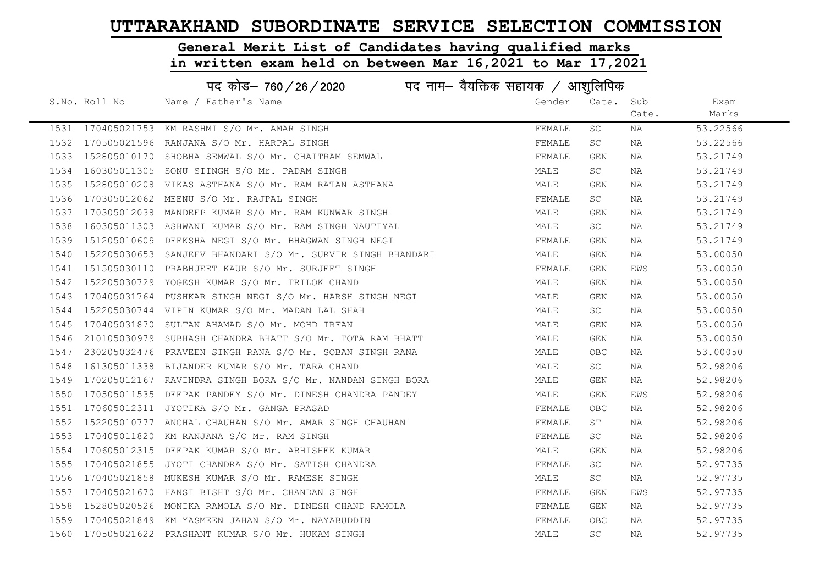# General Merit List of Candidates having qualified marks

|      | पद कोड़- 760 / 26 / 2020 पद नाम- वैयक्तिक सहायक / आशुलिपिक |                                                             |        |            |       |          |  |
|------|------------------------------------------------------------|-------------------------------------------------------------|--------|------------|-------|----------|--|
|      | S.No. Roll No                                              | Name / Father's Name                                        | Gender | Cate. Sub  |       | Exam     |  |
|      |                                                            |                                                             |        |            | Cate. | Marks    |  |
|      |                                                            | 1531 170405021753 KM RASHMI S/O Mr. AMAR SINGH              | FEMALE | SC         | NA    | 53.22566 |  |
| 1532 |                                                            | 170505021596 RANJANA S/O Mr. HARPAL SINGH                   | FEMALE | SC         | NA    | 53.22566 |  |
| 1533 |                                                            | 152805010170 SHOBHA SEMWAL S/O Mr. CHAITRAM SEMWAL          | FEMALE | GEN        | NA    | 53.21749 |  |
| 1534 |                                                            | 160305011305 SONU SIINGH S/O Mr. PADAM SINGH                | MALE   | <b>SC</b>  | NA    | 53.21749 |  |
| 1535 |                                                            | 152805010208 VIKAS ASTHANA S/O Mr. RAM RATAN ASTHANA        | MALE   | GEN        | NA    | 53.21749 |  |
| 1536 |                                                            | 170305012062 MEENU S/O Mr. RAJPAL SINGH                     | FEMALE | SC         | NA    | 53.21749 |  |
| 1537 |                                                            | 170305012038 MANDEEP KUMAR S/O Mr. RAM KUNWAR SINGH         | MALE   | GEN        | NA    | 53.21749 |  |
| 1538 |                                                            | 160305011303 ASHWANI KUMAR S/O Mr. RAM SINGH NAUTIYAL       | MALE   | SC         | NA    | 53.21749 |  |
| 1539 |                                                            | 151205010609 DEEKSHA NEGI S/O Mr. BHAGWAN SINGH NEGI        | FEMALE | GEN        | NA    | 53.21749 |  |
| 1540 |                                                            | 152205030653 SANJEEV BHANDARI S/O Mr. SURVIR SINGH BHANDARI | MALE   | GEN        | NA    | 53.00050 |  |
| 1541 |                                                            | 151505030110 PRABHJEET KAUR S/O Mr. SURJEET SINGH           | FEMALE | GEN        | EWS   | 53.00050 |  |
| 1542 |                                                            | 152205030729 YOGESH KUMAR S/O Mr. TRILOK CHAND              | MALE   | GEN        | NA    | 53.00050 |  |
| 1543 |                                                            | 170405031764 PUSHKAR SINGH NEGI S/O Mr. HARSH SINGH NEGI    | MALE   | GEN        | NA    | 53.00050 |  |
| 1544 |                                                            | 152205030744 VIPIN KUMAR S/O Mr. MADAN LAL SHAH             | MALE   | SC .       | NA    | 53.00050 |  |
| 1545 |                                                            | 170405031870 SULTAN AHAMAD S/O Mr. MOHD IRFAN               | MALE   | GEN        | NA    | 53.00050 |  |
| 1546 |                                                            | 210105030979 SUBHASH CHANDRA BHATT S/O Mr. TOTA RAM BHATT   | MALE   | GEN        | NA    | 53.00050 |  |
| 1547 |                                                            | 230205032476 PRAVEEN SINGH RANA S/O Mr. SOBAN SINGH RANA    | MALE   | OBC.       | NA    | 53.00050 |  |
| 1548 |                                                            | 161305011338 BIJANDER KUMAR S/O Mr. TARA CHAND              | MALE   | SC         | NA    | 52.98206 |  |
| 1549 |                                                            | 170205012167 RAVINDRA SINGH BORA S/O Mr. NANDAN SINGH BORA  | MALE   | GEN        | NA    | 52.98206 |  |
| 1550 |                                                            | 170505011535 DEEPAK PANDEY S/O Mr. DINESH CHANDRA PANDEY    | MALE   | GEN        | EWS   | 52.98206 |  |
| 1551 |                                                            | 170605012311 JYOTIKA S/O Mr. GANGA PRASAD                   | FEMALE | OBC.       | NA    | 52.98206 |  |
| 1552 |                                                            | 152205010777 ANCHAL CHAUHAN S/O Mr. AMAR SINGH CHAUHAN      | FEMALE | ST         | NA    | 52.98206 |  |
| 1553 |                                                            | 170405011820 KM RANJANA S/O Mr. RAM SINGH                   | FEMALE | SC         | NA    | 52.98206 |  |
| 1554 |                                                            | 170605012315 DEEPAK KUMAR S/O Mr. ABHISHEK KUMAR            | MALE   | <b>GEN</b> | NA    | 52.98206 |  |
| 1555 |                                                            | 170405021855 JYOTI CHANDRA S/O Mr. SATISH CHANDRA           | FEMALE | SC         | NA    | 52.97735 |  |
| 1556 |                                                            | 170405021858 MUKESH KUMAR S/O Mr. RAMESH SINGH              | MALE   | SC         | NA    | 52.97735 |  |
| 1557 |                                                            | 170405021670 HANSI BISHT S/O Mr. CHANDAN SINGH              | FEMALE | GEN        | EWS   | 52.97735 |  |
| 1558 |                                                            | 152805020526 MONIKA RAMOLA S/O Mr. DINESH CHAND RAMOLA      | FEMALE | GEN        | NA    | 52.97735 |  |
| 1559 |                                                            | 170405021849 KM YASMEEN JAHAN S/O Mr. NAYABUDDIN            | FEMALE | OBC.       | NA    | 52.97735 |  |
|      |                                                            | 1560 170505021622 PRASHANT KUMAR S/O Mr. HUKAM SINGH        | MALE   | SC         | NA    | 52.97735 |  |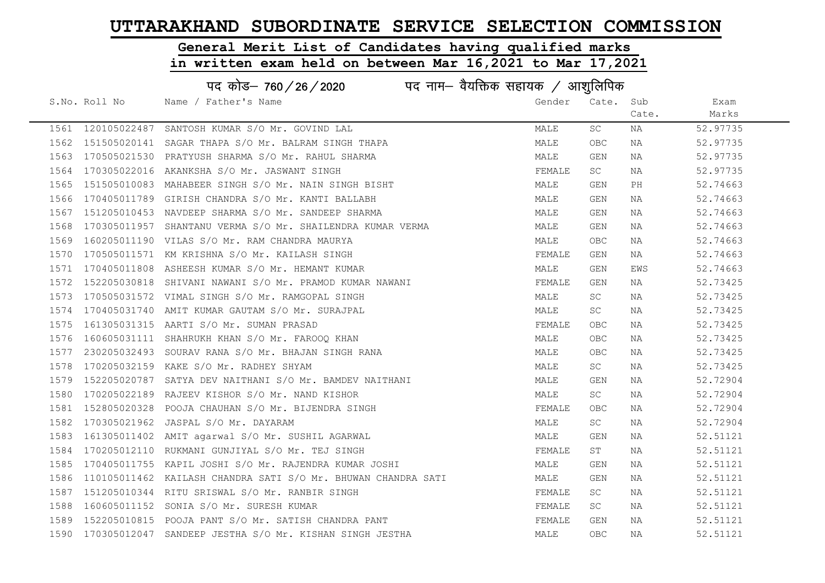# General Merit List of Candidates having qualified marks

|      | पद कोड़- 760 / 26 / 2020 पद नाम- वैयक्तिक सहायक / आशुलिपिक |                                                               |        |            |       |          |  |
|------|------------------------------------------------------------|---------------------------------------------------------------|--------|------------|-------|----------|--|
|      | S.No. Roll No                                              | Name / Father's Name                                          | Gender | Cate. Sub  |       | Exam     |  |
|      |                                                            |                                                               |        |            | Cate. | Marks    |  |
|      |                                                            | 1561 120105022487 SANTOSH KUMAR S/O Mr. GOVIND LAL            | MALE   | SC         | ΝA    | 52.97735 |  |
| 1562 |                                                            | 151505020141 SAGAR THAPA S/O Mr. BALRAM SINGH THAPA           | MALE   | <b>OBC</b> | NA    | 52.97735 |  |
|      |                                                            | 1563 170505021530 PRATYUSH SHARMA S/O Mr. RAHUL SHARMA        | MALE   | GEN        | NA    | 52.97735 |  |
| 1564 |                                                            | 170305022016 AKANKSHA S/O Mr. JASWANT SINGH                   | FEMALE | SC.        | NA    | 52.97735 |  |
| 1565 |                                                            | 151505010083 MAHABEER SINGH S/O Mr. NAIN SINGH BISHT          | MALE   | GEN        | PH    | 52.74663 |  |
| 1566 |                                                            | 170405011789 GIRISH CHANDRA S/O Mr. KANTI BALLABH             | MALE   | GEN        | NA    | 52.74663 |  |
| 1567 |                                                            | 151205010453 NAVDEEP SHARMA S/O Mr. SANDEEP SHARMA            | MALE   | GEN        | NA    | 52.74663 |  |
| 1568 |                                                            | 170305011957 SHANTANU VERMA S/O Mr. SHAILENDRA KUMAR VERMA    | MALE   | GEN        | NA    | 52.74663 |  |
| 1569 |                                                            | 160205011190 VILAS S/O Mr. RAM CHANDRA MAURYA                 | MALE   | OBC        | NA    | 52.74663 |  |
| 1570 |                                                            | 170505011571 KM KRISHNA S/O Mr. KAILASH SINGH                 | FEMALE | GEN        | NA    | 52.74663 |  |
| 1571 |                                                            | 170405011808 ASHEESH KUMAR S/O Mr. HEMANT KUMAR               | MALE   | GEN        | EWS   | 52.74663 |  |
| 1572 |                                                            | 152205030818 SHIVANI NAWANI S/O Mr. PRAMOD KUMAR NAWANI       | FEMALE | GEN        | NA    | 52.73425 |  |
| 1573 |                                                            | 170505031572 VIMAL SINGH S/O Mr. RAMGOPAL SINGH               | MALE   | <b>SC</b>  | NA    | 52.73425 |  |
| 1574 |                                                            | 170405031740 AMIT KUMAR GAUTAM S/O Mr. SURAJPAL               | MALE   | SC         | NA    | 52.73425 |  |
| 1575 |                                                            | 161305031315 AARTI S/O Mr. SUMAN PRASAD                       | FEMALE | <b>OBC</b> | NA    | 52.73425 |  |
| 1576 |                                                            | 160605031111 SHAHRUKH KHAN S/O Mr. FAROOQ KHAN                | MALE   | <b>OBC</b> | NA    | 52.73425 |  |
| 1577 |                                                            | 230205032493 SOURAV RANA S/O Mr. BHAJAN SINGH RANA            | MALE   | <b>OBC</b> | NA    | 52.73425 |  |
| 1578 |                                                            | 170205032159 KAKE S/O Mr. RADHEY SHYAM                        | MALE   | SC         | NA    | 52.73425 |  |
| 1579 |                                                            | 152205020787 SATYA DEV NAITHANI S/O Mr. BAMDEV NAITHANI       | MALE   | GEN        | NA    | 52.72904 |  |
| 1580 |                                                            | 170205022189 RAJEEV KISHOR S/O Mr. NAND KISHOR                | MALE   | SC         | NA    | 52.72904 |  |
| 1581 |                                                            | 152805020328 POOJA CHAUHAN S/O Mr. BIJENDRA SINGH             | FEMALE | <b>OBC</b> | NA    | 52.72904 |  |
| 1582 |                                                            | 170305021962 JASPAL S/O Mr. DAYARAM                           | MALE   | <b>SC</b>  | NA    | 52.72904 |  |
| 1583 |                                                            | 161305011402 AMIT agarwal S/O Mr. SUSHIL AGARWAL              | MALE   | GEN        | NA    | 52.51121 |  |
| 1584 |                                                            | 170205012110 RUKMANI GUNJIYAL S/O Mr. TEJ SINGH               | FEMALE | ST         | NA    | 52.51121 |  |
| 1585 |                                                            | 170405011755 KAPIL JOSHI S/O Mr. RAJENDRA KUMAR JOSHI         | MALE   | GEN        | NA    | 52.51121 |  |
| 1586 |                                                            | 110105011462 KAILASH CHANDRA SATI S/O Mr. BHUWAN CHANDRA SATI | MALE   | GEN        | NA    | 52.51121 |  |
| 1587 |                                                            | 151205010344 RITU SRISWAL S/O Mr. RANBIR SINGH                | FEMALE | SC.        | NA    | 52.51121 |  |
| 1588 |                                                            | 160605011152 SONIA S/O Mr. SURESH KUMAR                       | FEMALE | SC         | NA    | 52.51121 |  |
| 1589 |                                                            | 152205010815 POOJA PANT S/O Mr. SATISH CHANDRA PANT           | FEMALE | GEN        | NA    | 52.51121 |  |
|      |                                                            | 1590 170305012047 SANDEEP JESTHA S/O Mr. KISHAN SINGH JESTHA  | MALE   | <b>OBC</b> | NA    | 52.51121 |  |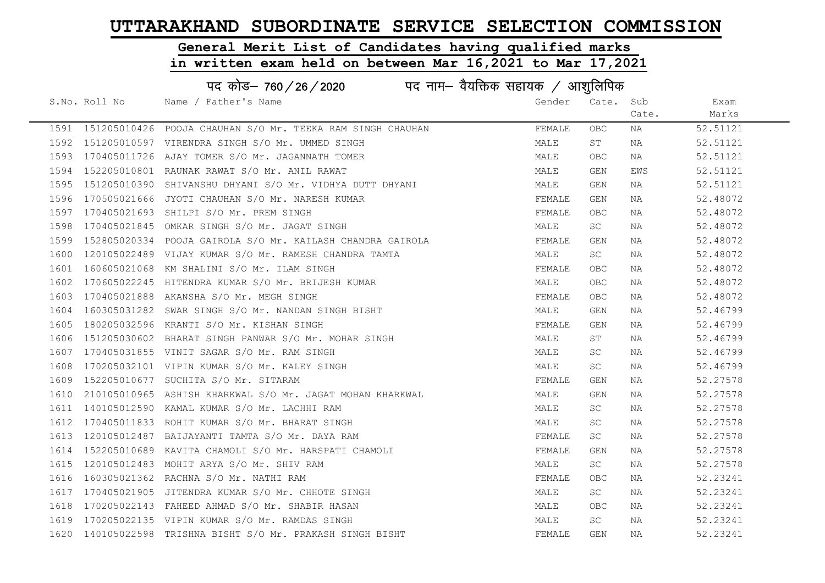# General Merit List of Candidates having qualified marks

| पद कोड़– 760 / 26 / 2020 पद नाम– वैयक्तिक सहायक / आशुलिपिक |               |                                                                 |        |            |       |          |  |
|------------------------------------------------------------|---------------|-----------------------------------------------------------------|--------|------------|-------|----------|--|
|                                                            | S.No. Roll No | Name / Father's Name                                            | Gender | Cate.      | Sub   | Exam     |  |
|                                                            |               |                                                                 |        |            | Cate. | Marks    |  |
|                                                            |               | 1591 151205010426 POOJA CHAUHAN S/O Mr. TEEKA RAM SINGH CHAUHAN | FEMALE | <b>OBC</b> | ΝA    | 52.51121 |  |
|                                                            |               | 1592 151205010597 VIRENDRA SINGH S/O Mr. UMMED SINGH            | MALE   | ST         | NA    | 52.51121 |  |
|                                                            |               | 1593 170405011726 AJAY TOMER S/O Mr. JAGANNATH TOMER            | MALE   | <b>OBC</b> | NA    | 52.51121 |  |
| 1594                                                       |               | 152205010801 RAUNAK RAWAT S/O Mr. ANIL RAWAT                    | MALE   | GEN        | EWS   | 52.51121 |  |
| 1595                                                       |               | 151205010390 SHIVANSHU DHYANI S/O Mr. VIDHYA DUTT DHYANI        | MALE   | GEN        | NA    | 52.51121 |  |
| 1596                                                       |               | 170505021666 JYOTI CHAUHAN S/O Mr. NARESH KUMAR                 | FEMALE | GEN        | ΝA    | 52.48072 |  |
| 1597                                                       |               | 170405021693 SHILPI S/O Mr. PREM SINGH                          | FEMALE | <b>OBC</b> | NA    | 52.48072 |  |
| 1598                                                       |               | 170405021845 OMKAR SINGH S/O Mr. JAGAT SINGH                    | MALE   | SC         | NA    | 52.48072 |  |
| 1599                                                       |               | 152805020334 POOJA GAIROLA S/O Mr. KAILASH CHANDRA GAIROLA      | FEMALE | GEN        | NA    | 52.48072 |  |
| 1600                                                       |               | 120105022489 VIJAY KUMAR S/O Mr. RAMESH CHANDRA TAMTA           | MALE   | SC         | NA    | 52.48072 |  |
| 1601                                                       |               | 160605021068 KM SHALINI S/O Mr. ILAM SINGH                      | FEMALE | OBC        | NA    | 52.48072 |  |
| 1602                                                       |               | 170605022245 HITENDRA KUMAR S/O Mr. BRIJESH KUMAR               | MALE   | OBC        | NA    | 52.48072 |  |
| 1603                                                       |               | 170405021888 AKANSHA S/O Mr. MEGH SINGH                         | FEMALE | <b>OBC</b> | NA    | 52.48072 |  |
| 1604                                                       |               | 160305031282 SWAR SINGH S/O Mr. NANDAN SINGH BISHT              | MALE   | GEN        | NA    | 52.46799 |  |
| 1605                                                       |               | 180205032596 KRANTI S/O Mr. KISHAN SINGH                        | FEMALE | GEN        | NA    | 52.46799 |  |
| 1606                                                       |               | 151205030602 BHARAT SINGH PANWAR S/O Mr. MOHAR SINGH            | MALE   | ST         | NA    | 52.46799 |  |
| 1607                                                       |               | 170405031855 VINIT SAGAR S/O Mr. RAM SINGH                      | MALE   | SC         | NA    | 52.46799 |  |
| 1608                                                       |               | 170205032101 VIPIN KUMAR S/O Mr. KALEY SINGH                    | MALE   | SC         | NA    | 52.46799 |  |
| 1609                                                       |               | 152205010677 SUCHITA S/O Mr. SITARAM                            | FEMALE | GEN        | NA    | 52.27578 |  |
| 1610                                                       |               | 210105010965 ASHISH KHARKWAL S/O Mr. JAGAT MOHAN KHARKWAL       | MALE   | GEN        | NA    | 52.27578 |  |
| 1611                                                       |               | 140105012590 KAMAL KUMAR S/O Mr. LACHHI RAM                     | MALE   | <b>SC</b>  | NA    | 52.27578 |  |
| 1612                                                       |               | 170405011833 ROHIT KUMAR S/O Mr. BHARAT SINGH                   | MALE   | SC         | NA    | 52.27578 |  |
| 1613                                                       |               | 120105012487 BAIJAYANTI TAMTA S/O Mr. DAYA RAM                  | FEMALE | <b>SC</b>  | NA    | 52.27578 |  |
| 1614                                                       |               | 152205010689 KAVITA CHAMOLI S/O Mr. HARSPATI CHAMOLI            | FEMALE | GEN        | NA    | 52.27578 |  |
| 1615                                                       |               | 120105012483 MOHIT ARYA S/O Mr. SHIV RAM                        | MALE   | SC         | NA    | 52.27578 |  |
| 1616                                                       |               | 160305021362 RACHNA S/O Mr. NATHI RAM                           | FEMALE | <b>OBC</b> | NA    | 52.23241 |  |
| 1617                                                       |               | 170405021905 JITENDRA KUMAR S/O Mr. CHHOTE SINGH                | MALE   | SC         | NA    | 52.23241 |  |
| 1618                                                       |               | 170205022143 FAHEED AHMAD S/O Mr. SHABIR HASAN                  | MALE   | OBC        | NA    | 52.23241 |  |
|                                                            |               | 1619 170205022135 VIPIN KUMAR S/O Mr. RAMDAS SINGH              | MALE   | <b>SC</b>  | NA    | 52.23241 |  |
|                                                            |               | 1620 140105022598 TRISHNA BISHT S/O Mr. PRAKASH SINGH BISHT     | FEMALE | <b>GEN</b> | ΝA    | 52.23241 |  |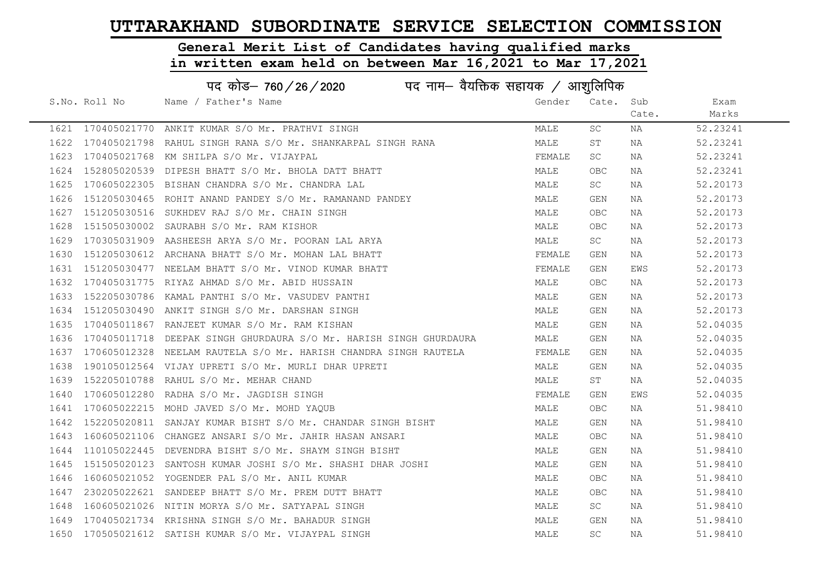# General Merit List of Candidates having qualified marks

|      | पद कोड– 760/26/2020<br>पद नाम— वैयक्तिक सहायक / आशुलिपिक |                                                                  |        |            |       |          |  |  |
|------|----------------------------------------------------------|------------------------------------------------------------------|--------|------------|-------|----------|--|--|
|      | S.No. Roll No                                            | Name / Father's Name                                             | Gender | Cate.      | Sub   | Exam     |  |  |
|      |                                                          |                                                                  |        |            | Cate. | Marks    |  |  |
|      | 1621 170405021770                                        | ANKIT KUMAR S/O Mr. PRATHVI SINGH                                | MALE   | SC         | NA    | 52.23241 |  |  |
| 1622 | 170405021798                                             | RAHUL SINGH RANA S/O Mr. SHANKARPAL SINGH RANA                   | MALE   | SΤ         | NA    | 52.23241 |  |  |
| 1623 | 170405021768                                             | KM SHILPA S/O Mr. VIJAYPAL                                       | FEMALE | SC         | NA    | 52.23241 |  |  |
| 1624 | 152805020539                                             | DIPESH BHATT S/O Mr. BHOLA DATT BHATT                            | MALE   | OBC        | NA    | 52.23241 |  |  |
| 1625 |                                                          | 170605022305 BISHAN CHANDRA S/O Mr. CHANDRA LAL                  | MALE   | SC         | NA    | 52.20173 |  |  |
| 1626 |                                                          | 151205030465 ROHIT ANAND PANDEY S/O Mr. RAMANAND PANDEY          | MALE   | GEN        | NA    | 52.20173 |  |  |
| 1627 |                                                          | 151205030516 SUKHDEV RAJ S/O Mr. CHAIN SINGH                     | MALE   | OBC        | NA    | 52.20173 |  |  |
| 1628 | 151505030002                                             | SAURABH S/O Mr. RAM KISHOR                                       | MALE   | OBC        | ΝA    | 52.20173 |  |  |
| 1629 |                                                          | 170305031909 AASHEESH ARYA S/O Mr. POORAN LAL ARYA               | MALE   | SC         | NA    | 52.20173 |  |  |
| 1630 |                                                          | 151205030612 ARCHANA BHATT S/O Mr. MOHAN LAL BHATT               | FEMALE | GEN        | NA    | 52.20173 |  |  |
| 1631 |                                                          | 151205030477 NEELAM BHATT S/O Mr. VINOD KUMAR BHATT              | FEMALE | GEN        | EWS   | 52.20173 |  |  |
| 1632 |                                                          | 170405031775 RIYAZ AHMAD S/O Mr. ABID HUSSAIN                    | MALE   | OBC        | NA    | 52.20173 |  |  |
| 1633 |                                                          | 152205030786 KAMAL PANTHI S/O Mr. VASUDEV PANTHI                 | MALE   | GEN        | NA    | 52.20173 |  |  |
| 1634 |                                                          | 151205030490 ANKIT SINGH S/O Mr. DARSHAN SINGH                   | MALE   | GEN        | NA    | 52.20173 |  |  |
| 1635 |                                                          | 170405011867 RANJEET KUMAR S/O Mr. RAM KISHAN                    | MALE   | GEN        | NA    | 52.04035 |  |  |
| 1636 | 170405011718                                             | DEEPAK SINGH GHURDAURA S/O Mr. HARISH SINGH GHURDAURA            | MALE   | GEN        | NA    | 52.04035 |  |  |
| 1637 |                                                          | 170605012328 NEELAM RAUTELA S/O Mr. HARISH CHANDRA SINGH RAUTELA | FEMALE | GEN        | ΝA    | 52.04035 |  |  |
| 1638 |                                                          | 190105012564 VIJAY UPRETI S/O Mr. MURLI DHAR UPRETI              | MALE   | GEN        | NA    | 52.04035 |  |  |
| 1639 |                                                          | 152205010788 RAHUL S/O Mr. MEHAR CHAND                           | MALE   | ST         | NA    | 52.04035 |  |  |
| 1640 |                                                          | 170605012280 RADHA S/O Mr. JAGDISH SINGH                         | FEMALE | GEN        | EWS   | 52.04035 |  |  |
| 1641 |                                                          | 170605022215 MOHD JAVED S/O Mr. MOHD YAQUB                       | MALE   | <b>OBC</b> | NA    | 51.98410 |  |  |
| 1642 |                                                          | 152205020811 SANJAY KUMAR BISHT S/O Mr. CHANDAR SINGH BISHT      | MALE   | GEN        | NA    | 51.98410 |  |  |
| 1643 |                                                          | 160605021106 CHANGEZ ANSARI S/O Mr. JAHIR HASAN ANSARI           | MALE   | OBC        | ΝA    | 51.98410 |  |  |
| 1644 |                                                          | 110105022445 DEVENDRA BISHT S/O Mr. SHAYM SINGH BISHT            | MALE   | <b>GEN</b> | NA    | 51.98410 |  |  |
| 1645 |                                                          | 151505020123 SANTOSH KUMAR JOSHI S/O Mr. SHASHI DHAR JOSHI       | MALE   | GEN        | ΝA    | 51.98410 |  |  |
| 1646 |                                                          | 160605021052 YOGENDER PAL S/O Mr. ANIL KUMAR                     | MALE   | OBC        | NA    | 51.98410 |  |  |
| 1647 |                                                          | 230205022621 SANDEEP BHATT S/O Mr. PREM DUTT BHATT               | MALE   | OBC        | NA    | 51.98410 |  |  |
| 1648 |                                                          | 160605021026 NITIN MORYA S/O Mr. SATYAPAL SINGH                  | MALE   | <b>SC</b>  | NA    | 51.98410 |  |  |
| 1649 |                                                          | 170405021734 KRISHNA SINGH S/O Mr. BAHADUR SINGH                 | MALE   | GEN        | NA    | 51.98410 |  |  |
|      |                                                          | 1650 170505021612 SATISH KUMAR S/O Mr. VIJAYPAL SINGH            | MALE   | <b>SC</b>  | ΝA    | 51.98410 |  |  |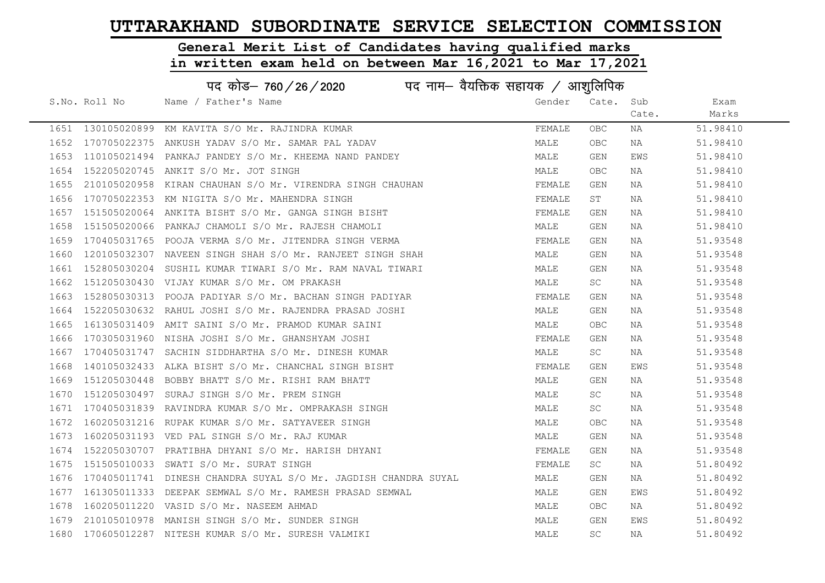# General Merit List of Candidates having qualified marks

|      | पद कोड– 760/26/2020<br>पद नाम— वैयक्तिक सहायक / आशुलिपिक |                                                                 |        |            |       |          |  |
|------|----------------------------------------------------------|-----------------------------------------------------------------|--------|------------|-------|----------|--|
|      | S.No. Roll No                                            | Name / Father's Name                                            | Gender | Cate. Sub  |       | Exam     |  |
|      |                                                          |                                                                 |        |            | Cate. | Marks    |  |
|      |                                                          | 1651 130105020899 KM KAVITA S/O Mr. RAJINDRA KUMAR              | FEMALE | OBC.       | ΝA    | 51.98410 |  |
| 1652 |                                                          | 170705022375 ANKUSH YADAV S/O Mr. SAMAR PAL YADAV               | MALE   | <b>OBC</b> | NA    | 51.98410 |  |
| 1653 |                                                          | 110105021494 PANKAJ PANDEY S/O Mr. KHEEMA NAND PANDEY           | MALE   | GEN        | EWS   | 51.98410 |  |
| 1654 |                                                          | 152205020745 ANKIT S/O Mr. JOT SINGH                            | MALE   | OBC        | ΝA    | 51.98410 |  |
| 1655 |                                                          | 210105020958 KIRAN CHAUHAN S/O Mr. VIRENDRA SINGH CHAUHAN       | FEMALE | GEN        | NA    | 51.98410 |  |
| 1656 |                                                          | 170705022353 KM NIGITA S/O Mr. MAHENDRA SINGH                   | FEMALE | ST         | NA    | 51.98410 |  |
| 1657 |                                                          | 151505020064 ANKITA BISHT S/O Mr. GANGA SINGH BISHT             | FEMALE | GEN        | NA    | 51.98410 |  |
| 1658 |                                                          | 151505020066 PANKAJ CHAMOLI S/O Mr. RAJESH CHAMOLI              | MALE   | GEN        | NA    | 51.98410 |  |
| 1659 |                                                          | 170405031765 POOJA VERMA S/O Mr. JITENDRA SINGH VERMA           | FEMALE | GEN        | NA    | 51.93548 |  |
| 1660 |                                                          | 120105032307 NAVEEN SINGH SHAH S/O Mr. RANJEET SINGH SHAH       | MALE   | GEN        | NA    | 51.93548 |  |
| 1661 |                                                          | 152805030204 SUSHIL KUMAR TIWARI S/O Mr. RAM NAVAL TIWARI       | MALE   | GEN        | NA    | 51.93548 |  |
| 1662 |                                                          | 151205030430 VIJAY KUMAR S/O Mr. OM PRAKASH                     | MALE   | SC         | NA    | 51.93548 |  |
| 1663 |                                                          | 152805030313 POOJA PADIYAR S/O Mr. BACHAN SINGH PADIYAR         | FEMALE | GEN        | NA    | 51.93548 |  |
| 1664 |                                                          | 152205030632 RAHUL JOSHI S/O Mr. RAJENDRA PRASAD JOSHI          | MALE   | GEN        | NA    | 51.93548 |  |
| 1665 |                                                          | 161305031409 AMIT SAINI S/O Mr. PRAMOD KUMAR SAINI              | MALE   | <b>OBC</b> | NA    | 51.93548 |  |
| 1666 |                                                          | 170305031960 NISHA JOSHI S/O Mr. GHANSHYAM JOSHI                | FEMALE | GEN        | NA    | 51.93548 |  |
| 1667 |                                                          | 170405031747 SACHIN SIDDHARTHA S/O Mr. DINESH KUMAR             | MALE   | SC         | NA    | 51.93548 |  |
| 1668 |                                                          | 140105032433 ALKA BISHT S/O Mr. CHANCHAL SINGH BISHT            | FEMALE | GEN        | EWS   | 51.93548 |  |
| 1669 |                                                          | 151205030448 BOBBY BHATT S/O Mr. RISHI RAM BHATT                | MALE   | GEN        | ΝA    | 51.93548 |  |
| 1670 |                                                          | 151205030497 SURAJ SINGH S/O Mr. PREM SINGH                     | MALE   | SC         | NA    | 51.93548 |  |
| 1671 |                                                          | 170405031839 RAVINDRA KUMAR S/O Mr. OMPRAKASH SINGH             | MALE   | SC         | NA    | 51.93548 |  |
| 1672 |                                                          | 160205031216 RUPAK KUMAR S/O Mr. SATYAVEER SINGH                | MALE   | OBC.       | NA    | 51.93548 |  |
| 1673 |                                                          | 160205031193 VED PAL SINGH S/O Mr. RAJ KUMAR                    | MALE   | GEN        | ΝA    | 51.93548 |  |
| 1674 |                                                          | 152205030707 PRATIBHA DHYANI S/O Mr. HARISH DHYANI              | FEMALE | GEN        | NA    | 51.93548 |  |
| 1675 |                                                          | 151505010033 SWATI S/O Mr. SURAT SINGH                          | FEMALE | <b>SC</b>  | ΝA    | 51.80492 |  |
| 1676 |                                                          | 170405011741 DINESH CHANDRA SUYAL S/O Mr. JAGDISH CHANDRA SUYAL | MALE   | GEN        | NA    | 51.80492 |  |
| 1677 |                                                          | 161305011333 DEEPAK SEMWAL S/O Mr. RAMESH PRASAD SEMWAL         | MALE   | GEN        | EWS   | 51.80492 |  |
| 1678 |                                                          | 160205011220 VASID S/O Mr. NASEEM AHMAD                         | MALE   | <b>OBC</b> | NA    | 51.80492 |  |
| 1679 |                                                          | 210105010978 MANISH SINGH S/O Mr. SUNDER SINGH                  | MALE   | GEN        | EWS   | 51.80492 |  |
| 1680 |                                                          | 170605012287 NITESH KUMAR S/O Mr. SURESH VALMIKI                | MALE   | SC         | NA    | 51.80492 |  |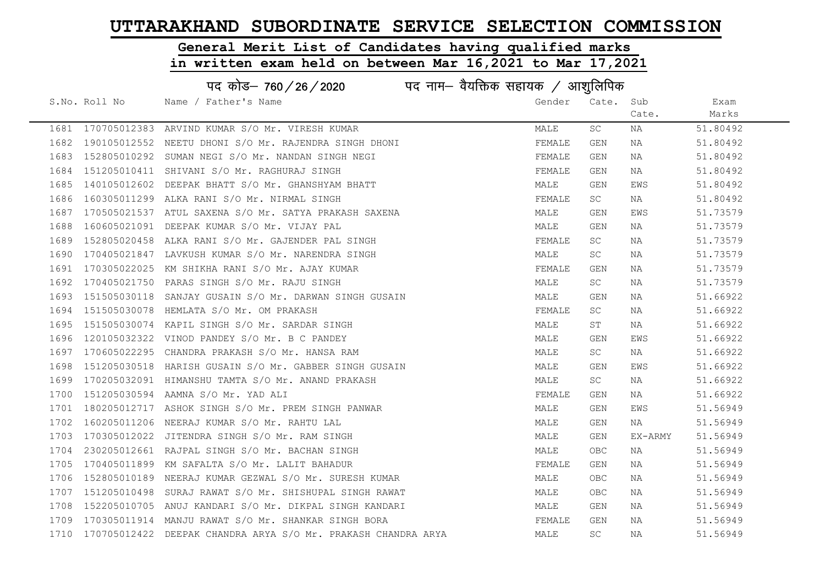# General Merit List of Candidates having qualified marks

|      | पद कोड़– 760 / 26 / 2020 पद नाम– वैयक्तिक सहायक / आशुलिपिक |                                                                    |        |            |         |          |  |
|------|------------------------------------------------------------|--------------------------------------------------------------------|--------|------------|---------|----------|--|
|      | S.No. Roll No                                              | Name / Father's Name                                               | Gender | Cate.      | Sub     | Exam     |  |
|      |                                                            |                                                                    |        |            | Cate.   | Marks    |  |
|      |                                                            | 1681 170705012383 ARVIND KUMAR S/O Mr. VIRESH KUMAR                | MALE   | SC         | NA      | 51.80492 |  |
| 1682 |                                                            | 190105012552 NEETU DHONI S/O Mr. RAJENDRA SINGH DHONI              | FEMALE | GEN        | NA      | 51.80492 |  |
| 1683 |                                                            | 152805010292 SUMAN NEGI S/O Mr. NANDAN SINGH NEGI                  | FEMALE | GEN        | NA      | 51.80492 |  |
| 1684 |                                                            | 151205010411 SHIVANI S/O Mr. RAGHURAJ SINGH                        | FEMALE | GEN        | NA      | 51.80492 |  |
| 1685 |                                                            | 140105012602 DEEPAK BHATT S/O Mr. GHANSHYAM BHATT                  | MALE   | GEN        | EWS     | 51.80492 |  |
| 1686 |                                                            | 160305011299 ALKA RANI S/O Mr. NIRMAL SINGH                        | FEMALE | SC         | NA      | 51.80492 |  |
| 1687 |                                                            | 170505021537 ATUL SAXENA S/O Mr. SATYA PRAKASH SAXENA              | MALE   | GEN        | EWS     | 51.73579 |  |
| 1688 | 160605021091                                               | DEEPAK KUMAR S/O Mr. VIJAY PAL                                     | MALE   | GEN        | NA      | 51.73579 |  |
| 1689 |                                                            | 152805020458 ALKA RANI S/O Mr. GAJENDER PAL SINGH                  | FEMALE | SC         | NA      | 51.73579 |  |
| 1690 |                                                            | 170405021847 LAVKUSH KUMAR S/O Mr. NARENDRA SINGH                  | MALE   | SC         | NA      | 51.73579 |  |
| 1691 |                                                            | 170305022025 KM SHIKHA RANI S/O Mr. AJAY KUMAR                     | FEMALE | GEN        | NA      | 51.73579 |  |
| 1692 |                                                            | 170405021750 PARAS SINGH S/O Mr. RAJU SINGH                        | MALE   | SC         | NA      | 51.73579 |  |
| 1693 |                                                            | 151505030118 SANJAY GUSAIN S/O Mr. DARWAN SINGH GUSAIN             | MALE   | GEN        | NA      | 51.66922 |  |
| 1694 |                                                            | 151505030078 HEMLATA S/O Mr. OM PRAKASH                            | FEMALE | SC         | NA      | 51.66922 |  |
| 1695 |                                                            | 151505030074 KAPIL SINGH S/O Mr. SARDAR SINGH                      | MALE   | ST         | NA      | 51.66922 |  |
| 1696 | 120105032322                                               | VINOD PANDEY S/O Mr. B C PANDEY                                    | MALE   | GEN        | EWS     | 51.66922 |  |
| 1697 | 170605022295                                               | CHANDRA PRAKASH S/O Mr. HANSA RAM                                  | MALE   | SC         | NA      | 51.66922 |  |
| 1698 |                                                            | 151205030518 HARISH GUSAIN S/O Mr. GABBER SINGH GUSAIN             | MALE   | GEN        | EWS     | 51.66922 |  |
| 1699 |                                                            | 170205032091 HIMANSHU TAMTA S/O Mr. ANAND PRAKASH                  | MALE   | SC         | NA      | 51.66922 |  |
| 1700 |                                                            | 151205030594 AAMNA S/O Mr. YAD ALI                                 | FEMALE | GEN        | NA      | 51.66922 |  |
| 1701 |                                                            | 180205012717 ASHOK SINGH S/O Mr. PREM SINGH PANWAR                 | MALE   | GEN        | EWS     | 51.56949 |  |
| 1702 |                                                            | 160205011206 NEERAJ KUMAR S/O Mr. RAHTU LAL                        | MALE   | GEN        | NA      | 51.56949 |  |
| 1703 |                                                            | 170305012022 JITENDRA SINGH S/O Mr. RAM SINGH                      | MALE   | GEN        | EX-ARMY | 51.56949 |  |
| 1704 |                                                            | 230205012661 RAJPAL SINGH S/O Mr. BACHAN SINGH                     | MALE   | <b>OBC</b> | NA      | 51.56949 |  |
| 1705 |                                                            | 170405011899 KM SAFALTA S/O Mr. LALIT BAHADUR                      | FEMALE | GEN        | NA      | 51.56949 |  |
| 1706 |                                                            | 152805010189 NEERAJ KUMAR GEZWAL S/O Mr. SURESH KUMAR              | MALE   | OBC        | NA      | 51.56949 |  |
| 1707 | 151205010498                                               | SURAJ RAWAT S/O Mr. SHISHUPAL SINGH RAWAT                          | MALE   | <b>OBC</b> | NA      | 51.56949 |  |
| 1708 |                                                            | 152205010705 ANUJ KANDARI S/O Mr. DIKPAL SINGH KANDARI             | MALE   | GEN        | NA      | 51.56949 |  |
| 1709 |                                                            | 170305011914 MANJU RAWAT S/O Mr. SHANKAR SINGH BORA                | FEMALE | GEN        | NA      | 51.56949 |  |
|      |                                                            | 1710 170705012422 DEEPAK CHANDRA ARYA S/O Mr. PRAKASH CHANDRA ARYA | MALE   | SC         | ΝA      | 51.56949 |  |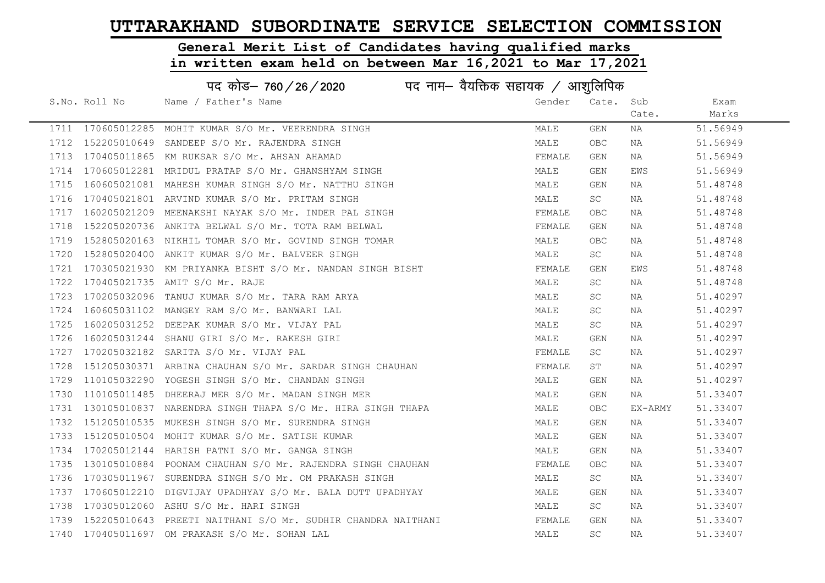# General Merit List of Candidates having qualified marks

|      | पद कोड़– 760 / 26 / 2020 पद नाम– वैयक्तिक सहायक / आशुलिपिक |                                                              |        |            |         |          |  |
|------|------------------------------------------------------------|--------------------------------------------------------------|--------|------------|---------|----------|--|
|      | S.No. Roll No                                              | Name / Father's Name                                         | Gender | Cate.      | Sub     | Exam     |  |
|      |                                                            |                                                              |        |            | Cate.   | Marks    |  |
|      |                                                            | 1711 170605012285 MOHIT KUMAR S/O Mr. VEERENDRA SINGH        | MALE   | GEN        | NA      | 51.56949 |  |
| 1712 |                                                            | 152205010649 SANDEEP S/O Mr. RAJENDRA SINGH                  | MALE   | <b>OBC</b> | NA      | 51.56949 |  |
| 1713 |                                                            | 170405011865 KM RUKSAR S/O Mr. AHSAN AHAMAD                  | FEMALE | GEN        | NA      | 51.56949 |  |
| 1714 |                                                            | 170605012281 MRIDUL PRATAP S/O Mr. GHANSHYAM SINGH           | MALE   | GEN        | EWS     | 51.56949 |  |
| 1715 |                                                            | 160605021081 MAHESH KUMAR SINGH S/O Mr. NATTHU SINGH         | MALE   | GEN        | NA      | 51.48748 |  |
| 1716 |                                                            | 170405021801 ARVIND KUMAR S/O Mr. PRITAM SINGH               | MALE   | SC         | NA      | 51.48748 |  |
| 1717 |                                                            | 160205021209 MEENAKSHI NAYAK S/O Mr. INDER PAL SINGH         | FEMALE | OBC        | NA      | 51.48748 |  |
| 1718 |                                                            | 152205020736 ANKITA BELWAL S/O Mr. TOTA RAM BELWAL           | FEMALE | GEN        | NA      | 51.48748 |  |
| 1719 |                                                            | 152805020163 NIKHIL TOMAR S/O Mr. GOVIND SINGH TOMAR         | MALE   | <b>OBC</b> | NA      | 51.48748 |  |
| 1720 |                                                            | 152805020400 ANKIT KUMAR S/O Mr. BALVEER SINGH               | MALE   | SC         | NA      | 51.48748 |  |
| 1721 |                                                            | 170305021930 KM PRIYANKA BISHT S/O Mr. NANDAN SINGH BISHT    | FEMALE | GEN        | EWS     | 51.48748 |  |
| 1722 |                                                            | 170405021735 AMIT S/O Mr. RAJE                               | MALE   | SC         | NA      | 51.48748 |  |
| 1723 |                                                            | 170205032096 TANUJ KUMAR S/O Mr. TARA RAM ARYA               | MALE   | SC.        | NA      | 51.40297 |  |
| 1724 |                                                            | 160605031102 MANGEY RAM S/O Mr. BANWARI LAL                  | MALE   | SC.        | NA      | 51.40297 |  |
| 1725 |                                                            | 160205031252 DEEPAK KUMAR S/O Mr. VIJAY PAL                  | MALE   | SC.        | NA      | 51.40297 |  |
| 1726 | 160205031244                                               | SHANU GIRI S/O Mr. RAKESH GIRI                               | MALE   | GEN        | NA      | 51.40297 |  |
| 1727 | 170205032182                                               | SARITA S/O Mr. VIJAY PAL                                     | FEMALE | SC         | NA      | 51.40297 |  |
| 1728 |                                                            | 151205030371 ARBINA CHAUHAN S/O Mr. SARDAR SINGH CHAUHAN     | FEMALE | ST         | NA      | 51.40297 |  |
| 1729 |                                                            | 110105032290 YOGESH SINGH S/O Mr. CHANDAN SINGH              | MALE   | GEN        | NA      | 51.40297 |  |
| 1730 |                                                            | 110105011485 DHEERAJ MER S/O Mr. MADAN SINGH MER             | MALE   | GEN        | NA      | 51.33407 |  |
| 1731 |                                                            | 130105010837 NARENDRA SINGH THAPA S/O Mr. HIRA SINGH THAPA   | MALE   | OBC        | EX-ARMY | 51.33407 |  |
| 1732 |                                                            | 151205010535 MUKESH SINGH S/O Mr. SURENDRA SINGH             | MALE   | GEN        | NA      | 51.33407 |  |
| 1733 |                                                            | 151205010504 MOHIT KUMAR S/O Mr. SATISH KUMAR                | MALE   | GEN        | NA      | 51.33407 |  |
| 1734 |                                                            | 170205012144 HARISH PATNI S/O Mr. GANGA SINGH                | MALE   | GEN        | NA      | 51.33407 |  |
| 1735 |                                                            | 130105010884 POONAM CHAUHAN S/O Mr. RAJENDRA SINGH CHAUHAN   | FEMALE | <b>OBC</b> | NA      | 51.33407 |  |
| 1736 |                                                            | 170305011967 SURENDRA SINGH S/O Mr. OM PRAKASH SINGH         | MALE   | SC         | NA      | 51.33407 |  |
| 1737 |                                                            | 170605012210 DIGVIJAY UPADHYAY S/O Mr. BALA DUTT UPADHYAY    | MALE   | GEN        | NA      | 51.33407 |  |
| 1738 | 170305012060                                               | ASHU S/O Mr. HARI SINGH                                      | MALE   | SC         | NA      | 51.33407 |  |
| 1739 |                                                            | 152205010643 PREETI NAITHANI S/O Mr. SUDHIR CHANDRA NAITHANI | FEMALE | GEN        | NA      | 51.33407 |  |
|      |                                                            | 1740 170405011697 OM PRAKASH S/O Mr. SOHAN LAL               | MALE   | SC         | NA      | 51.33407 |  |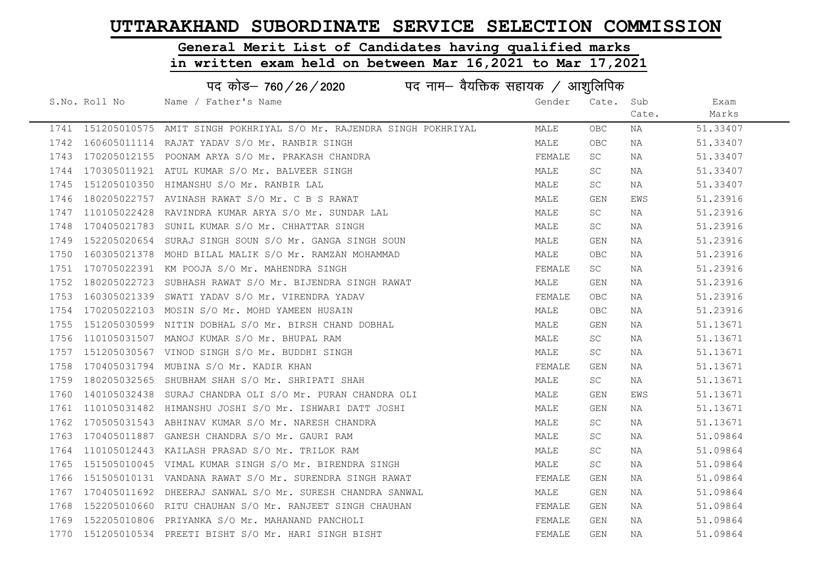#### General Merit List of Candidates having qualified marks

in written exam held on between Mar 16,2021 to Mar 17,2021

| पद नाम– वैयक्तिक सहायक / आशुलिपिक<br>पद कोड– 760/26/2020 |               |                                                             |        |            |       |          |
|----------------------------------------------------------|---------------|-------------------------------------------------------------|--------|------------|-------|----------|
|                                                          | S.No. Roll No | Name / Father's Name                                        | Gender | Cate.      | Sub   | Exam     |
|                                                          |               |                                                             |        |            | Cate. | Marks    |
| 1741                                                     | 151205010575  | AMIT SINGH POKHRIYAL S/O Mr. RAJENDRA SINGH POKHRIYAL       | MALE   | OBC.       | NA    | 51.33407 |
|                                                          |               | 1742 160605011114 RAJAT YADAV S/O Mr. RANBIR SINGH          | MALE   | <b>OBC</b> | ΝA    | 51.33407 |
| 1743                                                     |               | 170205012155 POONAM ARYA S/O Mr. PRAKASH CHANDRA            | FEMALE | SC         | NA    | 51.33407 |
| 1744                                                     |               | 170305011921 ATUL KUMAR S/O Mr. BALVEER SINGH               | MALE   | SC.        | NA    | 51.33407 |
| 1745                                                     | 151205010350  | HIMANSHU S/O Mr. RANBIR LAL                                 | MALE   | SC         | NA    | 51.33407 |
| 1746                                                     |               | 180205022757 AVINASH RAWAT S/O Mr. C B S RAWAT              | MALE   | <b>GEN</b> | EWS   | 51.23916 |
| 1747                                                     | 110105022428  | RAVINDRA KUMAR ARYA S/O Mr. SUNDAR LAL                      | MALE   | SC         | NA    | 51.23916 |
| 1748                                                     |               | 170405021783 SUNIL KUMAR S/O Mr. CHHATTAR SINGH             | MALE   | SC.        | NA    | 51.23916 |
|                                                          |               | 1749 152205020654 SURAJ SINGH SOUN S/O Mr. GANGA SINGH SOUN | MALE   | GEN        | NA    | 51.23916 |
| 1750                                                     | 160305021378  | MOHD BILAL MALIK S/O Mr. RAMZAN MOHAMMAD                    | MALE   | <b>OBC</b> | NA    | 51.23916 |
| 1751                                                     |               | 170705022391 KM POOJA S/O Mr. MAHENDRA SINGH                | FEMALE | SC.        | ΝA    | 51.23916 |
| 1752                                                     | 180205022723  | SUBHASH RAWAT S/O Mr. BIJENDRA SINGH RAWAT                  | MALE   | GEN        | ΝA    | 51.23916 |
| 1753                                                     | 160305021339  | SWATI YADAV S/O Mr. VIRENDRA YADAV                          | FEMALE | <b>OBC</b> | ΝA    | 51.23916 |
| 1754                                                     |               | 170205022103 MOSIN S/O Mr. MOHD YAMEEN HUSAIN               | MALE   | <b>OBC</b> | NA    | 51.23916 |
| 1755                                                     | 151205030599  | NITIN DOBHAL S/O Mr. BIRSH CHAND DOBHAL                     | MALE   | GEN        | NA    | 51.13671 |
| 1756                                                     | 110105031507  | MANOJ KUMAR S/O Mr. BHUPAL RAM                              | MALE   | SC         | NA    | 51.13671 |
| 1757                                                     | 151205030567  | VINOD SINGH S/O Mr. BUDDHI SINGH                            | MALE   | SC         | ΝA    | 51.13671 |
| 1758                                                     | 170405031794  | MUBINA S/O Mr. KADIR KHAN                                   | FEMALE | GEN        | ΝA    | 51.13671 |
| 1759                                                     | 180205032565  | SHUBHAM SHAH S/O Mr. SHRIPATI SHAH                          | MALE   | SC         | NA    | 51.13671 |
| 1760                                                     |               | 140105032438 SURAJ CHANDRA OLI S/O Mr. PURAN CHANDRA OLI    | MALE   | GEN        | EWS   | 51.13671 |
| 1761                                                     |               | 110105031482 HIMANSHU JOSHI S/O Mr. ISHWARI DATT JOSHI      | MALE   | GEN        | NA    | 51.13671 |
| 1762                                                     |               | 170505031543 ABHINAV KUMAR S/O Mr. NARESH CHANDRA           | MALE   | SC.        | NA    | 51.13671 |
| 1763                                                     |               | 170405011887 GANESH CHANDRA S/O Mr. GAURI RAM               | MALE   | SC         | NA    | 51.09864 |
| 1764                                                     | 110105012443  | KAILASH PRASAD S/O Mr. TRILOK RAM                           | MALE   | <b>SC</b>  | ΝA    | 51.09864 |
| 1765                                                     |               | 151505010045 VIMAL KUMAR SINGH S/O Mr. BIRENDRA SINGH       | MALE   | SC.        | ΝA    | 51.09864 |
| 1766                                                     |               | 151505010131 VANDANA RAWAT S/O Mr. SURENDRA SINGH RAWAT     | FEMALE | GEN        | ΝA    | 51.09864 |
| 1767                                                     | 170405011692  | DHEERAJ SANWAL S/O Mr. SURESH CHANDRA SANWAL                | MALE   | GEN        | ΝA    | 51.09864 |
| 1768                                                     |               | 152205010660 RITU CHAUHAN S/O Mr. RANJEET SINGH CHAUHAN     | FEMALE | GEN        | NA    | 51.09864 |
|                                                          |               | 1769 152205010806 PRIYANKA S/O Mr. MAHANAND PANCHOLI        | FEMALE | GEN        | ΝA    | 51.09864 |

1770 151205010534 PREETI BISHT S/O Mr. HARI SINGH BISHT TAN SHANGH TEMALE GEN NA 51.09864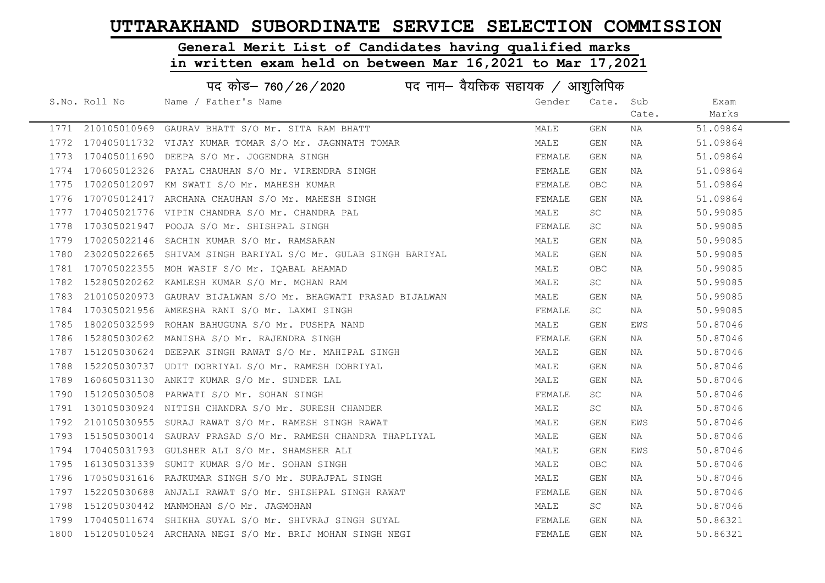# General Merit List of Candidates having qualified marks

| पद कोड़- 760 / 26 / 2020 पद नाम- वैयक्तिक सहायक / आशुलिपिक |               |                                                               |        |            |       |          |
|------------------------------------------------------------|---------------|---------------------------------------------------------------|--------|------------|-------|----------|
|                                                            | S.No. Roll No | Name / Father's Name                                          | Gender | Cate.      | Sub   | Exam     |
|                                                            |               |                                                               |        |            | Cate. | Marks    |
|                                                            |               | 1771 210105010969 GAURAV BHATT S/O Mr. SITA RAM BHATT         | MALE   | GEN        | NA    | 51.09864 |
|                                                            |               | 1772 170405011732 VIJAY KUMAR TOMAR S/O Mr. JAGNNATH TOMAR    | MALE   | GEN        | NA    | 51.09864 |
| 1773                                                       |               | 170405011690 DEEPA S/O Mr. JOGENDRA SINGH                     | FEMALE | GEN        | NA    | 51.09864 |
| 1774                                                       |               | 170605012326 PAYAL CHAUHAN S/O Mr. VIRENDRA SINGH             | FEMALE | GEN        | NA    | 51.09864 |
| 1775                                                       |               | 170205012097 KM SWATI S/O Mr. MAHESH KUMAR                    | FEMALE | <b>OBC</b> | NA    | 51.09864 |
| 1776                                                       |               | 170705012417 ARCHANA CHAUHAN S/O Mr. MAHESH SINGH             | FEMALE | GEN        | NA    | 51.09864 |
| 1777                                                       |               | 170405021776 VIPIN CHANDRA S/O Mr. CHANDRA PAL                | MALE   | SC         | NA    | 50.99085 |
| 1778                                                       |               | 170305021947 POOJA S/O Mr. SHISHPAL SINGH                     | FEMALE | SC         | NA    | 50.99085 |
| 1779                                                       | 170205022146  | SACHIN KUMAR S/O Mr. RAMSARAN                                 | MALE   | GEN        | NA    | 50.99085 |
| 1780                                                       |               | 230205022665 SHIVAM SINGH BARIYAL S/O Mr. GULAB SINGH BARIYAL | MALE   | GEN        | NA    | 50.99085 |
| 1781                                                       |               | 170705022355 MOH WASIF S/O Mr. IQABAL AHAMAD                  | MALE   | <b>OBC</b> | NA    | 50.99085 |
| 1782                                                       |               | 152805020262 KAMLESH KUMAR S/O Mr. MOHAN RAM                  | MALE   | SC         | NA    | 50.99085 |
| 1783                                                       |               | 210105020973 GAURAV BIJALWAN S/O Mr. BHAGWATI PRASAD BIJALWAN | MALE   | GEN        | NA    | 50.99085 |
| 1784                                                       |               | 170305021956 AMEESHA RANI S/O Mr. LAXMI SINGH                 | FEMALE | SC         | NA    | 50.99085 |
| 1785                                                       |               | 180205032599 ROHAN BAHUGUNA S/O Mr. PUSHPA NAND               | MALE   | GEN        | EWS   | 50.87046 |
| 1786                                                       | 152805030262  | MANISHA S/O Mr. RAJENDRA SINGH                                | FEMALE | GEN        | NA    | 50.87046 |
| 1787                                                       | 151205030624  | DEEPAK SINGH RAWAT S/O Mr. MAHIPAL SINGH                      | MALE   | GEN        | NA    | 50.87046 |
| 1788                                                       |               | 152205030737 UDIT DOBRIYAL S/O Mr. RAMESH DOBRIYAL            | MALE   | GEN        | NA    | 50.87046 |
| 1789                                                       |               | 160605031130 ANKIT KUMAR S/O Mr. SUNDER LAL                   | MALE   | GEN        | NA    | 50.87046 |
| 1790                                                       |               | 151205030508 PARWATI S/O Mr. SOHAN SINGH                      | FEMALE | SC         | NA    | 50.87046 |
| 1791                                                       |               | 130105030924 NITISH CHANDRA S/O Mr. SURESH CHANDER            | MALE   | SC         | NA    | 50.87046 |
| 1792                                                       |               | 210105030955 SURAJ RAWAT S/O Mr. RAMESH SINGH RAWAT           | MALE   | GEN        | EWS   | 50.87046 |
| 1793                                                       | 151505030014  | SAURAV PRASAD S/O Mr. RAMESH CHANDRA THAPLIYAL                | MALE   | GEN        | NA    | 50.87046 |
| 1794                                                       | 170405031793  | GULSHER ALI S/O Mr. SHAMSHER ALI                              | MALE   | GEN        | EWS   | 50.87046 |
| 1795                                                       | 161305031339  | SUMIT KUMAR S/O Mr. SOHAN SINGH                               | MALE   | <b>OBC</b> | NA    | 50.87046 |
| 1796                                                       |               | 170505031616 RAJKUMAR SINGH S/O Mr. SURAJPAL SINGH            | MALE   | GEN        | NA    | 50.87046 |
| 1797                                                       |               | 152205030688 ANJALI RAWAT S/O Mr. SHISHPAL SINGH RAWAT        | FEMALE | GEN        | NA    | 50.87046 |
| 1798                                                       |               | 151205030442 MANMOHAN S/O Mr. JAGMOHAN                        | MALE   | SC         | NA    | 50.87046 |
| 1799                                                       |               | 170405011674 SHIKHA SUYAL S/O Mr. SHIVRAJ SINGH SUYAL         | FEMALE | GEN        | NA    | 50.86321 |
|                                                            |               | 1800 151205010524 ARCHANA NEGI S/O Mr. BRIJ MOHAN SINGH NEGI  | FEMALE | GEN        | ΝA    | 50.86321 |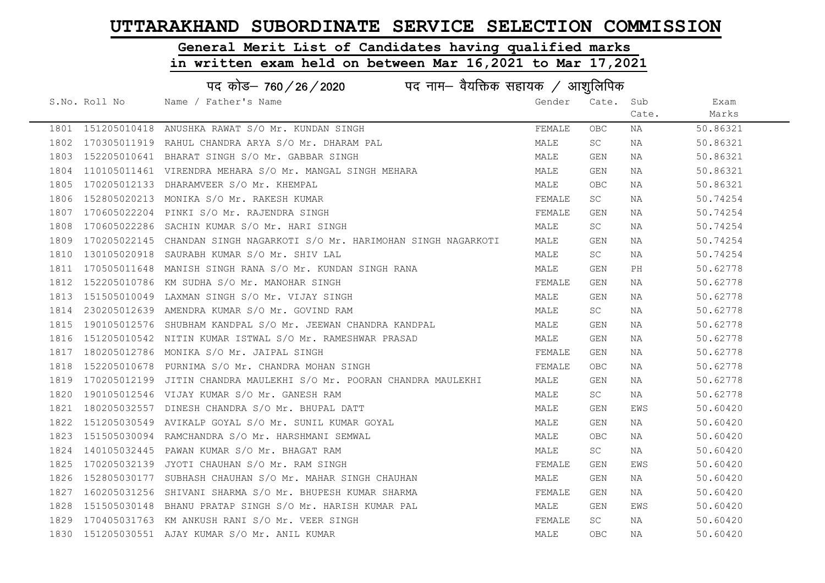# General Merit List of Candidates having qualified marks

|      | पद कोड– 760/26/2020 |                                                                        |        |            |       |          |  |
|------|---------------------|------------------------------------------------------------------------|--------|------------|-------|----------|--|
|      | S.No. Roll No       | Name / Father's Name                                                   | Gender | Cate.      | Sub   | Exam     |  |
|      |                     |                                                                        |        |            | Cate. | Marks    |  |
|      |                     | 1801 151205010418 ANUSHKA RAWAT S/O Mr. KUNDAN SINGH                   | FEMALE | <b>OBC</b> | NA    | 50.86321 |  |
| 1802 | 170305011919        | RAHUL CHANDRA ARYA S/O Mr. DHARAM PAL                                  | MALE   | <b>SC</b>  | NA    | 50.86321 |  |
| 1803 |                     | 152205010641 BHARAT SINGH S/O Mr. GABBAR SINGH                         | MALE   | GEN        | NA    | 50.86321 |  |
| 1804 |                     | 110105011461 VIRENDRA MEHARA S/O Mr. MANGAL SINGH MEHARA               | MALE   | GEN        | NA    | 50.86321 |  |
| 1805 |                     | 170205012133 DHARAMVEER S/O Mr. KHEMPAL                                | MALE   | OBC.       | NA    | 50.86321 |  |
| 1806 |                     | 152805020213 MONIKA S/O Mr. RAKESH KUMAR                               | FEMALE | <b>SC</b>  | NA    | 50.74254 |  |
| 1807 |                     | 170605022204 PINKI S/O Mr. RAJENDRA SINGH                              | FEMALE | GEN        | NA    | 50.74254 |  |
| 1808 |                     | 170605022286 SACHIN KUMAR S/O Mr. HARI SINGH                           | MALE   | SC.        | NA    | 50.74254 |  |
| 1809 |                     | 170205022145 CHANDAN SINGH NAGARKOTI S/O Mr. HARIMOHAN SINGH NAGARKOTI | MALE   | GEN        | NA    | 50.74254 |  |
| 1810 |                     | 130105020918 SAURABH KUMAR S/O Mr. SHIV LAL                            | MALE   | SC.        | NA    | 50.74254 |  |
| 1811 |                     | 170505011648 MANISH SINGH RANA S/O Mr. KUNDAN SINGH RANA               | MALE   | GEN        | PH    | 50.62778 |  |
| 1812 |                     | 152205010786 KM SUDHA S/O Mr. MANOHAR SINGH                            | FEMALE | GEN        | NA    | 50.62778 |  |
| 1813 |                     | 151505010049 LAXMAN SINGH S/O Mr. VIJAY SINGH                          | MALE   | GEN        | NA    | 50.62778 |  |
| 1814 |                     | 230205012639 AMENDRA KUMAR S/O Mr. GOVIND RAM                          | MALE   | SC         | NA    | 50.62778 |  |
| 1815 |                     | 190105012576 SHUBHAM KANDPAL S/O Mr. JEEWAN CHANDRA KANDPAL            | MALE   | GEN        | NA    | 50.62778 |  |
| 1816 |                     | 151205010542 NITIN KUMAR ISTWAL S/O Mr. RAMESHWAR PRASAD               | MALE   | GEN        | NA    | 50.62778 |  |
| 1817 |                     | 180205012786 MONIKA S/O Mr. JAIPAL SINGH                               | FEMALE | GEN        | NA    | 50.62778 |  |
| 1818 |                     | 152205010678 PURNIMA S/O Mr. CHANDRA MOHAN SINGH                       | FEMALE | OBC        | NA    | 50.62778 |  |
| 1819 |                     | 170205012199 JITIN CHANDRA MAULEKHI S/O Mr. POORAN CHANDRA MAULEKHI    | MALE   | GEN        | NA    | 50.62778 |  |
| 1820 |                     | 190105012546 VIJAY KUMAR S/O Mr. GANESH RAM                            | MALE   | SC         | NA    | 50.62778 |  |
| 1821 |                     | 180205032557 DINESH CHANDRA S/O Mr. BHUPAL DATT                        | MALE   | GEN        | EWS   | 50.60420 |  |
| 1822 |                     | 151205030549 AVIKALP GOYAL S/O Mr. SUNIL KUMAR GOYAL                   | MALE   | GEN        | NA    | 50.60420 |  |
| 1823 |                     | 151505030094 RAMCHANDRA S/O Mr. HARSHMANI SEMWAL                       | MALE   | OBC.       | NA    | 50.60420 |  |
| 1824 |                     | 140105032445 PAWAN KUMAR S/O Mr. BHAGAT RAM                            | MALE   | SC         | NA    | 50.60420 |  |
| 1825 |                     | 170205032139 JYOTI CHAUHAN S/O Mr. RAM SINGH                           | FEMALE | GEN        | EWS   | 50.60420 |  |
| 1826 |                     | 152805030177 SUBHASH CHAUHAN S/O Mr. MAHAR SINGH CHAUHAN               | MALE   | GEN        | NA    | 50.60420 |  |
| 1827 |                     | 160205031256 SHIVANI SHARMA S/O Mr. BHUPESH KUMAR SHARMA               | FEMALE | GEN        | NA    | 50.60420 |  |
| 1828 |                     | 151505030148 BHANU PRATAP SINGH S/O Mr. HARISH KUMAR PAL               | MALE   | GEN        | EWS   | 50.60420 |  |
| 1829 |                     | 170405031763 KM ANKUSH RANI S/O Mr. VEER SINGH                         | FEMALE | SC         | NA    | 50.60420 |  |
| 1830 |                     | 151205030551 AJAY KUMAR S/O Mr. ANIL KUMAR                             | MALE   | OBC        | NA    | 50.60420 |  |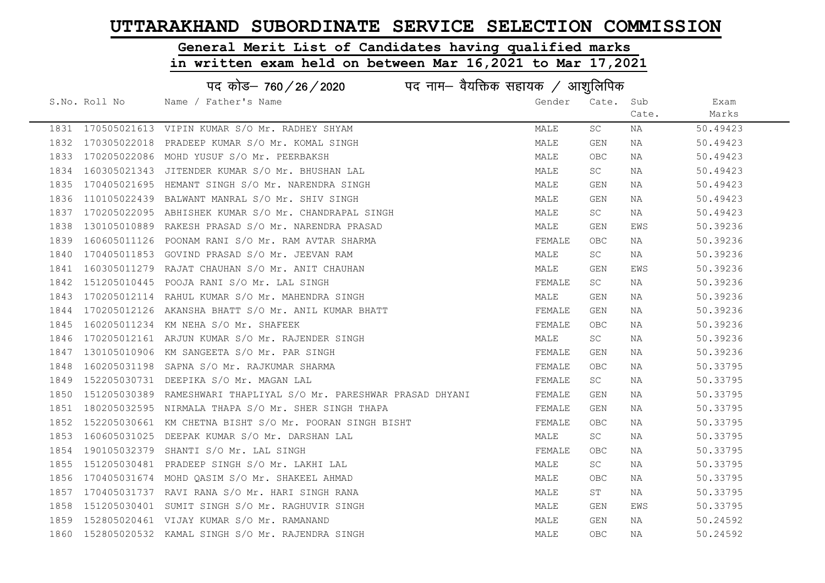# General Merit List of Candidates having qualified marks

|      |                   | पद कोड– 760/26/2020<br>पद नाम— वैयक्तिक सहायक / आशुलिपिक          |        |            |       |          |
|------|-------------------|-------------------------------------------------------------------|--------|------------|-------|----------|
|      | S.No. Roll No     | Name / Father's Name                                              | Gender | Cate.      | Sub   | Exam     |
|      |                   |                                                                   |        |            | Cate. | Marks    |
|      |                   | 1831 170505021613 VIPIN KUMAR S/O Mr. RADHEY SHYAM                | MALE   | SC.        | NA    | 50.49423 |
|      | 1832 170305022018 | PRADEEP KUMAR S/O Mr. KOMAL SINGH                                 | MALE   | GEN        | NA    | 50.49423 |
| 1833 |                   | 170205022086 MOHD YUSUF S/O Mr. PEERBAKSH                         | MALE   | <b>OBC</b> | NA    | 50.49423 |
| 1834 |                   | 160305021343 JITENDER KUMAR S/O Mr. BHUSHAN LAL                   | MALE   | SC         | NA    | 50.49423 |
| 1835 |                   | 170405021695 HEMANT SINGH S/O Mr. NARENDRA SINGH                  | MALE   | GEN        | NA    | 50.49423 |
| 1836 |                   | 110105022439 BALWANT MANRAL S/O Mr. SHIV SINGH                    | MALE   | GEN        | NA    | 50.49423 |
| 1837 |                   | 170205022095 ABHISHEK KUMAR S/O Mr. CHANDRAPAL SINGH              | MALE   | SC.        | NA    | 50.49423 |
| 1838 |                   | 130105010889 RAKESH PRASAD S/O Mr. NARENDRA PRASAD                | MALE   | GEN        | EWS   | 50.39236 |
| 1839 |                   | 160605011126 POONAM RANI S/O Mr. RAM AVTAR SHARMA                 | FEMALE | <b>OBC</b> | NA    | 50.39236 |
| 1840 |                   | 170405011853 GOVIND PRASAD S/O Mr. JEEVAN RAM                     | MALE   | SC         | NA    | 50.39236 |
| 1841 |                   | 160305011279 RAJAT CHAUHAN S/O Mr. ANIT CHAUHAN                   | MALE   | GEN        | EWS   | 50.39236 |
| 1842 |                   | 151205010445  POOJA RANI S/O Mr. LAL SINGH                        | FEMALE | SC.        | NA    | 50.39236 |
| 1843 |                   | 170205012114 RAHUL KUMAR S/O Mr. MAHENDRA SINGH                   | MALE   | GEN        | NA    | 50.39236 |
| 1844 |                   | 170205012126 AKANSHA BHATT S/O Mr. ANIL KUMAR BHATT               | FEMALE | GEN        | NA    | 50.39236 |
| 1845 |                   | 160205011234 KM NEHA S/O Mr. SHAFEEK                              | FEMALE | <b>OBC</b> | NA    | 50.39236 |
| 1846 |                   | 170205012161 ARJUN KUMAR S/O Mr. RAJENDER SINGH                   | MALE   | SC.        | NA    | 50.39236 |
| 1847 |                   | 130105010906 KM SANGEETA S/O Mr. PAR SINGH                        | FEMALE | GEN        | NA    | 50.39236 |
| 1848 |                   | 160205031198 SAPNA S/O Mr. RAJKUMAR SHARMA                        | FEMALE | OBC        | NA    | 50.33795 |
| 1849 |                   | 152205030731 DEEPIKA S/O Mr. MAGAN LAL                            | FEMALE | SC         | NA    | 50.33795 |
| 1850 |                   | 151205030389 RAMESHWARI THAPLIYAL S/O Mr. PARESHWAR PRASAD DHYANI | FEMALE | GEN        | NA    | 50.33795 |
| 1851 |                   | 180205032595 NIRMALA THAPA S/O Mr. SHER SINGH THAPA               | FEMALE | GEN        | NA    | 50.33795 |
| 1852 |                   | 152205030661 KM CHETNA BISHT S/O Mr. POORAN SINGH BISHT           | FEMALE | OBC        | NA    | 50.33795 |
| 1853 | 160605031025      | DEEPAK KUMAR S/O Mr. DARSHAN LAL                                  | MALE   | SC         | NA    | 50.33795 |
| 1854 |                   | 190105032379 SHANTI S/O Mr. LAL SINGH                             | FEMALE | <b>OBC</b> | NA    | 50.33795 |
| 1855 |                   | 151205030481 PRADEEP SINGH S/O Mr. LAKHI LAL                      | MALE   | SC         | NA    | 50.33795 |
| 1856 |                   | 170405031674 MOHD QASIM S/O Mr. SHAKEEL AHMAD                     | MALE   | OBC        | NA    | 50.33795 |
| 1857 |                   | 170405031737 RAVI RANA S/O Mr. HARI SINGH RANA                    | MALE   | ST         | NA    | 50.33795 |
| 1858 |                   | 151205030401 SUMIT SINGH S/O Mr. RAGHUVIR SINGH                   | MALE   | GEN        | EWS   | 50.33795 |
| 1859 |                   | 152805020461 VIJAY KUMAR S/O Mr. RAMANAND                         | MALE   | GEN        | NA    | 50.24592 |
|      |                   | 1860 152805020532 KAMAL SINGH S/O Mr. RAJENDRA SINGH              | MALE   | <b>OBC</b> | ΝA    | 50.24592 |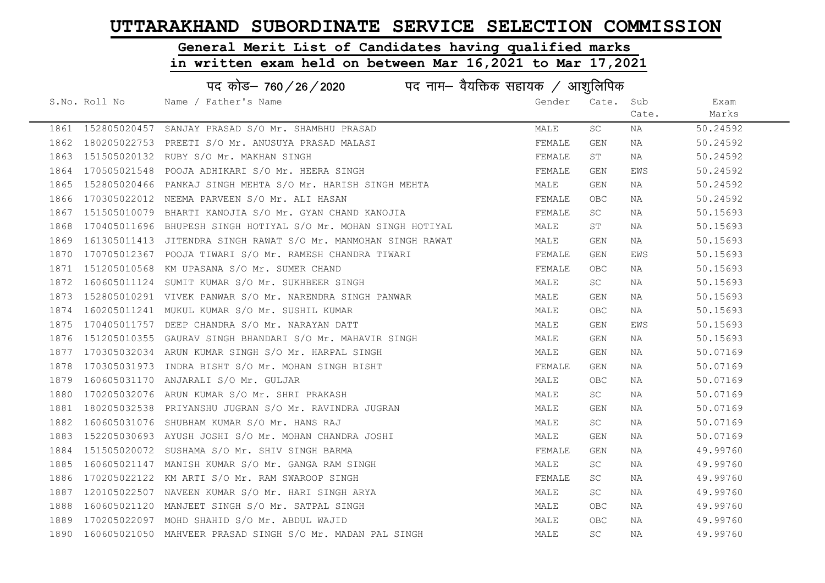# General Merit List of Candidates having qualified marks

|      |                   | पद कोड– 760 / 26 / 2020 पद नाम– वैयक्तिक सहायक / आशुलिपिक      |        |            |       |          |
|------|-------------------|----------------------------------------------------------------|--------|------------|-------|----------|
|      | S.No. Roll No     | Name / Father's Name                                           | Gender | Cate. Sub  |       | Exam     |
|      |                   |                                                                |        |            | Cate. | Marks    |
|      | 1861 152805020457 | SANJAY PRASAD S/O Mr. SHAMBHU PRASAD                           | MALE   | SC         | ΝA    | 50.24592 |
| 1862 |                   | 180205022753 PREETI S/O Mr. ANUSUYA PRASAD MALASI              | FEMALE | GEN        | NA    | 50.24592 |
| 1863 |                   | 151505020132 RUBY S/O Mr. MAKHAN SINGH                         | FEMALE | ST         | NA    | 50.24592 |
| 1864 |                   | 170505021548 POOJA ADHIKARI S/O Mr. HEERA SINGH                | FEMALE | GEN        | EWS   | 50.24592 |
| 1865 |                   | 152805020466 PANKAJ SINGH MEHTA S/O Mr. HARISH SINGH MEHTA     | MALE   | GEN        | NA    | 50.24592 |
| 1866 |                   | 170305022012 NEEMA PARVEEN S/O Mr. ALI HASAN                   | FEMALE | <b>OBC</b> | NA    | 50.24592 |
| 1867 |                   | 151505010079 BHARTI KANOJIA S/O Mr. GYAN CHAND KANOJIA         | FEMALE | SC.        | NA    | 50.15693 |
| 1868 |                   | 170405011696 BHUPESH SINGH HOTIYAL S/O Mr. MOHAN SINGH HOTIYAL | MALE   | ST         | NA    | 50.15693 |
| 1869 |                   | 161305011413 JITENDRA SINGH RAWAT S/O Mr. MANMOHAN SINGH RAWAT | MALE   | GEN        | NA    | 50.15693 |
| 1870 |                   | 170705012367 POOJA TIWARI S/O Mr. RAMESH CHANDRA TIWARI        | FEMALE | GEN        | EWS   | 50.15693 |
| 1871 |                   | 151205010568 KM UPASANA S/O Mr. SUMER CHAND                    | FEMALE | OBC        | NA    | 50.15693 |
| 1872 |                   | 160605011124 SUMIT KUMAR S/O Mr. SUKHBEER SINGH                | MALE   | SC         | NA    | 50.15693 |
| 1873 |                   | 152805010291 VIVEK PANWAR S/O Mr. NARENDRA SINGH PANWAR        | MALE   | GEN        | NA    | 50.15693 |
| 1874 |                   | 160205011241 MUKUL KUMAR S/O Mr. SUSHIL KUMAR                  | MALE   | OBC.       | NA    | 50.15693 |
| 1875 |                   | 170405011757 DEEP CHANDRA S/O Mr. NARAYAN DATT                 | MALE   | GEN        | EWS   | 50.15693 |
| 1876 |                   | 151205010355 GAURAV SINGH BHANDARI S/O Mr. MAHAVIR SINGH       | MALE   | GEN        | NA    | 50.15693 |
| 1877 |                   | 170305032034 ARUN KUMAR SINGH S/O Mr. HARPAL SINGH             | MALE   | GEN        | NA    | 50.07169 |
| 1878 |                   | 170305031973 INDRA BISHT S/O Mr. MOHAN SINGH BISHT             | FEMALE | GEN        | NA    | 50.07169 |
| 1879 |                   | 160605031170 ANJARALI S/O Mr. GULJAR                           | MALE   | OBC.       | NA    | 50.07169 |
| 1880 |                   | 170205032076 ARUN KUMAR S/O Mr. SHRI PRAKASH                   | MALE   | SC         | NA    | 50.07169 |
| 1881 |                   | 180205032538 PRIYANSHU JUGRAN S/O Mr. RAVINDRA JUGRAN          | MALE   | GEN        | NA    | 50.07169 |
| 1882 |                   | 160605031076 SHUBHAM KUMAR S/O Mr. HANS RAJ                    | MALE   | SC         | NA    | 50.07169 |
| 1883 |                   | 152205030693 AYUSH JOSHI S/O Mr. MOHAN CHANDRA JOSHI           | MALE   | GEN        | NA    | 50.07169 |
| 1884 |                   | 151505020072 SUSHAMA S/O Mr. SHIV SINGH BARMA                  | FEMALE | GEN        | NA    | 49.99760 |
| 1885 |                   | 160605021147 MANISH KUMAR S/O Mr. GANGA RAM SINGH              | MALE   | SC         | NA    | 49.99760 |
| 1886 |                   | 170205022122 KM ARTI S/O Mr. RAM SWAROOP SINGH                 | FEMALE | SC         | NA    | 49.99760 |
| 1887 |                   | 120105022507 NAVEEN KUMAR S/O Mr. HARI SINGH ARYA              | MALE   | SC         | NA    | 49.99760 |
| 1888 |                   | 160605021120 MANJEET SINGH S/O Mr. SATPAL SINGH                | MALE   | OBC        | NA    | 49.99760 |
| 1889 |                   | 170205022097 MOHD SHAHID S/O Mr. ABDUL WAJID                   | MALE   | OBC.       | NA    | 49.99760 |
|      |                   | 1890 160605021050 MAHVEER PRASAD SINGH S/O Mr. MADAN PAL SINGH | MALE   | SC         | NA    | 49.99760 |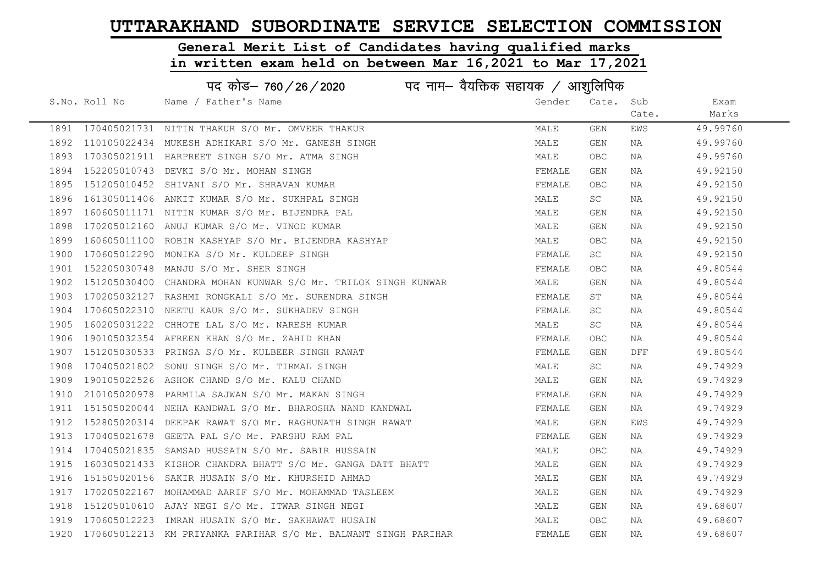# General Merit List of Candidates having qualified marks

|      |               | पद कोड– 760 / 26 / 2020 पद नाम– वैयक्तिक सहायक / आशुलिपिक           |        |            |       |          |
|------|---------------|---------------------------------------------------------------------|--------|------------|-------|----------|
|      | S.No. Roll No | Name / Father's Name                                                | Gender | Cate. Sub  |       | Exam     |
|      |               |                                                                     |        |            | Cate. | Marks    |
|      |               | 1891 170405021731 NITIN THAKUR S/O Mr. OMVEER THAKUR                | MALE   | GEN        | EWS   | 49.99760 |
| 1892 |               | 110105022434 MUKESH ADHIKARI S/O Mr. GANESH SINGH                   | MALE   | GEN        | NA    | 49.99760 |
| 1893 |               | 170305021911 HARPREET SINGH S/O Mr. ATMA SINGH                      | MALE   | OBC        | NA    | 49.99760 |
| 1894 |               | 152205010743 DEVKI S/O Mr. MOHAN SINGH                              | FEMALE | GEN        | NA    | 49.92150 |
| 1895 |               | 151205010452 SHIVANI S/O Mr. SHRAVAN KUMAR                          | FEMALE | OBC.       | NA    | 49.92150 |
| 1896 |               | 161305011406 ANKIT KUMAR S/O Mr. SUKHPAL SINGH                      | MALE   | SC         | NA    | 49.92150 |
| 1897 |               | 160605011171 NITIN KUMAR S/O Mr. BIJENDRA PAL                       | MALE   | GEN        | NA    | 49.92150 |
| 1898 |               | 170205012160 ANUJ KUMAR S/O Mr. VINOD KUMAR                         | MALE   | GEN        | NA    | 49.92150 |
| 1899 |               | 160605011100 ROBIN KASHYAP S/O Mr. BIJENDRA KASHYAP                 | MALE   | <b>OBC</b> | NA    | 49.92150 |
| 1900 |               | 170605012290 MONIKA S/O Mr. KULDEEP SINGH                           | FEMALE | SC         | NA    | 49.92150 |
| 1901 |               | 152205030748 MANJU S/O Mr. SHER SINGH                               | FEMALE | OBC        | NA    | 49.80544 |
| 1902 |               | 151205030400 CHANDRA MOHAN KUNWAR S/O Mr. TRILOK SINGH KUNWAR       | MALE   | GEN        | NA    | 49.80544 |
| 1903 |               | 170205032127 RASHMI RONGKALI S/O Mr. SURENDRA SINGH                 | FEMALE | ST         | NA    | 49.80544 |
| 1904 |               | 170605022310 NEETU KAUR S/O Mr. SUKHADEV SINGH                      | FEMALE | SC         | NA    | 49.80544 |
| 1905 |               | 160205031222 CHHOTE LAL S/O Mr. NARESH KUMAR                        | MALE   | SC         | NA    | 49.80544 |
| 1906 |               | 190105032354 AFREEN KHAN S/O Mr. ZAHID KHAN                         | FEMALE | <b>OBC</b> | NA    | 49.80544 |
| 1907 |               | 151205030533 PRINSA S/O Mr. KULBEER SINGH RAWAT                     | FEMALE | GEN        | DFF   | 49.80544 |
| 1908 |               | 170405021802 SONU SINGH S/O Mr. TIRMAL SINGH                        | MALE   | SC         | NA    | 49.74929 |
| 1909 |               | 190105022526 ASHOK CHAND S/O Mr. KALU CHAND                         | MALE   | GEN        | NA    | 49.74929 |
| 1910 |               | 210105020978 PARMILA SAJWAN S/O Mr. MAKAN SINGH                     | FEMALE | GEN        | NA    | 49.74929 |
| 1911 |               | 151505020044 NEHA KANDWAL S/O Mr. BHAROSHA NAND KANDWAL             | FEMALE | GEN        | NA    | 49.74929 |
| 1912 |               | 152805020314 DEEPAK RAWAT S/O Mr. RAGHUNATH SINGH RAWAT             | MALE   | GEN        | EWS   | 49.74929 |
| 1913 |               | 170405021678 GEETA PAL S/O Mr. PARSHU RAM PAL                       | FEMALE | GEN        | NA    | 49.74929 |
| 1914 |               | 170405021835 SAMSAD HUSSAIN S/O Mr. SABIR HUSSAIN                   | MALE   | <b>OBC</b> | NA    | 49.74929 |
| 1915 |               | 160305021433 KISHOR CHANDRA BHATT S/O Mr. GANGA DATT BHATT          | MALE   | GEN        | NA    | 49.74929 |
| 1916 |               | 151505020156 SAKIR HUSAIN S/O Mr. KHURSHID AHMAD                    | MALE   | GEN        | NA    | 49.74929 |
| 1917 |               | 170205022167 MOHAMMAD AARIF S/O Mr. MOHAMMAD TASLEEM                | MALE   | GEN        | NA    | 49.74929 |
| 1918 |               | 151205010610 AJAY NEGI S/O Mr. ITWAR SINGH NEGI                     | MALE   | GEN        | NA    | 49.68607 |
| 1919 |               | 170605012223 IMRAN HUSAIN S/O Mr. SAKHAWAT HUSAIN                   | MALE   | OBC.       | NA    | 49.68607 |
|      |               | 1920 170605012213 KM PRIYANKA PARIHAR S/O Mr. BALWANT SINGH PARIHAR | FEMALE | GEN        | NA    | 49.68607 |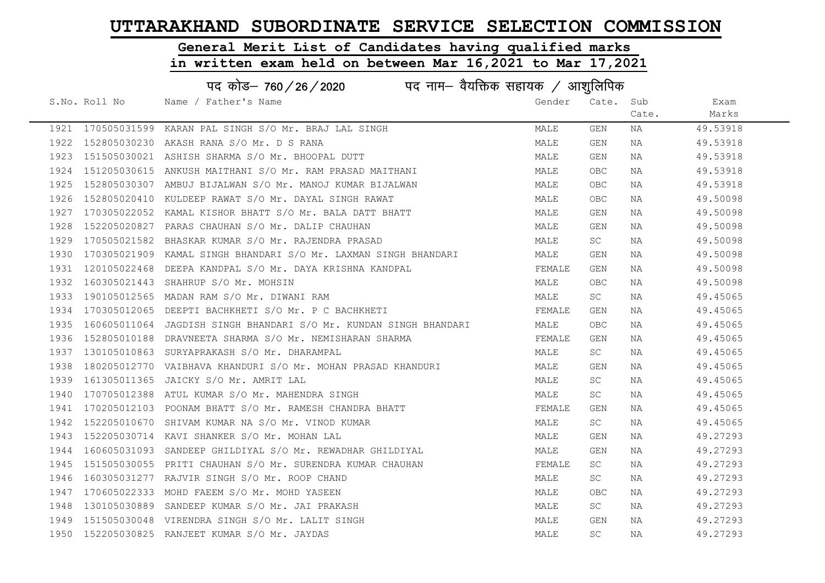# General Merit List of Candidates having qualified marks

|      | पद कोड– 760 / 26 / 2020 पद नाम– वैयक्तिक सहायक / आशुलिपिक |                                                                   |        |            |       |          |
|------|-----------------------------------------------------------|-------------------------------------------------------------------|--------|------------|-------|----------|
|      | S.No. Roll No                                             | Name / Father's Name                                              | Gender | Cate. Sub  |       | Exam     |
|      |                                                           |                                                                   |        |            | Cate. | Marks    |
|      |                                                           | 1921 170505031599 KARAN PAL SINGH S/O Mr. BRAJ LAL SINGH          | MALE   | GEN        | NA    | 49.53918 |
| 1922 |                                                           | 152805030230 AKASH RANA S/O Mr. D S RANA                          | MALE   | GEN        | NA    | 49.53918 |
| 1923 |                                                           | 151505030021 ASHISH SHARMA S/O Mr. BHOOPAL DUTT                   | MALE   | GEN        | NA    | 49.53918 |
| 1924 |                                                           | 151205030615 ANKUSH MAITHANI S/O Mr. RAM PRASAD MAITHANI          | MALE   | <b>OBC</b> | NA    | 49.53918 |
| 1925 |                                                           | 152805030307 AMBUJ BIJALWAN S/O Mr. MANOJ KUMAR BIJALWAN          | MALE   | OBC.       | NA    | 49.53918 |
| 1926 |                                                           | 152805020410 KULDEEP RAWAT S/O Mr. DAYAL SINGH RAWAT              | MALE   | OBC.       | NA    | 49.50098 |
| 1927 |                                                           | 170305022052 KAMAL KISHOR BHATT S/O Mr. BALA DATT BHATT           | MALE   | GEN        | NA    | 49.50098 |
| 1928 |                                                           | 152205020827 PARAS CHAUHAN S/O Mr. DALIP CHAUHAN                  | MALE   | GEN        | NA    | 49.50098 |
| 1929 | 170505021582                                              | BHASKAR KUMAR S/O Mr. RAJENDRA PRASAD                             | MALE   | SC .       | NA    | 49.50098 |
| 1930 |                                                           | 170305021909  KAMAL SINGH BHANDARI S/O Mr. LAXMAN SINGH BHANDARI  | MALE   | GEN        | NA    | 49.50098 |
| 1931 |                                                           | 120105022468 DEEPA KANDPAL S/O Mr. DAYA KRISHNA KANDPAL           | FEMALE | GEN        | NA    | 49.50098 |
| 1932 |                                                           | 160305021443 SHAHRUP S/O Mr. MOHSIN                               | MALE   | <b>OBC</b> | NA    | 49.50098 |
| 1933 |                                                           | 190105012565 MADAN RAM S/O Mr. DIWANI RAM                         | MALE   | SC .       | NA    | 49.45065 |
| 1934 |                                                           | 170305012065 DEEPTI BACHKHETI S/O Mr. P C BACHKHETI               | FEMALE | GEN        | NA    | 49.45065 |
| 1935 |                                                           | 160605011064 JAGDISH SINGH BHANDARI S/O Mr. KUNDAN SINGH BHANDARI | MALE   | <b>OBC</b> | NA    | 49.45065 |
| 1936 |                                                           | 152805010188 DRAVNEETA SHARMA S/O Mr. NEMISHARAN SHARMA           | FEMALE | GEN        | NA    | 49.45065 |
| 1937 |                                                           | 130105010863 SURYAPRAKASH S/O Mr. DHARAMPAL                       | MALE   | SC         | NA    | 49.45065 |
| 1938 |                                                           | 180205012770 VAIBHAVA KHANDURI S/O Mr. MOHAN PRASAD KHANDURI      | MALE   | GEN        | NA    | 49.45065 |
| 1939 |                                                           | 161305011365 JAICKY S/O Mr. AMRIT LAL                             | MALE   | SC         | NA    | 49.45065 |
| 1940 |                                                           | 170705012388 ATUL KUMAR S/O Mr. MAHENDRA SINGH                    | MALE   | SC         | NA    | 49.45065 |
| 1941 |                                                           | 170205012103 POONAM BHATT S/O Mr. RAMESH CHANDRA BHATT            | FEMALE | GEN        | NA    | 49.45065 |
| 1942 |                                                           | 152205010670 SHIVAM KUMAR NA S/O Mr. VINOD KUMAR                  | MALE   | <b>SC</b>  | NA    | 49.45065 |
| 1943 |                                                           | 152205030714 KAVI SHANKER S/O Mr. MOHAN LAL                       | MALE   | GEN        | NA    | 49.27293 |
| 1944 |                                                           | 160605031093 SANDEEP GHILDIYAL S/O Mr. REWADHAR GHILDIYAL         | MALE   | GEN        | NA    | 49.27293 |
| 1945 |                                                           | 151505030055 PRITI CHAUHAN S/O Mr. SURENDRA KUMAR CHAUHAN         | FEMALE | SC.        | NA    | 49.27293 |
| 1946 |                                                           | 160305031277 RAJVIR SINGH S/O Mr. ROOP CHAND                      | MALE   | SC.        | NA    | 49.27293 |
| 1947 |                                                           | 170605022333 MOHD FAEEM S/O Mr. MOHD YASEEN                       | MALE   | OBC.       | NA    | 49.27293 |
| 1948 |                                                           | 130105030889 SANDEEP KUMAR S/O Mr. JAI PRAKASH                    | MALE   | <b>SC</b>  | NA    | 49.27293 |
| 1949 |                                                           | 151505030048 VIRENDRA SINGH S/O Mr. LALIT SINGH                   | MALE   | GEN        | NA    | 49.27293 |
|      |                                                           | 1950 152205030825 RANJEET KUMAR S/O Mr. JAYDAS                    | MALE   | SC         | ΝA    | 49.27293 |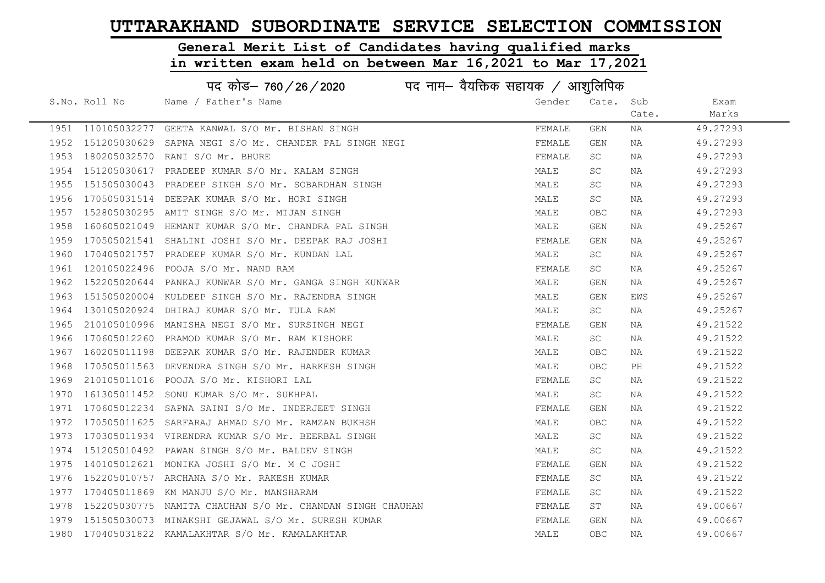# General Merit List of Candidates having qualified marks

|      |                   | पद कोड– 760/26/2020<br>पद नाम— वैयक्तिक सहायक $\diagup$ आशुलिपिक |        |            |       |          |
|------|-------------------|------------------------------------------------------------------|--------|------------|-------|----------|
|      | S.No. Roll No     | Name / Father's Name                                             | Gender | Cate.      | Sub   | Exam     |
|      |                   |                                                                  |        |            | Cate. | Marks    |
|      | 1951 110105032277 | GEETA KANWAL S/O Mr. BISHAN SINGH                                | FEMALE | GEN        | ΝA    | 49.27293 |
| 1952 | 151205030629      | SAPNA NEGI S/O Mr. CHANDER PAL SINGH NEGI                        | FEMALE | GEN        | NA    | 49.27293 |
| 1953 |                   | 180205032570 RANI S/O Mr. BHURE                                  | FEMALE | SC         | ΝA    | 49.27293 |
| 1954 |                   | 151205030617 PRADEEP KUMAR S/O Mr. KALAM SINGH                   | MALE   | SC         | NA    | 49.27293 |
| 1955 |                   | 151505030043 PRADEEP SINGH S/O Mr. SOBARDHAN SINGH               | MALE   | SC         | NA    | 49.27293 |
| 1956 |                   | 170505031514 DEEPAK KUMAR S/O Mr. HORI SINGH                     | MALE   | SC         | NA    | 49.27293 |
| 1957 |                   | 152805030295 AMIT SINGH S/O Mr. MIJAN SINGH                      | MALE   | <b>OBC</b> | NA    | 49.27293 |
| 1958 |                   | 160605021049 HEMANT KUMAR S/O Mr. CHANDRA PAL SINGH              | MALE   | GEN        | NA    | 49.25267 |
| 1959 |                   | 170505021541 SHALINI JOSHI S/O Mr. DEEPAK RAJ JOSHI              | FEMALE | GEN        | NA    | 49.25267 |
| 1960 |                   | 170405021757 PRADEEP KUMAR S/O Mr. KUNDAN LAL                    | MALE   | SC         | NA    | 49.25267 |
| 1961 |                   | 120105022496 POOJA S/O Mr. NAND RAM                              | FEMALE | SC         | NA    | 49.25267 |
| 1962 | 152205020644      | PANKAJ KUNWAR S/O Mr. GANGA SINGH KUNWAR                         | MALE   | GEN        | NA    | 49.25267 |
| 1963 |                   | 151505020004 KULDEEP SINGH S/O Mr. RAJENDRA SINGH                | MALE   | GEN        | EWS   | 49.25267 |
| 1964 |                   | 130105020924 DHIRAJ KUMAR S/O Mr. TULA RAM                       | MALE   | SC         | NA    | 49.25267 |
| 1965 |                   | 210105010996 MANISHA NEGI S/O Mr. SURSINGH NEGI                  | FEMALE | GEN        | NA    | 49.21522 |
| 1966 | 170605012260      | PRAMOD KUMAR S/O Mr. RAM KISHORE                                 | MALE   | <b>SC</b>  | NA    | 49.21522 |
| 1967 |                   | 160205011198 DEEPAK KUMAR S/O Mr. RAJENDER KUMAR                 | MALE   | OBC        | NA    | 49.21522 |
| 1968 |                   | 170505011563 DEVENDRA SINGH S/O Mr. HARKESH SINGH                | MALE   | OBC.       | PН    | 49.21522 |
| 1969 |                   | 210105011016 POOJA S/O Mr. KISHORI LAL                           | FEMALE | SC         | ΝA    | 49.21522 |
| 1970 |                   | 161305011452 SONU KUMAR S/O Mr. SUKHPAL                          | MALE   | SC         | NA    | 49.21522 |
| 1971 |                   | 170605012234 SAPNA SAINI S/O Mr. INDERJEET SINGH                 | FEMALE | GEN        | NA    | 49.21522 |
| 1972 |                   | 170505011625 SARFARAJ AHMAD S/O Mr. RAMZAN BUKHSH                | MALE   | OBC        | ΝA    | 49.21522 |
| 1973 |                   | 170305011934 VIRENDRA KUMAR S/O Mr. BEERBAL SINGH                | MALE   | SC         | ΝA    | 49.21522 |
| 1974 |                   | 151205010492 PAWAN SINGH S/O Mr. BALDEV SINGH                    | MALE   | SC         | ΝA    | 49.21522 |
| 1975 | 140105012621      | MONIKA JOSHI S/O Mr. M C JOSHI                                   | FEMALE | GEN        | NA    | 49.21522 |
| 1976 |                   | 152205010757 ARCHANA S/O Mr. RAKESH KUMAR                        | FEMALE | SC         | NA    | 49.21522 |
| 1977 |                   | 170405011869 KM MANJU S/O Mr. MANSHARAM                          | FEMALE | SC         | NA    | 49.21522 |
| 1978 |                   | 152205030775 NAMITA CHAUHAN S/O Mr. CHANDAN SINGH CHAUHAN        | FEMALE | ST         | NA    | 49.00667 |
| 1979 |                   | 151505030073 MINAKSHI GEJAWAL S/O Mr. SURESH KUMAR               | FEMALE | GEN        | NA    | 49.00667 |
|      |                   | 1980 170405031822 KAMALAKHTAR S/O Mr. KAMALAKHTAR                | MALE   | <b>OBC</b> | ΝA    | 49.00667 |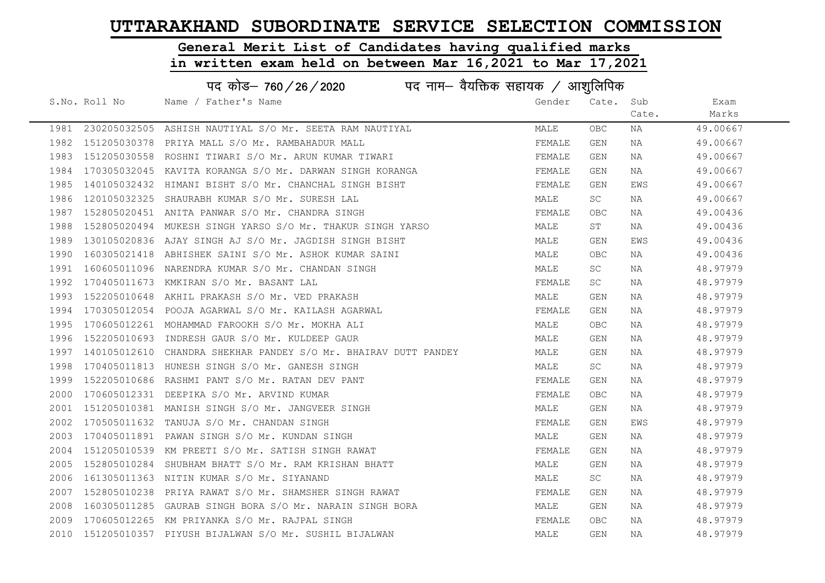# General Merit List of Candidates having qualified marks

|      |               | पद कोड़– 760 / 26 / 2020 पद नाम– वैयक्तिक सहायक / आशुलिपिक |        |            |       |          |
|------|---------------|------------------------------------------------------------|--------|------------|-------|----------|
|      | S.No. Roll No | Name / Father's Name                                       | Gender | Cate.      | Sub   | Exam     |
|      |               |                                                            |        |            | Cate. | Marks    |
| 1981 |               | 230205032505 ASHISH NAUTIYAL S/O Mr. SEETA RAM NAUTIYAL    | MALE   | <b>OBC</b> | NA    | 49.00667 |
| 1982 | 151205030378  | PRIYA MALL S/O Mr. RAMBAHADUR MALL                         | FEMALE | GEN        | NA    | 49.00667 |
| 1983 | 151205030558  | ROSHNI TIWARI S/O Mr. ARUN KUMAR TIWARI                    | FEMALE | GEN        | NA    | 49.00667 |
| 1984 |               | 170305032045 KAVITA KORANGA S/O Mr. DARWAN SINGH KORANGA   | FEMALE | GEN        | NA    | 49.00667 |
| 1985 |               | 140105032432 HIMANI BISHT S/O Mr. CHANCHAL SINGH BISHT     | FEMALE | GEN        | EWS   | 49.00667 |
| 1986 | 120105032325  | SHAURABH KUMAR S/O Mr. SURESH LAL                          | MALE   | SC         | NA    | 49.00667 |
| 1987 |               | 152805020451 ANITA PANWAR S/O Mr. CHANDRA SINGH            | FEMALE | <b>OBC</b> | NA    | 49.00436 |
| 1988 | 152805020494  | MUKESH SINGH YARSO S/O Mr. THAKUR SINGH YARSO              | MALE   | ST         | NA    | 49.00436 |
| 1989 |               | 130105020836 AJAY SINGH AJ S/O Mr. JAGDISH SINGH BISHT     | MALE   | GEN        | EWS   | 49.00436 |
| 1990 |               | 160305021418 ABHISHEK SAINI S/O Mr. ASHOK KUMAR SAINI      | MALE   | <b>OBC</b> | NA    | 49.00436 |
| 1991 |               | 160605011096 NARENDRA KUMAR S/O Mr. CHANDAN SINGH          | MALE   | SC         | NA    | 48.97979 |
| 1992 |               | 170405011673 KMKIRAN S/O Mr. BASANT LAL                    | FEMALE | SC         | NA    | 48.97979 |
| 1993 |               | 152205010648 AKHIL PRAKASH S/O Mr. VED PRAKASH             | MALE   | GEN        | NA    | 48.97979 |
| 1994 |               | 170305012054 POOJA AGARWAL S/O Mr. KAILASH AGARWAL         | FEMALE | GEN        | NA    | 48.97979 |
| 1995 |               | 170605012261 MOHAMMAD FAROOKH S/O Mr. MOKHA ALI            | MALE   | <b>OBC</b> | NA    | 48.97979 |
| 1996 | 152205010693  | INDRESH GAUR S/O Mr. KULDEEP GAUR                          | MALE   | GEN        | NA    | 48.97979 |
| 1997 | 140105012610  | CHANDRA SHEKHAR PANDEY S/O Mr. BHAIRAV DUTT PANDEY         | MALE   | GEN        | NA    | 48.97979 |
| 1998 | 170405011813  | HUNESH SINGH S/O Mr. GANESH SINGH                          | MALE   | SC         | NA    | 48.97979 |
| 1999 | 152205010686  | RASHMI PANT S/O Mr. RATAN DEV PANT                         | FEMALE | GEN        | NA    | 48.97979 |
| 2000 |               | 170605012331 DEEPIKA S/O Mr. ARVIND KUMAR                  | FEMALE | OBC        | NA    | 48.97979 |
| 2001 | 151205010381  | MANISH SINGH S/O Mr. JANGVEER SINGH                        | MALE   | GEN        | NA    | 48.97979 |
| 2002 |               | 170505011632 TANUJA S/O Mr. CHANDAN SINGH                  | FEMALE | GEN        | EWS   | 48.97979 |
| 2003 | 170405011891  | PAWAN SINGH S/O Mr. KUNDAN SINGH                           | MALE   | GEN        | NA    | 48.97979 |
| 2004 | 151205010539  | KM PREETI S/O Mr. SATISH SINGH RAWAT                       | FEMALE | GEN        | NA    | 48.97979 |
| 2005 | 152805010284  | SHUBHAM BHATT S/O Mr. RAM KRISHAN BHATT                    | MALE   | GEN        | NA    | 48.97979 |
| 2006 |               | 161305011363 NITIN KUMAR S/O Mr. SIYANAND                  | MALE   | SC         | NA    | 48.97979 |
| 2007 | 152805010238  | PRIYA RAWAT S/O Mr. SHAMSHER SINGH RAWAT                   | FEMALE | GEN        | NA    | 48.97979 |
| 2008 | 160305011285  | GAURAB SINGH BORA S/O Mr. NARAIN SINGH BORA                | MALE   | GEN        | NA    | 48.97979 |
| 2009 |               | 170605012265 KM PRIYANKA S/O Mr. RAJPAL SINGH              | FEMALE | <b>OBC</b> | NA    | 48.97979 |
| 2010 |               | 151205010357 PIYUSH BIJALWAN S/O Mr. SUSHIL BIJALWAN       | MALE   | <b>GEN</b> | ΝA    | 48.97979 |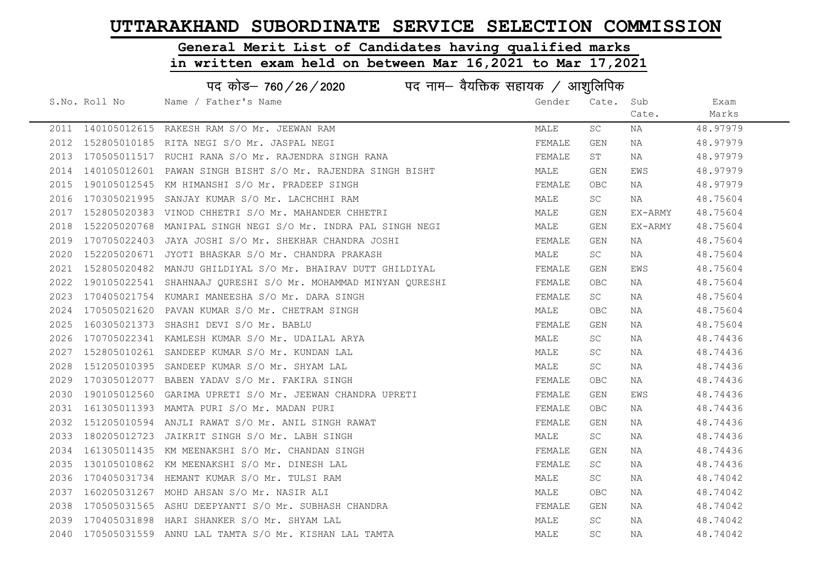#### General Merit List of Candidates having qualified marks

|      |               | पद कोड– 760/26/2020<br>पद नाम— वैयक्तिक सहायक / आशुलिपिक      |        |           |         |          |
|------|---------------|---------------------------------------------------------------|--------|-----------|---------|----------|
|      | S.No. Roll No | Name / Father's Name                                          | Gender | Cate. Sub |         | Exam     |
|      |               |                                                               |        |           | Cate.   | Marks    |
|      |               | 2011 140105012615 RAKESH RAM S/O Mr. JEEWAN RAM               | MALE   | SC        | ΝA      | 48.97979 |
| 2012 |               | 152805010185 RITA NEGI S/O Mr. JASPAL NEGI                    | FEMALE | GEN       | NA      | 48.97979 |
| 2013 |               | 170505011517 RUCHI RANA S/O Mr. RAJENDRA SINGH RANA           | FEMALE | ST        | NA      | 48.97979 |
| 2014 |               | 140105012601 PAWAN SINGH BISHT S/O Mr. RAJENDRA SINGH BISHT   | MALE   | GEN       | EWS     | 48.97979 |
| 2015 |               | 190105012545 KM HIMANSHI S/O Mr. PRADEEP SINGH                | FEMALE | OBC.      | NA      | 48.97979 |
| 2016 |               | 170305021995 SANJAY KUMAR S/O Mr. LACHCHHI RAM                | MALE   | SC        | NA      | 48.75604 |
| 2017 |               | 152805020383 VINOD CHHETRI S/O Mr. MAHANDER CHHETRI           | MALE   | GEN       | EX-ARMY | 48.75604 |
| 2018 |               | 152205020768 MANIPAL SINGH NEGI S/O Mr. INDRA PAL SINGH NEGI  | MALE   | GEN       | EX-ARMY | 48.75604 |
| 2019 |               | 170705022403 JAYA JOSHI S/O Mr. SHEKHAR CHANDRA JOSHI         | FEMALE | GEN       | NA      | 48.75604 |
| 2020 |               | 152205020671 JYOTI BHASKAR S/O Mr. CHANDRA PRAKASH            | MALE   | <b>SC</b> | NA      | 48.75604 |
| 2021 |               | 152805020482 MANJU GHILDIYAL S/O Mr. BHAIRAV DUTT GHILDIYAL   | FEMALE | GEN       | EWS     | 48.75604 |
| 2022 |               | 190105022541 SHAHNAAJ QURESHI S/O Mr. MOHAMMAD MINYAN QURESHI | FEMALE | OBC.      | NA      | 48.75604 |
| 2023 |               | 170405021754 KUMARI MANEESHA S/O Mr. DARA SINGH               | FEMALE | <b>SC</b> | NA      | 48.75604 |
| 2024 |               | 170505021620 PAVAN KUMAR S/O Mr. CHETRAM SINGH                | MALE   | OBC.      | NA      | 48.75604 |
| 2025 |               | 160305021373 SHASHI DEVI S/O Mr. BABLU                        | FEMALE | GEN       | NA      | 48.75604 |
| 2026 |               | 170705022341 KAMLESH KUMAR S/O Mr. UDAILAL ARYA               | MALE   | SC        | NA      | 48.74436 |
| 2027 |               | 152805010261 SANDEEP KUMAR S/O Mr. KUNDAN LAL                 | MALE   | SC        | NA      | 48.74436 |
| 2028 |               | 151205010395 SANDEEP KUMAR S/O Mr. SHYAM LAL                  | MALE   | SC        | NA      | 48.74436 |
| 2029 |               | 170305012077 BABEN YADAV S/O Mr. FAKIRA SINGH                 | FEMALE | OBC       | NA      | 48.74436 |
| 2030 |               | 190105012560 GARIMA UPRETI S/O Mr. JEEWAN CHANDRA UPRETI      | FEMALE | GEN       | EWS     | 48.74436 |
| 2031 |               | 161305011393 MAMTA PURI S/O Mr. MADAN PURI                    | FEMALE | OBC.      | NA      | 48.74436 |
| 2032 |               | 151205010594 ANJLI RAWAT S/O Mr. ANIL SINGH RAWAT             | FEMALE | GEN       | NA      | 48.74436 |
| 2033 |               | 180205012723 JAIKRIT SINGH S/O Mr. LABH SINGH                 | MALE   | SC        | NA      | 48.74436 |
| 2034 |               | 161305011435 KM MEENAKSHI S/O Mr. CHANDAN SINGH               | FEMALE | GEN       | NA      | 48.74436 |
| 2035 |               | 130105010862 KM MEENAKSHI S/O Mr. DINESH LAL                  | FEMALE | SC        | NA      | 48.74436 |
| 2036 |               | 170405031734 HEMANT KUMAR S/O Mr. TULSI RAM                   | MALE   | SC        | NA      | 48.74042 |
| 2037 |               | 160205031267 MOHD AHSAN S/O Mr. NASIR ALI                     | MALE   | OBC.      | NA      | 48.74042 |
| 2038 |               | 170505031565 ASHU DEEPYANTI S/O Mr. SUBHASH CHANDRA           | FEMALE | GEN       | NA      | 48.74042 |
| 2039 |               | 170405031898 HARI SHANKER S/O Mr. SHYAM LAL                   | MALE   | <b>SC</b> | NA      | 48.74042 |
| 2040 |               | 170505031559 ANNU LAL TAMTA S/O Mr. KISHAN LAL TAMTA          | MALE   | SC        | NA      | 48.74042 |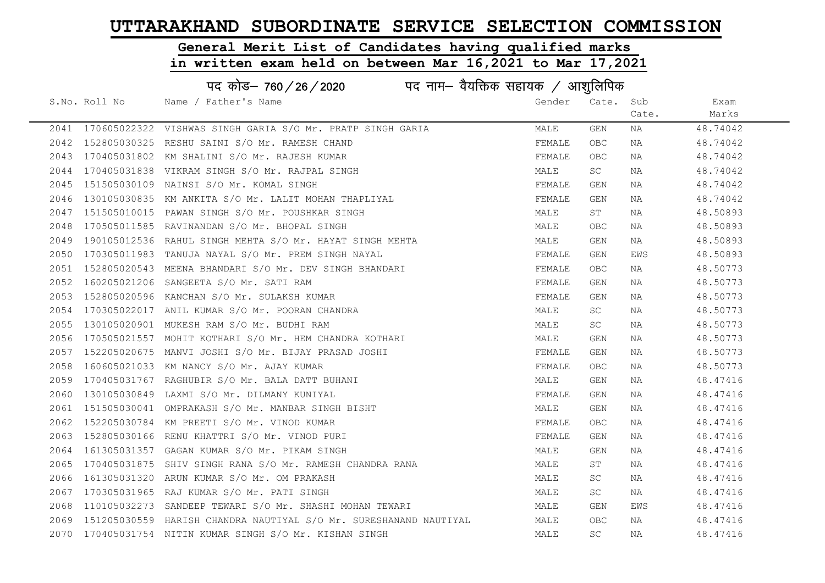#### General Merit List of Candidates having qualified marks

|      | पद कोड– 760 / 26 / 2020 पद नाम– वैयक्तिक सहायक / आशुलिपिक |                                                                   |        |            |       |          |  |
|------|-----------------------------------------------------------|-------------------------------------------------------------------|--------|------------|-------|----------|--|
|      | S.No. Roll No                                             | Name / Father's Name                                              | Gender | Cate. Sub  |       | Exam     |  |
|      |                                                           |                                                                   |        |            | Cate. | Marks    |  |
|      |                                                           | 2041 170605022322 VISHWAS SINGH GARIA S/O Mr. PRATP SINGH GARIA   | MALE   | GEN        | NA    | 48.74042 |  |
|      |                                                           | 2042 152805030325 RESHU SAINI S/O Mr. RAMESH CHAND                | FEMALE | <b>OBC</b> | NA    | 48.74042 |  |
|      |                                                           | 2043 170405031802 KM SHALINI S/O Mr. RAJESH KUMAR                 | FEMALE | OBC        | NA    | 48.74042 |  |
| 2044 |                                                           | 170405031838 VIKRAM SINGH S/O Mr. RAJPAL SINGH                    | MALE   | SC         | NA    | 48.74042 |  |
| 2045 |                                                           | 151505030109 NAINSI S/O Mr. KOMAL SINGH                           | FEMALE | GEN        | NA    | 48.74042 |  |
| 2046 |                                                           | 130105030835 KM ANKITA S/O Mr. LALIT MOHAN THAPLIYAL              | FEMALE | GEN        | NA    | 48.74042 |  |
| 2047 |                                                           | 151505010015 PAWAN SINGH S/O Mr. POUSHKAR SINGH                   | MALE   | ST         | NA    | 48.50893 |  |
| 2048 |                                                           | 170505011585 RAVINANDAN S/O Mr. BHOPAL SINGH                      | MALE   | <b>OBC</b> | NA    | 48.50893 |  |
| 2049 |                                                           | 190105012536 RAHUL SINGH MEHTA S/O Mr. HAYAT SINGH MEHTA          | MALE   | GEN        | NA    | 48.50893 |  |
|      |                                                           | 2050 170305011983 TANUJA NAYAL S/O Mr. PREM SINGH NAYAL           | FEMALE | GEN        | EWS   | 48.50893 |  |
| 2051 |                                                           | 152805020543 MEENA BHANDARI S/O Mr. DEV SINGH BHANDARI            | FEMALE | OBC.       | NA    | 48.50773 |  |
| 2052 |                                                           | 160205021206 SANGEETA S/O Mr. SATI RAM                            | FEMALE | GEN        | NA    | 48.50773 |  |
| 2053 |                                                           | 152805020596 KANCHAN S/O Mr. SULAKSH KUMAR                        | FEMALE | GEN        | NA    | 48.50773 |  |
| 2054 |                                                           | 170305022017 ANIL KUMAR S/O Mr. POORAN CHANDRA                    | MALE   | SC         | NA    | 48.50773 |  |
| 2055 |                                                           | 130105020901 MUKESH RAM S/O Mr. BUDHI RAM                         | MALE   | SC         | NA    | 48.50773 |  |
| 2056 |                                                           | 170505021557 MOHIT KOTHARI S/O Mr. HEM CHANDRA KOTHARI            | MALE   | GEN        | NA    | 48.50773 |  |
| 2057 |                                                           | 152205020675 MANVI JOSHI S/O Mr. BIJAY PRASAD JOSHI               | FEMALE | GEN        | NA    | 48.50773 |  |
| 2058 |                                                           | 160605021033 KM NANCY S/O Mr. AJAY KUMAR                          | FEMALE | OBC.       | ΝA    | 48.50773 |  |
| 2059 |                                                           | 170405031767 RAGHUBIR S/O Mr. BALA DATT BUHANI                    | MALE   | GEN        | NA    | 48.47416 |  |
| 2060 |                                                           | 130105030849 LAXMI S/O Mr. DILMANY KUNIYAL                        | FEMALE | GEN        | NA    | 48.47416 |  |
| 2061 |                                                           | 151505030041 OMPRAKASH S/O Mr. MANBAR SINGH BISHT                 | MALE   | GEN        | NA    | 48.47416 |  |
|      |                                                           | 2062 152205030784 KM PREETI S/O Mr. VINOD KUMAR                   | FEMALE | OBC        | NA    | 48.47416 |  |
| 2063 |                                                           | 152805030166 RENU KHATTRI S/O Mr. VINOD PURI                      | FEMALE | GEN        | NA    | 48.47416 |  |
| 2064 |                                                           | 161305031357 GAGAN KUMAR S/O Mr. PIKAM SINGH                      | MALE   | GEN        | NA    | 48.47416 |  |
| 2065 |                                                           | 170405031875 SHIV SINGH RANA S/O Mr. RAMESH CHANDRA RANA          | MALE   | ST         | NA    | 48.47416 |  |
| 2066 |                                                           | 161305031320 ARUN KUMAR S/O Mr. OM PRAKASH                        | MALE   | SC         | NA    | 48.47416 |  |
| 2067 |                                                           | 170305031965 RAJ KUMAR S/O Mr. PATI SINGH                         | MALE   | SC         | NA    | 48.47416 |  |
| 2068 |                                                           | 110105032273 SANDEEP TEWARI S/O Mr. SHASHI MOHAN TEWARI           | MALE   | GEN        | EWS   | 48.47416 |  |
| 2069 |                                                           | 151205030559 HARISH CHANDRA NAUTIYAL S/O Mr. SURESHANAND NAUTIYAL | MALE   | <b>OBC</b> | NA    | 48.47416 |  |
|      |                                                           | 2070 170405031754 NITIN KUMAR SINGH S/O Mr. KISHAN SINGH          | MALE   | <b>SC</b>  | ΝA    | 48.47416 |  |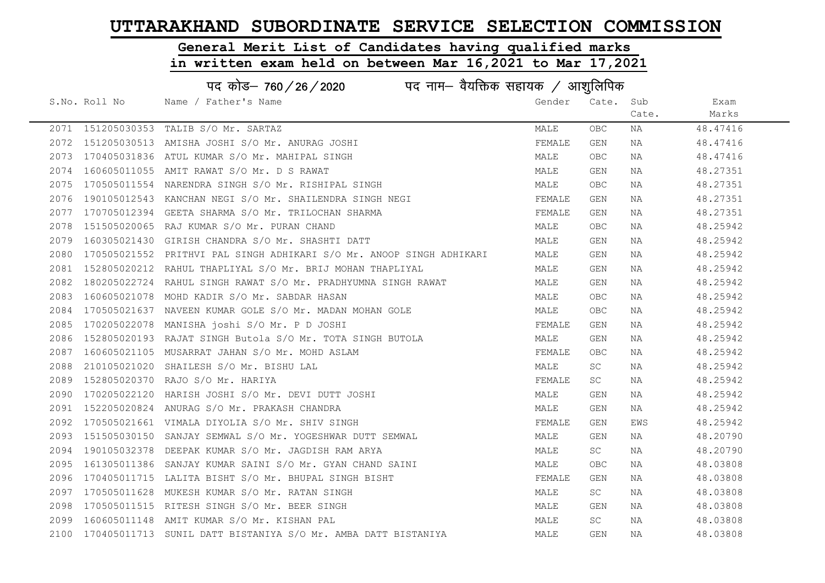# General Merit List of Candidates having qualified marks

|      | पद कोड– 760 / 26 / 2020 पद नाम– वैयक्तिक सहायक / आशुलिपिक |                                                                      |        |            |       |          |  |
|------|-----------------------------------------------------------|----------------------------------------------------------------------|--------|------------|-------|----------|--|
|      | S.No. Roll No                                             | Name / Father's Name                                                 | Gender | Cate. Sub  |       | Exam     |  |
|      |                                                           |                                                                      |        |            | Cate. | Marks    |  |
|      |                                                           | 2071 151205030353 TALIB S/O Mr. SARTAZ                               | MALE   | <b>OBC</b> | ΝA    | 48.47416 |  |
|      |                                                           | 2072 151205030513 AMISHA JOSHI S/O Mr. ANURAG JOSHI                  | FEMALE | GEN        | NA    | 48.47416 |  |
|      |                                                           | 2073 170405031836 ATUL KUMAR S/O Mr. MAHIPAL SINGH                   | MALE   | <b>OBC</b> | NA    | 48.47416 |  |
| 2074 |                                                           | 160605011055 AMIT RAWAT S/O Mr. D S RAWAT                            | MALE   | GEN        | NA    | 48.27351 |  |
| 2075 |                                                           | 170505011554 NARENDRA SINGH S/O Mr. RISHIPAL SINGH                   | MALE   | OBC        | NA    | 48.27351 |  |
| 2076 |                                                           | 190105012543 KANCHAN NEGI S/O Mr. SHAILENDRA SINGH NEGI              | FEMALE | GEN        | NA    | 48.27351 |  |
| 2077 |                                                           | 170705012394 GEETA SHARMA S/O Mr. TRILOCHAN SHARMA                   | FEMALE | GEN        | NA    | 48.27351 |  |
| 2078 |                                                           | 151505020065 RAJ KUMAR S/O Mr. PURAN CHAND                           | MALE   | <b>OBC</b> | ΝA    | 48.25942 |  |
| 2079 |                                                           | 160305021430 GIRISH CHANDRA S/O Mr. SHASHTI DATT                     | MALE   | GEN        | NA    | 48.25942 |  |
| 2080 |                                                           | 170505021552 PRITHVI PAL SINGH ADHIKARI S/O Mr. ANOOP SINGH ADHIKARI | MALE   | GEN        | NA    | 48.25942 |  |
|      |                                                           | 2081 152805020212 RAHUL THAPLIYAL S/O Mr. BRIJ MOHAN THAPLIYAL       | MALE   | GEN        | NA    | 48.25942 |  |
| 2082 |                                                           | 180205022724 RAHUL SINGH RAWAT S/O Mr. PRADHYUMNA SINGH RAWAT        | MALE   | GEN        | NA    | 48.25942 |  |
| 2083 |                                                           | 160605021078 MOHD KADIR S/O Mr. SABDAR HASAN                         | MALE   | OBC        | NA    | 48.25942 |  |
| 2084 |                                                           | 170505021637 NAVEEN KUMAR GOLE S/O Mr. MADAN MOHAN GOLE              | MALE   | OBC        | NA    | 48.25942 |  |
| 2085 |                                                           | 170205022078 MANISHA joshi S/O Mr. P D JOSHI                         | FEMALE | GEN        | ΝA    | 48.25942 |  |
| 2086 |                                                           | 152805020193 RAJAT SINGH Butola S/O Mr. TOTA SINGH BUTOLA            | MALE   | GEN        | NA    | 48.25942 |  |
| 2087 |                                                           | 160605021105 MUSARRAT JAHAN S/O Mr. MOHD ASLAM                       | FEMALE | OBC.       | NA    | 48.25942 |  |
| 2088 |                                                           | 210105021020 SHAILESH S/O Mr. BISHU LAL                              | MALE   | SC         | NA    | 48.25942 |  |
| 2089 |                                                           | 152805020370 RAJO S/O Mr. HARIYA                                     | FEMALE | SC         | NA    | 48.25942 |  |
| 2090 |                                                           | 170205022120 HARISH JOSHI S/O Mr. DEVI DUTT JOSHI                    | MALE   | GEN        | NA    | 48.25942 |  |
| 2091 |                                                           | 152205020824 ANURAG S/O Mr. PRAKASH CHANDRA                          | MALE   | GEN        | NA    | 48.25942 |  |
| 2092 |                                                           | 170505021661 VIMALA DIYOLIA S/O Mr. SHIV SINGH                       | FEMALE | GEN        | EWS   | 48.25942 |  |
| 2093 |                                                           | 151505030150 SANJAY SEMWAL S/O Mr. YOGESHWAR DUTT SEMWAL             | MALE   | GEN        | NA    | 48.20790 |  |
| 2094 |                                                           | 190105032378 DEEPAK KUMAR S/O Mr. JAGDISH RAM ARYA                   | MALE   | SC         | NA    | 48.20790 |  |
| 2095 |                                                           | 161305011386 SANJAY KUMAR SAINI S/O Mr. GYAN CHAND SAINI             | MALE   | <b>OBC</b> | NA    | 48.03808 |  |
| 2096 |                                                           | 170405011715 LALITA BISHT S/O Mr. BHUPAL SINGH BISHT                 | FEMALE | GEN        | NA    | 48.03808 |  |
| 2097 |                                                           | 170505011628 MUKESH KUMAR S/O Mr. RATAN SINGH                        | MALE   | SC         | NA    | 48.03808 |  |
| 2098 |                                                           | 170505011515 RITESH SINGH S/O Mr. BEER SINGH                         | MALE   | GEN        | NA    | 48.03808 |  |
| 2099 |                                                           | 160605011148 AMIT KUMAR S/O Mr. KISHAN PAL                           | MALE   | SC         | NA    | 48.03808 |  |
|      |                                                           | 2100 170405011713 SUNIL DATT BISTANIYA S/O Mr. AMBA DATT BISTANIYA   | MALE   | GEN        | ΝA    | 48.03808 |  |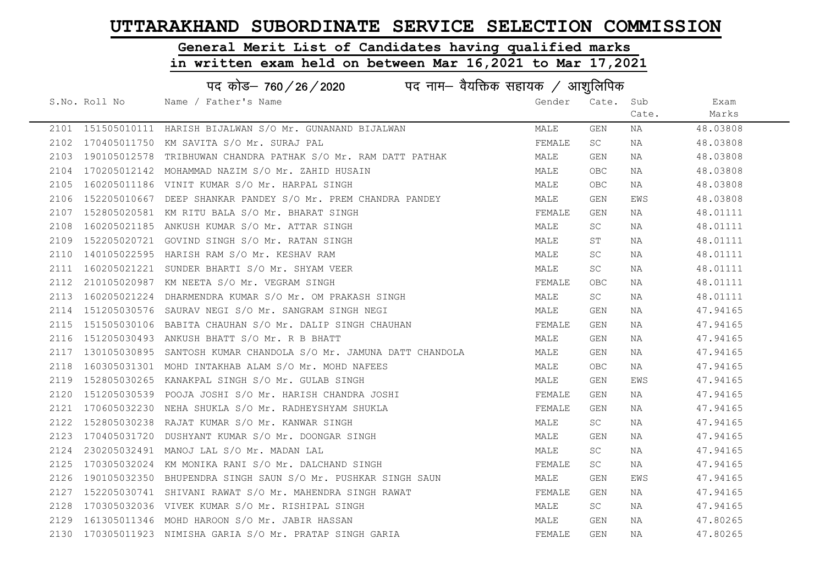# General Merit List of Candidates having qualified marks

|      |               | पद कोड़- 760 / 26 / 2020 पद नाम- वैयक्तिक सहायक / आशुलिपिक         |        |            |       |          |
|------|---------------|--------------------------------------------------------------------|--------|------------|-------|----------|
|      | S.No. Roll No | Name / Father's Name                                               | Gender | Cate.      | Sub   | Exam     |
|      |               |                                                                    |        |            | Cate. | Marks    |
|      |               | 2101 151505010111 HARISH BIJALWAN S/O Mr. GUNANAND BIJALWAN        | MALE   | GEN        | NA    | 48.03808 |
|      |               | 2102 170405011750 KM SAVITA S/O Mr. SURAJ PAL                      | FEMALE | SC         | NA    | 48.03808 |
|      |               | 2103 190105012578 TRIBHUWAN CHANDRA PATHAK S/O Mr. RAM DATT PATHAK | MALE   | GEN        | NA    | 48.03808 |
| 2104 |               | 170205012142 MOHAMMAD NAZIM S/O Mr. ZAHID HUSAIN                   | MALE   | OBC        | ΝA    | 48.03808 |
| 2105 |               | 160205011186 VINIT KUMAR S/O Mr. HARPAL SINGH                      | MALE   | OBC        | NA    | 48.03808 |
| 2106 |               | 152205010667 DEEP SHANKAR PANDEY S/O Mr. PREM CHANDRA PANDEY       | MALE   | GEN        | EWS   | 48.03808 |
| 2107 |               | 152805020581 KM RITU BALA S/O Mr. BHARAT SINGH                     | FEMALE | GEN        | NA    | 48.01111 |
| 2108 |               | 160205021185 ANKUSH KUMAR S/O Mr. ATTAR SINGH                      | MALE   | SC         | NA    | 48.01111 |
| 2109 |               | 152205020721 GOVIND SINGH S/O Mr. RATAN SINGH                      | MALE   | ST         | NA    | 48.01111 |
| 2110 |               | 140105022595 HARISH RAM S/O Mr. KESHAV RAM                         | MALE   | SC         | NA    | 48.01111 |
| 2111 |               | 160205021221 SUNDER BHARTI S/O Mr. SHYAM VEER                      | MALE   | SC         | NA    | 48.01111 |
| 2112 |               | 210105020987 KM NEETA S/O Mr. VEGRAM SINGH                         | FEMALE | OBC        | NA    | 48.01111 |
| 2113 |               | 160205021224 DHARMENDRA KUMAR S/O Mr. OM PRAKASH SINGH             | MALE   | SC         | NA    | 48.01111 |
| 2114 |               | 151205030576 SAURAV NEGI S/O Mr. SANGRAM SINGH NEGI                | MALE   | GEN        | NA    | 47.94165 |
| 2115 |               | 151505030106 BABITA CHAUHAN S/O Mr. DALIP SINGH CHAUHAN            | FEMALE | GEN        | NA    | 47.94165 |
| 2116 |               | 151205030493 ANKUSH BHATT S/O Mr. R B BHATT                        | MALE   | GEN        | NA    | 47.94165 |
| 2117 |               | 130105030895 SANTOSH KUMAR CHANDOLA S/O Mr. JAMUNA DATT CHANDOLA   | MALE   | GEN        | NA    | 47.94165 |
| 2118 |               | 160305031301 MOHD INTAKHAB ALAM S/O Mr. MOHD NAFEES                | MALE   | OBC        | NA    | 47.94165 |
| 2119 |               | 152805030265 KANAKPAL SINGH S/O Mr. GULAB SINGH                    | MALE   | GEN        | EWS   | 47.94165 |
| 2120 |               | 151205030539 POOJA JOSHI S/O Mr. HARISH CHANDRA JOSHI              | FEMALE | GEN        | NA    | 47.94165 |
| 2121 |               | 170605032230 NEHA SHUKLA S/O Mr. RADHEYSHYAM SHUKLA                | FEMALE | GEN        | NA    | 47.94165 |
| 2122 |               | 152805030238 RAJAT KUMAR S/O Mr. KANWAR SINGH                      | MALE   | SC         | NA    | 47.94165 |
| 2123 |               | 170405031720 DUSHYANT KUMAR S/O Mr. DOONGAR SINGH                  | MALE   | GEN        | NA    | 47.94165 |
| 2124 |               | 230205032491 MANOJ LAL S/O Mr. MADAN LAL                           | MALE   | SC         | NA    | 47.94165 |
| 2125 |               | 170305032024 KM MONIKA RANI S/O Mr. DALCHAND SINGH                 | FEMALE | SC         | ΝA    | 47.94165 |
| 2126 |               | 190105032350 BHUPENDRA SINGH SAUN S/O Mr. PUSHKAR SINGH SAUN       | MALE   | GEN        | EWS   | 47.94165 |
| 2127 |               | 152205030741 SHIVANI RAWAT S/O Mr. MAHENDRA SINGH RAWAT            | FEMALE | GEN        | NA    | 47.94165 |
| 2128 |               | 170305032036 VIVEK KUMAR S/O Mr. RISHIPAL SINGH                    | MALE   | SC         | NA    | 47.94165 |
|      |               | 2129 161305011346 MOHD HAROON S/O Mr. JABIR HASSAN                 | MALE   | GEN        | NA    | 47.80265 |
|      |               | 2130 170305011923 NIMISHA GARIA S/O Mr. PRATAP SINGH GARIA         | FEMALE | <b>GEN</b> | NA    | 47.80265 |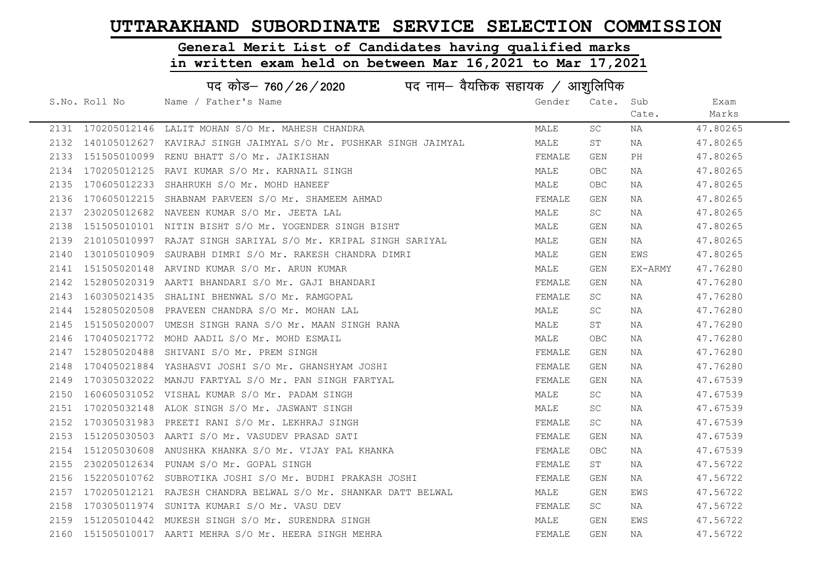#### General Merit List of Candidates having qualified marks

|      | पद कोड़- 760 / 26 / 2020 पद नाम- वैयक्तिक सहायक / आशुलिपिक |                                                                       |        |                     |         |          |  |
|------|------------------------------------------------------------|-----------------------------------------------------------------------|--------|---------------------|---------|----------|--|
|      | S.No. Roll No                                              | Name / Father's Name                                                  | Gender | Cate.               | Sub     | Exam     |  |
|      |                                                            |                                                                       |        |                     | Cate.   | Marks    |  |
|      | 2131 170205012146                                          | LALIT MOHAN S/O Mr. MAHESH CHANDRA                                    | MALE   | $\operatorname{SC}$ | NA      | 47.80265 |  |
|      |                                                            | 2132 140105012627 KAVIRAJ SINGH JAIMYAL S/O Mr. PUSHKAR SINGH JAIMYAL | MALE   | ST                  | NA      | 47.80265 |  |
| 2133 |                                                            | 151505010099 RENU BHATT S/O Mr. JAIKISHAN                             | FEMALE | GEN                 | PH      | 47.80265 |  |
| 2134 |                                                            | 170205012125 RAVI KUMAR S/O Mr. KARNAIL SINGH                         | MALE   | OBC                 | ΝA      | 47.80265 |  |
| 2135 |                                                            | 170605012233 SHAHRUKH S/O Mr. MOHD HANEEF                             | MALE   | OBC                 | ΝA      | 47.80265 |  |
| 2136 |                                                            | 170605012215 SHABNAM PARVEEN S/O Mr. SHAMEEM AHMAD                    | FEMALE | GEN                 | NA      | 47.80265 |  |
| 2137 |                                                            | 230205012682 NAVEEN KUMAR S/O Mr. JEETA LAL                           | MALE   | SC                  | NA      | 47.80265 |  |
| 2138 |                                                            | 151505010101 NITIN BISHT S/O Mr. YOGENDER SINGH BISHT                 | MALE   | GEN                 | NA      | 47.80265 |  |
| 2139 |                                                            | 210105010997 RAJAT SINGH SARIYAL S/O Mr. KRIPAL SINGH SARIYAL         | MALE   | GEN                 | NA      | 47.80265 |  |
| 2140 |                                                            | 130105010909 SAURABH DIMRI S/O Mr. RAKESH CHANDRA DIMRI               | MALE   | GEN                 | EWS     | 47.80265 |  |
| 2141 |                                                            | 151505020148 ARVIND KUMAR S/O Mr. ARUN KUMAR                          | MALE   | GEN                 | EX-ARMY | 47.76280 |  |
| 2142 |                                                            | 152805020319 AARTI BHANDARI S/O Mr. GAJI BHANDARI                     | FEMALE | GEN                 | NA      | 47.76280 |  |
| 2143 |                                                            | 160305021435 SHALINI BHENWAL S/O Mr. RAMGOPAL                         | FEMALE | SC                  | ΝA      | 47.76280 |  |
| 2144 |                                                            | 152805020508 PRAVEEN CHANDRA S/O Mr. MOHAN LAL                        | MALE   | SC                  | ΝA      | 47.76280 |  |
| 2145 |                                                            | 151505020007 UMESH SINGH RANA S/O Mr. MAAN SINGH RANA                 | MALE   | SΤ                  | NA      | 47.76280 |  |
| 2146 |                                                            | 170405021772 MOHD AADIL S/O Mr. MOHD ESMAIL                           | MALE   | OBC                 | NA      | 47.76280 |  |
| 2147 |                                                            | 152805020488 SHIVANI S/O Mr. PREM SINGH                               | FEMALE | GEN                 | NA      | 47.76280 |  |
| 2148 |                                                            | 170405021884 YASHASVI JOSHI S/O Mr. GHANSHYAM JOSHI                   | FEMALE | GEN                 | NA      | 47.76280 |  |
| 2149 |                                                            | 170305032022 MANJU FARTYAL S/O Mr. PAN SINGH FARTYAL                  | FEMALE | GEN                 | NA      | 47.67539 |  |
| 2150 |                                                            | 160605031052 VISHAL KUMAR S/O Mr. PADAM SINGH                         | MALE   | SC                  | NA      | 47.67539 |  |
| 2151 |                                                            | 170205032148 ALOK SINGH S/O Mr. JASWANT SINGH                         | MALE   | <b>SC</b>           | NA      | 47.67539 |  |
| 2152 |                                                            | 170305031983 PREETI RANI S/O Mr. LEKHRAJ SINGH                        | FEMALE | <b>SC</b>           | NA      | 47.67539 |  |
| 2153 |                                                            | 151205030503 AARTI S/O Mr. VASUDEV PRASAD SATI                        | FEMALE | GEN                 | ΝA      | 47.67539 |  |
| 2154 |                                                            | 151205030608 ANUSHKA KHANKA S/O Mr. VIJAY PAL KHANKA                  | FEMALE | OBC                 | NA      | 47.67539 |  |
| 2155 |                                                            | 230205012634 PUNAM S/O Mr. GOPAL SINGH                                | FEMALE | ST                  | NA      | 47.56722 |  |
| 2156 |                                                            | 152205010762 SUBROTIKA JOSHI S/O Mr. BUDHI PRAKASH JOSHI              | FEMALE | GEN                 | ΝA      | 47.56722 |  |
| 2157 |                                                            | 170205012121 RAJESH CHANDRA BELWAL S/O Mr. SHANKAR DATT BELWAL        | MALE   | GEN                 | EWS     | 47.56722 |  |
| 2158 |                                                            | 170305011974 SUNITA KUMARI S/O Mr. VASU DEV                           | FEMALE | SC                  | NA      | 47.56722 |  |
| 2159 |                                                            | 151205010442 MUKESH SINGH S/O Mr. SURENDRA SINGH                      | MALE   | <b>GEN</b>          | EWS     | 47.56722 |  |
|      |                                                            | 2160 151505010017 AARTI MEHRA S/O Mr. HEERA SINGH MEHRA               | FEMALE | <b>GEN</b>          | NA      | 47.56722 |  |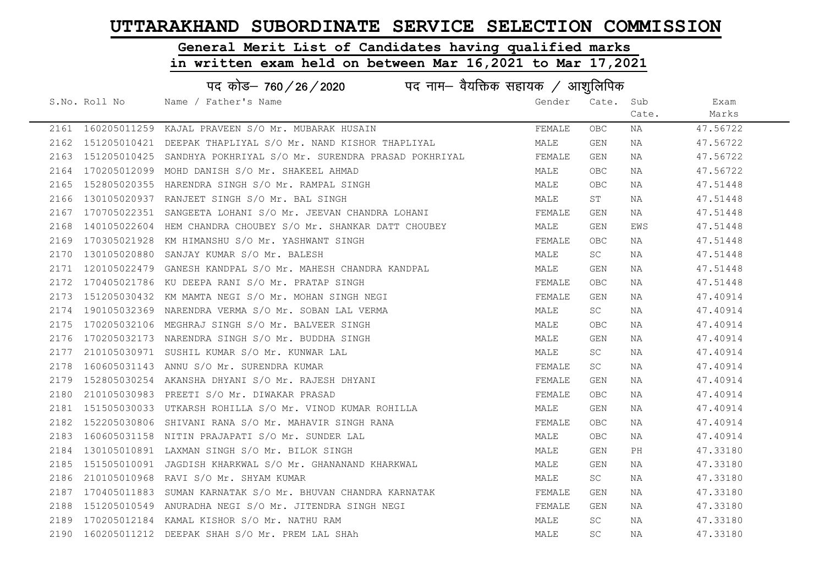# General Merit List of Candidates having qualified marks

|      | पद कोड– 760 / 26 / 2020 पद नाम– वैयक्तिक सहायक / आशुलिपिक |                                                                       |        |                         |       |          |  |  |
|------|-----------------------------------------------------------|-----------------------------------------------------------------------|--------|-------------------------|-------|----------|--|--|
|      | S.No. Roll No                                             | Name / Father's Name                                                  | Gender | Cate.                   | Sub   | Exam     |  |  |
|      |                                                           |                                                                       |        |                         | Cate. | Marks    |  |  |
|      |                                                           | 2161 160205011259 KAJAL PRAVEEN S/O Mr. MUBARAK HUSAIN                | FEMALE | OBC                     | NA    | 47.56722 |  |  |
|      |                                                           | 2162 151205010421 DEEPAK THAPLIYAL S/O Mr. NAND KISHOR THAPLIYAL      | MALE   | GEN                     | NA    | 47.56722 |  |  |
|      |                                                           | 2163 151205010425 SANDHYA POKHRIYAL S/O Mr. SURENDRA PRASAD POKHRIYAL | FEMALE | GEN                     | NA    | 47.56722 |  |  |
| 2164 | 170205012099                                              | MOHD DANISH S/O Mr. SHAKEEL AHMAD                                     | MALE   | OBC                     | ΝA    | 47.56722 |  |  |
| 2165 |                                                           | 152805020355 HARENDRA SINGH S/O Mr. RAMPAL SINGH                      | MALE   | <b>OBC</b>              | NA    | 47.51448 |  |  |
| 2166 |                                                           | 130105020937 RANJEET SINGH S/O Mr. BAL SINGH                          | MALE   | ST                      | ΝA    | 47.51448 |  |  |
| 2167 |                                                           | 170705022351 SANGEETA LOHANI S/O Mr. JEEVAN CHANDRA LOHANI            | FEMALE | GEN                     | NA    | 47.51448 |  |  |
| 2168 |                                                           | 140105022604 HEM CHANDRA CHOUBEY S/O Mr. SHANKAR DATT CHOUBEY         | MALE   | GEN                     | EWS   | 47.51448 |  |  |
| 2169 |                                                           | 170305021928 KM HIMANSHU S/O Mr. YASHWANT SINGH                       | FEMALE | OBC                     | NA    | 47.51448 |  |  |
| 2170 |                                                           | 130105020880 SANJAY KUMAR S/O Mr. BALESH                              | MALE   | SC                      | ΝA    | 47.51448 |  |  |
| 2171 |                                                           | 120105022479 GANESH KANDPAL S/O Mr. MAHESH CHANDRA KANDPAL            | MALE   | $\mathop{\mathsf{GEN}}$ | ΝA    | 47.51448 |  |  |
|      |                                                           | 2172 170405021786 KU DEEPA RANI S/O Mr. PRATAP SINGH                  | FEMALE | OBC                     | NA    | 47.51448 |  |  |
| 2173 |                                                           | 151205030432 KM MAMTA NEGI S/O Mr. MOHAN SINGH NEGI                   | FEMALE | GEN                     | ΝA    | 47.40914 |  |  |
| 2174 |                                                           | 190105032369 NARENDRA VERMA S/O Mr. SOBAN LAL VERMA                   | MALE   | SC                      | NA    | 47.40914 |  |  |
| 2175 |                                                           | 170205032106 MEGHRAJ SINGH S/O Mr. BALVEER SINGH                      | MALE   | <b>OBC</b>              | NA    | 47.40914 |  |  |
| 2176 |                                                           | 170205032173 NARENDRA SINGH S/O Mr. BUDDHA SINGH                      | MALE   | GEN                     | NA    | 47.40914 |  |  |
| 2177 |                                                           | 210105030971 SUSHIL KUMAR S/O Mr. KUNWAR LAL                          | MALE   | SC                      | NA    | 47.40914 |  |  |
| 2178 |                                                           | 160605031143 ANNU S/O Mr. SURENDRA KUMAR                              | FEMALE | SC                      | NA    | 47.40914 |  |  |
| 2179 |                                                           | 152805030254 AKANSHA DHYANI S/O Mr. RAJESH DHYANI                     | FEMALE | GEN                     | NA    | 47.40914 |  |  |
| 2180 |                                                           | 210105030983 PREETI S/O Mr. DIWAKAR PRASAD                            | FEMALE | <b>OBC</b>              | NA    | 47.40914 |  |  |
|      |                                                           | 2181 151505030033 UTKARSH ROHILLA S/O Mr. VINOD KUMAR ROHILLA         | MALE   | GEN                     | NA    | 47.40914 |  |  |
| 2182 |                                                           | 152205030806 SHIVANI RANA S/O Mr. MAHAVIR SINGH RANA                  | FEMALE | OBC                     | NA    | 47.40914 |  |  |
| 2183 |                                                           | 160605031158 NITIN PRAJAPATI S/O Mr. SUNDER LAL                       | MALE   | OBC                     | NA    | 47.40914 |  |  |
| 2184 |                                                           | 130105010891 LAXMAN SINGH S/O Mr. BILOK SINGH                         | MALE   | GEN                     | PH    | 47.33180 |  |  |
| 2185 |                                                           | 151505010091 JAGDISH KHARKWAL S/O Mr. GHANANAND KHARKWAL              | MALE   | GEN                     | ΝA    | 47.33180 |  |  |
| 2186 |                                                           | 210105010968 RAVI S/O Mr. SHYAM KUMAR                                 | MALE   | SC                      | ΝA    | 47.33180 |  |  |
| 2187 |                                                           | 170405011883 SUMAN KARNATAK S/O Mr. BHUVAN CHANDRA KARNATAK           | FEMALE | GEN                     | NA    | 47.33180 |  |  |
| 2188 |                                                           | 151205010549 ANURADHA NEGI S/O Mr. JITENDRA SINGH NEGI                | FEMALE | GEN                     | NA    | 47.33180 |  |  |
|      |                                                           | 2189 170205012184 KAMAL KISHOR S/O Mr. NATHU RAM                      | MALE   | SC                      | NA    | 47.33180 |  |  |
|      |                                                           | 2190 160205011212 DEEPAK SHAH S/O Mr. PREM LAL SHAh                   | MALE   | SC                      | ΝA    | 47.33180 |  |  |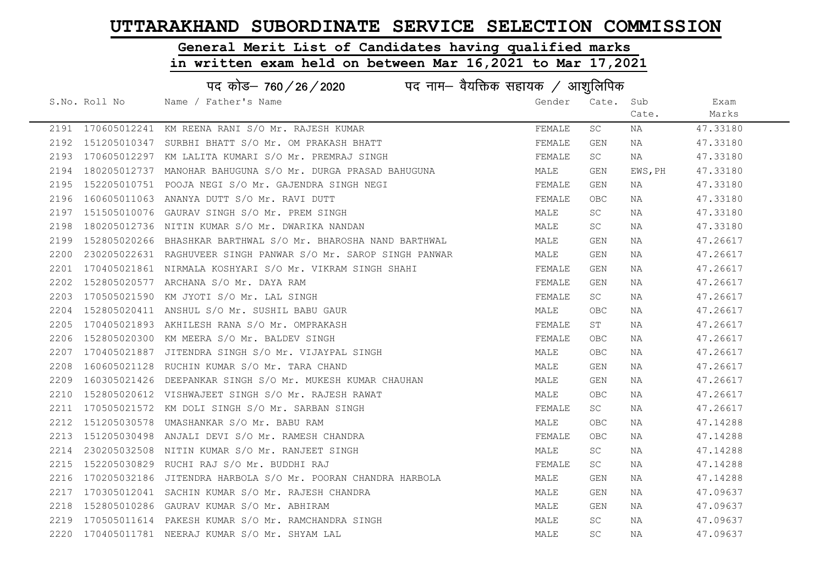#### General Merit List of Candidates having qualified marks

|      | पद कोड़– 760 / 26 / 2020 पद नाम– वैयक्तिक सहायक / आशुलिपिक |                                                                |        |            |         |          |  |
|------|------------------------------------------------------------|----------------------------------------------------------------|--------|------------|---------|----------|--|
|      | S.No. Roll No                                              | Name / Father's Name                                           | Gender | Cate.      | Sub     | Exam     |  |
|      |                                                            |                                                                |        |            | Cate.   | Marks    |  |
|      |                                                            | 2191 170605012241 KM REENA RANI S/O Mr. RAJESH KUMAR           | FEMALE | SC         | NA      | 47.33180 |  |
| 2192 |                                                            | 151205010347 SURBHI BHATT S/O Mr. OM PRAKASH BHATT             | FEMALE | GEN        | NA      | 47.33180 |  |
| 2193 |                                                            | 170605012297 KM LALITA KUMARI S/O Mr. PREMRAJ SINGH            | FEMALE | SC         | NA      | 47.33180 |  |
| 2194 |                                                            | 180205012737  MANOHAR BAHUGUNA S/O Mr. DURGA PRASAD BAHUGUNA   | MALE   | GEN        | EWS, PH | 47.33180 |  |
| 2195 |                                                            | 152205010751 POOJA NEGI S/O Mr. GAJENDRA SINGH NEGI            | FEMALE | GEN        | NA      | 47.33180 |  |
| 2196 |                                                            | 160605011063 ANANYA DUTT S/O Mr. RAVI DUTT                     | FEMALE | <b>OBC</b> | NA      | 47.33180 |  |
| 2197 |                                                            | 151505010076 GAURAV SINGH S/O Mr. PREM SINGH                   | MALE   | SC         | NA      | 47.33180 |  |
| 2198 |                                                            | 180205012736 NITIN KUMAR S/O Mr. DWARIKA NANDAN                | MALE   | <b>SC</b>  | NA      | 47.33180 |  |
| 2199 |                                                            | 152805020266 BHASHKAR BARTHWAL S/O Mr. BHAROSHA NAND BARTHWAL  | MALE   | GEN        | NA      | 47.26617 |  |
| 2200 |                                                            | 230205022631 RAGHUVEER SINGH PANWAR S/O Mr. SAROP SINGH PANWAR | MALE   | GEN        | NA      | 47.26617 |  |
| 2201 |                                                            | 170405021861 NIRMALA KOSHYARI S/O Mr. VIKRAM SINGH SHAHI       | FEMALE | GEN        | NA      | 47.26617 |  |
| 2202 |                                                            | 152805020577 ARCHANA S/O Mr. DAYA RAM                          | FEMALE | GEN        | NA      | 47.26617 |  |
| 2203 |                                                            | 170505021590 KM JYOTI S/O Mr. LAL SINGH                        | FEMALE | SC.        | NA      | 47.26617 |  |
| 2204 |                                                            | 152805020411 ANSHUL S/O Mr. SUSHIL BABU GAUR                   | MALE   | <b>OBC</b> | NA      | 47.26617 |  |
| 2205 |                                                            | 170405021893 AKHILESH RANA S/O Mr. OMPRAKASH                   | FEMALE | ST         | NA      | 47.26617 |  |
| 2206 | 152805020300                                               | KM MEERA S/O Mr. BALDEV SINGH                                  | FEMALE | <b>OBC</b> | NA      | 47.26617 |  |
| 2207 | 170405021887                                               | JITENDRA SINGH S/O Mr. VIJAYPAL SINGH                          | MALE   | <b>OBC</b> | NA      | 47.26617 |  |
| 2208 |                                                            | 160605021128 RUCHIN KUMAR S/O Mr. TARA CHAND                   | MALE   | GEN        | NA      | 47.26617 |  |
| 2209 |                                                            | 160305021426 DEEPANKAR SINGH S/O Mr. MUKESH KUMAR CHAUHAN      | MALE   | GEN        | NA      | 47.26617 |  |
| 2210 |                                                            | 152805020612 VISHWAJEET SINGH S/O Mr. RAJESH RAWAT             | MALE   | <b>OBC</b> | NA      | 47.26617 |  |
| 2211 |                                                            | 170505021572 KM DOLI SINGH S/O Mr. SARBAN SINGH                | FEMALE | SC         | NA      | 47.26617 |  |
| 2212 |                                                            | 151205030578 UMASHANKAR S/O Mr. BABU RAM                       | MALE   | OBC        | NA      | 47.14288 |  |
| 2213 |                                                            | 151205030498 ANJALI DEVI S/O Mr. RAMESH CHANDRA                | FEMALE | <b>OBC</b> | NA      | 47.14288 |  |
| 2214 | 230205032508                                               | NITIN KUMAR S/O Mr. RANJEET SINGH                              | MALE   | SC         | NA      | 47.14288 |  |
| 2215 | 152205030829                                               | RUCHI RAJ S/O Mr. BUDDHI RAJ                                   | FEMALE | SC         | NA      | 47.14288 |  |
| 2216 |                                                            | 170205032186 JITENDRA HARBOLA S/O Mr. POORAN CHANDRA HARBOLA   | MALE   | GEN        | NA      | 47.14288 |  |
| 2217 |                                                            | 170305012041 SACHIN KUMAR S/O Mr. RAJESH CHANDRA               | MALE   | GEN        | NA      | 47.09637 |  |
| 2218 | 152805010286                                               | GAURAV KUMAR S/O Mr. ABHIRAM                                   | MALE   | GEN        | NA      | 47.09637 |  |
| 2219 |                                                            | 170505011614 PAKESH KUMAR S/O Mr. RAMCHANDRA SINGH             | MALE   | SC         | NA      | 47.09637 |  |
| 2220 |                                                            | 170405011781 NEERAJ KUMAR S/O Mr. SHYAM LAL                    | MALE   | <b>SC</b>  | ΝA      | 47.09637 |  |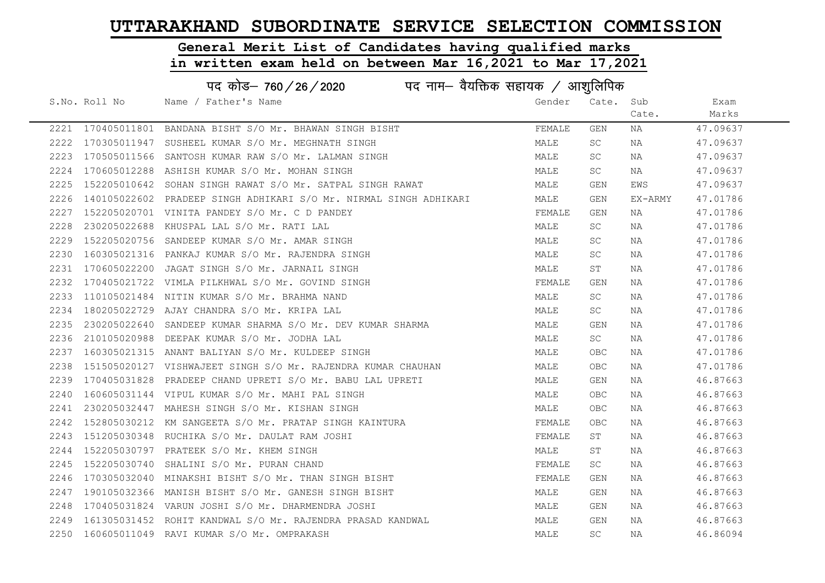# General Merit List of Candidates having qualified marks

|      | पद कोड– 760 / 26 / 2020 पद नाम– वैयक्तिक सहायक / आशुलिपिक |                                                                   |        |           |         |          |  |  |
|------|-----------------------------------------------------------|-------------------------------------------------------------------|--------|-----------|---------|----------|--|--|
|      | S.No. Roll No                                             | Name / Father's Name                                              | Gender | Cate. Sub |         | Exam     |  |  |
|      |                                                           |                                                                   |        |           | Cate.   | Marks    |  |  |
|      |                                                           | 2221 170405011801 BANDANA BISHT S/O Mr. BHAWAN SINGH BISHT        | FEMALE | GEN       | ΝA      | 47.09637 |  |  |
| 2222 |                                                           | 170305011947 SUSHEEL KUMAR S/O Mr. MEGHNATH SINGH                 | MALE   | SC        | NA      | 47.09637 |  |  |
| 2223 |                                                           | 170505011566 SANTOSH KUMAR RAW S/O Mr. LALMAN SINGH               | MALE   | SC        | ΝA      | 47.09637 |  |  |
| 2224 |                                                           | 170605012288 ASHISH KUMAR S/O Mr. MOHAN SINGH                     | MALE   | SC        | NA      | 47.09637 |  |  |
| 2225 |                                                           | 152205010642 SOHAN SINGH RAWAT S/O Mr. SATPAL SINGH RAWAT         | MALE   | GEN       | EWS     | 47.09637 |  |  |
| 2226 |                                                           | 140105022602 PRADEEP SINGH ADHIKARI S/O Mr. NIRMAL SINGH ADHIKARI | MALE   | GEN       | EX-ARMY | 47.01786 |  |  |
| 2227 |                                                           | 152205020701 VINITA PANDEY S/O Mr. C D PANDEY                     | FEMALE | GEN       | NA      | 47.01786 |  |  |
| 2228 |                                                           | 230205022688 KHUSPAL LAL S/O Mr. RATI LAL                         | MALE   | SC        | NA      | 47.01786 |  |  |
| 2229 |                                                           | 152205020756 SANDEEP KUMAR S/O Mr. AMAR SINGH                     | MALE   | SC        | NA      | 47.01786 |  |  |
| 2230 |                                                           | 160305021316 PANKAJ KUMAR S/O Mr. RAJENDRA SINGH                  | MALE   | SC        | NA      | 47.01786 |  |  |
| 2231 |                                                           | 170605022200 JAGAT SINGH S/O Mr. JARNAIL SINGH                    | MALE   | ST        | NA      | 47.01786 |  |  |
| 2232 |                                                           | 170405021722 VIMLA PILKHWAL S/O Mr. GOVIND SINGH                  | FEMALE | GEN       | NA      | 47.01786 |  |  |
| 2233 |                                                           | 110105021484 NITIN KUMAR S/O Mr. BRAHMA NAND                      | MALE   | SC        | NA      | 47.01786 |  |  |
| 2234 |                                                           | 180205022729 AJAY CHANDRA S/O Mr. KRIPA LAL                       | MALE   | SC        | NA      | 47.01786 |  |  |
| 2235 |                                                           | 230205022640 SANDEEP KUMAR SHARMA S/O Mr. DEV KUMAR SHARMA        | MALE   | GEN       | NA      | 47.01786 |  |  |
| 2236 |                                                           | 210105020988 DEEPAK KUMAR S/O Mr. JODHA LAL                       | MALE   | SC        | NA      | 47.01786 |  |  |
| 2237 |                                                           | 160305021315 ANANT BALIYAN S/O Mr. KULDEEP SINGH                  | MALE   | OBC       | NA      | 47.01786 |  |  |
| 2238 |                                                           | 151505020127 VISHWAJEET SINGH S/O Mr. RAJENDRA KUMAR CHAUHAN      | MALE   | OBC       | NA      | 47.01786 |  |  |
| 2239 | 170405031828                                              | PRADEEP CHAND UPRETI S/O Mr. BABU LAL UPRETI                      | MALE   | GEN       | NA      | 46.87663 |  |  |
| 2240 |                                                           | 160605031144 VIPUL KUMAR S/O Mr. MAHI PAL SINGH                   | MALE   | OBC       | NA      | 46.87663 |  |  |
| 2241 |                                                           | 230205032447 MAHESH SINGH S/O Mr. KISHAN SINGH                    | MALE   | OBC.      | NA      | 46.87663 |  |  |
| 2242 |                                                           | 152805030212 KM SANGEETA S/O Mr. PRATAP SINGH KAINTURA            | FEMALE | OBC       | NA      | 46.87663 |  |  |
| 2243 |                                                           | 151205030348 RUCHIKA S/O Mr. DAULAT RAM JOSHI                     | FEMALE | ST        | NA      | 46.87663 |  |  |
| 2244 |                                                           | 152205030797 PRATEEK S/O Mr. KHEM SINGH                           | MALE   | SΤ        | NA      | 46.87663 |  |  |
| 2245 |                                                           | 152205030740 SHALINI S/O Mr. PURAN CHAND                          | FEMALE | SC        | NA      | 46.87663 |  |  |
| 2246 |                                                           | 170305032040 MINAKSHI BISHT S/O Mr. THAN SINGH BISHT              | FEMALE | GEN       | NA      | 46.87663 |  |  |
| 2247 |                                                           | 190105032366 MANISH BISHT S/O Mr. GANESH SINGH BISHT              | MALE   | GEN       | NA      | 46.87663 |  |  |
| 2248 |                                                           | 170405031824 VARUN JOSHI S/O Mr. DHARMENDRA JOSHI                 | MALE   | GEN       | NA      | 46.87663 |  |  |
| 2249 |                                                           | 161305031452 ROHIT KANDWAL S/O Mr. RAJENDRA PRASAD KANDWAL        | MALE   | GEN       | NA      | 46.87663 |  |  |
|      |                                                           | 2250 160605011049 RAVI KUMAR S/O Mr. OMPRAKASH                    | MALE   | <b>SC</b> | NA      | 46.86094 |  |  |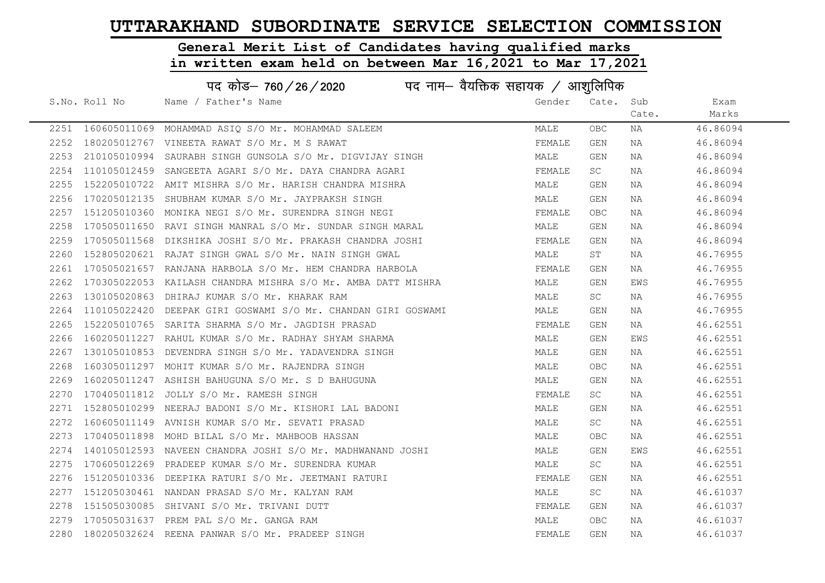# General Merit List of Candidates having qualified marks

|      | पद कोड़- 760 / 26 / 2020 पद नाम- वैयक्तिक सहायक / आशुलिपिक |                                                               |        |            |       |          |  |
|------|------------------------------------------------------------|---------------------------------------------------------------|--------|------------|-------|----------|--|
|      | S.No. Roll No                                              | Name / Father's Name                                          | Gender | Cate.      | Sub   | Exam     |  |
|      |                                                            |                                                               |        |            | Cate. | Marks    |  |
|      |                                                            | 2251 160605011069 MOHAMMAD ASIQ S/O Mr. MOHAMMAD SALEEM       | MALE   | OBC.       | NA    | 46.86094 |  |
| 2252 |                                                            | 180205012767 VINEETA RAWAT S/O Mr. M S RAWAT                  | FEMALE | GEN        | NA    | 46.86094 |  |
| 2253 |                                                            | 210105010994 SAURABH SINGH GUNSOLA S/O Mr. DIGVIJAY SINGH     | MALE   | GEN        | NA    | 46.86094 |  |
| 2254 |                                                            | 110105012459 SANGEETA AGARI S/O Mr. DAYA CHANDRA AGARI        | FEMALE | SC         | NA    | 46.86094 |  |
| 2255 |                                                            | 152205010722 AMIT MISHRA S/O Mr. HARISH CHANDRA MISHRA        | MALE   | GEN        | NA    | 46.86094 |  |
| 2256 |                                                            | 170205012135 SHUBHAM KUMAR S/O Mr. JAYPRAKSH SINGH            | MALE   | GEN        | NA    | 46.86094 |  |
| 2257 |                                                            | 151205010360 MONIKA NEGI S/O Mr. SURENDRA SINGH NEGI          | FEMALE | OBC.       | NA    | 46.86094 |  |
| 2258 |                                                            | 170505011650 RAVI SINGH MANRAL S/O Mr. SUNDAR SINGH MARAL     | MALE   | GEN        | NA    | 46.86094 |  |
| 2259 | 170505011568                                               | DIKSHIKA JOSHI S/O Mr. PRAKASH CHANDRA JOSHI                  | FEMALE | GEN        | NA    | 46.86094 |  |
| 2260 |                                                            | 152805020621 RAJAT SINGH GWAL S/O Mr. NAIN SINGH GWAL         | MALE   | ST         | NA    | 46.76955 |  |
| 2261 |                                                            | $170505021657$ RANJANA HARBOLA S/O Mr. HEM CHANDRA HARBOLA    | FEMALE | GEN        | NA    | 46.76955 |  |
| 2262 |                                                            | 170305022053 KAILASH CHANDRA MISHRA S/O Mr. AMBA DATT MISHRA  | MALE   | GEN        | EWS   | 46.76955 |  |
| 2263 |                                                            | 130105020863 DHIRAJ KUMAR S/O Mr. KHARAK RAM                  | MALE   | SC         | NA    | 46.76955 |  |
| 2264 |                                                            | 110105022420 DEEPAK GIRI GOSWAMI S/O Mr. CHANDAN GIRI GOSWAMI | MALE   | GEN        | NA    | 46.76955 |  |
| 2265 |                                                            | 152205010765 SARITA SHARMA S/O Mr. JAGDISH PRASAD             | FEMALE | GEN        | NA    | 46.62551 |  |
| 2266 |                                                            | 160205011227 RAHUL KUMAR S/O Mr. RADHAY SHYAM SHARMA          | MALE   | GEN        | EWS   | 46.62551 |  |
| 2267 | 130105010853                                               | DEVENDRA SINGH S/O Mr. YADAVENDRA SINGH                       | MALE   | GEN        | NA    | 46.62551 |  |
| 2268 |                                                            | 160305011297 MOHIT KUMAR S/O Mr. RAJENDRA SINGH               | MALE   | <b>OBC</b> | NA    | 46.62551 |  |
| 2269 |                                                            | 160205011247 ASHISH BAHUGUNA S/O Mr. S D BAHUGUNA             | MALE   | GEN        | NA    | 46.62551 |  |
| 2270 | 170405011812                                               | JOLLY S/O Mr. RAMESH SINGH                                    | FEMALE | SC         | NA    | 46.62551 |  |
| 2271 | 152805010299                                               | NEERAJ BADONI S/O Mr. KISHORI LAL BADONI                      | MALE   | GEN        | NA    | 46.62551 |  |
| 2272 |                                                            | 160605011149 AVNISH KUMAR S/O Mr. SEVATI PRASAD               | MALE   | SC         | NA    | 46.62551 |  |
| 2273 |                                                            | 170405011898 MOHD BILAL S/O Mr. MAHBOOB HASSAN                | MALE   | OBC        | NA    | 46.62551 |  |
| 2274 | 140105012593                                               | NAVEEN CHANDRA JOSHI S/O Mr. MADHWANAND JOSHI                 | MALE   | GEN        | EWS   | 46.62551 |  |
| 2275 |                                                            | 170605012269 PRADEEP KUMAR S/O Mr. SURENDRA KUMAR             | MALE   | SC         | NA    | 46.62551 |  |
| 2276 |                                                            | 151205010336 DEEPIKA RATURI S/O Mr. JEETMANI RATURI           | FEMALE | GEN        | NA    | 46.62551 |  |
| 2277 |                                                            | 151205030461 NANDAN PRASAD S/O Mr. KALYAN RAM                 | MALE   | SC         | NA    | 46.61037 |  |
| 2278 |                                                            | 151505030085 SHIVANI S/O Mr. TRIVANI DUTT                     | FEMALE | GEN        | NA    | 46.61037 |  |
| 2279 |                                                            | 170505031637 PREM PAL S/O Mr. GANGA RAM                       | MALE   | OBC.       | NA    | 46.61037 |  |
|      |                                                            | 2280 180205032624 REENA PANWAR S/O Mr. PRADEEP SINGH          | FEMALE | GEN        | NA    | 46.61037 |  |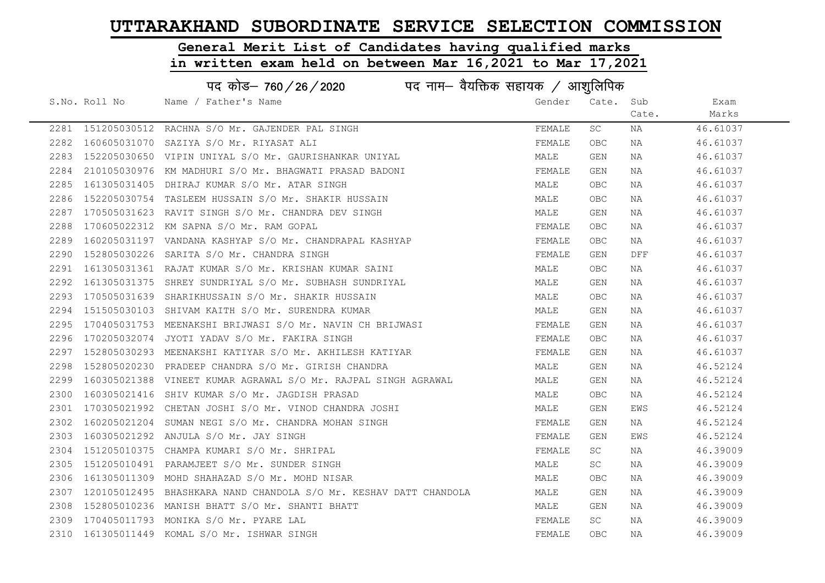# General Merit List of Candidates having qualified marks

|      | पद कोड– 760/26/2020<br>पद नाम— वैयक्तिक सहायक / आशुलिपिक |                                                                   |        |            |       |          |  |
|------|----------------------------------------------------------|-------------------------------------------------------------------|--------|------------|-------|----------|--|
|      | S.No. Roll No                                            | Name / Father's Name                                              | Gender | Cate. Sub  |       | Exam     |  |
|      |                                                          |                                                                   |        |            | Cate. | Marks    |  |
|      |                                                          | 2281 151205030512 RACHNA S/O Mr. GAJENDER PAL SINGH               | FEMALE | SC         | ΝA    | 46.61037 |  |
| 2282 |                                                          | 160605031070 SAZIYA S/O Mr. RIYASAT ALI                           | FEMALE | <b>OBC</b> | NA    | 46.61037 |  |
| 2283 |                                                          | 152205030650 VIPIN UNIYAL S/O Mr. GAURISHANKAR UNIYAL             | MALE   | GEN        | NA    | 46.61037 |  |
| 2284 |                                                          | 210105030976 KM MADHURI S/O Mr. BHAGWATI PRASAD BADONI            | FEMALE | GEN        | NA    | 46.61037 |  |
| 2285 |                                                          | 161305031405 DHIRAJ KUMAR S/O Mr. ATAR SINGH                      | MALE   | OBC.       | NA    | 46.61037 |  |
| 2286 |                                                          | 152205030754 TASLEEM HUSSAIN S/O Mr. SHAKIR HUSSAIN               | MALE   | OBC.       | NA    | 46.61037 |  |
| 2287 |                                                          | 170505031623 RAVIT SINGH S/O Mr. CHANDRA DEV SINGH                | MALE   | GEN        | NA    | 46.61037 |  |
| 2288 |                                                          | 170605022312 KM SAPNA S/O Mr. RAM GOPAL                           | FEMALE | OBC.       | NA    | 46.61037 |  |
| 2289 |                                                          | 160205031197 VANDANA KASHYAP S/O Mr. CHANDRAPAL KASHYAP           | FEMALE | OBC.       | NA    | 46.61037 |  |
| 2290 |                                                          | 152805030226 SARITA S/O Mr. CHANDRA SINGH                         | FEMALE | GEN        | DFF   | 46.61037 |  |
| 2291 |                                                          | 161305031361 RAJAT KUMAR S/O Mr. KRISHAN KUMAR SAINI              | MALE   | OBC.       | NA    | 46.61037 |  |
| 2292 |                                                          | 161305031375 SHREY SUNDRIYAL S/O Mr. SUBHASH SUNDRIYAL            | MALE   | GEN        | NA    | 46.61037 |  |
| 2293 |                                                          | 170505031639 SHARIKHUSSAIN S/O Mr. SHAKIR HUSSAIN                 | MALE   | OBC.       | NA    | 46.61037 |  |
| 2294 |                                                          | 151505030103 SHIVAM KAITH S/O Mr. SURENDRA KUMAR                  | MALE   | GEN        | NA    | 46.61037 |  |
| 2295 |                                                          | 170405031753 MEENAKSHI BRIJWASI S/O Mr. NAVIN CH BRIJWASI         | FEMALE | GEN        | NA    | 46.61037 |  |
| 2296 | 170205032074                                             | JYOTI YADAV S/O Mr. FAKIRA SINGH                                  | FEMALE | <b>OBC</b> | NA    | 46.61037 |  |
| 2297 |                                                          | 152805030293 MEENAKSHI KATIYAR S/O Mr. AKHILESH KATIYAR           | FEMALE | GEN        | NA    | 46.61037 |  |
| 2298 |                                                          | 152805020230 PRADEEP CHANDRA S/O Mr. GIRISH CHANDRA               | MALE   | GEN        | NA    | 46.52124 |  |
| 2299 |                                                          | 160305021388 VINEET KUMAR AGRAWAL S/O Mr. RAJPAL SINGH AGRAWAL    | MALE   | GEN        | NA    | 46.52124 |  |
| 2300 |                                                          | 160305021416 SHIV KUMAR S/O Mr. JAGDISH PRASAD                    | MALE   | OBC.       | NA    | 46.52124 |  |
| 2301 |                                                          | 170305021992 CHETAN JOSHI S/O Mr. VINOD CHANDRA JOSHI             | MALE   | GEN        | EWS   | 46.52124 |  |
| 2302 |                                                          | 160205021204 SUMAN NEGI S/O Mr. CHANDRA MOHAN SINGH               | FEMALE | GEN        | NA    | 46.52124 |  |
| 2303 |                                                          | 160305021292 ANJULA S/O Mr. JAY SINGH                             | FEMALE | GEN        | EWS   | 46.52124 |  |
| 2304 |                                                          | 151205010375 CHAMPA KUMARI S/O Mr. SHRIPAL                        | FEMALE | SC         | NA    | 46.39009 |  |
| 2305 |                                                          | 151205010491 PARAMJEET S/O Mr. SUNDER SINGH                       | MALE   | SC         | NA    | 46.39009 |  |
| 2306 |                                                          | 161305011309 MOHD SHAHAZAD S/O Mr. MOHD NISAR                     | MALE   | <b>OBC</b> | NA    | 46.39009 |  |
| 2307 |                                                          | 120105012495 BHASHKARA NAND CHANDOLA S/O Mr. KESHAV DATT CHANDOLA | MALE   | GEN        | NA    | 46.39009 |  |
| 2308 |                                                          | 152805010236 MANISH BHATT S/O Mr. SHANTI BHATT                    | MALE   | GEN        | NA    | 46.39009 |  |
| 2309 |                                                          | 170405011793 MONIKA S/O Mr. PYARE LAL                             | FEMALE | SC         | NA    | 46.39009 |  |
|      |                                                          | 2310 161305011449 KOMAL S/O Mr. ISHWAR SINGH                      | FEMALE | <b>OBC</b> | NA    | 46.39009 |  |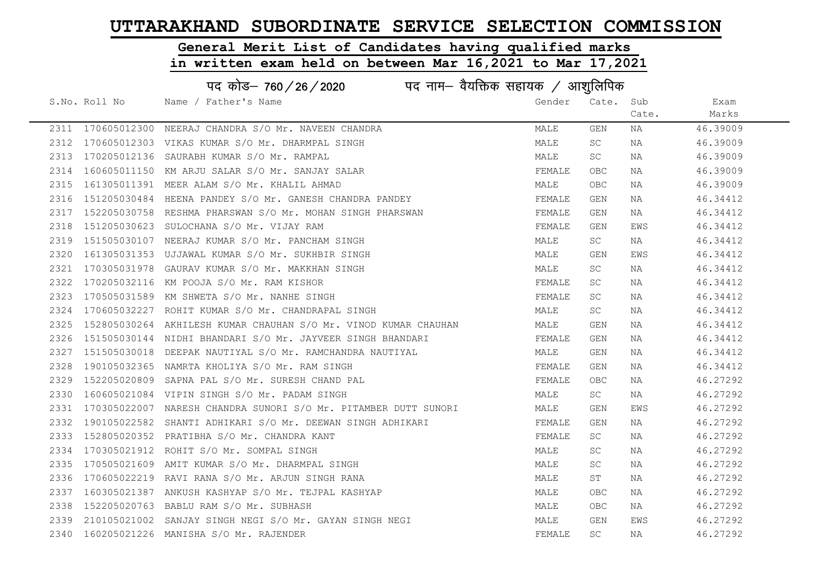# General Merit List of Candidates having qualified marks

|      | पद कोड़- 760 / 26 / 2020 पद नाम- वैयक्तिक सहायक / आशुलिपिक |                                                                  |        |            |       |          |  |  |
|------|------------------------------------------------------------|------------------------------------------------------------------|--------|------------|-------|----------|--|--|
|      | S.No. Roll No                                              | Name / Father's Name                                             | Gender | Cate.      | Sub   | Exam     |  |  |
|      |                                                            |                                                                  |        |            | Cate. | Marks    |  |  |
|      |                                                            | 2311 170605012300 NEERAJ CHANDRA S/O Mr. NAVEEN CHANDRA          | MALE   | GEN        | NA    | 46.39009 |  |  |
|      |                                                            | 2312 170605012303 VIKAS KUMAR S/O Mr. DHARMPAL SINGH             | MALE   | SC         | NA    | 46.39009 |  |  |
| 2313 |                                                            | 170205012136 SAURABH KUMAR S/O Mr. RAMPAL                        | MALE   | SC         | NA    | 46.39009 |  |  |
| 2314 |                                                            | 160605011150 KM ARJU SALAR S/O Mr. SANJAY SALAR                  | FEMALE | <b>OBC</b> | NA    | 46.39009 |  |  |
| 2315 |                                                            | 161305011391 MEER ALAM S/O Mr. KHALIL AHMAD                      | MALE   | OBC        | NA    | 46.39009 |  |  |
| 2316 |                                                            | 151205030484 HEENA PANDEY S/O Mr. GANESH CHANDRA PANDEY          | FEMALE | GEN        | NA    | 46.34412 |  |  |
| 2317 |                                                            | 152205030758 RESHMA PHARSWAN S/O Mr. MOHAN SINGH PHARSWAN        | FEMALE | <b>GEN</b> | NA    | 46.34412 |  |  |
| 2318 | 151205030623                                               | SULOCHANA S/O Mr. VIJAY RAM                                      | FEMALE | <b>GEN</b> | EWS   | 46.34412 |  |  |
| 2319 |                                                            | 151505030107 NEERAJ KUMAR S/O Mr. PANCHAM SINGH                  | MALE   | <b>SC</b>  | NA    | 46.34412 |  |  |
| 2320 |                                                            | 161305031353 UJJAWAL KUMAR S/O Mr. SUKHBIR SINGH                 | MALE   | GEN        | EWS   | 46.34412 |  |  |
| 2321 |                                                            | 170305031978 GAURAV KUMAR S/O Mr. MAKKHAN SINGH                  | MALE   | SC         | NA    | 46.34412 |  |  |
| 2322 |                                                            | 170205032116 KM POOJA S/O Mr. RAM KISHOR                         | FEMALE | SC         | NA    | 46.34412 |  |  |
| 2323 |                                                            | 170505031589 KM SHWETA S/O Mr. NANHE SINGH                       | FEMALE | SC         | NA    | 46.34412 |  |  |
| 2324 |                                                            | 170605032227 ROHIT KUMAR S/O Mr. CHANDRAPAL SINGH                | MALE   | SC         | NA    | 46.34412 |  |  |
| 2325 |                                                            | 152805030264  AKHILESH KUMAR CHAUHAN S/O Mr. VINOD KUMAR CHAUHAN | MALE   | GEN        | NA    | 46.34412 |  |  |
| 2326 |                                                            | 151505030144 NIDHI BHANDARI S/O Mr. JAYVEER SINGH BHANDARI       | FEMALE | GEN        | NA    | 46.34412 |  |  |
| 2327 |                                                            | 151505030018 DEEPAK NAUTIYAL S/O Mr. RAMCHANDRA NAUTIYAL         | MALE   | GEN        | NA    | 46.34412 |  |  |
| 2328 |                                                            | 190105032365 NAMRTA KHOLIYA S/O Mr. RAM SINGH                    | FEMALE | GEN        | NA    | 46.34412 |  |  |
| 2329 |                                                            | 152205020809 SAPNA PAL S/O Mr. SURESH CHAND PAL                  | FEMALE | OBC        | NA    | 46.27292 |  |  |
| 2330 |                                                            | 160605021084 VIPIN SINGH S/O Mr. PADAM SINGH                     | MALE   | SC         | NA    | 46.27292 |  |  |
| 2331 |                                                            | 170305022007 NARESH CHANDRA SUNORI S/O Mr. PITAMBER DUTT SUNORI  | MALE   | GEN        | EWS   | 46.27292 |  |  |
| 2332 |                                                            | 190105022582 SHANTI ADHIKARI S/O Mr. DEEWAN SINGH ADHIKARI       | FEMALE | GEN        | NA    | 46.27292 |  |  |
| 2333 |                                                            | 152805020352 PRATIBHA S/O Mr. CHANDRA KANT                       | FEMALE | SC         | NA    | 46.27292 |  |  |
| 2334 |                                                            | 170305021912 ROHIT S/O Mr. SOMPAL SINGH                          | MALE   | SC         | NA    | 46.27292 |  |  |
| 2335 |                                                            | 170505021609 AMIT KUMAR S/O Mr. DHARMPAL SINGH                   | MALE   | SC         | NA    | 46.27292 |  |  |
| 2336 |                                                            | 170605022219 RAVI RANA S/O Mr. ARJUN SINGH RANA                  | MALE   | ST         | NA    | 46.27292 |  |  |
| 2337 |                                                            | 160305021387 ANKUSH KASHYAP S/O Mr. TEJPAL KASHYAP               | MALE   | <b>OBC</b> | NA    | 46.27292 |  |  |
| 2338 |                                                            | 152205020763 BABLU RAM S/O Mr. SUBHASH                           | MALE   | OBC        | NA    | 46.27292 |  |  |
| 2339 |                                                            | 210105021002 SANJAY SINGH NEGI S/O Mr. GAYAN SINGH NEGI          | MALE   | <b>GEN</b> | EWS   | 46.27292 |  |  |
|      |                                                            | 2340 160205021226 MANISHA S/O Mr. RAJENDER                       | FEMALE | <b>SC</b>  | NA    | 46.27292 |  |  |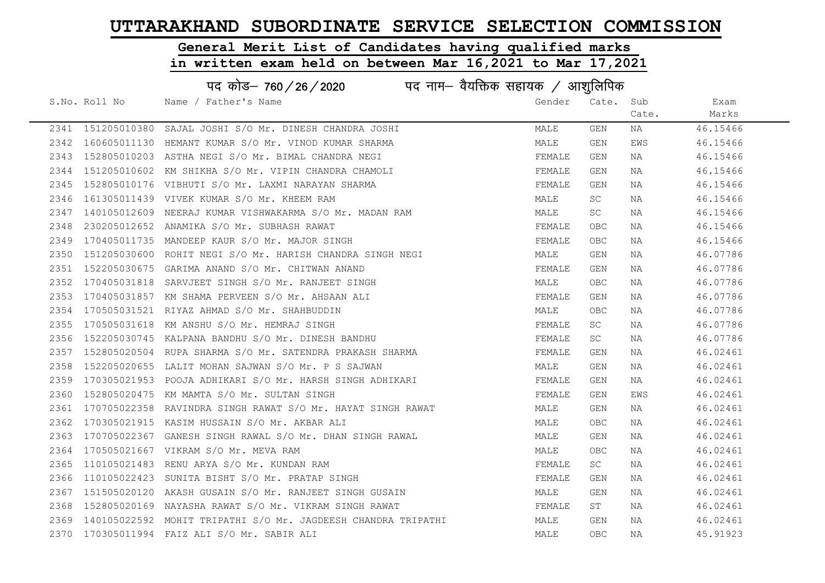# General Merit List of Candidates having qualified marks

|      | पद कोड- 760/26/2020<br>पद नाम— वैयक्तिक सहायक / आशुलिपिक |                                                               |        |           |       |          |  |  |
|------|----------------------------------------------------------|---------------------------------------------------------------|--------|-----------|-------|----------|--|--|
|      | S.No. Roll No                                            | Name / Father's Name                                          | Gender | Cate. Sub |       | Exam     |  |  |
|      |                                                          |                                                               |        |           | Cate. | Marks    |  |  |
|      | 2341 151205010380                                        | SAJAL JOSHI S/O Mr. DINESH CHANDRA JOSHI                      | MALE   | GEN       | NA    | 46.15466 |  |  |
|      |                                                          | 2342 160605011130 HEMANT KUMAR S/O Mr. VINOD KUMAR SHARMA     | MALE   | GEN       | EWS   | 46.15466 |  |  |
| 2343 |                                                          | 152805010203 ASTHA NEGI S/O Mr. BIMAL CHANDRA NEGI            | FEMALE | GEN       | NA    | 46.15466 |  |  |
| 2344 |                                                          | 151205010602 KM SHIKHA S/O Mr. VIPIN CHANDRA CHAMOLI          | FEMALE | GEN       | NA    | 46.15466 |  |  |
| 2345 |                                                          | 152805010176 VIBHUTI S/O Mr. LAXMI NARAYAN SHARMA             | FEMALE | GEN       | NA    | 46.15466 |  |  |
| 2346 |                                                          | 161305011439 VIVEK KUMAR S/O Mr. KHEEM RAM                    | MALE   | SC.       | NA    | 46.15466 |  |  |
| 2347 |                                                          | 140105012609 NEERAJ KUMAR VISHWAKARMA S/O Mr. MADAN RAM       | MALE   | SC        | NA    | 46.15466 |  |  |
| 2348 |                                                          | 230205012652 ANAMIKA S/O Mr. SUBHASH RAWAT                    | FEMALE | OBC       | NA    | 46.15466 |  |  |
| 2349 |                                                          | 170405011735 MANDEEP KAUR S/O Mr. MAJOR SINGH                 | FEMALE | OBC       | NA    | 46.15466 |  |  |
| 2350 |                                                          | 151205030600 ROHIT NEGI S/O Mr. HARISH CHANDRA SINGH NEGI     | MALE   | GEN       | NA    | 46.07786 |  |  |
| 2351 |                                                          | 152205030675 GARIMA ANAND S/O Mr. CHITWAN ANAND               | FEMALE | GEN       | NA    | 46.07786 |  |  |
| 2352 |                                                          | 170405031818 SARVJEET SINGH S/O Mr. RANJEET SINGH             | MALE   | OBC.      | NA    | 46.07786 |  |  |
| 2353 |                                                          | 170405031857 KM SHAMA PERVEEN S/O Mr. AHSAAN ALI              | FEMALE | GEN       | NA    | 46.07786 |  |  |
|      |                                                          | 2354 170505031521 RIYAZ AHMAD S/O Mr. SHAHBUDDIN              | MALE   | OBC       | NA    | 46.07786 |  |  |
| 2355 |                                                          | 170505031618 KM ANSHU S/O Mr. HEMRAJ SINGH                    | FEMALE | SC.       | NA    | 46.07786 |  |  |
| 2356 |                                                          | 152205030745 KALPANA BANDHU S/O Mr. DINESH BANDHU             | FEMALE | SC        | NA    | 46.07786 |  |  |
| 2357 |                                                          | 152805020504 RUPA SHARMA S/O Mr. SATENDRA PRAKASH SHARMA      | FEMALE | GEN       | NA    | 46.02461 |  |  |
| 2358 |                                                          | 152205020655 LALIT MOHAN SAJWAN S/O Mr. P S SAJWAN            | MALE   | GEN       | NA    | 46.02461 |  |  |
| 2359 |                                                          | 170305021953 POOJA ADHIKARI S/O Mr. HARSH SINGH ADHIKARI      | FEMALE | GEN       | NA    | 46.02461 |  |  |
| 2360 |                                                          | 152805020475 KM MAMTA S/O Mr. SULTAN SINGH                    | FEMALE | GEN       | EWS   | 46.02461 |  |  |
| 2361 |                                                          | 170705022358 RAVINDRA SINGH RAWAT S/O Mr. HAYAT SINGH RAWAT   | MALE   | GEN       | NA    | 46.02461 |  |  |
| 2362 |                                                          | 170305021915 KASIM HUSSAIN S/O Mr. AKBAR ALI                  | MALE   | OBC.      | NA    | 46.02461 |  |  |
| 2363 |                                                          | 170705022367 GANESH SINGH RAWAL S/O Mr. DHAN SINGH RAWAL      | MALE   | GEN       | NA    | 46.02461 |  |  |
| 2364 |                                                          | 170505021667 VIKRAM S/O Mr. MEVA RAM                          | MALE   | OBC       | NA    | 46.02461 |  |  |
| 2365 |                                                          | 110105021483 RENU ARYA S/O Mr. KUNDAN RAM                     | FEMALE | SC        | NA    | 46.02461 |  |  |
| 2366 |                                                          | 110105022423 SUNITA BISHT S/O Mr. PRATAP SINGH                | FEMALE | GEN       | NA    | 46.02461 |  |  |
| 2367 |                                                          | 151505020120 AKASH GUSAIN S/O Mr. RANJEET SINGH GUSAIN        | MALE   | GEN       | NA    | 46.02461 |  |  |
| 2368 |                                                          | 152805020169 NAYASHA RAWAT S/O Mr. VIKRAM SINGH RAWAT         | FEMALE | ST        | NA    | 46.02461 |  |  |
| 2369 |                                                          | 140105022592 MOHIT TRIPATHI S/O Mr. JAGDEESH CHANDRA TRIPATHI | MALE   | GEN       | NA    | 46.02461 |  |  |
|      |                                                          | 2370 170305011994 FAIZ ALI S/O Mr. SABIR ALI                  | MALE   | OBC       | NA    | 45.91923 |  |  |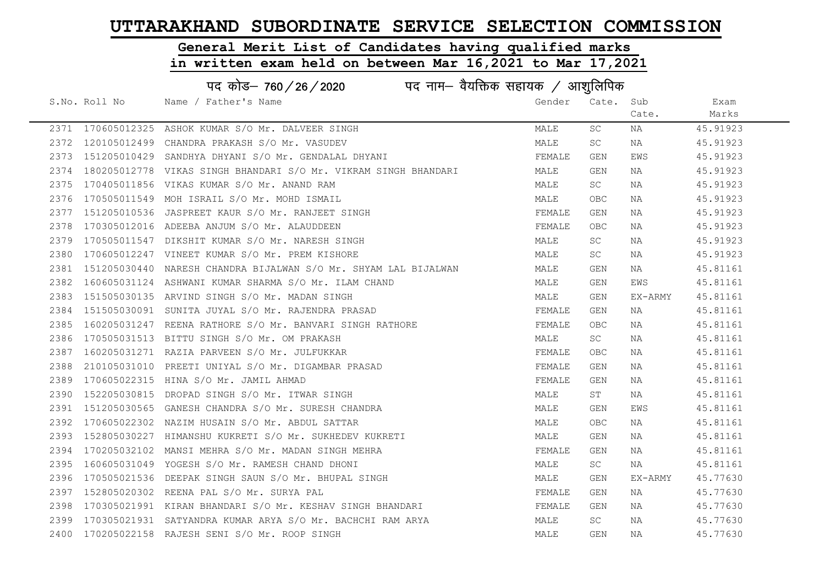#### General Merit List of Candidates having qualified marks

|      | पद कोड़– 760 / 26 / 2020 पद नाम– वैयक्तिक सहायक / आशुलिपिक |                                                                 |        |       |         |          |  |
|------|------------------------------------------------------------|-----------------------------------------------------------------|--------|-------|---------|----------|--|
|      | S.No. Roll No                                              | Name / Father's Name                                            | Gender | Cate. | Sub     | Exam     |  |
|      |                                                            |                                                                 |        |       | Cate.   | Marks    |  |
|      |                                                            | 2371 170605012325 ASHOK KUMAR S/O Mr. DALVEER SINGH             | MALE   | SC    | NA      | 45.91923 |  |
| 2372 |                                                            | 120105012499 CHANDRA PRAKASH S/O Mr. VASUDEV                    | MALE   | SC    | NA      | 45.91923 |  |
| 2373 |                                                            | 151205010429 SANDHYA DHYANI S/O Mr. GENDALAL DHYANI             | FEMALE | GEN   | EWS     | 45.91923 |  |
| 2374 |                                                            | 180205012778 VIKAS SINGH BHANDARI S/O Mr. VIKRAM SINGH BHANDARI | MALE   | GEN   | NA      | 45.91923 |  |
| 2375 |                                                            | 170405011856 VIKAS KUMAR S/O Mr. ANAND RAM                      | MALE   | SC .  | NA      | 45.91923 |  |
| 2376 |                                                            | 170505011549 MOH ISRAIL S/O Mr. MOHD ISMAIL                     | MALE   | OBC   | NA      | 45.91923 |  |
| 2377 |                                                            | 151205010536 JASPREET KAUR S/O Mr. RANJEET SINGH                | FEMALE | GEN   | NA      | 45.91923 |  |
| 2378 |                                                            | 170305012016 ADEEBA ANJUM S/O Mr. ALAUDDEEN                     | FEMALE | OBC   | NA      | 45.91923 |  |
| 2379 |                                                            | 170505011547 DIKSHIT KUMAR S/O Mr. NARESH SINGH                 | MALE   | SC.   | NA      | 45.91923 |  |
| 2380 |                                                            | 170605012247 VINEET KUMAR S/O Mr. PREM KISHORE                  | MALE   | SC.   | NA      | 45.91923 |  |
| 2381 |                                                            | 151205030440 NARESH CHANDRA BIJALWAN S/O Mr. SHYAM LAL BIJALWAN | MALE   | GEN   | NA      | 45.81161 |  |
| 2382 |                                                            | 160605031124 ASHWANI KUMAR SHARMA S/O Mr. ILAM CHAND            | MALE   | GEN   | EWS     | 45.81161 |  |
| 2383 |                                                            | 151505030135 ARVIND SINGH S/O Mr. MADAN SINGH                   | MALE   | GEN   | EX-ARMY | 45.81161 |  |
| 2384 |                                                            | 151505030091 SUNITA JUYAL S/O Mr. RAJENDRA PRASAD               | FEMALE | GEN   | NA      | 45.81161 |  |
| 2385 |                                                            | 160205031247 REENA RATHORE S/O Mr. BANVARI SINGH RATHORE        | FEMALE | OBC   | NA      | 45.81161 |  |
| 2386 |                                                            | 170505031513 BITTU SINGH S/O Mr. OM PRAKASH                     | MALE   | SC    | NA      | 45.81161 |  |
| 2387 |                                                            | 160205031271 RAZIA PARVEEN S/O Mr. JULFUKKAR                    | FEMALE | OBC.  | NA      | 45.81161 |  |
| 2388 |                                                            | 210105031010 PREETI UNIYAL S/O Mr. DIGAMBAR PRASAD              | FEMALE | GEN   | NA      | 45.81161 |  |
| 2389 |                                                            | 170605022315 HINA S/O Mr. JAMIL AHMAD                           | FEMALE | GEN   | NA      | 45.81161 |  |
| 2390 | 152205030815                                               | DROPAD SINGH S/O Mr. ITWAR SINGH                                | MALE   | ST    | NA      | 45.81161 |  |
| 2391 |                                                            | 151205030565 GANESH CHANDRA S/O Mr. SURESH CHANDRA              | MALE   | GEN   | EWS     | 45.81161 |  |
| 2392 |                                                            | 170605022302 NAZIM HUSAIN S/O Mr. ABDUL SATTAR                  | MALE   | OBC   | NA      | 45.81161 |  |
| 2393 |                                                            | 152805030227 HIMANSHU KUKRETI S/O Mr. SUKHEDEV KUKRETI          | MALE   | GEN   | NA      | 45.81161 |  |
| 2394 | 170205032102                                               | MANSI MEHRA S/O Mr. MADAN SINGH MEHRA                           | FEMALE | GEN   | NA      | 45.81161 |  |
| 2395 |                                                            | 160605031049 YOGESH S/O Mr. RAMESH CHAND DHONI                  | MALE   | SC    | NA      | 45.81161 |  |
| 2396 |                                                            | 170505021536 DEEPAK SINGH SAUN S/O Mr. BHUPAL SINGH             | MALE   | GEN   | EX-ARMY | 45.77630 |  |
| 2397 |                                                            | 152805020302 REENA PAL S/O Mr. SURYA PAL                        | FEMALE | GEN   | NA      | 45.77630 |  |
| 2398 |                                                            | 170305021991 KIRAN BHANDARI S/O Mr. KESHAV SINGH BHANDARI       | FEMALE | GEN   | NA      | 45.77630 |  |
| 2399 |                                                            | 170305021931 SATYANDRA KUMAR ARYA S/O Mr. BACHCHI RAM ARYA      | MALE   | SC.   | NA      | 45.77630 |  |
| 2400 |                                                            | 170205022158 RAJESH SENI S/O Mr. ROOP SINGH                     | MALE   | GEN   | ΝA      | 45.77630 |  |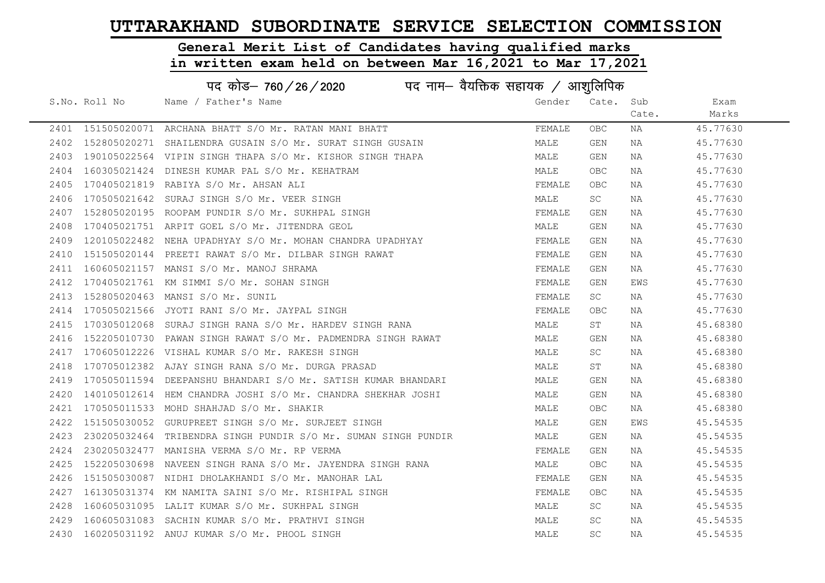# General Merit List of Candidates having qualified marks

|      | पद कोड़– 760 / 26 / 2020 पद नाम– वैयक्तिक सहायक / आशुलिपिक |                                                                |        |            |       |          |  |  |
|------|------------------------------------------------------------|----------------------------------------------------------------|--------|------------|-------|----------|--|--|
|      | S.No. Roll No                                              | Name / Father's Name                                           | Gender | Cate. Sub  |       | Exam     |  |  |
|      |                                                            |                                                                |        |            | Cate. | Marks    |  |  |
|      |                                                            | 2401 151505020071 ARCHANA BHATT S/O Mr. RATAN MANI BHATT       | FEMALE | OBC        | ΝA    | 45.77630 |  |  |
|      |                                                            | 2402 152805020271 SHAILENDRA GUSAIN S/O Mr. SURAT SINGH GUSAIN | MALE   | GEN        | ΝA    | 45.77630 |  |  |
|      |                                                            | 2403 190105022564 VIPIN SINGH THAPA S/O Mr. KISHOR SINGH THAPA | MALE   | GEN        | NA    | 45.77630 |  |  |
| 2404 |                                                            | 160305021424 DINESH KUMAR PAL S/O Mr. KEHATRAM                 | MALE   | <b>OBC</b> | NA    | 45.77630 |  |  |
| 2405 |                                                            | 170405021819 RABIYA S/O Mr. AHSAN ALI                          | FEMALE | <b>OBC</b> | NA    | 45.77630 |  |  |
| 2406 |                                                            | 170505021642 SURAJ SINGH S/O Mr. VEER SINGH                    | MALE   | SC         | NA    | 45.77630 |  |  |
| 2407 |                                                            | 152805020195 ROOPAM PUNDIR S/O Mr. SUKHPAL SINGH               | FEMALE | GEN        | NA    | 45.77630 |  |  |
| 2408 |                                                            | 170405021751 ARPIT GOEL S/O Mr. JITENDRA GEOL                  | MALE   | GEN        | NA    | 45.77630 |  |  |
| 2409 |                                                            | 120105022482 NEHA UPADHYAY S/O Mr. MOHAN CHANDRA UPADHYAY      | FEMALE | GEN        | NA    | 45.77630 |  |  |
| 2410 |                                                            | 151505020144 PREETI RAWAT S/O Mr. DILBAR SINGH RAWAT           | FEMALE | GEN        | NA    | 45.77630 |  |  |
|      |                                                            | 2411 160605021157 MANSI S/O Mr. MANOJ SHRAMA                   | FEMALE | GEN        | NA    | 45.77630 |  |  |
| 2412 |                                                            | 170405021761 KM SIMMI S/O Mr. SOHAN SINGH                      | FEMALE | GEN        | EWS   | 45.77630 |  |  |
| 2413 |                                                            | 152805020463 MANSI S/O Mr. SUNIL                               | FEMALE | SC         | NA    | 45.77630 |  |  |
| 2414 |                                                            | 170505021566 JYOTI RANI S/O Mr. JAYPAL SINGH                   | FEMALE | OBC.       | NA    | 45.77630 |  |  |
| 2415 |                                                            | 170305012068 SURAJ SINGH RANA S/O Mr. HARDEV SINGH RANA        | MALE   | ST         | NA    | 45.68380 |  |  |
| 2416 |                                                            | 152205010730 PAWAN SINGH RAWAT S/O Mr. PADMENDRA SINGH RAWAT   | MALE   | GEN        | NA    | 45.68380 |  |  |
| 2417 |                                                            | 170605012226 VISHAL KUMAR S/O Mr. RAKESH SINGH                 | MALE   | <b>SC</b>  | NA    | 45.68380 |  |  |
| 2418 |                                                            | 170705012382 AJAY SINGH RANA S/O Mr. DURGA PRASAD              | MALE   | ST         | NA    | 45.68380 |  |  |
| 2419 |                                                            | 170505011594 DEEPANSHU BHANDARI S/O Mr. SATISH KUMAR BHANDARI  | MALE   | GEN        | NA    | 45.68380 |  |  |
| 2420 |                                                            | 140105012614 HEM CHANDRA JOSHI S/O Mr. CHANDRA SHEKHAR JOSHI   | MALE   | GEN        | NA    | 45.68380 |  |  |
| 2421 |                                                            | 170505011533 MOHD SHAHJAD S/O Mr. SHAKIR                       | MALE   | <b>OBC</b> | NA    | 45.68380 |  |  |
| 2422 |                                                            | 151505030052 GURUPREET SINGH S/O Mr. SURJEET SINGH             | MALE   | GEN        | EWS   | 45.54535 |  |  |
| 2423 |                                                            | 230205032464 TRIBENDRA SINGH PUNDIR S/O Mr. SUMAN SINGH PUNDIR | MALE   | GEN        | NA    | 45.54535 |  |  |
| 2424 |                                                            | 230205032477 MANISHA VERMA S/O Mr. RP VERMA                    | FEMALE | GEN        | NA    | 45.54535 |  |  |
| 2425 |                                                            | 152205030698 NAVEEN SINGH RANA S/O Mr. JAYENDRA SINGH RANA     | MALE   | OBC.       | NA    | 45.54535 |  |  |
| 2426 |                                                            | 151505030087 NIDHI DHOLAKHANDI S/O Mr. MANOHAR LAL             | FEMALE | GEN        | NA    | 45.54535 |  |  |
| 2427 |                                                            | 161305031374 KM NAMITA SAINI S/O Mr. RISHIPAL SINGH            | FEMALE | OBC        | NA    | 45.54535 |  |  |
| 2428 |                                                            | 160605031095 LALIT KUMAR S/O Mr. SUKHPAL SINGH                 | MALE   | SC         | NA    | 45.54535 |  |  |
| 2429 |                                                            | 160605031083 SACHIN KUMAR S/O Mr. PRATHVI SINGH                | MALE   | SC         | NA    | 45.54535 |  |  |
|      |                                                            | 2430 160205031192 ANUJ KUMAR S/O Mr. PHOOL SINGH               | MALE   | SC         | NA    | 45.54535 |  |  |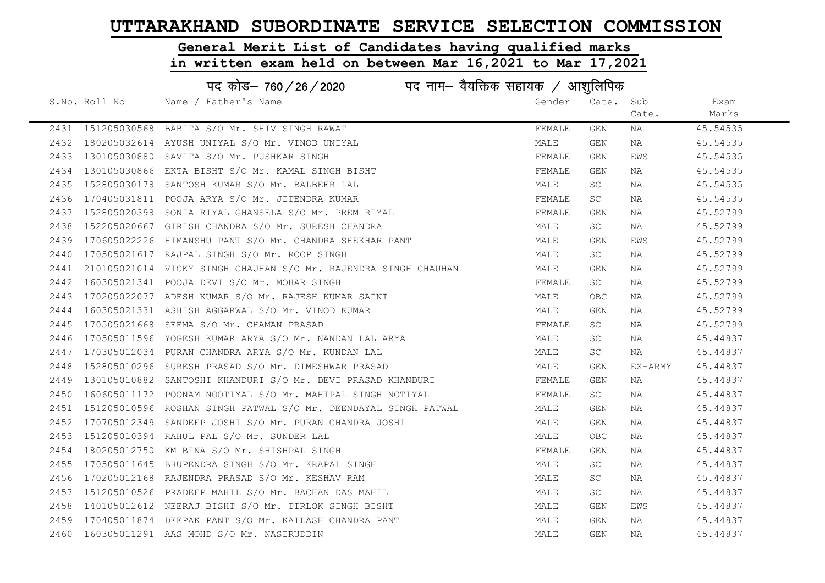# General Merit List of Candidates having qualified marks

|      | पद कोड– 760/26/2020<br>पद नाम— वैयक्तिक सहायक / आशुलिपिक |                                                                  |        |           |         |          |  |
|------|----------------------------------------------------------|------------------------------------------------------------------|--------|-----------|---------|----------|--|
|      | S.No. Roll No                                            | Name / Father's Name                                             | Gender | Cate.     | Sub     | Exam     |  |
|      |                                                          |                                                                  |        |           | Cate.   | Marks    |  |
|      |                                                          | 2431 151205030568 BABITA S/O Mr. SHIV SINGH RAWAT                | FEMALE | GEN       | ΝA      | 45.54535 |  |
| 2432 |                                                          | 180205032614 AYUSH UNIYAL S/O Mr. VINOD UNIYAL                   | MALE   | GEN       | NA      | 45.54535 |  |
| 2433 |                                                          | 130105030880 SAVITA S/O Mr. PUSHKAR SINGH                        | FEMALE | GEN       | EWS     | 45.54535 |  |
| 2434 |                                                          | 130105030866 EKTA BISHT S/O Mr. KAMAL SINGH BISHT                | FEMALE | GEN       | NA      | 45.54535 |  |
| 2435 |                                                          | 152805030178 SANTOSH KUMAR S/O Mr. BALBEER LAL                   | MALE   | SC.       | NA      | 45.54535 |  |
| 2436 |                                                          | 170405031811 POOJA ARYA S/O Mr. JITENDRA KUMAR                   | FEMALE | SC        | NA      | 45.54535 |  |
| 2437 |                                                          | 152805020398 SONIA RIYAL GHANSELA S/O Mr. PREM RIYAL             | FEMALE | GEN       | NA      | 45.52799 |  |
| 2438 |                                                          | 152205020667 GIRISH CHANDRA S/O Mr. SURESH CHANDRA               | MALE   | SC.       | NA      | 45.52799 |  |
| 2439 |                                                          | 170605022226 HIMANSHU PANT S/O Mr. CHANDRA SHEKHAR PANT          | MALE   | GEN       | EWS     | 45.52799 |  |
| 2440 |                                                          | 170505021617 RAJPAL SINGH S/O Mr. ROOP SINGH                     | MALE   | SC.       | NA      | 45.52799 |  |
| 2441 |                                                          | 210105021014  VICKY SINGH CHAUHAN S/O Mr. RAJENDRA SINGH CHAUHAN | MALE   | GEN       | NA      | 45.52799 |  |
| 2442 |                                                          | 160305021341 POOJA DEVI S/O Mr. MOHAR SINGH                      | FEMALE | SC        | NA      | 45.52799 |  |
| 2443 |                                                          | 170205022077 ADESH KUMAR S/O Mr. RAJESH KUMAR SAINI              | MALE   | OBC       | NA      | 45.52799 |  |
| 2444 |                                                          | 160305021331 ASHISH AGGARWAL S/O Mr. VINOD KUMAR                 | MALE   | GEN       | NA      | 45.52799 |  |
| 2445 |                                                          | 170505021668 SEEMA S/O Mr. CHAMAN PRASAD                         | FEMALE | SC.       | NA      | 45.52799 |  |
| 2446 |                                                          | 170505011596 YOGESH KUMAR ARYA S/O Mr. NANDAN LAL ARYA           | MALE   | SC.       | NA      | 45.44837 |  |
| 2447 |                                                          | 170305012034 PURAN CHANDRA ARYA S/O Mr. KUNDAN LAL               | MALE   | SC        | NA      | 45.44837 |  |
| 2448 |                                                          | 152805010296 SURESH PRASAD S/O Mr. DIMESHWAR PRASAD              | MALE   | GEN       | EX-ARMY | 45.44837 |  |
| 2449 |                                                          | 130105010882 SANTOSHI KHANDURI S/O Mr. DEVI PRASAD KHANDURI      | FEMALE | GEN       | NA      | 45.44837 |  |
| 2450 |                                                          | 160605011172 POONAM NOOTIYAL S/O Mr. MAHIPAL SINGH NOTIYAL       | FEMALE | SC        | NA      | 45.44837 |  |
| 2451 |                                                          | 151205010596 ROSHAN SINGH PATWAL S/O Mr. DEENDAYAL SINGH PATWAL  | MALE   | GEN       | NA      | 45.44837 |  |
| 2452 |                                                          | 170705012349 SANDEEP JOSHI S/O Mr. PURAN CHANDRA JOSHI           | MALE   | GEN       | NA      | 45.44837 |  |
| 2453 |                                                          | 151205010394 RAHUL PAL S/O Mr. SUNDER LAL                        | MALE   | OBC.      | NA      | 45.44837 |  |
| 2454 |                                                          | 180205012750 KM BINA S/O Mr. SHISHPAL SINGH                      | FEMALE | GEN       | NA      | 45.44837 |  |
| 2455 |                                                          | 170505011645 BHUPENDRA SINGH S/O Mr. KRAPAL SINGH                | MALE   | <b>SC</b> | NA      | 45.44837 |  |
| 2456 |                                                          | 170205012168 RAJENDRA PRASAD S/O Mr. KESHAV RAM                  | MALE   | SC        | NA      | 45.44837 |  |
| 2457 |                                                          | 151205010526 PRADEEP MAHIL S/O Mr. BACHAN DAS MAHIL              | MALE   | SC        | NA      | 45.44837 |  |
| 2458 |                                                          | 140105012612 NEERAJ BISHT S/O Mr. TIRLOK SINGH BISHT             | MALE   | GEN       | EWS     | 45.44837 |  |
| 2459 |                                                          | 170405011874 DEEPAK PANT S/O Mr. KAILASH CHANDRA PANT            | MALE   | GEN       | NA      | 45.44837 |  |
|      |                                                          | 2460 160305011291 AAS MOHD S/O Mr. NASIRUDDIN                    | MALE   | GEN       | NA      | 45.44837 |  |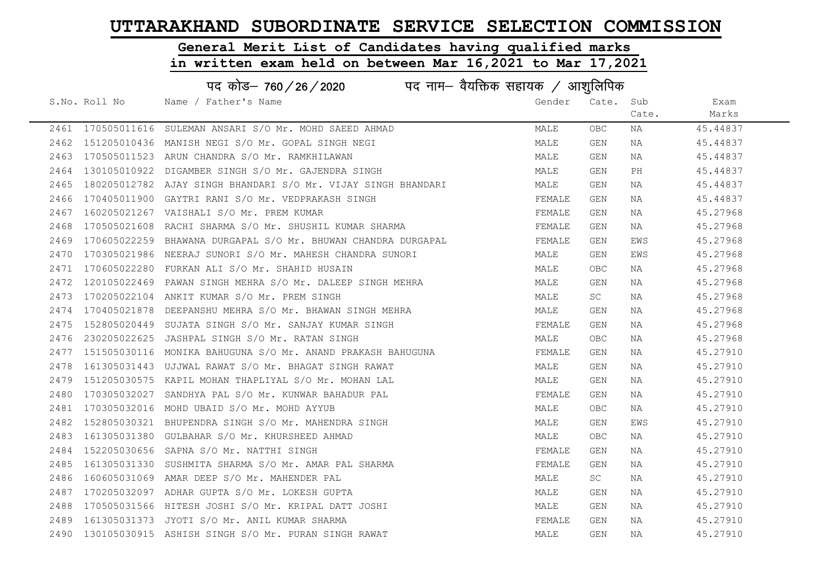# General Merit List of Candidates having qualified marks

|      | पद कोड– 760 / 26 / 2020 पद नाम– वैयक्तिक सहायक / आशुलिपिक |                                                               |        |            |       |          |  |
|------|-----------------------------------------------------------|---------------------------------------------------------------|--------|------------|-------|----------|--|
|      | S.No. Roll No                                             | Name / Father's Name                                          | Gender | Cate. Sub  |       | Exam     |  |
|      |                                                           |                                                               |        |            | Cate. | Marks    |  |
|      |                                                           | 2461 170505011616 SULEMAN ANSARI S/O Mr. MOHD SAEED AHMAD     | MALE   | OBC        | NA    | 45.44837 |  |
|      |                                                           | 2462 151205010436 MANISH NEGI S/O Mr. GOPAL SINGH NEGI        | MALE   | GEN        | NA    | 45.44837 |  |
| 2463 |                                                           | 170505011523 ARUN CHANDRA S/O Mr. RAMKHILAWAN                 | MALE   | GEN        | NA    | 45.44837 |  |
| 2464 |                                                           | 130105010922 DIGAMBER SINGH S/O Mr. GAJENDRA SINGH            | MALE   | GEN        | PH    | 45.44837 |  |
| 2465 |                                                           | 180205012782 AJAY SINGH BHANDARI S/O Mr. VIJAY SINGH BHANDARI | MALE   | GEN        | NA    | 45.44837 |  |
| 2466 |                                                           | 170405011900 GAYTRI RANI S/O Mr. VEDPRAKASH SINGH             | FEMALE | GEN        | NA    | 45.44837 |  |
| 2467 |                                                           |                                                               | FEMALE | GEN        | NA    | 45.27968 |  |
| 2468 |                                                           | 170505021608 RACHI SHARMA S/O Mr. SHUSHIL KUMAR SHARMA        | FEMALE | GEN        | NA    | 45.27968 |  |
| 2469 |                                                           | 170605022259 BHAWANA DURGAPAL S/O Mr. BHUWAN CHANDRA DURGAPAL | FEMALE | GEN        | EWS   | 45.27968 |  |
| 2470 |                                                           | 170305021986 NEERAJ SUNORI S/O Mr. MAHESH CHANDRA SUNORI      | MALE   | GEN        | EWS   | 45.27968 |  |
| 2471 |                                                           | 170605022280 FURKAN ALI S/O Mr. SHAHID HUSAIN                 | MALE   | OBC.       | NA    | 45.27968 |  |
| 2472 |                                                           | 120105022469 PAWAN SINGH MEHRA S/O Mr. DALEEP SINGH MEHRA     | MALE   | GEN        | NA    | 45.27968 |  |
| 2473 |                                                           | 170205022104 ANKIT KUMAR S/O Mr. PREM SINGH                   | MALE   | <b>SC</b>  | NA    | 45.27968 |  |
| 2474 |                                                           | 170405021878 DEEPANSHU MEHRA S/O Mr. BHAWAN SINGH MEHRA       | MALE   | GEN        | NA    | 45.27968 |  |
| 2475 |                                                           | 152805020449 SUJATA SINGH S/O Mr. SANJAY KUMAR SINGH          | FEMALE | GEN        | NA    | 45.27968 |  |
| 2476 |                                                           | 230205022625 JASHPAL SINGH S/O Mr. RATAN SINGH                | MALE   | OBC.       | NA    | 45.27968 |  |
| 2477 |                                                           | 151505030116 MONIKA BAHUGUNA S/O Mr. ANAND PRAKASH BAHUGUNA   | FEMALE | GEN        | NA    | 45.27910 |  |
| 2478 |                                                           | 161305031443 UJJWAL RAWAT S/O Mr. BHAGAT SINGH RAWAT          | MALE   | GEN        | NA    | 45.27910 |  |
| 2479 |                                                           | 151205030575 KAPIL MOHAN THAPLIYAL S/O Mr. MOHAN LAL          | MALE   | GEN        | NA    | 45.27910 |  |
| 2480 |                                                           | 170305032027 SANDHYA PAL S/O Mr. KUNWAR BAHADUR PAL           | FEMALE | GEN        | NA    | 45.27910 |  |
| 2481 |                                                           | 170305032016 MOHD UBAID S/O Mr. MOHD AYYUB                    | MALE   | OBC.       | NA    | 45.27910 |  |
| 2482 |                                                           | 152805030321 BHUPENDRA SINGH S/O Mr. MAHENDRA SINGH           | MALE   | GEN        | EWS   | 45.27910 |  |
| 2483 |                                                           | 161305031380 GULBAHAR S/O Mr. KHURSHEED AHMAD                 | MALE   | OBC        | ΝA    | 45.27910 |  |
| 2484 |                                                           | 152205030656 SAPNA S/O Mr. NATTHI SINGH                       | FEMALE | GEN        | NA    | 45.27910 |  |
| 2485 |                                                           | 161305031330 SUSHMITA SHARMA S/O Mr. AMAR PAL SHARMA          | FEMALE | GEN        | NA    | 45.27910 |  |
| 2486 |                                                           | 160605031069 AMAR DEEP S/O Mr. MAHENDER PAL                   | MALE   | SC         | NA    | 45.27910 |  |
| 2487 |                                                           | 170205032097 ADHAR GUPTA S/O Mr. LOKESH GUPTA                 | MALE   | GEN        | NA    | 45.27910 |  |
| 2488 |                                                           | 170505031566 HITESH JOSHI S/O Mr. KRIPAL DATT JOSHI           | MALE   | GEN        | NA    | 45.27910 |  |
| 2489 |                                                           | 161305031373 JYOTI S/O Mr. ANIL KUMAR SHARMA                  | FEMALE | GEN        | NA    | 45.27910 |  |
|      |                                                           | 2490 130105030915 ASHISH SINGH S/O Mr. PURAN SINGH RAWAT      | MALE   | <b>GEN</b> | ΝA    | 45.27910 |  |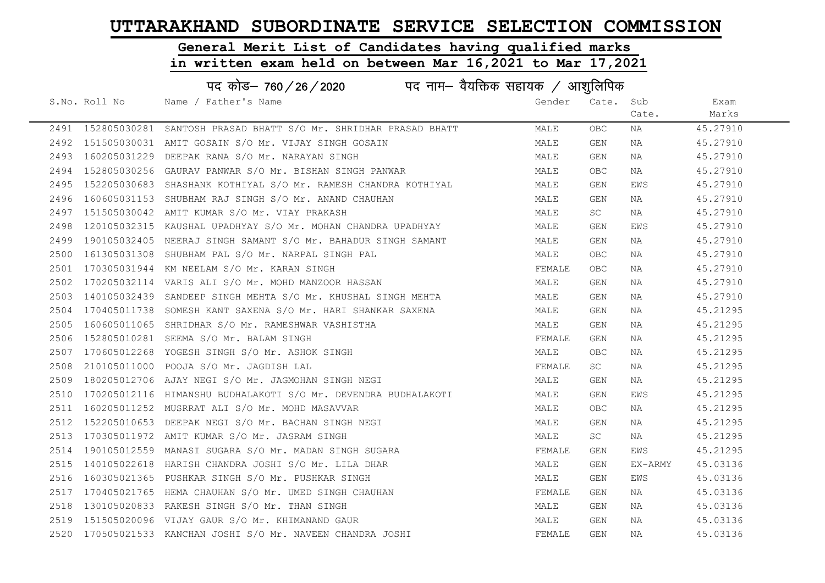#### General Merit List of Candidates having qualified marks

|      | पद कोड– 760 / 26 / 2020 पद नाम– वैयक्तिक सहायक / आशुलिपिक |                                                                |        |            |         |          |  |  |
|------|-----------------------------------------------------------|----------------------------------------------------------------|--------|------------|---------|----------|--|--|
|      | S.No. Roll No                                             | Name / Father's Name                                           | Gender | Cate.      | Sub     | Exam     |  |  |
|      |                                                           |                                                                |        |            | Cate.   | Marks    |  |  |
|      | 2491 152805030281                                         | SANTOSH PRASAD BHATT S/O Mr. SHRIDHAR PRASAD BHATT             | MALE   | OBC.       | NA      | 45.27910 |  |  |
| 2492 |                                                           | 151505030031 AMIT GOSAIN S/O Mr. VIJAY SINGH GOSAIN            | MALE   | GEN        | NA      | 45.27910 |  |  |
| 2493 |                                                           | 160205031229 DEEPAK RANA S/O Mr. NARAYAN SINGH                 | MALE   | GEN        | NA      | 45.27910 |  |  |
| 2494 |                                                           | 152805030256 GAURAV PANWAR S/O Mr. BISHAN SINGH PANWAR         | MALE   | OBC        | NA      | 45.27910 |  |  |
| 2495 |                                                           | 152205030683 SHASHANK KOTHIYAL S/O Mr. RAMESH CHANDRA KOTHIYAL | MALE   | GEN        | EWS     | 45.27910 |  |  |
| 2496 |                                                           | 160605031153 SHUBHAM RAJ SINGH S/O Mr. ANAND CHAUHAN           | MALE   | GEN        | NA      | 45.27910 |  |  |
| 2497 |                                                           | 151505030042 AMIT KUMAR S/O Mr. VIAY PRAKASH                   | MALE   | SC         | NA      | 45.27910 |  |  |
| 2498 |                                                           | 120105032315 KAUSHAL UPADHYAY S/O Mr. MOHAN CHANDRA UPADHYAY   | MALE   | GEN        | EWS     | 45.27910 |  |  |
| 2499 |                                                           | 190105032405 NEERAJ SINGH SAMANT S/O Mr. BAHADUR SINGH SAMANT  | MALE   | GEN        | NA      | 45.27910 |  |  |
| 2500 |                                                           | 161305031308 SHUBHAM PAL S/O Mr. NARPAL SINGH PAL              | MALE   | OBC        | NA      | 45.27910 |  |  |
| 2501 |                                                           | 170305031944 KM NEELAM S/O Mr. KARAN SINGH                     | FEMALE | OBC.       | NA      | 45.27910 |  |  |
| 2502 |                                                           | 170205032114 VARIS ALI S/O Mr. MOHD MANZOOR HASSAN             | MALE   | GEN        | NA      | 45.27910 |  |  |
| 2503 |                                                           | 140105032439 SANDEEP SINGH MEHTA S/O Mr. KHUSHAL SINGH MEHTA   | MALE   | GEN        | NA      | 45.27910 |  |  |
| 2504 |                                                           | 170405011738 SOMESH KANT SAXENA S/O Mr. HARI SHANKAR SAXENA    | MALE   | GEN        | NA      | 45.21295 |  |  |
| 2505 |                                                           | 160605011065 SHRIDHAR S/O Mr. RAMESHWAR VASHISTHA              | MALE   | GEN        | NA      | 45.21295 |  |  |
| 2506 | 152805010281                                              | SEEMA S/O Mr. BALAM SINGH                                      | FEMALE | GEN        | NA      | 45.21295 |  |  |
| 2507 |                                                           | 170605012268 YOGESH SINGH S/O Mr. ASHOK SINGH                  | MALE   | OBC.       | NA      | 45.21295 |  |  |
| 2508 |                                                           | 210105011000 POOJA S/O Mr. JAGDISH LAL                         | FEMALE | SC         | NA      | 45.21295 |  |  |
| 2509 |                                                           | 180205012706 AJAY NEGI S/O Mr. JAGMOHAN SINGH NEGI             | MALE   | GEN        | NA      | 45.21295 |  |  |
| 2510 |                                                           | 170205012116 HIMANSHU BUDHALAKOTI S/O Mr. DEVENDRA BUDHALAKOTI | MALE   | GEN        | EWS     | 45.21295 |  |  |
| 2511 |                                                           | 160205011252 MUSRRAT ALI S/O Mr. MOHD MASAVVAR                 | MALE   | <b>OBC</b> | NA      | 45.21295 |  |  |
| 2512 |                                                           | 152205010653 DEEPAK NEGI S/O Mr. BACHAN SINGH NEGI             | MALE   | GEN        | NA      | 45.21295 |  |  |
| 2513 |                                                           | 170305011972 AMIT KUMAR S/O Mr. JASRAM SINGH                   | MALE   | SC         | NA      | 45.21295 |  |  |
| 2514 | 190105012559                                              | MANASI SUGARA S/O Mr. MADAN SINGH SUGARA                       | FEMALE | GEN        | EWS     | 45.21295 |  |  |
| 2515 |                                                           | 140105022618 HARISH CHANDRA JOSHI S/O Mr. LILA DHAR            | MALE   | GEN        | EX-ARMY | 45.03136 |  |  |
| 2516 |                                                           | 160305021365 PUSHKAR SINGH S/O Mr. PUSHKAR SINGH               | MALE   | GEN        | EWS     | 45.03136 |  |  |
| 2517 |                                                           | 170405021765 HEMA CHAUHAN S/O Mr. UMED SINGH CHAUHAN           | FEMALE | GEN        | NA      | 45.03136 |  |  |
| 2518 |                                                           | 130105020833 RAKESH SINGH S/O Mr. THAN SINGH                   | MALE   | GEN        | NA      | 45.03136 |  |  |
| 2519 |                                                           | 151505020096 VIJAY GAUR S/O Mr. KHIMANAND GAUR                 | MALE   | GEN        | NA      | 45.03136 |  |  |
|      |                                                           | 2520 170505021533 KANCHAN JOSHI S/O Mr. NAVEEN CHANDRA JOSHI   | FEMALE | GEN        | ΝA      | 45.03136 |  |  |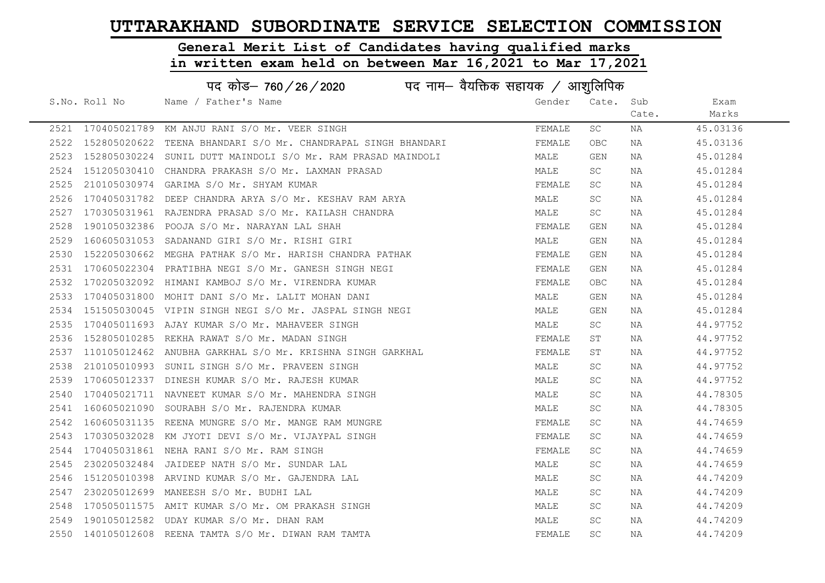# General Merit List of Candidates having qualified marks

|      | पद कोड– 760/26/2020 |                                                              |        |            |       |          |  |
|------|---------------------|--------------------------------------------------------------|--------|------------|-------|----------|--|
|      | S.No. Roll No       | Name / Father's Name                                         | Gender | Cate. Sub  |       | Exam     |  |
|      |                     |                                                              |        |            | Cate. | Marks    |  |
|      |                     | 2521 170405021789 KM ANJU RANI S/O Mr. VEER SINGH            | FEMALE | SC         | ΝA    | 45.03136 |  |
| 2522 | 152805020622        | TEENA BHANDARI S/O Mr. CHANDRAPAL SINGH BHANDARI             | FEMALE | OBC.       | NA    | 45.03136 |  |
| 2523 |                     | 152805030224 SUNIL DUTT MAINDOLI S/O Mr. RAM PRASAD MAINDOLI | MALE   | GEN        | NA    | 45.01284 |  |
| 2524 |                     | 151205030410 CHANDRA PRAKASH S/O Mr. LAXMAN PRASAD           | MALE   | SC         | NA    | 45.01284 |  |
| 2525 |                     | 210105030974 GARIMA S/O Mr. SHYAM KUMAR                      | FEMALE | SC         | NA    | 45.01284 |  |
| 2526 |                     | 170405031782 DEEP CHANDRA ARYA S/O Mr. KESHAV RAM ARYA       | MALE   | SC         | NA    | 45.01284 |  |
| 2527 |                     | 170305031961 RAJENDRA PRASAD S/O Mr. KAILASH CHANDRA         | MALE   | SC         | NA    | 45.01284 |  |
| 2528 |                     | 190105032386 POOJA S/O Mr. NARAYAN LAL SHAH                  | FEMALE | GEN        | NA    | 45.01284 |  |
| 2529 |                     | 160605031053 SADANAND GIRI S/O Mr. RISHI GIRI                | MALE   | GEN        | NA    | 45.01284 |  |
| 2530 |                     | 152205030662 MEGHA PATHAK S/O Mr. HARISH CHANDRA PATHAK      | FEMALE | GEN        | NA    | 45.01284 |  |
| 2531 |                     | 170605022304 PRATIBHA NEGI S/O Mr. GANESH SINGH NEGI         | FEMALE | GEN        | NA    | 45.01284 |  |
| 2532 |                     | 170205032092 HIMANI KAMBOJ S/O Mr. VIRENDRA KUMAR            | FEMALE | <b>OBC</b> | NA    | 45.01284 |  |
| 2533 |                     | 170405031800 MOHIT DANI S/O Mr. LALIT MOHAN DANI             | MALE   | GEN        | NA    | 45.01284 |  |
| 2534 |                     | 151505030045 VIPIN SINGH NEGI S/O Mr. JASPAL SINGH NEGI      | MALE   | GEN        | NA    | 45.01284 |  |
| 2535 |                     | 170405011693 AJAY KUMAR S/O Mr. MAHAVEER SINGH               | MALE   | SC         | NA    | 44.97752 |  |
| 2536 | 152805010285        | REKHA RAWAT S/O Mr. MADAN SINGH                              | FEMALE | ST         | NA    | 44.97752 |  |
| 2537 |                     | 110105012462 ANUBHA GARKHAL S/O Mr. KRISHNA SINGH GARKHAL    | FEMALE | SΤ         | NA    | 44.97752 |  |
| 2538 |                     | 210105010993 SUNIL SINGH S/O Mr. PRAVEEN SINGH               | MALE   | SC         | NA    | 44.97752 |  |
| 2539 |                     | 170605012337 DINESH KUMAR S/O Mr. RAJESH KUMAR               | MALE   | SC         | NA    | 44.97752 |  |
| 2540 |                     | 170405021711 NAVNEET KUMAR S/O Mr. MAHENDRA SINGH            | MALE   | SC         | NA    | 44.78305 |  |
| 2541 |                     | 160605021090 SOURABH S/O Mr. RAJENDRA KUMAR                  | MALE   | SC         | NA    | 44.78305 |  |
| 2542 |                     | 160605031135 REENA MUNGRE S/O Mr. MANGE RAM MUNGRE           | FEMALE | <b>SC</b>  | NA    | 44.74659 |  |
| 2543 |                     | 170305032028 KM JYOTI DEVI S/O Mr. VIJAYPAL SINGH            | FEMALE | SC         | NA    | 44.74659 |  |
| 2544 |                     | 170405031861 NEHA RANI S/O Mr. RAM SINGH                     | FEMALE | SC         | NA    | 44.74659 |  |
| 2545 | 230205032484        | JAIDEEP NATH S/O Mr. SUNDAR LAL                              | MALE   | SC         | NA    | 44.74659 |  |
| 2546 |                     | 151205010398 ARVIND KUMAR S/O Mr. GAJENDRA LAL               | MALE   | SC         | NA    | 44.74209 |  |
| 2547 |                     | 230205012699 MANEESH S/O Mr. BUDHI LAL                       | MALE   | SC         | NA    | 44.74209 |  |
| 2548 |                     | 170505011575 AMIT KUMAR S/O Mr. OM PRAKASH SINGH             | MALE   | SC         | NA    | 44.74209 |  |
| 2549 |                     | 190105012582 UDAY KUMAR S/O Mr. DHAN RAM                     | MALE   | <b>SC</b>  | NA    | 44.74209 |  |
|      |                     | 2550 140105012608 REENA TAMTA S/O Mr. DIWAN RAM TAMTA        | FEMALE | <b>SC</b>  | ΝA    | 44.74209 |  |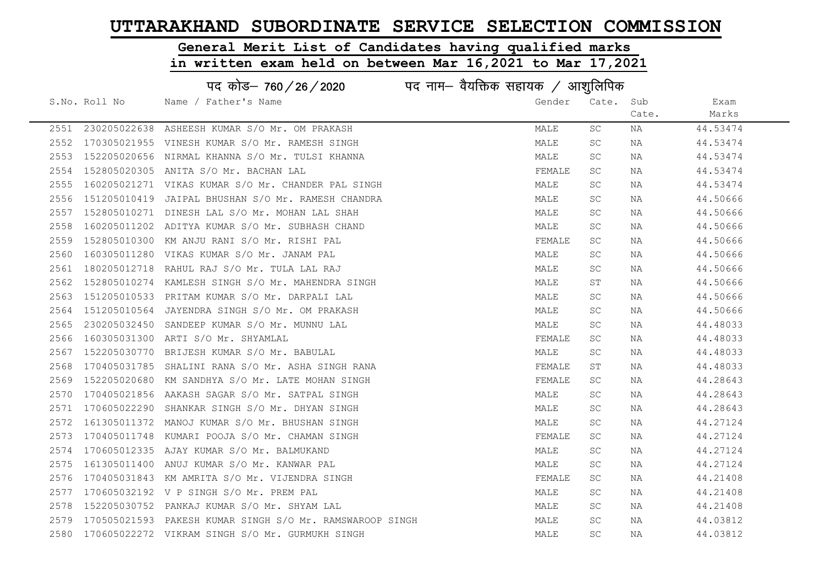# General Merit List of Candidates having qualified marks

|      |               | पद कोड– 760/26/2020                                |        |           |       |          |  |
|------|---------------|----------------------------------------------------|--------|-----------|-------|----------|--|
|      | S.No. Roll No | Name / Father's Name                               | Gender | Cate.     | Sub   | Exam     |  |
|      |               |                                                    |        |           | Cate. | Marks    |  |
| 2551 |               | 230205022638 ASHEESH KUMAR S/O Mr. OM PRAKASH      | MALE   | SC        | NA    | 44.53474 |  |
| 2552 | 170305021955  | VINESH KUMAR S/O Mr. RAMESH SINGH                  | MALE   | <b>SC</b> | NA    | 44.53474 |  |
| 2553 |               | 152205020656 NIRMAL KHANNA S/O Mr. TULSI KHANNA    | MALE   | <b>SC</b> | NA    | 44.53474 |  |
| 2554 |               | 152805020305 ANITA S/O Mr. BACHAN LAL              | FEMALE | SC.       | NA    | 44.53474 |  |
| 2555 |               | 160205021271 VIKAS KUMAR S/O Mr. CHANDER PAL SINGH | MALE   | SC.       | NA    | 44.53474 |  |
| 2556 |               | 151205010419 JAIPAL BHUSHAN S/O Mr. RAMESH CHANDRA | MALE   | <b>SC</b> | NA    | 44.50666 |  |
| 2557 |               | 152805010271 DINESH LAL S/O Mr. MOHAN LAL SHAH     | MALE   | SC.       | NA    | 44.50666 |  |
| 2558 |               | 160205011202 ADITYA KUMAR S/O Mr. SUBHASH CHAND    | MALE   | <b>SC</b> | NA    | 44.50666 |  |
| 2559 | 152805010300  | KM ANJU RANI S/O Mr. RISHI PAL                     | FEMALE | <b>SC</b> | NA    | 44.50666 |  |
| 2560 |               | 160305011280 VIKAS KUMAR S/O Mr. JANAM PAL         | MALE   | SC        | NA    | 44.50666 |  |
| 2561 |               | 180205012718 RAHUL RAJ S/O Mr. TULA LAL RAJ        | MALE   | SC        | NA    | 44.50666 |  |
| 2562 | 152805010274  | KAMLESH SINGH S/O Mr. MAHENDRA SINGH               | MALE   | SТ        | NA    | 44.50666 |  |
| 2563 |               | 151205010533 PRITAM KUMAR S/O Mr. DARPALI LAL      | MALE   | SC.       | NA    | 44.50666 |  |
| 2564 |               | 151205010564 JAYENDRA SINGH S/O Mr. OM PRAKASH     | MALE   | SC.       | NA    | 44.50666 |  |
| 2565 |               | 230205032450 SANDEEP KUMAR S/O Mr. MUNNU LAL       | MALE   | SC.       | NA    | 44.48033 |  |
| 2566 | 160305031300  | ARTI S/O Mr. SHYAMLAL                              | FEMALE | <b>SC</b> | NA    | 44.48033 |  |
| 2567 | 152205030770  | BRIJESH KUMAR S/O Mr. BABULAL                      | MALE   | <b>SC</b> | NA    | 44.48033 |  |
| 2568 |               | 170405031785 SHALINI RANA S/O Mr. ASHA SINGH RANA  | FEMALE | ST        | NA    | 44.48033 |  |
| 2569 | 152205020680  | KM SANDHYA S/O Mr. LATE MOHAN SINGH                | FEMALE | SC        | NA    | 44.28643 |  |
| 2570 |               | 170405021856 AAKASH SAGAR S/O Mr. SATPAL SINGH     | MALE   | SC.       | NA    | 44.28643 |  |
| 2571 | 170605022290  | SHANKAR SINGH S/O Mr. DHYAN SINGH                  | MALE   | SC.       | NA    | 44.28643 |  |
| 2572 |               | 161305011372 MANOJ KUMAR S/O Mr. BHUSHAN SINGH     | MALE   | SC.       | NA    | 44.27124 |  |
| 2573 |               | 170405011748 KUMARI POOJA S/O Mr. CHAMAN SINGH     | FEMALE | SC.       | NA    | 44.27124 |  |
| 2574 |               | 170605012335 AJAY KUMAR S/O Mr. BALMUKAND          | MALE   | SC        | NA    | 44.27124 |  |
| 2575 | 161305011400  | ANUJ KUMAR S/O Mr. KANWAR PAL                      | MALE   | SC        | NA    | 44.27124 |  |
| 2576 |               | 170405031843 KM AMRITA S/O Mr. VIJENDRA SINGH      | FEMALE | SC.       | NA    | 44.21408 |  |
| 2577 |               | 170605032192 V P SINGH S/O Mr. PREM PAL            | MALE   | SC.       | NA    | 44.21408 |  |
| 2578 | 152205030752  | PANKAJ KUMAR S/O Mr. SHYAM LAL                     | MALE   | SC.       | NA    | 44.21408 |  |
| 2579 | 170505021593  | PAKESH KUMAR SINGH S/O Mr. RAMSWAROOP SINGH        | MALE   | SC.       | NA    | 44.03812 |  |
| 2580 |               | 170605022272 VIKRAM SINGH S/O Mr. GURMUKH SINGH    | MALE   | <b>SC</b> | NA    | 44.03812 |  |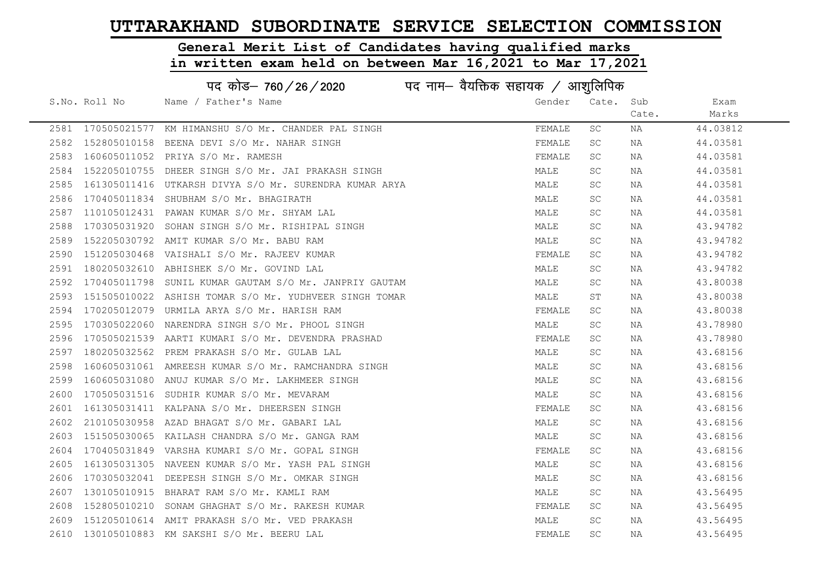#### General Merit List of Candidates having qualified marks

|      | पद कोड– 760/26/2020<br>पद नाम— वैयक्तिक सहायक / आशुलिपिक |                                                         |        |       |       |          |  |
|------|----------------------------------------------------------|---------------------------------------------------------|--------|-------|-------|----------|--|
|      | S.No. Roll No                                            | Name / Father's Name                                    | Gender | Cate. | Sub   | Exam     |  |
|      |                                                          |                                                         |        |       | Cate. | Marks    |  |
|      |                                                          | 2581 170505021577 KM HIMANSHU S/O Mr. CHANDER PAL SINGH | FEMALE | SC    | NA    | 44.03812 |  |
| 2582 |                                                          | 152805010158 BEENA DEVI S/O Mr. NAHAR SINGH             | FEMALE | SC.   | NA    | 44.03581 |  |
| 2583 |                                                          | 160605011052 PRIYA S/O Mr. RAMESH                       | FEMALE | SC    | NA    | 44.03581 |  |
| 2584 |                                                          | 152205010755 DHEER SINGH S/O Mr. JAI PRAKASH SINGH      | MALE   | SC.   | NA    | 44.03581 |  |
| 2585 |                                                          | 161305011416 UTKARSH DIVYA S/O Mr. SURENDRA KUMAR ARYA  | MALE   | SC.   | NA    | 44.03581 |  |
| 2586 |                                                          | 170405011834 SHUBHAM S/O Mr. BHAGIRATH                  | MALE   | SC.   | NA    | 44.03581 |  |
| 2587 |                                                          | 110105012431 PAWAN KUMAR S/O Mr. SHYAM LAL              | MALE   | SC.   | NA    | 44.03581 |  |
| 2588 |                                                          | 170305031920 SOHAN SINGH S/O Mr. RISHIPAL SINGH         | MALE   | SC    | NA    | 43.94782 |  |
| 2589 |                                                          | 152205030792 AMIT KUMAR S/O Mr. BABU RAM                | MALE   | SC.   | NA    | 43.94782 |  |
| 2590 |                                                          | 151205030468 VAISHALI S/O Mr. RAJEEV KUMAR              | FEMALE | SC    | NA    | 43.94782 |  |
| 2591 |                                                          | 180205032610 ABHISHEK S/O Mr. GOVIND LAL                | MALE   | SC.   | NA    | 43.94782 |  |
| 2592 |                                                          | 170405011798 SUNIL KUMAR GAUTAM S/O Mr. JANPRIY GAUTAM  | MALE   | SC.   | NA    | 43.80038 |  |
| 2593 |                                                          | 151505010022 ASHISH TOMAR S/O Mr. YUDHVEER SINGH TOMAR  | MALE   | ST    | NA    | 43.80038 |  |
| 2594 |                                                          | 170205012079 URMILA ARYA S/O Mr. HARISH RAM             | FEMALE | SC.   | NA    | 43.80038 |  |
| 2595 |                                                          | 170305022060 NARENDRA SINGH S/O Mr. PHOOL SINGH         | MALE   | SC    | NA    | 43.78980 |  |
| 2596 | 170505021539                                             | AARTI KUMARI S/O Mr. DEVENDRA PRASHAD                   | FEMALE | SC    | NA    | 43.78980 |  |
| 2597 |                                                          | 180205032562 PREM PRAKASH S/O Mr. GULAB LAL             | MALE   | SC.   | NA    | 43.68156 |  |
| 2598 |                                                          | 160605031061 AMREESH KUMAR S/O Mr. RAMCHANDRA SINGH     | MALE   | SC    | NA    | 43.68156 |  |
| 2599 |                                                          | 160605031080 ANUJ KUMAR S/O Mr. LAKHMEER SINGH          | MALE   | SC.   | NA    | 43.68156 |  |
| 2600 |                                                          | 170505031516 SUDHIR KUMAR S/O Mr. MEVARAM               | MALE   | SC    | NA    | 43.68156 |  |
| 2601 |                                                          | 161305031411 KALPANA S/O Mr. DHEERSEN SINGH             | FEMALE | SC.   | NA    | 43.68156 |  |
| 2602 |                                                          | 210105030958 AZAD BHAGAT S/O Mr. GABARI LAL             | MALE   | SC.   | NA    | 43.68156 |  |
| 2603 |                                                          | 151505030065 KAILASH CHANDRA S/O Mr. GANGA RAM          | MALE   | SC    | NA    | 43.68156 |  |
| 2604 |                                                          | 170405031849 VARSHA KUMARI S/O Mr. GOPAL SINGH          | FEMALE | SC.   | NA    | 43.68156 |  |
| 2605 |                                                          | 161305031305 NAVEEN KUMAR S/O Mr. YASH PAL SINGH        | MALE   | SC.   | NA    | 43.68156 |  |
| 2606 |                                                          | 170305032041 DEEPESH SINGH S/O Mr. OMKAR SINGH          | MALE   | SC.   | NA    | 43.68156 |  |
| 2607 |                                                          | 130105010915 BHARAT RAM S/O Mr. KAMLI RAM               | MALE   | SC.   | NA    | 43.56495 |  |
| 2608 |                                                          | 152805010210 SONAM GHAGHAT S/O Mr. RAKESH KUMAR         | FEMALE | SC    | NA    | 43.56495 |  |
| 2609 |                                                          | 151205010614 AMIT PRAKASH S/O Mr. VED PRAKASH           | MALE   | SC.   | NA    | 43.56495 |  |
|      |                                                          | 2610 130105010883 KM SAKSHI S/O Mr. BEERU LAL           | FEMALE | SC.   | ΝA    | 43.56495 |  |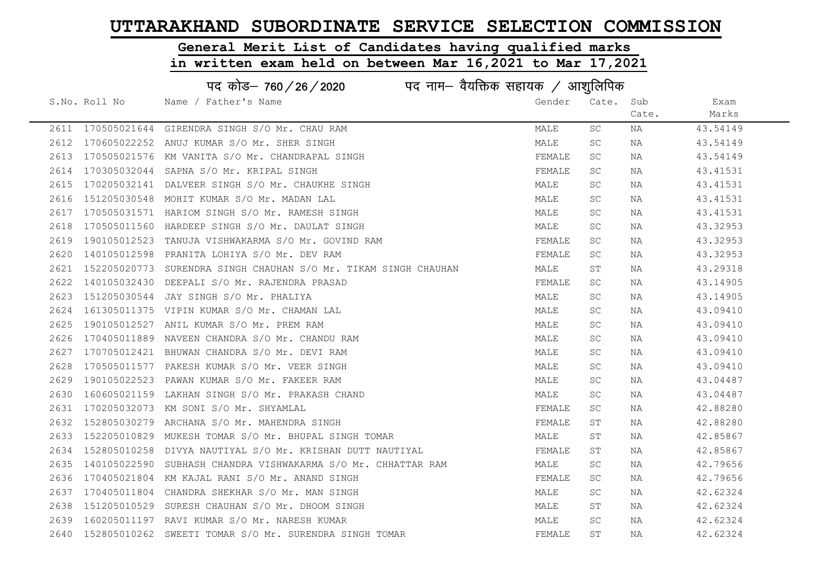#### General Merit List of Candidates having qualified marks

|      | पद कोड– 760/26/2020<br>पद नाम— वैयक्तिक सहायक / आशुलिपिक |                                                                 |        |           |       |          |  |
|------|----------------------------------------------------------|-----------------------------------------------------------------|--------|-----------|-------|----------|--|
|      | S.No. Roll No                                            | Name / Father's Name                                            | Gender | Cate. Sub |       | Exam     |  |
|      |                                                          |                                                                 |        |           | Cate. | Marks    |  |
|      |                                                          | 2611 170505021644 GIRENDRA SINGH S/O Mr. CHAU RAM               | MALE   | SC.       | NA    | 43.54149 |  |
| 2612 |                                                          | 170605022252 ANUJ KUMAR S/O Mr. SHER SINGH                      | MALE   | <b>SC</b> | NA    | 43.54149 |  |
| 2613 |                                                          | 170505021576 KM VANITA S/O Mr. CHANDRAPAL SINGH                 | FEMALE | SC        | NA    | 43.54149 |  |
| 2614 |                                                          | 170305032044 SAPNA S/O Mr. KRIPAL SINGH                         | FEMALE | SC        | NA    | 43.41531 |  |
| 2615 |                                                          | 170205032141 DALVEER SINGH S/O Mr. CHAUKHE SINGH                | MALE   | SC        | NA    | 43.41531 |  |
| 2616 |                                                          | 151205030548 MOHIT KUMAR S/O Mr. MADAN LAL                      | MALE   | <b>SC</b> | NA    | 43.41531 |  |
| 2617 |                                                          | 170505031571 HARIOM SINGH S/O Mr. RAMESH SINGH                  | MALE   | <b>SC</b> | NA    | 43.41531 |  |
| 2618 |                                                          | 170505011560 HARDEEP SINGH S/O Mr. DAULAT SINGH                 | MALE   | <b>SC</b> | NA    | 43.32953 |  |
| 2619 |                                                          | 190105012523 TANUJA VISHWAKARMA S/O Mr. GOVIND RAM              | FEMALE | SC.       | NA    | 43.32953 |  |
| 2620 |                                                          | 140105012598 PRANITA LOHIYA S/O Mr. DEV RAM                     | FEMALE | SC.       | NA    | 43.32953 |  |
| 2621 |                                                          | 152205020773 SURENDRA SINGH CHAUHAN S/O Mr. TIKAM SINGH CHAUHAN | MALE   | SΤ        | NA    | 43.29318 |  |
| 2622 |                                                          | 140105032430 DEEPALI S/O Mr. RAJENDRA PRASAD                    | FEMALE | SC        | NA    | 43.14905 |  |
| 2623 |                                                          | 151205030544 JAY SINGH S/O Mr. PHALIYA                          | MALE   | SC.       | NA    | 43.14905 |  |
| 2624 |                                                          | 161305011375 VIPIN KUMAR S/O Mr. CHAMAN LAL                     | MALE   | <b>SC</b> | NA    | 43.09410 |  |
| 2625 |                                                          | 190105012527 ANIL KUMAR S/O Mr. PREM RAM                        | MALE   | SC.       | NA    | 43.09410 |  |
| 2626 | 170405011889                                             | NAVEEN CHANDRA S/O Mr. CHANDU RAM                               | MALE   | <b>SC</b> | ΝA    | 43.09410 |  |
| 2627 |                                                          | 170705012421 BHUWAN CHANDRA S/O Mr. DEVI RAM                    | MALE   | SC        | NA    | 43.09410 |  |
| 2628 |                                                          | 170505011577 PAKESH KUMAR S/O Mr. VEER SINGH                    | MALE   | SC        | NA    | 43.09410 |  |
| 2629 |                                                          | 190105022523 PAWAN KUMAR S/O Mr. FAKEER RAM                     | MALE   | SC        | NA    | 43.04487 |  |
| 2630 |                                                          | 160605021159 LAKHAN SINGH S/O Mr. PRAKASH CHAND                 | MALE   | <b>SC</b> | NA    | 43.04487 |  |
| 2631 |                                                          | 170205032073 KM SONI S/O Mr. SHYAMLAL                           | FEMALE | SC        | NA    | 42.88280 |  |
| 2632 |                                                          | 152805030279 ARCHANA S/O Mr. MAHENDRA SINGH                     | FEMALE | ST        | NA    | 42.88280 |  |
| 2633 |                                                          | 152205010829 MUKESH TOMAR S/O Mr. BHUPAL SINGH TOMAR            | MALE   | ST        | NA    | 42.85867 |  |
| 2634 | 152805010258                                             | DIVYA NAUTIYAL S/O Mr. KRISHAN DUTT NAUTIYAL                    | FEMALE | SΤ        | ΝA    | 42.85867 |  |
| 2635 |                                                          | 140105022590 SUBHASH CHANDRA VISHWAKARMA S/O Mr. CHHATTAR RAM   | MALE   | SC.       | NA    | 42.79656 |  |
| 2636 |                                                          | 170405021804 KM KAJAL RANI S/O Mr. ANAND SINGH                  | FEMALE | SC.       | NA    | 42.79656 |  |
| 2637 |                                                          | 170405011804 CHANDRA SHEKHAR S/O Mr. MAN SINGH                  | MALE   | SC        | NA    | 42.62324 |  |
| 2638 |                                                          | 151205010529 SURESH CHAUHAN S/O Mr. DHOOM SINGH                 | MALE   | SΤ        | NA    | 42.62324 |  |
| 2639 |                                                          | 160205011197 RAVI KUMAR S/O Mr. NARESH KUMAR                    | MALE   | SC        | NA    | 42.62324 |  |
| 2640 |                                                          | 152805010262 SWEETI TOMAR S/O Mr. SURENDRA SINGH TOMAR          | FEMALE | ST        | NA    | 42.62324 |  |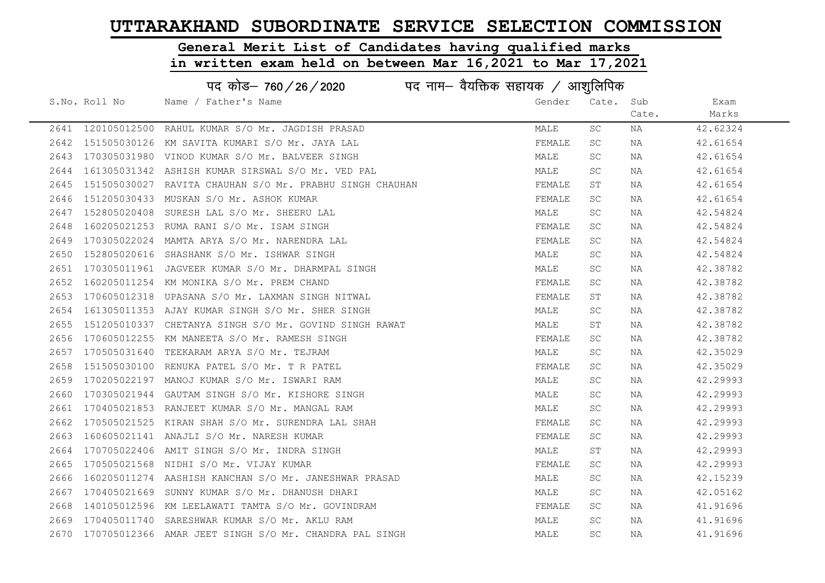# General Merit List of Candidates having qualified marks

|      | पद कोड– 760/26/2020<br>पद नाम— वैयक्तिक सहायक / आशुलिपिक |                                                             |        |       |       |          |  |
|------|----------------------------------------------------------|-------------------------------------------------------------|--------|-------|-------|----------|--|
|      | S.No. Roll No                                            | Name / Father's Name                                        | Gender | Cate. | Sub   | Exam     |  |
|      |                                                          |                                                             |        |       | Cate. | Marks    |  |
|      | 2641 120105012500                                        | RAHUL KUMAR S/O Mr. JAGDISH PRASAD                          | MALE   | SC    | NA    | 42.62324 |  |
| 2642 | 151505030126                                             | KM SAVITA KUMARI S/O Mr. JAYA LAL                           | FEMALE | SC.   | NA    | 42.61654 |  |
| 2643 |                                                          | 170305031980 VINOD KUMAR S/O Mr. BALVEER SINGH              | MALE   | SC    | NA    | 42.61654 |  |
| 2644 |                                                          | 161305031342 ASHISH KUMAR SIRSWAL S/O Mr. VED PAL           | MALE   | SC.   | NA    | 42.61654 |  |
| 2645 |                                                          | 151505030027 RAVITA CHAUHAN S/O Mr. PRABHU SINGH CHAUHAN    | FEMALE | ST    | NA    | 42.61654 |  |
| 2646 |                                                          | 151205030433 MUSKAN S/O Mr. ASHOK KUMAR                     | FEMALE | SC.   | NA    | 42.61654 |  |
| 2647 | 152805020408                                             | SURESH LAL S/O Mr. SHEERU LAL                               | MALE   | SC.   | NA    | 42.54824 |  |
| 2648 |                                                          | 160205021253 RUMA RANI S/O Mr. ISAM SINGH                   | FEMALE | SC.   | NA    | 42.54824 |  |
| 2649 | 170305022024                                             | MAMTA ARYA S/O Mr. NARENDRA LAL                             | FEMALE | SC.   | NA    | 42.54824 |  |
| 2650 |                                                          | 152805020616 SHASHANK S/O Mr. ISHWAR SINGH                  | MALE   | SC.   | NA    | 42.54824 |  |
| 2651 |                                                          | 170305011961 JAGVEER KUMAR S/O Mr. DHARMPAL SINGH           | MALE   | SC.   | NA    | 42.38782 |  |
| 2652 |                                                          | 160205011254 KM MONIKA S/O Mr. PREM CHAND                   | FEMALE | SC.   | NA    | 42.38782 |  |
| 2653 |                                                          | 170605012318 UPASANA S/O Mr. LAXMAN SINGH NITWAL            | FEMALE | ST    | NA    | 42.38782 |  |
| 2654 |                                                          | 161305011353 AJAY KUMAR SINGH S/O Mr. SHER SINGH            | MALE   | SC.   | NA    | 42.38782 |  |
| 2655 |                                                          | 151205010337 CHETANYA SINGH S/O Mr. GOVIND SINGH RAWAT      | MALE   | ST    | NA    | 42.38782 |  |
| 2656 | 170605012255                                             | KM MANEETA S/O Mr. RAMESH SINGH                             | FEMALE | SC.   | NA    | 42.38782 |  |
| 2657 | 170505031640                                             | TEEKARAM ARYA S/O Mr. TEJRAM                                | MALE   | SC.   | NA    | 42.35029 |  |
| 2658 |                                                          | 151505030100 RENUKA PATEL S/O Mr. T R PATEL                 | FEMALE | SC.   | NA    | 42.35029 |  |
| 2659 |                                                          | 170205022197 MANOJ KUMAR S/O Mr. ISWARI RAM                 | MALE   | SC.   | NA    | 42.29993 |  |
| 2660 | 170305021944                                             | GAUTAM SINGH S/O Mr. KISHORE SINGH                          | MALE   | SC.   | NA    | 42.29993 |  |
| 2661 |                                                          | 170405021853 RANJEET KUMAR S/O Mr. MANGAL RAM               | MALE   | SC.   | NA    | 42.29993 |  |
| 2662 |                                                          | 170505021525 KIRAN SHAH S/O Mr. SURENDRA LAL SHAH           | FEMALE | SC    | NA    | 42.29993 |  |
| 2663 |                                                          | 160605021141 ANAJLI S/O Mr. NARESH KUMAR                    | FEMALE | SC    | NA    | 42.29993 |  |
| 2664 | 170705022406                                             | AMIT SINGH S/O Mr. INDRA SINGH                              | MALE   | ST    | NA    | 42.29993 |  |
| 2665 | 170505021568                                             | NIDHI S/O Mr. VIJAY KUMAR                                   | FEMALE | SC.   | NA    | 42.29993 |  |
| 2666 |                                                          | 160205011274 AASHISH KANCHAN S/O Mr. JANESHWAR PRASAD       | MALE   | SC.   | NA    | 42.15239 |  |
| 2667 |                                                          | 170405021669 SUNNY KUMAR S/O Mr. DHANUSH DHARI              | MALE   | SC.   | NA    | 42.05162 |  |
| 2668 |                                                          | 140105012596 KM LEELAWATI TAMTA S/O Mr. GOVINDRAM           | FEMALE | SC.   | NA    | 41.91696 |  |
| 2669 |                                                          | 170405011740 SARESHWAR KUMAR S/O Mr. AKLU RAM               | MALE   | SC.   | NA    | 41.91696 |  |
|      |                                                          | 2670 170705012366 AMAR JEET SINGH S/O Mr. CHANDRA PAL SINGH | MALE   | SC.   | NA    | 41.91696 |  |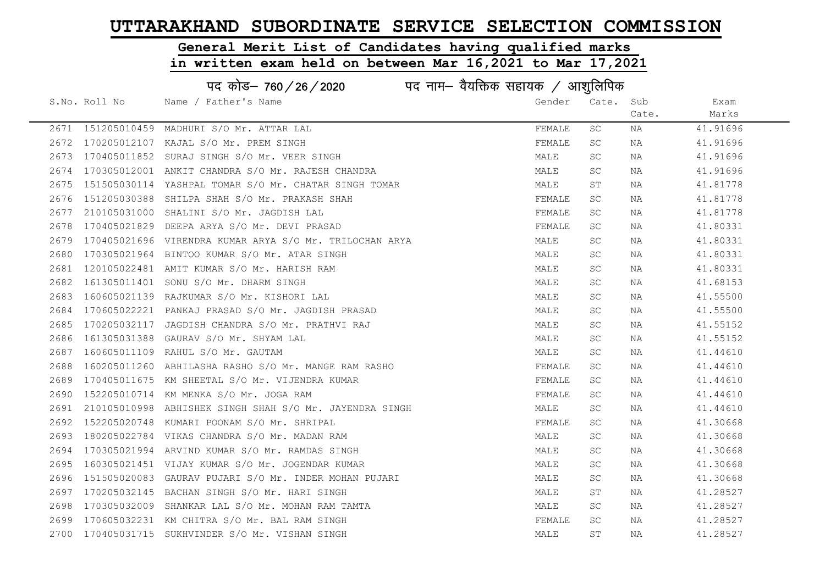#### General Merit List of Candidates having qualified marks

|      | पद कोड– 760/26/2020<br>पद नाम— वैयक्तिक सहायक $\,\angle\,$ आशुलिपिक |                                                         |        |           |       |          |  |  |
|------|---------------------------------------------------------------------|---------------------------------------------------------|--------|-----------|-------|----------|--|--|
|      | S.No. Roll No                                                       | Name / Father's Name                                    | Gender | Cate. Sub |       | Exam     |  |  |
|      |                                                                     |                                                         |        |           | Cate. | Marks    |  |  |
|      |                                                                     | 2671 151205010459 MADHURI S/O Mr. ATTAR LAL             | FEMALE | SC        | ΝA    | 41.91696 |  |  |
|      |                                                                     | 2672 170205012107 KAJAL S/O Mr. PREM SINGH              | FEMALE | SC        | NA    | 41.91696 |  |  |
| 2673 |                                                                     | 170405011852 SURAJ SINGH S/O Mr. VEER SINGH             | MALE   | SC        | NA    | 41.91696 |  |  |
| 2674 |                                                                     | 170305012001 ANKIT CHANDRA S/O Mr. RAJESH CHANDRA       | MALE   | SC        | NA    | 41.91696 |  |  |
| 2675 |                                                                     | 151505030114 YASHPAL TOMAR S/O Mr. CHATAR SINGH TOMAR   | MALE   | ST        | NA    | 41.81778 |  |  |
| 2676 |                                                                     | 151205030388 SHILPA SHAH S/O Mr. PRAKASH SHAH           | FEMALE | SC        | NA    | 41.81778 |  |  |
| 2677 |                                                                     | 210105031000 SHALINI S/O Mr. JAGDISH LAL                | FEMALE | SC        | NA    | 41.81778 |  |  |
| 2678 |                                                                     | 170405021829 DEEPA ARYA S/O Mr. DEVI PRASAD             | FEMALE | SC        | NA    | 41.80331 |  |  |
| 2679 |                                                                     | 170405021696 VIRENDRA KUMAR ARYA S/O Mr. TRILOCHAN ARYA | MALE   | <b>SC</b> | NA    | 41.80331 |  |  |
| 2680 |                                                                     | 170305021964 BINTOO KUMAR S/O Mr. ATAR SINGH            | MALE   | <b>SC</b> | NA    | 41.80331 |  |  |
| 2681 |                                                                     | 120105022481 AMIT KUMAR S/O Mr. HARISH RAM              | MALE   | SC        | NA    | 41.80331 |  |  |
| 2682 |                                                                     | 161305011401 SONU S/O Mr. DHARM SINGH                   | MALE   | SC        | NA    | 41.68153 |  |  |
| 2683 |                                                                     | 160605021139 RAJKUMAR S/O Mr. KISHORI LAL               | MALE   | SC        | NA    | 41.55500 |  |  |
| 2684 |                                                                     | 170605022221 PANKAJ PRASAD S/O Mr. JAGDISH PRASAD       | MALE   | SC.       | NA    | 41.55500 |  |  |
| 2685 |                                                                     | 170205032117 JAGDISH CHANDRA S/O Mr. PRATHVI RAJ        | MALE   | <b>SC</b> | NA    | 41.55152 |  |  |
| 2686 | 161305031388                                                        | GAURAV S/O Mr. SHYAM LAL                                | MALE   | <b>SC</b> | NA    | 41.55152 |  |  |
| 2687 |                                                                     | 160605011109 RAHUL S/O Mr. GAUTAM                       | MALE   | SC        | NA    | 41.44610 |  |  |
| 2688 |                                                                     | 160205011260 ABHILASHA RASHO S/O Mr. MANGE RAM RASHO    | FEMALE | SC        | NA    | 41.44610 |  |  |
| 2689 |                                                                     | 170405011675 KM SHEETAL S/O Mr. VIJENDRA KUMAR          | FEMALE | SC        | NA    | 41.44610 |  |  |
| 2690 |                                                                     | 152205010714 KM MENKA S/O Mr. JOGA RAM                  | FEMALE | SC        | NA    | 41.44610 |  |  |
| 2691 |                                                                     | 210105010998 ABHISHEK SINGH SHAH S/O Mr. JAYENDRA SINGH | MALE   | SC        | NA    | 41.44610 |  |  |
| 2692 |                                                                     | 152205020748 KUMARI POONAM S/O Mr. SHRIPAL              | FEMALE | SC        | NA    | 41.30668 |  |  |
| 2693 | 180205022784                                                        | VIKAS CHANDRA S/O Mr. MADAN RAM                         | MALE   | SC        | NA    | 41.30668 |  |  |
| 2694 | 170305021994                                                        | ARVIND KUMAR S/O Mr. RAMDAS SINGH                       | MALE   | SC        | NA    | 41.30668 |  |  |
| 2695 |                                                                     | 160305021451 VIJAY KUMAR S/O Mr. JOGENDAR KUMAR         | MALE   | SC        | ΝA    | 41.30668 |  |  |
| 2696 |                                                                     | 151505020083 GAURAV PUJARI S/O Mr. INDER MOHAN PUJARI   | MALE   | SC        | NA    | 41.30668 |  |  |
| 2697 |                                                                     | 170205032145 BACHAN SINGH S/O Mr. HARI SINGH            | MALE   | ST        | NA    | 41.28527 |  |  |
| 2698 |                                                                     | 170305032009 SHANKAR LAL S/O Mr. MOHAN RAM TAMTA        | MALE   | SC        | NA    | 41.28527 |  |  |
| 2699 |                                                                     | 170605032231 KM CHITRA S/O Mr. BAL RAM SINGH            | FEMALE | SC        | NA    | 41.28527 |  |  |
|      |                                                                     | 2700 170405031715 SUKHVINDER S/O Mr. VISHAN SINGH       | MALE   | <b>ST</b> | ΝA    | 41.28527 |  |  |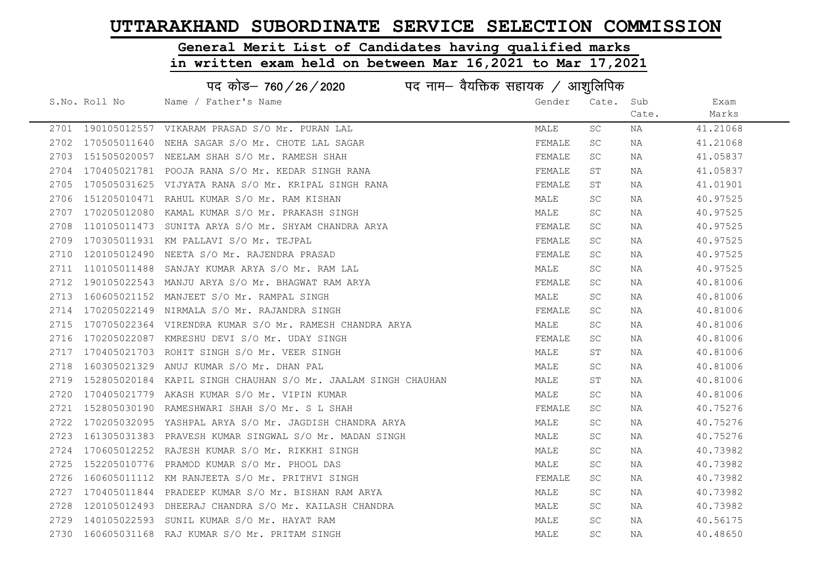General Merit List of Candidates having qualified marks

|      | पद कोड- 760/26/2020<br>पद नाम— वैयक्तिक सहायक / आशुलिपिक |                                                               |        |           |       |          |  |
|------|----------------------------------------------------------|---------------------------------------------------------------|--------|-----------|-------|----------|--|
|      | S.No. Roll No                                            | Name / Father's Name                                          | Gender | Cate.     | Sub   | Exam     |  |
|      |                                                          |                                                               |        |           | Cate. | Marks    |  |
|      |                                                          | 2701 190105012557 VIKARAM PRASAD S/O Mr. PURAN LAL            | MALE   | SC        | ΝA    | 41.21068 |  |
| 2702 | 170505011640                                             | NEHA SAGAR S/O Mr. CHOTE LAL SAGAR                            | FEMALE | <b>SC</b> | NA    | 41.21068 |  |
| 2703 |                                                          | 151505020057 NEELAM SHAH S/O Mr. RAMESH SHAH                  | FEMALE | SC        | NA    | 41.05837 |  |
| 2704 |                                                          | 170405021781 POOJA RANA S/O Mr. KEDAR SINGH RANA              | FEMALE | ST        | NA    | 41.05837 |  |
| 2705 |                                                          | 170505031625 VIJYATA RANA S/O Mr. KRIPAL SINGH RANA           | FEMALE | ST        | NA    | 41.01901 |  |
| 2706 |                                                          | 151205010471 RAHUL KUMAR S/O Mr. RAM KISHAN                   | MALE   | SC        | NA    | 40.97525 |  |
| 2707 |                                                          | 170205012080 KAMAL KUMAR S/O Mr. PRAKASH SINGH                | MALE   | <b>SC</b> | NA    | 40.97525 |  |
| 2708 |                                                          | 110105011473 SUNITA ARYA S/O Mr. SHYAM CHANDRA ARYA           | FEMALE | SC        | NA    | 40.97525 |  |
| 2709 |                                                          | 170305011931 KM PALLAVI S/O Mr. TEJPAL                        | FEMALE | SC.       | NA    | 40.97525 |  |
| 2710 |                                                          | 120105012490 NEETA S/O Mr. RAJENDRA PRASAD                    | FEMALE | SC.       | NA    | 40.97525 |  |
| 2711 |                                                          | 110105011488 SANJAY KUMAR ARYA S/O Mr. RAM LAL                | MALE   | SC        | NA    | 40.97525 |  |
| 2712 |                                                          | 190105022543 MANJU ARYA S/O Mr. BHAGWAT RAM ARYA              | FEMALE | SC.       | NA    | 40.81006 |  |
| 2713 |                                                          | 160605021152 MANJEET S/O Mr. RAMPAL SINGH                     | MALE   | SC.       | NA    | 40.81006 |  |
| 2714 |                                                          | 170205022149 NIRMALA S/O Mr. RAJANDRA SINGH                   | FEMALE | SC.       | NA    | 40.81006 |  |
| 2715 |                                                          | 170705022364 VIRENDRA KUMAR S/O Mr. RAMESH CHANDRA ARYA       | MALE   | SC.       | NA    | 40.81006 |  |
| 2716 |                                                          | 170205022087 KMRESHU DEVI S/O Mr. UDAY SINGH                  | FEMALE | SC.       | NA    | 40.81006 |  |
| 2717 | 170405021703                                             | ROHIT SINGH S/O Mr. VEER SINGH                                | MALE   | ST        | NA    | 40.81006 |  |
| 2718 |                                                          | 160305021329 ANUJ KUMAR S/O Mr. DHAN PAL                      | MALE   | SC.       | NA    | 40.81006 |  |
| 2719 |                                                          | 152805020184 KAPIL SINGH CHAUHAN S/O Mr. JAALAM SINGH CHAUHAN | MALE   | ST        | NA    | 40.81006 |  |
| 2720 |                                                          | 170405021779 AKASH KUMAR S/O Mr. VIPIN KUMAR                  | MALE   | SC.       | NA    | 40.81006 |  |
| 2721 |                                                          | 152805030190 RAMESHWARI SHAH S/O Mr. S L SHAH                 | FEMALE | SC.       | NA    | 40.75276 |  |
| 2722 |                                                          | 170205032095 YASHPAL ARYA S/O Mr. JAGDISH CHANDRA ARYA        | MALE   | SC.       | NA    | 40.75276 |  |
| 2723 |                                                          | 161305031383 PRAVESH KUMAR SINGWAL S/O Mr. MADAN SINGH        | MALE   | SC        | NA    | 40.75276 |  |
| 2724 |                                                          | 170605012252 RAJESH KUMAR S/O Mr. RIKKHI SINGH                | MALE   | SC        | NA    | 40.73982 |  |
| 2725 | 152205010776                                             | PRAMOD KUMAR S/O Mr. PHOOL DAS                                | MALE   | SC        | NA    | 40.73982 |  |
| 2726 |                                                          | 160605011112 KM RANJEETA S/O Mr. PRITHVI SINGH                | FEMALE | SC        | NA    | 40.73982 |  |
| 2727 | 170405011844                                             | PRADEEP KUMAR S/O Mr. BISHAN RAM ARYA                         | MALE   | SC        | NA    | 40.73982 |  |
| 2728 |                                                          | 120105012493 DHEERAJ CHANDRA S/O Mr. KAILASH CHANDRA          | MALE   | SC.       | NA    | 40.73982 |  |
| 2729 |                                                          | 140105022593 SUNIL KUMAR S/O Mr. HAYAT RAM                    | MALE   | SC.       | NA    | 40.56175 |  |
|      |                                                          | 2730 160605031168 RAJ KUMAR S/O Mr. PRITAM SINGH              | MALE   | SC.       | NA    | 40.48650 |  |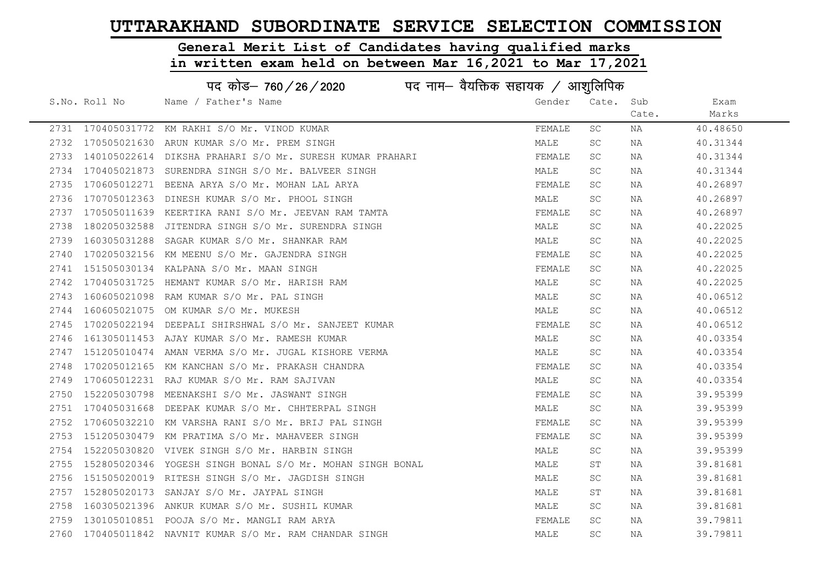# General Merit List of Candidates having qualified marks

|      | पद कोड– 760/26/2020<br>पद नाम— वैयक्तिक सहायक / आशुलिपिक |                                                           |        |           |       |          |  |
|------|----------------------------------------------------------|-----------------------------------------------------------|--------|-----------|-------|----------|--|
|      | S.No. Roll No                                            | Name / Father's Name                                      | Gender | Cate.     | Sub   | Exam     |  |
|      |                                                          |                                                           |        |           | Cate. | Marks    |  |
|      |                                                          | 2731 170405031772 KM RAKHI S/O Mr. VINOD KUMAR            | FEMALE | <b>SC</b> | NA    | 40.48650 |  |
| 2732 |                                                          | 170505021630 ARUN KUMAR S/O Mr. PREM SINGH                | MALE   | <b>SC</b> | NA    | 40.31344 |  |
| 2733 |                                                          | 140105022614 DIKSHA PRAHARI S/O Mr. SURESH KUMAR PRAHARI  | FEMALE | SC.       | NA    | 40.31344 |  |
| 2734 |                                                          | 170405021873 SURENDRA SINGH S/O Mr. BALVEER SINGH         | MALE   | SC        | NA    | 40.31344 |  |
| 2735 |                                                          | 170605012271 BEENA ARYA S/O Mr. MOHAN LAL ARYA            | FEMALE | SC.       | NA    | 40.26897 |  |
| 2736 |                                                          | 170705012363 DINESH KUMAR S/O Mr. PHOOL SINGH             | MALE   | <b>SC</b> | NA    | 40.26897 |  |
| 2737 |                                                          | 170505011639 KEERTIKA RANI S/O Mr. JEEVAN RAM TAMTA       | FEMALE | SC.       | NA    | 40.26897 |  |
| 2738 |                                                          | 180205032588 JITENDRA SINGH S/O Mr. SURENDRA SINGH        | MALE   | SC.       | NA    | 40.22025 |  |
| 2739 |                                                          | 160305031288 SAGAR KUMAR S/O Mr. SHANKAR RAM              | MALE   | SC.       | NA    | 40.22025 |  |
| 2740 |                                                          | 170205032156 KM MEENU S/O Mr. GAJENDRA SINGH              | FEMALE | SC.       | NA    | 40.22025 |  |
| 2741 |                                                          | 151505030134 KALPANA S/O Mr. MAAN SINGH                   | FEMALE | SC.       | NA    | 40.22025 |  |
| 2742 |                                                          | 170405031725 HEMANT KUMAR S/O Mr. HARISH RAM              | MALE   | SC.       | NA    | 40.22025 |  |
| 2743 |                                                          | 160605021098 RAM KUMAR S/O Mr. PAL SINGH                  | MALE   | SC.       | NA    | 40.06512 |  |
| 2744 |                                                          | 160605021075 OM KUMAR S/O Mr. MUKESH                      | MALE   | SC.       | NA    | 40.06512 |  |
| 2745 |                                                          | 170205022194 DEEPALI SHIRSHWAL S/O Mr. SANJEET KUMAR      | FEMALE | SC.       | NA    | 40.06512 |  |
| 2746 |                                                          | 161305011453 AJAY KUMAR S/O Mr. RAMESH KUMAR              | MALE   | SC.       | NA    | 40.03354 |  |
| 2747 | 151205010474                                             | AMAN VERMA S/O Mr. JUGAL KISHORE VERMA                    | MALE   | SC.       | NA    | 40.03354 |  |
| 2748 |                                                          | 170205012165 KM KANCHAN S/O Mr. PRAKASH CHANDRA           | FEMALE | <b>SC</b> | NA    | 40.03354 |  |
| 2749 |                                                          | 170605012231 RAJ KUMAR S/O Mr. RAM SAJIVAN                | MALE   | SC.       | NA    | 40.03354 |  |
| 2750 |                                                          | 152205030798 MEENAKSHI S/O Mr. JASWANT SINGH              | FEMALE | SC        | NA    | 39.95399 |  |
| 2751 |                                                          | 170405031668 DEEPAK KUMAR S/O Mr. CHHTERPAL SINGH         | MALE   | SC        | NA    | 39.95399 |  |
| 2752 |                                                          | 170605032210 KM VARSHA RANI S/O Mr. BRIJ PAL SINGH        | FEMALE | SC.       | NA    | 39.95399 |  |
| 2753 |                                                          | 151205030479 KM PRATIMA S/O Mr. MAHAVEER SINGH            | FEMALE | SC        | NA    | 39.95399 |  |
| 2754 | 152205030820                                             | VIVEK SINGH S/O Mr. HARBIN SINGH                          | MALE   | SC        | ΝA    | 39.95399 |  |
| 2755 |                                                          | 152805020346 YOGESH SINGH BONAL S/O Mr. MOHAN SINGH BONAL | MALE   | ST        | NA    | 39.81681 |  |
| 2756 |                                                          | 151505020019 RITESH SINGH S/O Mr. JAGDISH SINGH           | MALE   | SC.       | NA    | 39.81681 |  |
| 2757 |                                                          | 152805020173 SANJAY S/O Mr. JAYPAL SINGH                  | MALE   | ST        | NA    | 39.81681 |  |
| 2758 |                                                          | 160305021396 ANKUR KUMAR S/O Mr. SUSHIL KUMAR             | MALE   | SC.       | NA    | 39.81681 |  |
| 2759 |                                                          | 130105010851 POOJA S/O Mr. MANGLI RAM ARYA                | FEMALE | SC.       | NA    | 39.79811 |  |
| 2760 |                                                          | 170405011842 NAVNIT KUMAR S/O Mr. RAM CHANDAR SINGH       | MALE   | <b>SC</b> | NA    | 39.79811 |  |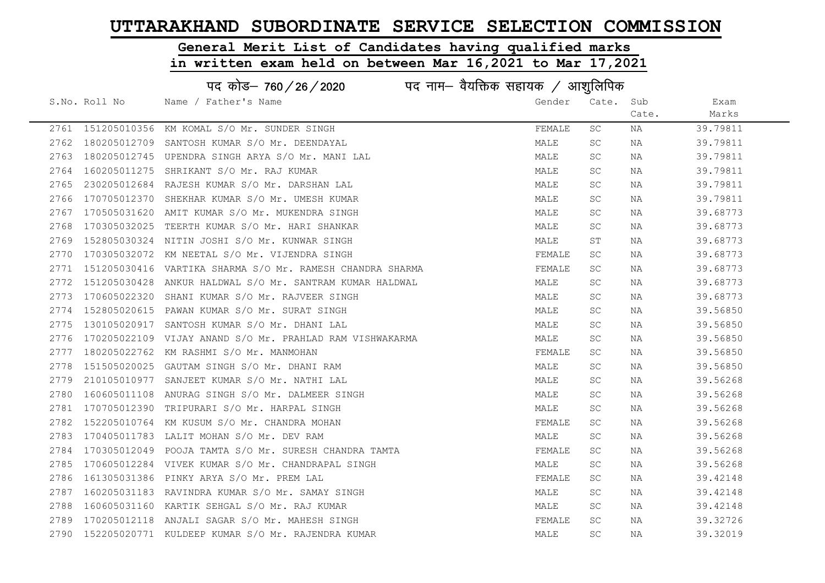# General Merit List of Candidates having qualified marks

|      | पद नाम— वैयक्तिक सहायक / आशुलिपिक<br>पद कोड– 760/26/2020 |                                                           |        |           |       |          |  |
|------|----------------------------------------------------------|-----------------------------------------------------------|--------|-----------|-------|----------|--|
|      | S.No. Roll No                                            | Name / Father's Name                                      | Gender | Cate.     | Sub   | Exam     |  |
|      |                                                          |                                                           |        |           | Cate. | Marks    |  |
|      |                                                          | 2761 151205010356 KM KOMAL S/O Mr. SUNDER SINGH           | FEMALE | SC        | NA    | 39.79811 |  |
| 2762 | 180205012709                                             | SANTOSH KUMAR S/O Mr. DEENDAYAL                           | MALE   | <b>SC</b> | NA    | 39.79811 |  |
| 2763 | 180205012745                                             | UPENDRA SINGH ARYA S/O Mr. MANI LAL                       | MALE   | SC.       | NA    | 39.79811 |  |
| 2764 | 160205011275                                             | SHRIKANT S/O Mr. RAJ KUMAR                                | MALE   | SC.       | NA    | 39.79811 |  |
| 2765 | 230205012684                                             | RAJESH KUMAR S/O Mr. DARSHAN LAL                          | MALE   | SC.       | NA    | 39.79811 |  |
| 2766 | 170705012370                                             | SHEKHAR KUMAR S/O Mr. UMESH KUMAR                         | MALE   | <b>SC</b> | NA    | 39.79811 |  |
| 2767 |                                                          | 170505031620 AMIT KUMAR S/O Mr. MUKENDRA SINGH            | MALE   | SC.       | NA    | 39.68773 |  |
| 2768 | 170305032025                                             | TEERTH KUMAR S/O Mr. HARI SHANKAR                         | MALE   | <b>SC</b> | NA    | 39.68773 |  |
| 2769 | 152805030324                                             | NITIN JOSHI S/O Mr. KUNWAR SINGH                          | MALE   | ST        | NA    | 39.68773 |  |
| 2770 | 170305032072                                             | KM NEETAL S/O Mr. VIJENDRA SINGH                          | FEMALE | <b>SC</b> | NA    | 39.68773 |  |
| 2771 |                                                          | 151205030416 VARTIKA SHARMA S/O Mr. RAMESH CHANDRA SHARMA | FEMALE | SC.       | NA    | 39.68773 |  |
| 2772 | 151205030428                                             | ANKUR HALDWAL S/O Mr. SANTRAM KUMAR HALDWAL               | MALE   | SC        | NA    | 39.68773 |  |
| 2773 | 170605022320                                             | SHANI KUMAR S/O Mr. RAJVEER SINGH                         | MALE   | <b>SC</b> | NA    | 39.68773 |  |
| 2774 |                                                          | 152805020615 PAWAN KUMAR S/O Mr. SURAT SINGH              | MALE   | <b>SC</b> | NA    | 39.56850 |  |
| 2775 | 130105020917                                             | SANTOSH KUMAR S/O Mr. DHANI LAL                           | MALE   | <b>SC</b> | NA    | 39.56850 |  |
| 2776 | 170205022109                                             | VIJAY ANAND S/O Mr. PRAHLAD RAM VISHWAKARMA               | MALE   | <b>SC</b> | NA    | 39.56850 |  |
| 2777 | 180205022762                                             | KM RASHMI S/O Mr. MANMOHAN                                | FEMALE | SC.       | NA    | 39.56850 |  |
| 2778 | 151505020025                                             | GAUTAM SINGH S/O Mr. DHANI RAM                            | MALE   | SC.       | NA    | 39.56850 |  |
| 2779 | 210105010977                                             | SANJEET KUMAR S/O Mr. NATHI LAL                           | MALE   | SC.       | NA    | 39.56268 |  |
| 2780 | 160605011108                                             | ANURAG SINGH S/O Mr. DALMEER SINGH                        | MALE   | SC.       | NA    | 39.56268 |  |
| 2781 |                                                          | 170705012390 TRIPURARI S/O Mr. HARPAL SINGH               | MALE   | <b>SC</b> | NA    | 39.56268 |  |
| 2782 |                                                          | 152205010764 KM KUSUM S/O Mr. CHANDRA MOHAN               | FEMALE | <b>SC</b> | NA    | 39.56268 |  |
| 2783 |                                                          | 170405011783 LALIT MOHAN S/O Mr. DEV RAM                  | MALE   | <b>SC</b> | NA    | 39.56268 |  |
| 2784 | 170305012049                                             | POOJA TAMTA S/O Mr. SURESH CHANDRA TAMTA                  | FEMALE | <b>SC</b> | NA    | 39.56268 |  |
| 2785 | 170605012284                                             | VIVEK KUMAR S/O Mr. CHANDRAPAL SINGH                      | MALE   | <b>SC</b> | NA    | 39.56268 |  |
| 2786 | 161305031386                                             | PINKY ARYA S/O Mr. PREM LAL                               | FEMALE | SC        | NA    | 39.42148 |  |
| 2787 |                                                          | 160205031183 RAVINDRA KUMAR S/O Mr. SAMAY SINGH           | MALE   | SC.       | NA    | 39.42148 |  |
| 2788 |                                                          | 160605031160 KARTIK SEHGAL S/O Mr. RAJ KUMAR              | MALE   | SC        | NA    | 39.42148 |  |
| 2789 |                                                          | 170205012118 ANJALI SAGAR S/O Mr. MAHESH SINGH            | FEMALE | SC.       | NA    | 39.32726 |  |
| 2790 |                                                          | 152205020771 KULDEEP KUMAR S/O Mr. RAJENDRA KUMAR         | MALE   | <b>SC</b> | ΝA    | 39.32019 |  |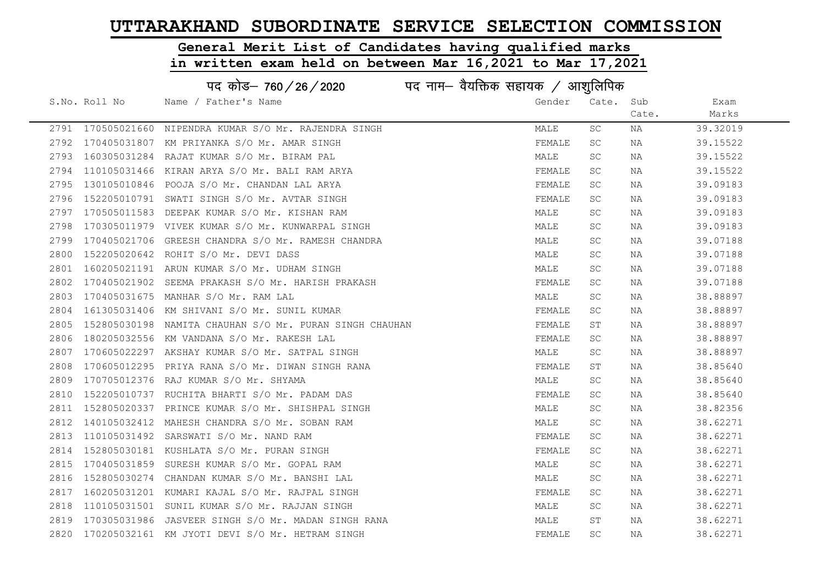# General Merit List of Candidates having qualified marks

|      |               | पद कोड– 760/26/2020<br>पद नाम– वैयक्तिक सहायक / आशुलिपिक |        |           |       |          |
|------|---------------|----------------------------------------------------------|--------|-----------|-------|----------|
|      | S.No. Roll No | Name / Father's Name                                     | Gender | Cate.     | Sub   | Exam     |
|      |               |                                                          |        |           | Cate. | Marks    |
|      |               | 2791 170505021660 NIPENDRA KUMAR S/O Mr. RAJENDRA SINGH  | MALE   | SC        | NA    | 39.32019 |
| 2792 |               | 170405031807 KM PRIYANKA S/O Mr. AMAR SINGH              | FEMALE | <b>SC</b> | NA    | 39.15522 |
| 2793 |               | 160305031284 RAJAT KUMAR S/O Mr. BIRAM PAL               | MALE   | <b>SC</b> | NA    | 39.15522 |
| 2794 |               | 110105031466 KIRAN ARYA S/O Mr. BALI RAM ARYA            | FEMALE | SC        | NA    | 39.15522 |
| 2795 |               | 130105010846 POOJA S/O Mr. CHANDAN LAL ARYA              | FEMALE | SC.       | NA    | 39.09183 |
| 2796 |               | 152205010791 SWATI SINGH S/O Mr. AVTAR SINGH             | FEMALE | <b>SC</b> | NA    | 39.09183 |
| 2797 |               | 170505011583 DEEPAK KUMAR S/O Mr. KISHAN RAM             | MALE   | <b>SC</b> | NA    | 39.09183 |
| 2798 |               | 170305011979 VIVEK KUMAR S/O Mr. KUNWARPAL SINGH         | MALE   | SC.       | NA    | 39.09183 |
| 2799 |               | 170405021706 GREESH CHANDRA S/O Mr. RAMESH CHANDRA       | MALE   | SC.       | NA    | 39.07188 |
| 2800 | 152205020642  | ROHIT S/O Mr. DEVI DASS                                  | MALE   | <b>SC</b> | NA    | 39.07188 |
| 2801 |               | 160205021191 ARUN KUMAR S/O Mr. UDHAM SINGH              | MALE   | <b>SC</b> | NA    | 39.07188 |
| 2802 | 170405021902  | SEEMA PRAKASH S/O Mr. HARISH PRAKASH                     | FEMALE | SC        | NA    | 39.07188 |
| 2803 |               | 170405031675 MANHAR S/O Mr. RAM LAL                      | MALE   | SC        | NA    | 38.88897 |
| 2804 |               | 161305031406 KM SHIVANI S/O Mr. SUNIL KUMAR              | FEMALE | SC        | NA    | 38.88897 |
| 2805 |               | 152805030198 NAMITA CHAUHAN S/O Mr. PURAN SINGH CHAUHAN  | FEMALE | SΤ        | NA    | 38.88897 |
| 2806 |               | 180205032556 KM VANDANA S/O Mr. RAKESH LAL               | FEMALE | <b>SC</b> | NA    | 38.88897 |
| 2807 |               | 170605022297 AKSHAY KUMAR S/O Mr. SATPAL SINGH           | MALE   | <b>SC</b> | NA    | 38.88897 |
| 2808 |               | 170605012295 PRIYA RANA S/O Mr. DIWAN SINGH RANA         | FEMALE | ST        | NA    | 38.85640 |
| 2809 |               | 170705012376 RAJ KUMAR S/O Mr. SHYAMA                    | MALE   | SC.       | NA    | 38.85640 |
| 2810 |               | 152205010737 RUCHITA BHARTI S/O Mr. PADAM DAS            | FEMALE | SC        | NA    | 38.85640 |
| 2811 |               | 152805020337 PRINCE KUMAR S/O Mr. SHISHPAL SINGH         | MALE   | SC.       | NA    | 38.82356 |
| 2812 |               | 140105032412 MAHESH CHANDRA S/O Mr. SOBAN RAM            | MALE   | SC        | NA    | 38.62271 |
| 2813 |               | 110105031492 SARSWATI S/O Mr. NAND RAM                   | FEMALE | SC        | NA    | 38.62271 |
| 2814 |               | 152805030181 KUSHLATA S/O Mr. PURAN SINGH                | FEMALE | SC        | NA    | 38.62271 |
| 2815 |               | 170405031859 SURESH KUMAR S/O Mr. GOPAL RAM              | MALE   | <b>SC</b> | NA    | 38.62271 |
| 2816 | 152805030274  | CHANDAN KUMAR S/O Mr. BANSHI LAL                         | MALE   | SC        | NA    | 38.62271 |
| 2817 |               | 160205031201 KUMARI KAJAL S/O Mr. RAJPAL SINGH           | FEMALE | SC        | NA    | 38.62271 |
| 2818 |               | 110105031501 SUNIL KUMAR S/O Mr. RAJJAN SINGH            | MALE   | SC        | NA    | 38.62271 |
| 2819 |               | 170305031986 JASVEER SINGH S/O Mr. MADAN SINGH RANA      | MALE   | SΤ        | NA    | 38.62271 |
|      |               | 2820 170205032161 KM JYOTI DEVI S/O Mr. HETRAM SINGH     | FEMALE | <b>SC</b> | NA    | 38.62271 |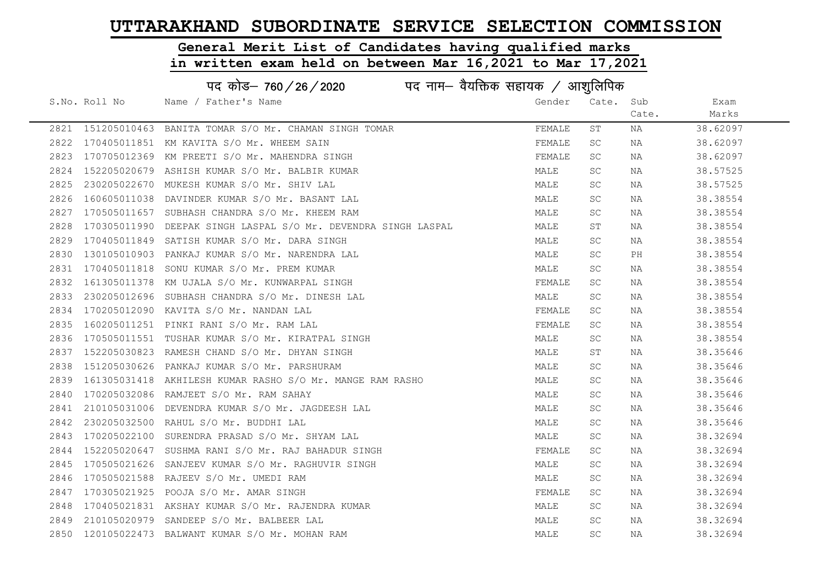# General Merit List of Candidates having qualified marks

|      | पद कोड– 760/26/2020 |                                                           |        |           |       |          |  |
|------|---------------------|-----------------------------------------------------------|--------|-----------|-------|----------|--|
|      | S.No. Roll No       | Name / Father's Name                                      | Gender | Cate.     | Sub   | Exam     |  |
|      |                     |                                                           |        |           | Cate. | Marks    |  |
|      |                     | 2821 151205010463 BANITA TOMAR S/O Mr. CHAMAN SINGH TOMAR | FEMALE | SΤ        | NA    | 38.62097 |  |
|      |                     | 2822 170405011851 KM KAVITA S/O Mr. WHEEM SAIN            | FEMALE | <b>SC</b> | NA    | 38.62097 |  |
| 2823 |                     | 170705012369 KM PREETI S/O Mr. MAHENDRA SINGH             | FEMALE | SC        | NA    | 38.62097 |  |
| 2824 |                     | 152205020679 ASHISH KUMAR S/O Mr. BALBIR KUMAR            | MALE   | SC        | NA    | 38.57525 |  |
| 2825 |                     | 230205022670 MUKESH KUMAR S/O Mr. SHIV LAL                | MALE   | SC.       | NA    | 38.57525 |  |
| 2826 |                     | 160605011038 DAVINDER KUMAR S/O Mr. BASANT LAL            | MALE   | <b>SC</b> | NA    | 38.38554 |  |
| 2827 |                     | 170505011657 SUBHASH CHANDRA S/O Mr. KHEEM RAM            | MALE   | SC.       | NA    | 38.38554 |  |
| 2828 | 170305011990        | DEEPAK SINGH LASPAL S/O Mr. DEVENDRA SINGH LASPAL         | MALE   | SТ        | NA    | 38.38554 |  |
| 2829 | 170405011849        | SATISH KUMAR S/O Mr. DARA SINGH                           | MALE   | <b>SC</b> | NA    | 38.38554 |  |
| 2830 |                     | 130105010903 PANKAJ KUMAR S/O Mr. NARENDRA LAL            | MALE   | SC        | PH    | 38.38554 |  |
| 2831 |                     | 170405011818 SONU KUMAR S/O Mr. PREM KUMAR                | MALE   | SC        | NA    | 38.38554 |  |
| 2832 |                     | 161305011378 KM UJALA S/O Mr. KUNWARPAL SINGH             | FEMALE | <b>SC</b> | NA    | 38.38554 |  |
| 2833 |                     | 230205012696 SUBHASH CHANDRA S/O Mr. DINESH LAL           | MALE   | <b>SC</b> | NA    | 38.38554 |  |
| 2834 |                     | 170205012090 KAVITA S/O Mr. NANDAN LAL                    | FEMALE | <b>SC</b> | NA    | 38.38554 |  |
| 2835 |                     | 160205011251 PINKI RANI S/O Mr. RAM LAL                   | FEMALE | <b>SC</b> | NA    | 38.38554 |  |
| 2836 |                     | 170505011551 TUSHAR KUMAR S/O Mr. KIRATPAL SINGH          | MALE   | SC        | NA    | 38.38554 |  |
| 2837 |                     | 152205030823 RAMESH CHAND S/O Mr. DHYAN SINGH             | MALE   | SТ        | NA    | 38.35646 |  |
| 2838 |                     | 151205030626 PANKAJ KUMAR S/O Mr. PARSHURAM               | MALE   | SC        | NA    | 38.35646 |  |
| 2839 |                     | 161305031418 AKHILESH KUMAR RASHO S/O Mr. MANGE RAM RASHO | MALE   | SC.       | NA    | 38.35646 |  |
| 2840 |                     | 170205032086 RAMJEET S/O Mr. RAM SAHAY                    | MALE   | SC        | NA    | 38.35646 |  |
| 2841 |                     | 210105031006 DEVENDRA KUMAR S/O Mr. JAGDEESH LAL          | MALE   | SC.       | NA    | 38.35646 |  |
| 2842 |                     | 230205032500 RAHUL S/O Mr. BUDDHI LAL                     | MALE   | <b>SC</b> | NA    | 38.35646 |  |
| 2843 |                     | 170205022100 SURENDRA PRASAD S/O Mr. SHYAM LAL            | MALE   | <b>SC</b> | NA    | 38.32694 |  |
| 2844 |                     | 152205020647 SUSHMA RANI S/O Mr. RAJ BAHADUR SINGH        | FEMALE | <b>SC</b> | NA    | 38.32694 |  |
| 2845 | 170505021626        | SANJEEV KUMAR S/O Mr. RAGHUVIR SINGH                      | MALE   | <b>SC</b> | NA    | 38.32694 |  |
| 2846 |                     | 170505021588 RAJEEV S/O Mr. UMEDI RAM                     | MALE   | SC.       | NA    | 38.32694 |  |
| 2847 |                     | 170305021925 POOJA S/O Mr. AMAR SINGH                     | FEMALE | SC        | NA    | 38.32694 |  |
| 2848 |                     | 170405021831 AKSHAY KUMAR S/O Mr. RAJENDRA KUMAR          | MALE   | SC        | NA    | 38.32694 |  |
| 2849 |                     | 210105020979 SANDEEP S/O Mr. BALBEER LAL                  | MALE   | SC        | NA    | 38.32694 |  |
|      |                     | 2850 120105022473 BALWANT KUMAR S/O Mr. MOHAN RAM         | MALE   | SC        | NA    | 38.32694 |  |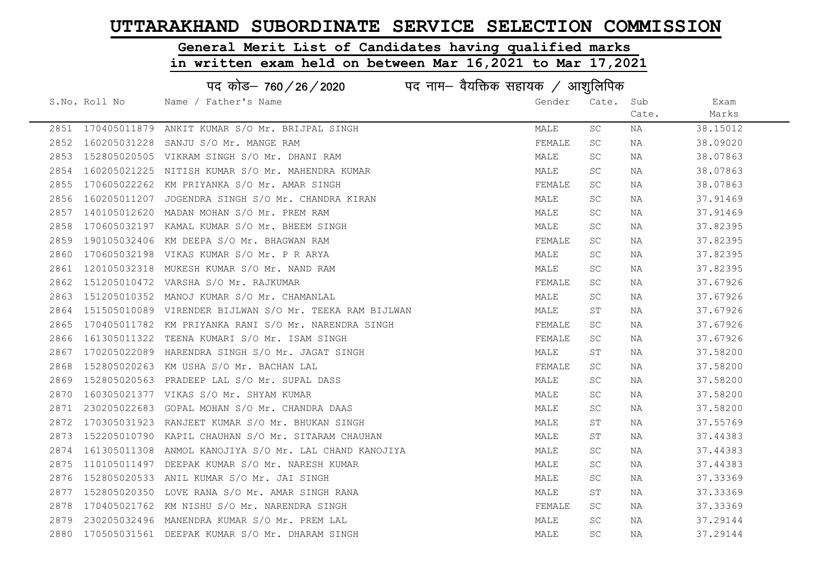# General Merit List of Candidates having qualified marks

|      | पद कोड– 760/26/2020<br>पद नाम— वैयक्तिक सहायक / आशुलिपिक |                                                         |        |           |       |          |  |
|------|----------------------------------------------------------|---------------------------------------------------------|--------|-----------|-------|----------|--|
|      | S.No. Roll No                                            | Name / Father's Name                                    | Gender | Cate.     | Sub   | Exam     |  |
|      |                                                          |                                                         |        |           | Cate. | Marks    |  |
|      |                                                          | 2851 170405011879 ANKIT KUMAR S/O Mr. BRIJPAL SINGH     | MALE   | SC.       | NA    | 38.15012 |  |
| 2852 | 160205031228                                             | SANJU S/O Mr. MANGE RAM                                 | FEMALE | SC        | NA    | 38.09020 |  |
| 2853 |                                                          | 152805020505 VIKRAM SINGH S/O Mr. DHANI RAM             | MALE   | SC.       | NA    | 38.07863 |  |
| 2854 | 160205021225                                             | NITISH KUMAR S/O Mr. MAHENDRA KUMAR                     | MALE   | SC        | NA    | 38.07863 |  |
| 2855 |                                                          | 170605022262 KM PRIYANKA S/O Mr. AMAR SINGH             | FEMALE | SC        | NA    | 38.07863 |  |
| 2856 |                                                          | 160205011207 JOGENDRA SINGH S/O Mr. CHANDRA KIRAN       | MALE   | SC        | NA    | 37.91469 |  |
| 2857 |                                                          | 140105012620 MADAN MOHAN S/O Mr. PREM RAM               | MALE   | SC.       | NA    | 37.91469 |  |
| 2858 |                                                          | 170605032197 KAMAL KUMAR S/O Mr. BHEEM SINGH            | MALE   | <b>SC</b> | NA    | 37.82395 |  |
| 2859 |                                                          | 190105032406 KM DEEPA S/O Mr. BHAGWAN RAM               | FEMALE | SC        | NA    | 37.82395 |  |
| 2860 |                                                          | 170605032198 VIKAS KUMAR S/O Mr. P R ARYA               | MALE   | SC        | NA    | 37.82395 |  |
| 2861 |                                                          | 120105032318 MUKESH KUMAR S/O Mr. NAND RAM              | MALE   | SC        | NA    | 37.82395 |  |
| 2862 |                                                          | 151205010472 VARSHA S/O Mr. RAJKUMAR                    | FEMALE | SC        | NA    | 37.67926 |  |
| 2863 |                                                          | 151205010352 MANOJ KUMAR S/O Mr. CHAMANLAL              | MALE   | SC.       | NA    | 37.67926 |  |
| 2864 |                                                          | 151505010089 VIRENDER BIJLWAN S/O Mr. TEEKA RAM BIJLWAN | MALE   | ST        | NA    | 37.67926 |  |
| 2865 |                                                          | 170405011782 KM PRIYANKA RANI S/O Mr. NARENDRA SINGH    | FEMALE | SC.       | NA    | 37.67926 |  |
| 2866 | 161305011322                                             | TEENA KUMARI S/O Mr. ISAM SINGH                         | FEMALE | SC        | NA    | 37.67926 |  |
| 2867 | 170205022089                                             | HARENDRA SINGH S/O Mr. JAGAT SINGH                      | MALE   | SΤ        | NA    | 37.58200 |  |
| 2868 |                                                          | 152805020263 KM USHA S/O Mr. BACHAN LAL                 | FEMALE | SC        | NA    | 37.58200 |  |
| 2869 | 152805020563                                             | PRADEEP LAL S/O Mr. SUPAL DASS                          | MALE   | SC.       | NA    | 37.58200 |  |
| 2870 |                                                          | 160305021377 VIKAS S/O Mr. SHYAM KUMAR                  | MALE   | SC        | NA    | 37.58200 |  |
| 2871 | 230205022683                                             | GOPAL MOHAN S/O Mr. CHANDRA DAAS                        | MALE   | SC.       | NA    | 37.58200 |  |
| 2872 |                                                          | 170305031923 RANJEET KUMAR S/O Mr. BHUKAN SINGH         | MALE   | ST        | NA    | 37.55769 |  |
| 2873 |                                                          | 152205010790 KAPIL CHAUHAN S/O Mr. SITARAM CHAUHAN      | MALE   | ST        | NA    | 37.44383 |  |
| 2874 | 161305011308                                             | ANMOL KANOJIYA S/O Mr. LAL CHAND KANOJIYA               | MALE   | SC        | NA    | 37.44383 |  |
| 2875 | 110105011497                                             | DEEPAK KUMAR S/O Mr. NARESH KUMAR                       | MALE   | SC        | NA    | 37.44383 |  |
| 2876 |                                                          | 152805020533 ANIL KUMAR S/O Mr. JAI SINGH               | MALE   | SC        | NA    | 37.33369 |  |
| 2877 |                                                          | 152805020350 LOVE RANA S/O Mr. AMAR SINGH RANA          | MALE   | ST        | NA    | 37.33369 |  |
| 2878 |                                                          | 170405021762 KM NISHU S/O Mr. NARENDRA SINGH            | FEMALE | SC        | NA    | 37.33369 |  |
| 2879 |                                                          | 230205032496 MANENDRA KUMAR S/O Mr. PREM LAL            | MALE   | SC        | NA    | 37.29144 |  |
| 2880 |                                                          | 170505031561 DEEPAK KUMAR S/O Mr. DHARAM SINGH          | MALE   | <b>SC</b> | ΝA    | 37.29144 |  |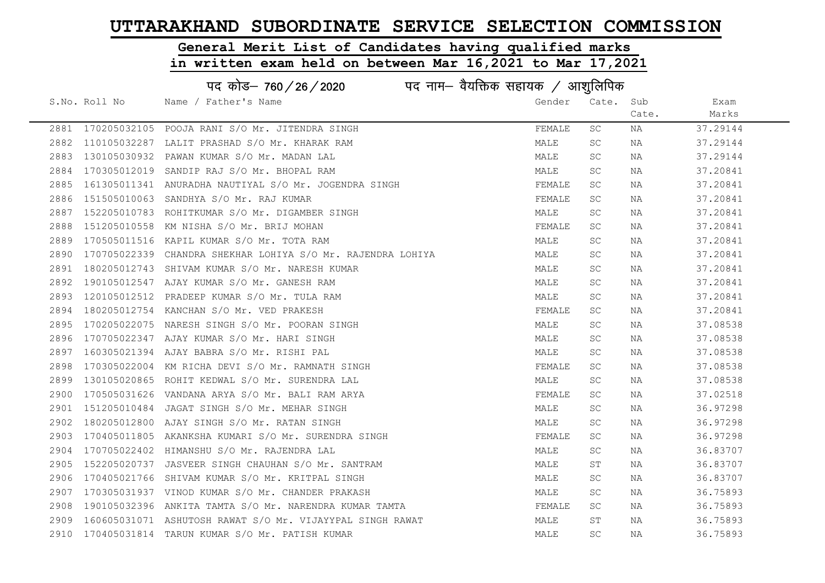# General Merit List of Candidates having qualified marks

|      |               | पद कोड– 760/26/2020<br>पद नाम— वैयक्तिक सहायक / आशुलिपिक    |        |           |       |          |  |
|------|---------------|-------------------------------------------------------------|--------|-----------|-------|----------|--|
|      | S.No. Roll No | Name / Father's Name                                        | Gender | Cate.     | Sub   | Exam     |  |
|      |               |                                                             |        |           | Cate. | Marks    |  |
|      |               | 2881 170205032105 POOJA RANI S/O Mr. JITENDRA SINGH         | FEMALE | SC        | NA    | 37.29144 |  |
| 2882 |               | 110105032287 LALIT PRASHAD S/O Mr. KHARAK RAM               | MALE   | <b>SC</b> | NA    | 37.29144 |  |
| 2883 |               | 130105030932 PAWAN KUMAR S/O Mr. MADAN LAL                  | MALE   | SC        | NA    | 37.29144 |  |
| 2884 |               | 170305012019 SANDIP RAJ S/O Mr. BHOPAL RAM                  | MALE   | SC        | NA    | 37.20841 |  |
| 2885 |               | 161305011341 ANURADHA NAUTIYAL S/O Mr. JOGENDRA SINGH       | FEMALE | SC.       | NA    | 37.20841 |  |
| 2886 |               | 151505010063 SANDHYA S/O Mr. RAJ KUMAR                      | FEMALE | SC        | NA    | 37.20841 |  |
| 2887 |               | 152205010783 ROHITKUMAR S/O Mr. DIGAMBER SINGH              | MALE   | SC        | NA    | 37.20841 |  |
| 2888 |               | 151205010558 KM NISHA S/O Mr. BRIJ MOHAN                    | FEMALE | SC        | NA    | 37.20841 |  |
| 2889 |               | 170505011516 KAPIL KUMAR S/O Mr. TOTA RAM                   | MALE   | SC.       | NA    | 37.20841 |  |
| 2890 |               | 170705022339 CHANDRA SHEKHAR LOHIYA S/O Mr. RAJENDRA LOHIYA | MALE   | SC        | NA    | 37.20841 |  |
| 2891 |               | 180205012743 SHIVAM KUMAR S/O Mr. NARESH KUMAR              | MALE   | SC.       | NA    | 37.20841 |  |
| 2892 |               | 190105012547 AJAY KUMAR S/O Mr. GANESH RAM                  | MALE   | SC        | NA    | 37.20841 |  |
| 2893 |               | 120105012512 PRADEEP KUMAR S/O Mr. TULA RAM                 | MALE   | SC        | NA    | 37.20841 |  |
| 2894 |               | 180205012754 KANCHAN S/O Mr. VED PRAKESH                    | FEMALE | <b>SC</b> | NA    | 37.20841 |  |
| 2895 |               | 170205022075 NARESH SINGH S/O Mr. POORAN SINGH              | MALE   | <b>SC</b> | NA    | 37.08538 |  |
| 2896 |               | 170705022347 AJAY KUMAR S/O Mr. HARI SINGH                  | MALE   | SC        | NA    | 37.08538 |  |
| 2897 |               | 160305021394 AJAY BABRA S/O Mr. RISHI PAL                   | MALE   | SC.       | NA    | 37.08538 |  |
| 2898 |               | 170305022004 KM RICHA DEVI S/O Mr. RAMNATH SINGH            | FEMALE | SC.       | NA    | 37.08538 |  |
| 2899 |               | 130105020865 ROHIT KEDWAL S/O Mr. SURENDRA LAL              | MALE   | SC        | NA    | 37.08538 |  |
| 2900 |               | 170505031626 VANDANA ARYA S/O Mr. BALI RAM ARYA             | FEMALE | SC        | NA    | 37.02518 |  |
| 2901 |               | 151205010484 JAGAT SINGH S/O Mr. MEHAR SINGH                | MALE   | SC.       | NA    | 36.97298 |  |
| 2902 |               | 180205012800 AJAY SINGH S/O Mr. RATAN SINGH                 | MALE   | <b>SC</b> | NA    | 36.97298 |  |
| 2903 |               | 170405011805 AKANKSHA KUMARI S/O Mr. SURENDRA SINGH         | FEMALE | <b>SC</b> | NA    | 36.97298 |  |
| 2904 |               | 170705022402 HIMANSHU S/O Mr. RAJENDRA LAL                  | MALE   | <b>SC</b> | NA    | 36.83707 |  |
| 2905 |               | 152205020737 JASVEER SINGH CHAUHAN S/O Mr. SANTRAM          | MALE   | ST        | NA    | 36.83707 |  |
| 2906 |               | 170405021766 SHIVAM KUMAR S/O Mr. KRITPAL SINGH             | MALE   | SC.       | NA    | 36.83707 |  |
| 2907 |               | 170305031937 VINOD KUMAR S/O Mr. CHANDER PRAKASH            | MALE   | SC.       | NA    | 36.75893 |  |
| 2908 |               | 190105032396 ANKITA TAMTA S/O Mr. NARENDRA KUMAR TAMTA      | FEMALE | SC        | NA    | 36.75893 |  |
| 2909 |               | 160605031071 ASHUTOSH RAWAT S/O Mr. VIJAYYPAL SINGH RAWAT   | MALE   | ST        | NA    | 36.75893 |  |
|      |               | 2910 170405031814 TARUN KUMAR S/O Mr. PATISH KUMAR          | MALE   | <b>SC</b> | ΝA    | 36.75893 |  |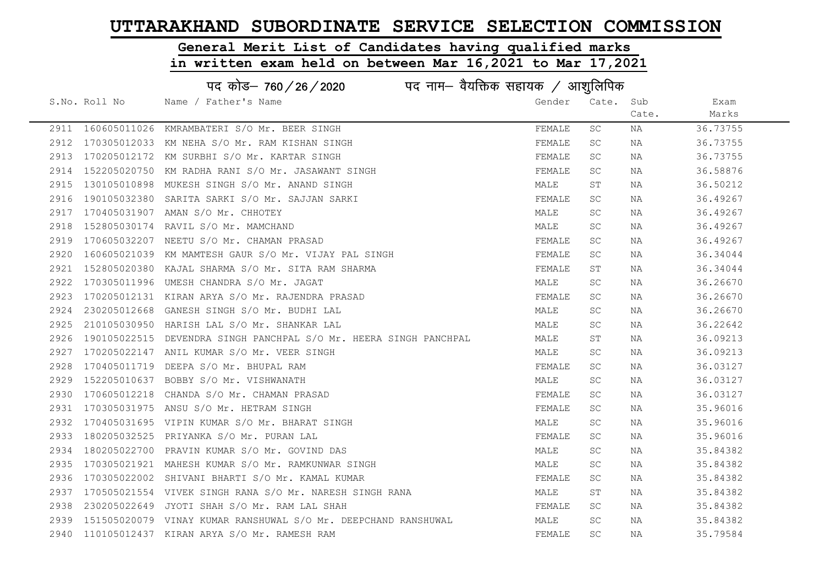# General Merit List of Candidates having qualified marks

|      | पद कोड– 760/26/2020<br>पद नाम— वैयक्तिक सहायक / आशुलिपिक |                                                                |        |           |       |          |
|------|----------------------------------------------------------|----------------------------------------------------------------|--------|-----------|-------|----------|
|      | S.No. Roll No                                            | Name / Father's Name                                           | Gender | Cate.     | Sub   | Exam     |
|      |                                                          |                                                                |        |           | Cate. | Marks    |
|      | 2911 160605011026                                        | KMRAMBATERI S/O Mr. BEER SINGH                                 | FEMALE | SC        | ΝA    | 36.73755 |
| 2912 | 170305012033                                             | KM NEHA S/O Mr. RAM KISHAN SINGH                               | FEMALE | <b>SC</b> | NA    | 36.73755 |
| 2913 |                                                          | 170205012172 KM SURBHI S/O Mr. KARTAR SINGH                    | FEMALE | <b>SC</b> | NA    | 36.73755 |
| 2914 | 152205020750                                             | KM RADHA RANI S/O Mr. JASAWANT SINGH                           | FEMALE | <b>SC</b> | NA    | 36.58876 |
| 2915 |                                                          | 130105010898 MUKESH SINGH S/O Mr. ANAND SINGH                  | MALE   | SТ        | NA    | 36.50212 |
| 2916 |                                                          | 190105032380 SARITA SARKI S/O Mr. SAJJAN SARKI                 | FEMALE | SC        | NA    | 36.49267 |
| 2917 |                                                          | 170405031907 AMAN S/O Mr. CHHOTEY                              | MALE   | SC.       | NA    | 36.49267 |
| 2918 |                                                          | 152805030174 RAVIL S/O Mr. MAMCHAND                            | MALE   | SC        | NA    | 36.49267 |
| 2919 | 170605032207                                             | NEETU S/O Mr. CHAMAN PRASAD                                    | FEMALE | SC        | NA    | 36.49267 |
| 2920 |                                                          | 160605021039 KM MAMTESH GAUR S/O Mr. VIJAY PAL SINGH           | FEMALE | SC        | NA    | 36.34044 |
| 2921 |                                                          | 152805020380 KAJAL SHARMA S/O Mr. SITA RAM SHARMA              | FEMALE | SΤ        | NA    | 36.34044 |
| 2922 |                                                          | 170305011996 UMESH CHANDRA S/O Mr. JAGAT                       | MALE   | SC        | NA    | 36.26670 |
| 2923 |                                                          | 170205012131 KIRAN ARYA S/O Mr. RAJENDRA PRASAD                | FEMALE | <b>SC</b> | NA    | 36.26670 |
| 2924 |                                                          | 230205012668 GANESH SINGH S/O Mr. BUDHI LAL                    | MALE   | <b>SC</b> | NA    | 36.26670 |
| 2925 |                                                          | 210105030950 HARISH LAL S/O Mr. SHANKAR LAL                    | MALE   | <b>SC</b> | NA    | 36.22642 |
| 2926 | 190105022515                                             | DEVENDRA SINGH PANCHPAL S/O Mr. HEERA SINGH PANCHPAL           | MALE   | SΤ        | NA    | 36.09213 |
| 2927 |                                                          | 170205022147 ANIL KUMAR S/O Mr. VEER SINGH                     | MALE   | SC        | NA    | 36.09213 |
| 2928 |                                                          | 170405011719 DEEPA S/O Mr. BHUPAL RAM                          | FEMALE | SC        | NA    | 36.03127 |
| 2929 |                                                          | 152205010637 BOBBY S/O Mr. VISHWANATH                          | MALE   | SC        | NA    | 36.03127 |
| 2930 | 170605012218                                             | CHANDA S/O Mr. CHAMAN PRASAD                                   | FEMALE | <b>SC</b> | NA    | 36.03127 |
| 2931 |                                                          | 170305031975 ANSU S/O Mr. HETRAM SINGH                         | FEMALE | SC.       | NA    | 35.96016 |
| 2932 |                                                          | 170405031695 VIPIN KUMAR S/O Mr. BHARAT SINGH                  | MALE   | <b>SC</b> | NA    | 35.96016 |
| 2933 |                                                          | 180205032525 PRIYANKA S/O Mr. PURAN LAL                        | FEMALE | <b>SC</b> | NA    | 35.96016 |
| 2934 |                                                          | 180205022700 PRAVIN KUMAR S/O Mr. GOVIND DAS                   | MALE   | <b>SC</b> | NA    | 35.84382 |
| 2935 |                                                          | 170305021921 MAHESH KUMAR S/O Mr. RAMKUNWAR SINGH              | MALE   | <b>SC</b> | NA    | 35.84382 |
| 2936 |                                                          | 170305022002 SHIVANI BHARTI S/O Mr. KAMAL KUMAR                | FEMALE | SC        | NA    | 35.84382 |
| 2937 |                                                          | 170505021554 VIVEK SINGH RANA S/O Mr. NARESH SINGH RANA        | MALE   | SТ        | NA    | 35.84382 |
| 2938 | 230205022649                                             | JYOTI SHAH S/O Mr. RAM LAL SHAH                                | FEMALE | SC        | NA    | 35.84382 |
| 2939 |                                                          | 151505020079 VINAY KUMAR RANSHUWAL S/O Mr. DEEPCHAND RANSHUWAL | MALE   | SC        | NA    | 35.84382 |
|      |                                                          | 2940 110105012437 KIRAN ARYA S/O Mr. RAMESH RAM                | FEMALE | <b>SC</b> | ΝA    | 35.79584 |